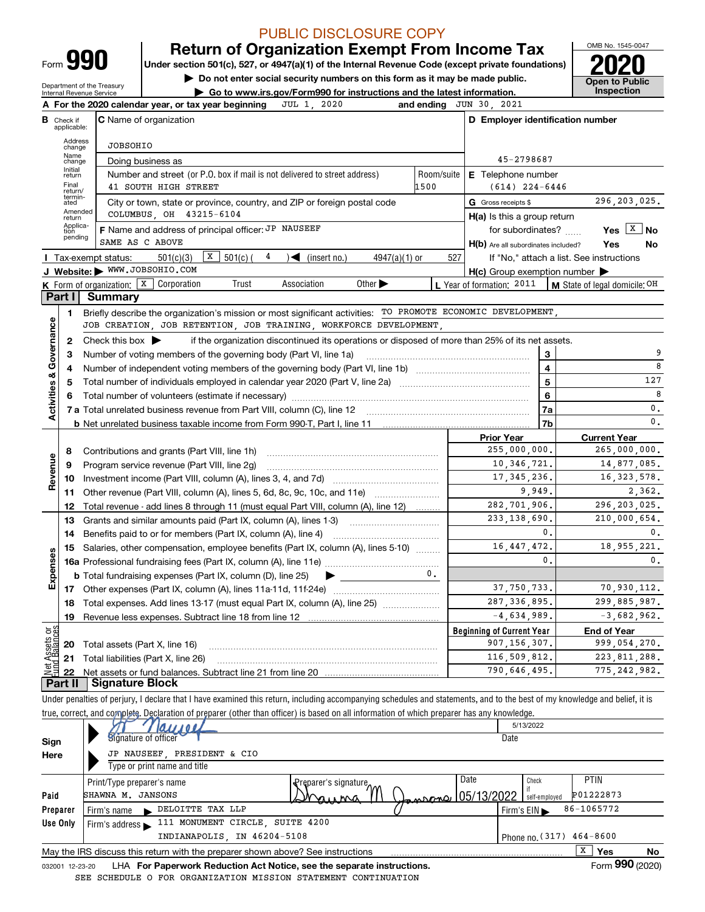| -orm |  |
|------|--|
|      |  |

**Under section 501(c), 527, or 4947(a)(1) of the Internal Revenue Code (except private foundations) 2020 Return of Organization Exempt From Income Tax**

**| Do not enter social security numbers on this form as it may be made public.**

Department of the Treasury Internal Revenue Service

**| Go to www.irs.gov/Form990 for instructions and the latest information. Inspection**



|                         |                         | JUL 1, 2020<br>A For the 2020 calendar year, or tax year beginning                                                                                                              |                | and ending JUN 30, 2021                             |                                                             |
|-------------------------|-------------------------|---------------------------------------------------------------------------------------------------------------------------------------------------------------------------------|----------------|-----------------------------------------------------|-------------------------------------------------------------|
| в                       | Check if<br>applicable: | <b>C</b> Name of organization                                                                                                                                                   |                | D Employer identification number                    |                                                             |
|                         | Address<br>change       | <b>JOBSOHIO</b>                                                                                                                                                                 |                |                                                     |                                                             |
|                         | Name<br>change          | Doing business as                                                                                                                                                               |                | 45-2798687                                          |                                                             |
|                         | Initial<br>return       | Number and street (or P.O. box if mail is not delivered to street address)                                                                                                      | Room/suite     | E Telephone number                                  |                                                             |
|                         | Final<br>return/        | 41 SOUTH HIGH STREET                                                                                                                                                            | 1500           | $(614)$ 224-6446                                    |                                                             |
|                         | termin-<br>ated         | City or town, state or province, country, and ZIP or foreign postal code                                                                                                        |                | G Gross receipts \$                                 | 296, 203, 025.                                              |
|                         | Amended<br>return       | COLUMBUS OH 43215-6104                                                                                                                                                          |                | $H(a)$ is this a group return                       |                                                             |
|                         | Applica-<br>tion        | F Name and address of principal officer: JP NAUSEEF                                                                                                                             |                | for subordinates?                                   | Yes $X$ No                                                  |
|                         | pending                 | SAME AS C ABOVE                                                                                                                                                                 |                | H(b) Are all subordinates included?                 | Yes<br>No                                                   |
|                         |                         | $\boxed{\textbf{X}}$ 501(c) (<br>4<br>501(c)(3)<br>$\sqrt{\left( \text{insert no.} \right)}$<br>$4947(a)(1)$ or<br>Tax-exempt status:                                           | 527            |                                                     | If "No," attach a list. See instructions                    |
|                         |                         | J Website: WWW.JOBSOHIO.COM                                                                                                                                                     |                | $H(c)$ Group exemption number $\blacktriangleright$ |                                                             |
|                         |                         | Other $\blacktriangleright$<br><b>K</b> Form of organization: $\boxed{x}$ Corporation<br>Trust<br>Association                                                                   |                |                                                     | L Year of formation: $2011$   M State of legal domicile: OH |
|                         | Part I                  | Summary                                                                                                                                                                         |                |                                                     |                                                             |
|                         | 1                       | Briefly describe the organization's mission or most significant activities: TO PROMOTE ECONOMIC DEVELOPMENT,                                                                    |                |                                                     |                                                             |
|                         |                         | JOB CREATION, JOB RETENTION, JOB TRAINING, WORKFORCE DEVELOPMENT,                                                                                                               |                |                                                     |                                                             |
| Activities & Governance | 2                       | Check this box $\blacktriangleright$<br>if the organization discontinued its operations or disposed of more than 25% of its net assets.                                         |                |                                                     |                                                             |
|                         | 3                       | Number of voting members of the governing body (Part VI, line 1a)                                                                                                               |                | 3                                                   | 9<br>8                                                      |
|                         | 4                       |                                                                                                                                                                                 |                | $\overline{\mathbf{4}}$                             |                                                             |
|                         | 5                       |                                                                                                                                                                                 |                | $\overline{5}$                                      | 127<br>8                                                    |
|                         | 6                       |                                                                                                                                                                                 |                | 6                                                   |                                                             |
|                         |                         | <b>7 a</b> Total unrelated business revenue from Part VIII, column (C), line 12                                                                                                 |                | 7a                                                  | $\mathbf{0}$ .<br>0.                                        |
|                         |                         | <b>b</b> Net unrelated business taxable income from Form 990-T, Part I, line 11 <b>Marron Company 10</b> Net unrelated business taxable income from Form 990-T, Part I, line 11 |                | 7b                                                  |                                                             |
|                         | 8                       |                                                                                                                                                                                 |                | <b>Prior Year</b><br>255,000,000.                   | <b>Current Year</b><br>265,000,000.                         |
|                         | 9                       | Contributions and grants (Part VIII, line 1h)<br>Program service revenue (Part VIII, line 2g)                                                                                   |                | 10, 346, 721.                                       | 14,877,085.                                                 |
| Revenue                 | 10                      |                                                                                                                                                                                 |                | 17, 345, 236.                                       | 16, 323, 578.                                               |
|                         |                         | 11 Other revenue (Part VIII, column (A), lines 5, 6d, 8c, 9c, 10c, and 11e)                                                                                                     |                | 9.949.                                              | 2.362.                                                      |
|                         | 12                      | Total revenue - add lines 8 through 11 (must equal Part VIII, column (A), line 12)                                                                                              |                | 282,701,906.                                        | 296, 203, 025.                                              |
|                         | 13                      | Grants and similar amounts paid (Part IX, column (A), lines 1-3)                                                                                                                |                | 233.138.690.                                        | 210,000,654.                                                |
|                         | 14                      | Benefits paid to or for members (Part IX, column (A), line 4)                                                                                                                   |                | 0.                                                  | 0.                                                          |
|                         | 15                      | Salaries, other compensation, employee benefits (Part IX, column (A), lines 5-10)                                                                                               |                | 16, 447, 472.                                       | 18,955,221.                                                 |
| Expenses                |                         |                                                                                                                                                                                 |                | $\Omega$                                            | 0.                                                          |
|                         |                         | <b>b</b> Total fundraising expenses (Part IX, column (D), line 25)                                                                                                              | 0 <sub>1</sub> |                                                     |                                                             |
|                         |                         |                                                                                                                                                                                 |                | 37,750,733.                                         | 70,930,112.                                                 |
|                         | 18                      | Total expenses. Add lines 13-17 (must equal Part IX, column (A), line 25) <i></i>                                                                                               |                | 287, 336, 895.                                      | 299,885,987.                                                |
|                         | 19                      | Revenue less expenses. Subtract line 18 from line 12                                                                                                                            |                | $-4,634,989.$                                       | $-3,682,962.$                                               |
| គង្គ                    |                         |                                                                                                                                                                                 |                | <b>Beginning of Current Year</b>                    | <b>End of Year</b>                                          |
| Assets<br>d'Balanc      |                         | <b>20</b> Total assets (Part X, line 16)                                                                                                                                        |                | 907,156,307.                                        | 999,054,270.                                                |
|                         |                         | 21 Total liabilities (Part X, line 26)                                                                                                                                          |                | 116,509,812.                                        | 223, 811, 288.                                              |
| 写                       |                         |                                                                                                                                                                                 |                | 790,646,495.                                        | 775, 242, 982.                                              |
|                         |                         | Dart II - Signature Block                                                                                                                                                       |                |                                                     |                                                             |

**Part II Signature Block**

Under penalties of perjury, I declare that I have examined this return, including accompanying schedules and statements, and to the best of my knowledge and belief, it is true, correct, and complete. Declaration of preparer (other than officer) is based on all information of which preparer has any knowledge.

|                 | Jaysee                                                                          | 5/13/2022                  |
|-----------------|---------------------------------------------------------------------------------|----------------------------|
| Sign            | Signature of officer                                                            | Date                       |
| Here            | JP NAUSEEF, PRESIDENT & CIO                                                     |                            |
|                 | Type or print name and title                                                    |                            |
|                 | Date<br>Print/Type preparer's name<br>eparer's signature.                       | <b>PTIN</b><br>Check       |
| Paid            | Jansone 05/13/2022<br>SHAWNA M. JANSONS<br>ning                                 | P01222873<br>self-emploved |
| Preparer        | DELOITTE TAX LLP<br>Firm's name                                                 | 86-1065772<br>Firm's $EIN$ |
| Use Only        | 111 MONUMENT CIRCLE, SUITE 4200<br>Firm's address $\blacktriangleright$         |                            |
|                 | INDIANAPOLIS, IN 46204-5108                                                     | Phone no. $(317)$ 464-8600 |
|                 | May the IRS discuss this return with the preparer shown above? See instructions | X<br>Yes<br>No             |
| 032001 12-23-20 | LHA For Paperwork Reduction Act Notice, see the separate instructions.          | Form 990 (2020)            |

032001 12-23-20 LHA **For Paperwork Reduction Act Notice, see the separate instructions.**<br>EDIILE O FOR ORGANIZATION MISSION STATEMENT CONTINUATION SEE SCHEDULE O FOR ORGANIZATION MISSION STATEMENT CONTINUATION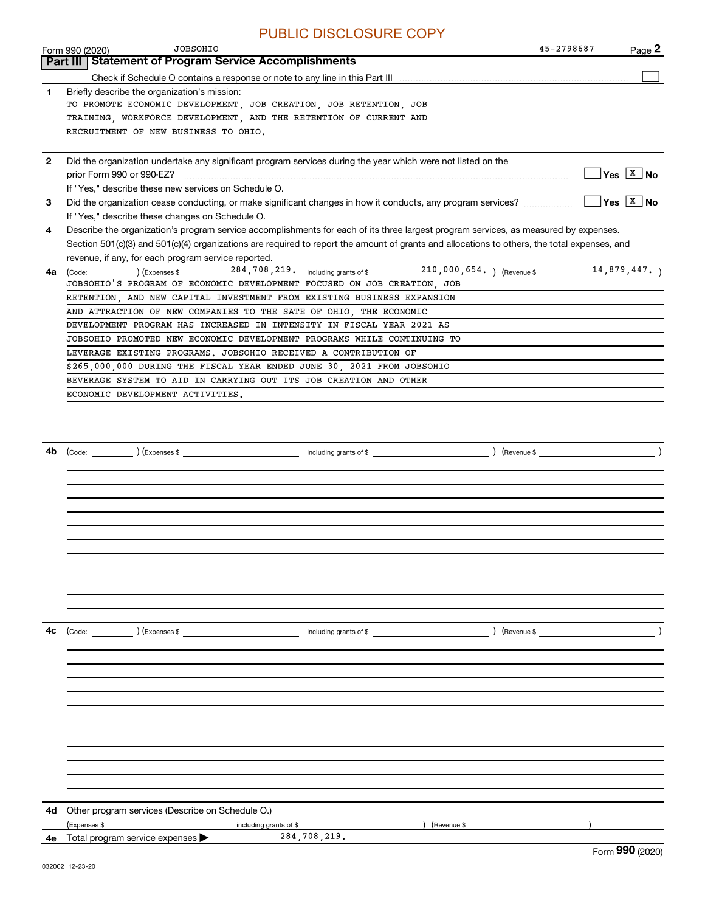|              | PUBLIC DISCLOSURE COPY                                                                                                                       |                                                                   |
|--------------|----------------------------------------------------------------------------------------------------------------------------------------------|-------------------------------------------------------------------|
|              | <b>JOBSOHIO</b><br>45-2798687<br>Form 990 (2020)                                                                                             | Page 2                                                            |
|              | <b>Statement of Program Service Accomplishments</b><br>Part III                                                                              |                                                                   |
|              |                                                                                                                                              |                                                                   |
| 1.           | Briefly describe the organization's mission:                                                                                                 |                                                                   |
|              | TO PROMOTE ECONOMIC DEVELOPMENT, JOB CREATION, JOB RETENTION, JOB                                                                            |                                                                   |
|              | TRAINING, WORKFORCE DEVELOPMENT, AND THE RETENTION OF CURRENT AND                                                                            |                                                                   |
|              | RECRUITMENT OF NEW BUSINESS TO OHIO.                                                                                                         |                                                                   |
|              |                                                                                                                                              |                                                                   |
| $\mathbf{2}$ | Did the organization undertake any significant program services during the year which were not listed on the                                 |                                                                   |
|              |                                                                                                                                              | $\sqrt{Y}$ es $\boxed{X}$ No                                      |
|              | If "Yes," describe these new services on Schedule O.                                                                                         |                                                                   |
| 3            |                                                                                                                                              | $Yes \left[\begin{array}{c c} X & \textbf{No} \end{array}\right]$ |
|              | If "Yes," describe these changes on Schedule O.                                                                                              |                                                                   |
| 4            | Describe the organization's program service accomplishments for each of its three largest program services, as measured by expenses.         |                                                                   |
|              | Section 501(c)(3) and 501(c)(4) organizations are required to report the amount of grants and allocations to others, the total expenses, and |                                                                   |
|              | revenue, if any, for each program service reported.                                                                                          |                                                                   |
| 4a           | (Code: 14,879,447.) (Expenses \$284,708,219. including grants of \$210,000,654.) (Revenue \$14,879,447.)                                     |                                                                   |
|              | JOBSOHIO'S PROGRAM OF ECONOMIC DEVELOPMENT FOCUSED ON JOB CREATION, JOB                                                                      |                                                                   |
|              | RETENTION, AND NEW CAPITAL INVESTMENT FROM EXISTING BUSINESS EXPANSION                                                                       |                                                                   |
|              | AND ATTRACTION OF NEW COMPANIES TO THE SATE OF OHIO, THE ECONOMIC                                                                            |                                                                   |
|              | DEVELOPMENT PROGRAM HAS INCREASED IN INTENSITY IN FISCAL YEAR 2021 AS                                                                        |                                                                   |
|              | JOBSOHIO PROMOTED NEW ECONOMIC DEVELOPMENT PROGRAMS WHILE CONTINUING TO                                                                      |                                                                   |
|              | LEVERAGE EXISTING PROGRAMS. JOBSOHIO RECEIVED A CONTRIBUTION OF                                                                              |                                                                   |
|              | \$265,000,000 DURING THE FISCAL YEAR ENDED JUNE 30, 2021 FROM JOBSOHIO                                                                       |                                                                   |
|              | BEVERAGE SYSTEM TO AID IN CARRYING OUT ITS JOB CREATION AND OTHER                                                                            |                                                                   |
|              | ECONOMIC DEVELOPMENT ACTIVITIES.                                                                                                             |                                                                   |
|              |                                                                                                                                              |                                                                   |
|              |                                                                                                                                              |                                                                   |
|              |                                                                                                                                              |                                                                   |
|              |                                                                                                                                              |                                                                   |
| 4b           |                                                                                                                                              |                                                                   |
|              |                                                                                                                                              |                                                                   |
|              |                                                                                                                                              |                                                                   |
|              |                                                                                                                                              |                                                                   |
|              |                                                                                                                                              |                                                                   |
|              |                                                                                                                                              |                                                                   |
|              |                                                                                                                                              |                                                                   |
|              |                                                                                                                                              |                                                                   |
|              |                                                                                                                                              |                                                                   |
|              |                                                                                                                                              |                                                                   |
|              |                                                                                                                                              |                                                                   |
|              |                                                                                                                                              |                                                                   |
|              |                                                                                                                                              |                                                                   |
| 4с           |                                                                                                                                              |                                                                   |
|              |                                                                                                                                              |                                                                   |
|              |                                                                                                                                              |                                                                   |
|              |                                                                                                                                              |                                                                   |
|              |                                                                                                                                              |                                                                   |
|              |                                                                                                                                              |                                                                   |
|              |                                                                                                                                              |                                                                   |
|              |                                                                                                                                              |                                                                   |
|              |                                                                                                                                              |                                                                   |
|              |                                                                                                                                              |                                                                   |
|              |                                                                                                                                              |                                                                   |
|              |                                                                                                                                              |                                                                   |
|              |                                                                                                                                              |                                                                   |
|              |                                                                                                                                              |                                                                   |
| 4d           | Other program services (Describe on Schedule O.)                                                                                             |                                                                   |
|              | (Expenses \$<br>) (Revenue \$<br>including grants of \$                                                                                      |                                                                   |
|              | 284,708,219.<br>4e Total program service expenses                                                                                            |                                                                   |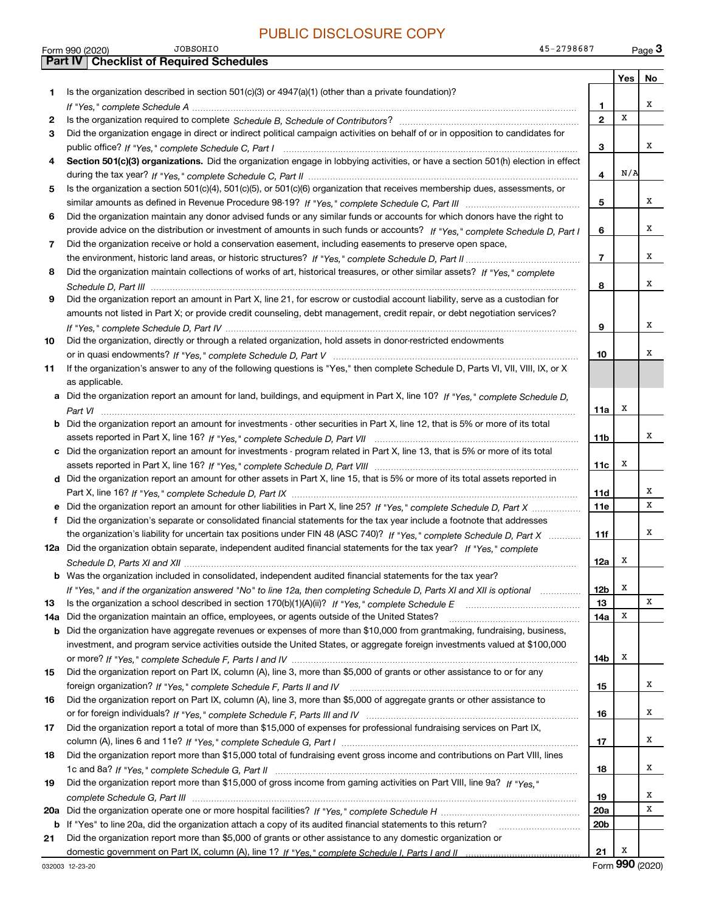|     | <b>JOBSOHIO</b><br>45-2798687<br>Form 990 (2020)                                                                                      |                 |                  | Page 3 |
|-----|---------------------------------------------------------------------------------------------------------------------------------------|-----------------|------------------|--------|
|     | <b>Part IV   Checklist of Required Schedules</b>                                                                                      |                 |                  |        |
|     |                                                                                                                                       |                 | Yes <sub>1</sub> | No     |
| 1   | Is the organization described in section $501(c)(3)$ or $4947(a)(1)$ (other than a private foundation)?                               |                 |                  |        |
|     |                                                                                                                                       | 1               |                  | х      |
| 2   |                                                                                                                                       | $\mathbf{2}$    | X                |        |
| 3   | Did the organization engage in direct or indirect political campaign activities on behalf of or in opposition to candidates for       |                 |                  |        |
|     |                                                                                                                                       | з               |                  | x      |
| 4   | Section 501(c)(3) organizations. Did the organization engage in lobbying activities, or have a section 501(h) election in effect      |                 |                  |        |
|     |                                                                                                                                       | 4               | N/A              |        |
| 5   | Is the organization a section 501(c)(4), 501(c)(5), or 501(c)(6) organization that receives membership dues, assessments, or          |                 |                  |        |
|     |                                                                                                                                       | 5               |                  | х      |
| 6   | Did the organization maintain any donor advised funds or any similar funds or accounts for which donors have the right to             |                 |                  |        |
|     | provide advice on the distribution or investment of amounts in such funds or accounts? If "Yes," complete Schedule D, Part I          | 6               |                  | х      |
| 7   | Did the organization receive or hold a conservation easement, including easements to preserve open space,                             |                 |                  |        |
|     |                                                                                                                                       | $\overline{7}$  |                  | х      |
| 8   | Did the organization maintain collections of works of art, historical treasures, or other similar assets? If "Yes," complete          |                 |                  |        |
|     |                                                                                                                                       | 8               |                  | x      |
| 9   | Did the organization report an amount in Part X, line 21, for escrow or custodial account liability, serve as a custodian for         |                 |                  |        |
|     | amounts not listed in Part X; or provide credit counseling, debt management, credit repair, or debt negotiation services?             |                 |                  |        |
|     |                                                                                                                                       | 9               |                  | х      |
| 10  | Did the organization, directly or through a related organization, hold assets in donor-restricted endowments                          |                 |                  |        |
|     |                                                                                                                                       | 10              |                  | х      |
| 11  | If the organization's answer to any of the following questions is "Yes," then complete Schedule D, Parts VI, VII, VIII, IX, or X      |                 |                  |        |
|     | as applicable.                                                                                                                        |                 |                  |        |
|     | a Did the organization report an amount for land, buildings, and equipment in Part X, line 10? If "Yes," complete Schedule D.         |                 |                  |        |
|     |                                                                                                                                       | 11a             | x                |        |
|     | <b>b</b> Did the organization report an amount for investments - other securities in Part X, line 12, that is 5% or more of its total |                 |                  |        |
|     |                                                                                                                                       | 11b             |                  | x      |
|     | c Did the organization report an amount for investments - program related in Part X, line 13, that is 5% or more of its total         |                 |                  |        |
|     |                                                                                                                                       | 11c             | х                |        |
|     | d Did the organization report an amount for other assets in Part X, line 15, that is 5% or more of its total assets reported in       |                 |                  |        |
|     |                                                                                                                                       | 11d             |                  | х      |
|     | e Did the organization report an amount for other liabilities in Part X, line 25? If "Yes," complete Schedule D, Part X               | 11e             |                  | х      |
| f   | Did the organization's separate or consolidated financial statements for the tax year include a footnote that addresses               |                 |                  |        |
|     | the organization's liability for uncertain tax positions under FIN 48 (ASC 740)? If "Yes," complete Schedule D, Part X                | 11f             |                  | х      |
|     | 12a Did the organization obtain separate, independent audited financial statements for the tax year? If "Yes," complete               |                 |                  |        |
|     |                                                                                                                                       | 12a             | x                |        |
|     | <b>b</b> Was the organization included in consolidated, independent audited financial statements for the tax year?                    |                 |                  |        |
|     | If "Yes," and if the organization answered "No" to line 12a, then completing Schedule D, Parts XI and XII is optional                 | 12b             | х                |        |
| 13  |                                                                                                                                       | 13              |                  | х      |
| 14a | Did the organization maintain an office, employees, or agents outside of the United States?                                           | 14a             | x                |        |
| b   | Did the organization have aggregate revenues or expenses of more than \$10,000 from grantmaking, fundraising, business,               |                 |                  |        |
|     | investment, and program service activities outside the United States, or aggregate foreign investments valued at \$100,000            |                 |                  |        |
|     |                                                                                                                                       | 14b             | x                |        |
| 15  | Did the organization report on Part IX, column (A), line 3, more than \$5,000 of grants or other assistance to or for any             |                 |                  |        |
|     |                                                                                                                                       | 15              |                  | х      |
| 16  | Did the organization report on Part IX, column (A), line 3, more than \$5,000 of aggregate grants or other assistance to              |                 |                  |        |
|     |                                                                                                                                       | 16              |                  | x      |
| 17  | Did the organization report a total of more than \$15,000 of expenses for professional fundraising services on Part IX,               |                 |                  |        |
|     |                                                                                                                                       | 17              |                  | х      |
| 18  | Did the organization report more than \$15,000 total of fundraising event gross income and contributions on Part VIII, lines          |                 |                  |        |
|     |                                                                                                                                       | 18              |                  | х      |
| 19  | Did the organization report more than \$15,000 of gross income from gaming activities on Part VIII, line 9a? If "Yes."                |                 |                  |        |
|     |                                                                                                                                       | 19              |                  | x      |
|     |                                                                                                                                       | 20a             |                  | х      |
|     | <b>b</b> If "Yes" to line 20a, did the organization attach a copy of its audited financial statements to this return?                 | 20 <sub>b</sub> |                  |        |
| 21  | Did the organization report more than \$5,000 of grants or other assistance to any domestic organization or                           |                 |                  |        |
|     |                                                                                                                                       | 21              | X                |        |

Form (2020) **990**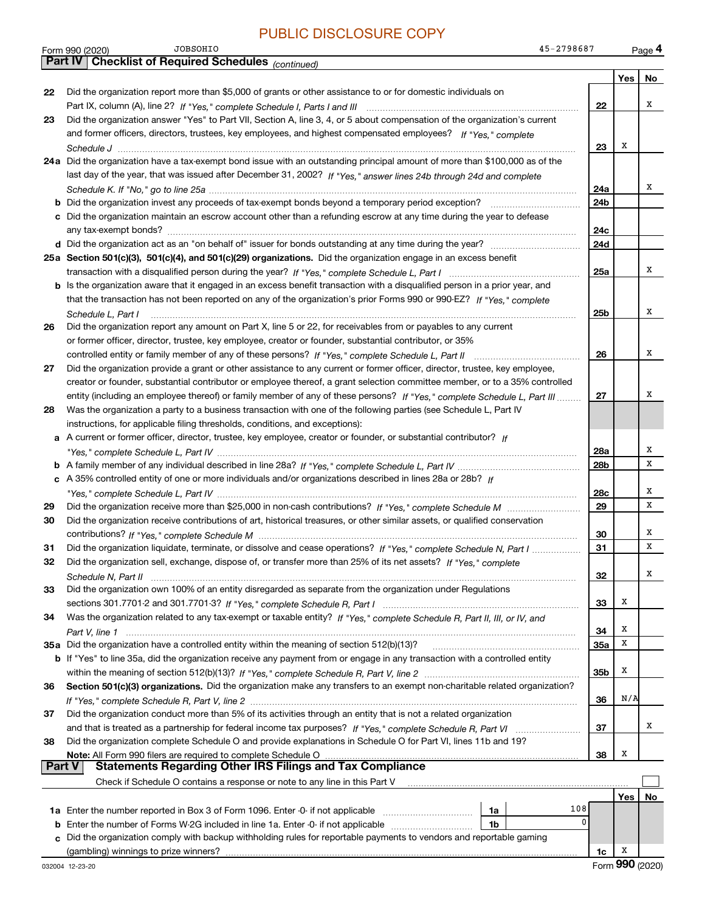|               | <b>JOBSOHIO</b><br>45-2798687<br>Form 990 (2020)                                                                             |     |     | Page 4 |
|---------------|------------------------------------------------------------------------------------------------------------------------------|-----|-----|--------|
|               | <b>Part IV Checklist of Required Schedules</b> (continued)                                                                   |     |     |        |
|               |                                                                                                                              |     | Yes | No     |
| 22            | Did the organization report more than \$5,000 of grants or other assistance to or for domestic individuals on                |     |     |        |
|               |                                                                                                                              | 22  |     | х      |
| 23            | Did the organization answer "Yes" to Part VII, Section A, line 3, 4, or 5 about compensation of the organization's current   |     |     |        |
|               | and former officers, directors, trustees, key employees, and highest compensated employees? If "Yes," complete               |     |     |        |
|               |                                                                                                                              | 23  | х   |        |
|               | 24a Did the organization have a tax-exempt bond issue with an outstanding principal amount of more than \$100,000 as of the  |     |     |        |
|               | last day of the year, that was issued after December 31, 2002? If "Yes," answer lines 24b through 24d and complete           |     |     |        |
|               |                                                                                                                              | 24a |     | x      |
|               |                                                                                                                              | 24b |     |        |
|               |                                                                                                                              |     |     |        |
|               | c Did the organization maintain an escrow account other than a refunding escrow at any time during the year to defease       |     |     |        |
|               |                                                                                                                              | 24c |     |        |
|               |                                                                                                                              | 24d |     |        |
|               | 25a Section 501(c)(3), 501(c)(4), and 501(c)(29) organizations. Did the organization engage in an excess benefit             |     |     |        |
|               |                                                                                                                              | 25a |     | х      |
|               | b Is the organization aware that it engaged in an excess benefit transaction with a disqualified person in a prior year, and |     |     |        |
|               | that the transaction has not been reported on any of the organization's prior Forms 990 or 990-EZ? If "Yes," complete        |     |     |        |
|               | Schedule L. Part I                                                                                                           | 25b |     | х      |
| 26            | Did the organization report any amount on Part X, line 5 or 22, for receivables from or payables to any current              |     |     |        |
|               | or former officer, director, trustee, key employee, creator or founder, substantial contributor, or 35%                      |     |     |        |
|               |                                                                                                                              | 26  |     | х      |
| 27            | Did the organization provide a grant or other assistance to any current or former officer, director, trustee, key employee,  |     |     |        |
|               | creator or founder, substantial contributor or employee thereof, a grant selection committee member, or to a 35% controlled  |     |     |        |
|               | entity (including an employee thereof) or family member of any of these persons? If "Yes," complete Schedule L, Part III     | 27  |     | х      |
| 28            | Was the organization a party to a business transaction with one of the following parties (see Schedule L, Part IV            |     |     |        |
|               |                                                                                                                              |     |     |        |
|               | instructions, for applicable filing thresholds, conditions, and exceptions):                                                 |     |     |        |
|               | a A current or former officer, director, trustee, key employee, creator or founder, or substantial contributor? If           |     |     | х      |
|               |                                                                                                                              | 28a |     | X      |
|               |                                                                                                                              | 28b |     |        |
|               | c A 35% controlled entity of one or more individuals and/or organizations described in lines 28a or 28b? If                  |     |     |        |
|               |                                                                                                                              | 28c |     | х      |
| 29            |                                                                                                                              | 29  |     | X      |
| 30            | Did the organization receive contributions of art, historical treasures, or other similar assets, or qualified conservation  |     |     |        |
|               |                                                                                                                              | 30  |     | х      |
| 31            | Did the organization liquidate, terminate, or dissolve and cease operations? If "Yes," complete Schedule N, Part I           | 31  |     | X      |
| 32            | Did the organization sell, exchange, dispose of, or transfer more than 25% of its net assets? If "Yes," complete             |     |     |        |
|               |                                                                                                                              | 32  |     | Χ      |
| 33            | Did the organization own 100% of an entity disregarded as separate from the organization under Regulations                   |     |     |        |
|               |                                                                                                                              | 33  | х   |        |
| 34            | Was the organization related to any tax-exempt or taxable entity? If "Yes," complete Schedule R, Part II, III, or IV, and    |     |     |        |
|               |                                                                                                                              | 34  | х   |        |
|               | 35a Did the organization have a controlled entity within the meaning of section 512(b)(13)?                                  | 35a | х   |        |
|               | b If "Yes" to line 35a, did the organization receive any payment from or engage in any transaction with a controlled entity  |     |     |        |
|               |                                                                                                                              | 35b | х   |        |
| 36            | Section 501(c)(3) organizations. Did the organization make any transfers to an exempt non-charitable related organization?   |     |     |        |
|               |                                                                                                                              | 36  | N/A |        |
|               | Did the organization conduct more than 5% of its activities through an entity that is not a related organization             |     |     |        |
| 37            |                                                                                                                              |     |     | x      |
|               |                                                                                                                              | 37  |     |        |
| 38            | Did the organization complete Schedule O and provide explanations in Schedule O for Part VI, lines 11b and 19?               |     |     |        |
| <b>Part V</b> | Note: All Form 990 filers are required to complete Schedule O                                                                | 38  | х   |        |
|               | <b>Statements Regarding Other IRS Filings and Tax Compliance</b>                                                             |     |     |        |
|               | Check if Schedule O contains a response or note to any line in this Part V                                                   |     |     |        |
|               |                                                                                                                              |     | Yes | No     |
|               | 108<br>1a                                                                                                                    |     |     |        |
| b             | 0<br>Enter the number of Forms W-2G included in line 1a. Enter -0- if not applicable<br>1b                                   |     |     |        |
| C             | Did the organization comply with backup withholding rules for reportable payments to vendors and reportable gaming           |     |     |        |
|               | (gambling) winnings to prize winners?                                                                                        | 1c  | x   |        |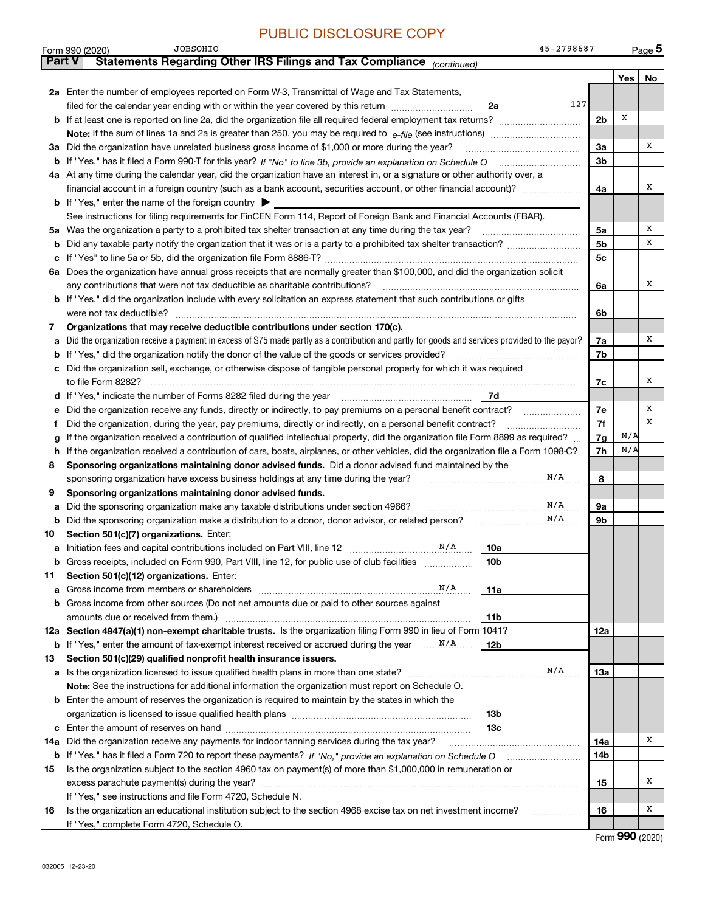|     | <b>JOBSOHIO</b><br>45-2798687<br>Form 990 (2020)                                                                                                |                |     | Page $5$ |
|-----|-------------------------------------------------------------------------------------------------------------------------------------------------|----------------|-----|----------|
|     | Statements Regarding Other IRS Filings and Tax Compliance (continued)<br><b>Part V</b>                                                          |                |     |          |
|     |                                                                                                                                                 |                | Yes | No       |
|     | 2a Enter the number of employees reported on Form W-3, Transmittal of Wage and Tax Statements,                                                  |                |     |          |
|     | 127<br>filed for the calendar year ending with or within the year covered by this return <i>manumumumum</i><br>2a                               |                |     |          |
| b   |                                                                                                                                                 | 2 <sub>b</sub> | X   |          |
|     |                                                                                                                                                 |                |     |          |
| За  | Did the organization have unrelated business gross income of \$1,000 or more during the year?                                                   | За             |     | х        |
| b   |                                                                                                                                                 | 3b             |     |          |
| 4а  | At any time during the calendar year, did the organization have an interest in, or a signature or other authority over, a                       |                |     |          |
|     |                                                                                                                                                 | 4a             |     | х        |
|     | <b>b</b> If "Yes," enter the name of the foreign country $\blacktriangleright$                                                                  |                |     |          |
|     | See instructions for filing requirements for FinCEN Form 114, Report of Foreign Bank and Financial Accounts (FBAR).                             |                |     |          |
| 5а  | Was the organization a party to a prohibited tax shelter transaction at any time during the tax year?                                           | 5a             |     | Χ        |
| b   |                                                                                                                                                 | 5 <sub>b</sub> |     | х        |
| с   |                                                                                                                                                 | 5c             |     |          |
| 6а  | Does the organization have annual gross receipts that are normally greater than \$100,000, and did the organization solicit                     |                |     |          |
|     | any contributions that were not tax deductible as charitable contributions?                                                                     | 6a             |     | х        |
|     | <b>b</b> If "Yes," did the organization include with every solicitation an express statement that such contributions or gifts                   |                |     |          |
|     | were not tax deductible?                                                                                                                        | 6b             |     |          |
| 7   | Organizations that may receive deductible contributions under section 170(c).                                                                   |                |     |          |
| а   | Did the organization receive a payment in excess of \$75 made partly as a contribution and partly for goods and services provided to the payor? | 7a             |     | х        |
| b   | If "Yes," did the organization notify the donor of the value of the goods or services provided?                                                 | 7b             |     |          |
| с   | Did the organization sell, exchange, or otherwise dispose of tangible personal property for which it was required                               |                |     |          |
|     |                                                                                                                                                 | 7c             |     | х        |
| d   | 7d                                                                                                                                              |                |     |          |
| е   | Did the organization receive any funds, directly or indirectly, to pay premiums on a personal benefit contract?                                 | 7е             |     | Χ        |
| Ť   | Did the organization, during the year, pay premiums, directly or indirectly, on a personal benefit contract?                                    | 7f             |     | x        |
|     | If the organization received a contribution of qualified intellectual property, did the organization file Form 8899 as required?                | 7g             | N/A |          |
| h   | If the organization received a contribution of cars, boats, airplanes, or other vehicles, did the organization file a Form 1098-C?              | 7h             | N/A |          |
| 8   | Sponsoring organizations maintaining donor advised funds. Did a donor advised fund maintained by the                                            |                |     |          |
|     | N/A<br>sponsoring organization have excess business holdings at any time during the year?                                                       | 8              |     |          |
| 9   | Sponsoring organizations maintaining donor advised funds.                                                                                       |                |     |          |
| а   | N/A<br>Did the sponsoring organization make any taxable distributions under section 4966?                                                       | 9а             |     |          |
| b   | N/A<br>Did the sponsoring organization make a distribution to a donor, donor advisor, or related person?                                        | 9b             |     |          |
| 10  | Section 501(c)(7) organizations. Enter:                                                                                                         |                |     |          |
| а   | N/A<br>10a                                                                                                                                      |                |     |          |
|     | Gross receipts, included on Form 990, Part VIII, line 12, for public use of club facilities<br>10 <sub>b</sub>                                  |                |     |          |
| 11  | Section 501(c)(12) organizations. Enter:                                                                                                        |                |     |          |
| а   | N/A<br>Gross income from members or shareholders<br>11a                                                                                         |                |     |          |
| b   | Gross income from other sources (Do not net amounts due or paid to other sources against                                                        |                |     |          |
|     | amounts due or received from them.)<br>11b                                                                                                      |                |     |          |
|     | 12a Section 4947(a)(1) non-exempt charitable trusts. Is the organization filing Form 990 in lieu of Form 1041?                                  | 12a            |     |          |
|     | 12b                                                                                                                                             |                |     |          |
| 13  | Section 501(c)(29) qualified nonprofit health insurance issuers.                                                                                |                |     |          |
| а   | N/A<br>Is the organization licensed to issue qualified health plans in more than one state?                                                     | 13а            |     |          |
|     | Note: See the instructions for additional information the organization must report on Schedule O.                                               |                |     |          |
| b   | Enter the amount of reserves the organization is required to maintain by the states in which the                                                |                |     |          |
|     | 13b                                                                                                                                             |                |     |          |
| с   | 13 <sub>c</sub>                                                                                                                                 |                |     |          |
| 14a | Did the organization receive any payments for indoor tanning services during the tax year?                                                      | 14a            |     | х        |
|     | <b>b</b> If "Yes," has it filed a Form 720 to report these payments? If "No," provide an explanation on Schedule O                              | 14b            |     |          |
| 15  | Is the organization subject to the section 4960 tax on payment(s) of more than \$1,000,000 in remuneration or                                   |                |     |          |
|     |                                                                                                                                                 | 15             |     | х        |
|     | If "Yes," see instructions and file Form 4720, Schedule N.                                                                                      |                |     |          |
| 16  | Is the organization an educational institution subject to the section 4968 excise tax on net investment income?                                 | 16             |     | х        |

Form (2020) **990**

If "Yes," complete Form 4720, Schedule O.

JOBSOHIO

45-2798687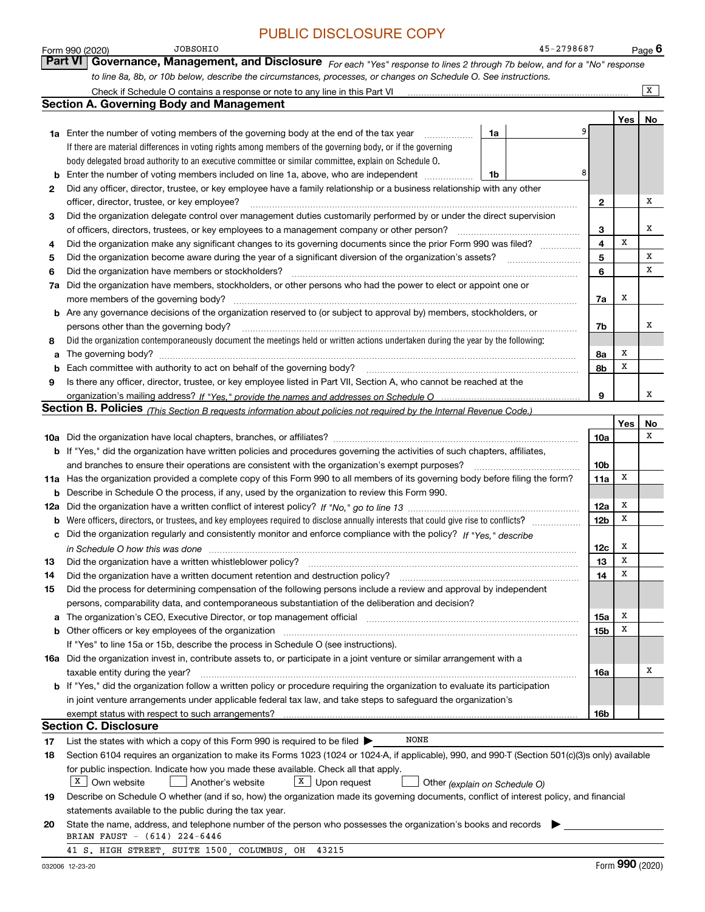|    | <b>JOBSOHIO</b><br>45-2798687<br>Form 990 (2020)                                                                                                                                                                               |                 |     | $Page$ 6 |
|----|--------------------------------------------------------------------------------------------------------------------------------------------------------------------------------------------------------------------------------|-----------------|-----|----------|
|    | <b>Part VI</b><br>Governance, Management, and Disclosure For each "Yes" response to lines 2 through 7b below, and for a "No" response                                                                                          |                 |     |          |
|    | to line 8a, 8b, or 10b below, describe the circumstances, processes, or changes on Schedule O. See instructions.                                                                                                               |                 |     |          |
|    |                                                                                                                                                                                                                                |                 |     | x        |
|    | <b>Section A. Governing Body and Management</b>                                                                                                                                                                                |                 |     |          |
|    |                                                                                                                                                                                                                                |                 | Yes | No       |
|    | <b>1a</b> Enter the number of voting members of the governing body at the end of the tax year<br>1a<br>.                                                                                                                       |                 |     |          |
|    | If there are material differences in voting rights among members of the governing body, or if the governing                                                                                                                    |                 |     |          |
|    | body delegated broad authority to an executive committee or similar committee, explain on Schedule O.                                                                                                                          |                 |     |          |
|    | 8<br>Enter the number of voting members included on line 1a, above, who are independent<br>1b                                                                                                                                  |                 |     |          |
| 2  | Did any officer, director, trustee, or key employee have a family relationship or a business relationship with any other                                                                                                       |                 |     |          |
|    | officer, director, trustee, or key employee?                                                                                                                                                                                   | 2               |     | x        |
| З  | Did the organization delegate control over management duties customarily performed by or under the direct supervision                                                                                                          |                 |     |          |
|    | of officers, directors, trustees, or key employees to a management company or other person?                                                                                                                                    | 3               |     | х        |
| 4  | Did the organization make any significant changes to its governing documents since the prior Form 990 was filed?                                                                                                               | 4               | x   |          |
| 5  | Did the organization become aware during the year of a significant diversion of the organization's assets?                                                                                                                     | 5               |     | X        |
| 6  | Did the organization have members or stockholders?                                                                                                                                                                             | 6               |     | x        |
| 7a | Did the organization have members, stockholders, or other persons who had the power to elect or appoint one or                                                                                                                 |                 |     |          |
|    | more members of the governing body?                                                                                                                                                                                            | 7a              | х   |          |
|    | <b>b</b> Are any governance decisions of the organization reserved to (or subject to approval by) members, stockholders, or                                                                                                    |                 |     |          |
|    | persons other than the governing body?                                                                                                                                                                                         | 7b              |     | x        |
| 8  | Did the organization contemporaneously document the meetings held or written actions undertaken during the year by the following:                                                                                              |                 |     |          |
| a  | The governing body? [[11] matter and the contract of the contract of the contract of the contract of the contract of the contract of the contract of the contract of the contract of the contract of the contract of the contr | 8a              | х   |          |
|    | Each committee with authority to act on behalf of the governing body?                                                                                                                                                          | 8b              | x   |          |
| 9  | Is there any officer, director, trustee, or key employee listed in Part VII, Section A, who cannot be reached at the                                                                                                           |                 |     |          |
|    |                                                                                                                                                                                                                                | 9               |     | х        |
|    | Section B. Policies (This Section B requests information about policies not required by the Internal Revenue Code.)                                                                                                            |                 |     |          |
|    |                                                                                                                                                                                                                                |                 | Yes | No       |
|    | <b>10a</b> Did the organization have local chapters, branches, or affiliates? <i>marroum content of the organization</i> have                                                                                                  | 10a             |     | x        |
|    | b If "Yes," did the organization have written policies and procedures governing the activities of such chapters, affiliates,                                                                                                   |                 |     |          |
|    | and branches to ensure their operations are consistent with the organization's exempt purposes?                                                                                                                                | 10b             |     |          |
|    | 11a Has the organization provided a complete copy of this Form 990 to all members of its governing body before filing the form?                                                                                                | 11a             | X   |          |
|    | <b>b</b> Describe in Schedule O the process, if any, used by the organization to review this Form 990.                                                                                                                         |                 |     |          |
|    |                                                                                                                                                                                                                                | 12a             | х   |          |
|    |                                                                                                                                                                                                                                | 12 <sub>b</sub> | х   |          |
|    | c Did the organization regularly and consistently monitor and enforce compliance with the policy? If "Yes," describe                                                                                                           |                 |     |          |
|    | in Schedule O how this was done manufactured and contain an according to the state of the state of the state o                                                                                                                 | 12c             | x   |          |
| 13 | Did the organization have a written whistleblower policy?                                                                                                                                                                      | 13              | x   |          |
| 14 | Did the organization have a written document retention and destruction policy?<br>The organization have a written document retention and destruction policy?                                                                   | 14              | х   |          |
| 15 | Did the process for determining compensation of the following persons include a review and approval by independent                                                                                                             |                 |     |          |
|    | persons, comparability data, and contemporaneous substantiation of the deliberation and decision?                                                                                                                              |                 | х   |          |
| а  | The organization's CEO, Executive Director, or top management official manufactured content of the organization's CEO, Executive Director, or top management official                                                          | 15a             | x   |          |
|    | b Other officers or key employees of the organization manufactured content to the organization of the organization manufactured content of the organization manufactured content of the organization manufactured content of t | 15b             |     |          |
|    | If "Yes" to line 15a or 15b, describe the process in Schedule O (see instructions).                                                                                                                                            |                 |     |          |
|    | 16a Did the organization invest in, contribute assets to, or participate in a joint venture or similar arrangement with a<br>taxable entity during the year?                                                                   | 16a             |     | х        |
|    | b If "Yes," did the organization follow a written policy or procedure requiring the organization to evaluate its participation                                                                                                 |                 |     |          |
|    | in joint venture arrangements under applicable federal tax law, and take steps to safeguard the organization's                                                                                                                 |                 |     |          |
|    |                                                                                                                                                                                                                                | 16b             |     |          |
|    | <b>Section C. Disclosure</b>                                                                                                                                                                                                   |                 |     |          |
| 17 | NONE<br>List the states with which a copy of this Form 990 is required to be filed $\blacktriangleright$                                                                                                                       |                 |     |          |
| 18 | Section 6104 requires an organization to make its Forms 1023 (1024 or 1024-A, if applicable), 990, and 990-T (Section 501(c)(3)s only) available                                                                               |                 |     |          |
|    | for public inspection. Indicate how you made these available. Check all that apply.                                                                                                                                            |                 |     |          |
|    | $X$ Own website<br>  X<br>Upon request<br>Another's website<br>Other (explain on Schedule O)                                                                                                                                   |                 |     |          |
| 19 | Describe on Schedule O whether (and if so, how) the organization made its governing documents, conflict of interest policy, and financial                                                                                      |                 |     |          |
|    | statements available to the public during the tax year.                                                                                                                                                                        |                 |     |          |
| 20 | State the name, address, and telephone number of the person who possesses the organization's books and records                                                                                                                 |                 |     |          |
|    | BRIAN FAUST - (614) 224-6446                                                                                                                                                                                                   |                 |     |          |

41 S. HIGH STREET, SUITE 1500, COLUMBUS, OH 43215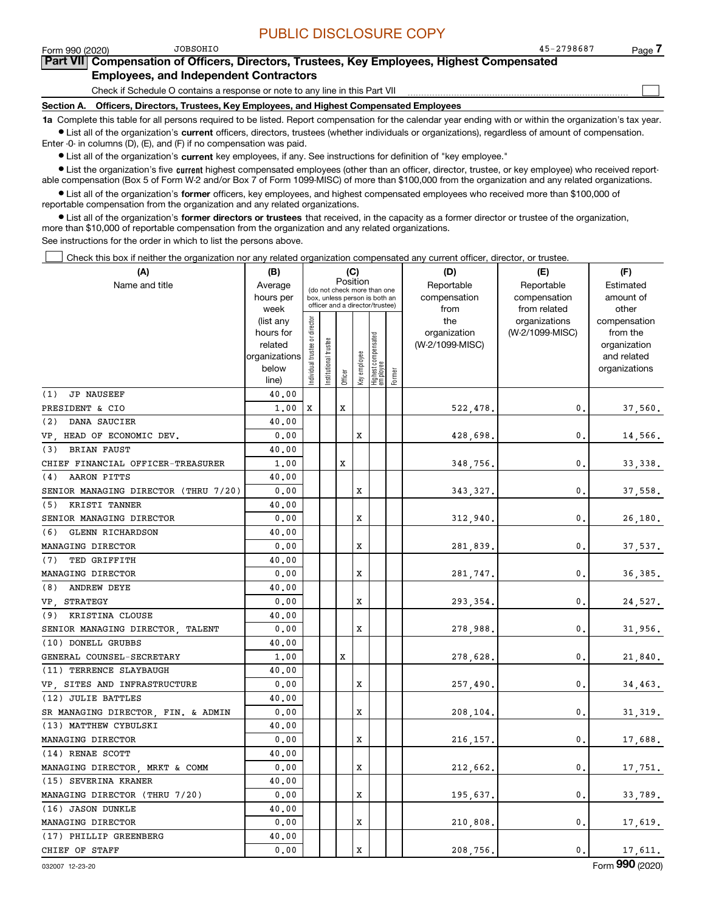$\mathcal{L}^{\text{max}}$ 

| וחכ | JOBSOHIO |
|-----|----------|

### Form 990 (2020) JOBSOHIO 45-2798687 Page **7Part VII Compensation of Officers, Directors, Trustees, Key Employees, Highest Compensated Employees, and Independent Contractors**

### Check if Schedule O contains a response or note to any line in this Part VII

**Section A. Officers, Directors, Trustees, Key Employees, and Highest Compensated Employees**

**1a**  Complete this table for all persons required to be listed. Report compensation for the calendar year ending with or within the organization's tax year. **•** List all of the organization's current officers, directors, trustees (whether individuals or organizations), regardless of amount of compensation.

Enter -0- in columns (D), (E), and (F) if no compensation was paid.

 $\bullet$  List all of the organization's  $\,$ current key employees, if any. See instructions for definition of "key employee."

• List the organization's five current highest compensated employees (other than an officer, director, trustee, or key employee) who received report-■ List the organization's five current highest compensated employees (other than an officer, director, trustee, or key employee) who received report-<br>able compensation (Box 5 of Form W-2 and/or Box 7 of Form 1099-MISC) of

**•** List all of the organization's former officers, key employees, and highest compensated employees who received more than \$100,000 of reportable compensation from the organization and any related organizations.

**former directors or trustees**  ¥ List all of the organization's that received, in the capacity as a former director or trustee of the organization, more than \$10,000 of reportable compensation from the organization and any related organizations.

See instructions for the order in which to list the persons above.

Check this box if neither the organization nor any related organization compensated any current officer, director, or trustee.  $\mathcal{L}^{\text{max}}$ 

| (A)                                  | (B)                                                                          |                               |                            |          | (C)          |                                                                                                 |        | (D)                                            | (E)                                              | (F)                                                                               |
|--------------------------------------|------------------------------------------------------------------------------|-------------------------------|----------------------------|----------|--------------|-------------------------------------------------------------------------------------------------|--------|------------------------------------------------|--------------------------------------------------|-----------------------------------------------------------------------------------|
| Name and title                       | Average<br>hours per                                                         |                               |                            | Position |              | (do not check more than one<br>box, unless person is both an<br>officer and a director/trustee) |        | Reportable<br>compensation                     | Reportable<br>compensation                       | Estimated<br>amount of                                                            |
|                                      | week<br>(list any<br>hours for<br>related<br>organizations<br>below<br>line) | ndividual trustee or director | trustee<br>Institutional t | Officer  | Key employee | Highest compensated<br>employee                                                                 | Former | from<br>the<br>organization<br>(W-2/1099-MISC) | from related<br>organizations<br>(W-2/1099-MISC) | other<br>compensation<br>from the<br>organization<br>and related<br>organizations |
| <b>JP NAUSEEF</b><br>(1)             | 40.00                                                                        |                               |                            |          |              |                                                                                                 |        |                                                |                                                  |                                                                                   |
| PRESIDENT & CIO                      | 1,00                                                                         | x                             |                            | x        |              |                                                                                                 |        | 522,478.                                       | 0.                                               | 37,560.                                                                           |
| (2)<br>DANA SAUCIER                  | 40.00                                                                        |                               |                            |          |              |                                                                                                 |        |                                                |                                                  |                                                                                   |
| VP, HEAD OF ECONOMIC DEV.            | 0.00                                                                         |                               |                            |          | X            |                                                                                                 |        | 428,698.                                       | $\mathbf{0}$ .                                   | 14,566.                                                                           |
| (3) BRIAN FAUST                      | 40.00                                                                        |                               |                            |          |              |                                                                                                 |        |                                                |                                                  |                                                                                   |
| CHIEF FINANCIAL OFFICER-TREASURER    | 1.00                                                                         |                               |                            | X        |              |                                                                                                 |        | 348,756.                                       | $\mathbf{0}$ .                                   | 33,338.                                                                           |
| (4) AARON PITTS                      | 40.00                                                                        |                               |                            |          |              |                                                                                                 |        |                                                |                                                  |                                                                                   |
| SENIOR MANAGING DIRECTOR (THRU 7/20) | 0.00                                                                         |                               |                            |          | X            |                                                                                                 |        | 343,327.                                       | 0.                                               | 37,558.                                                                           |
| (5) KRISTI TANNER                    | 40.00                                                                        |                               |                            |          |              |                                                                                                 |        |                                                |                                                  |                                                                                   |
| SENIOR MANAGING DIRECTOR             | 0.00                                                                         |                               |                            |          | X            |                                                                                                 |        | 312,940.                                       | $\mathbf{0}$ .                                   | 26,180.                                                                           |
| <b>GLENN RICHARDSON</b><br>(6)       | 40.00                                                                        |                               |                            |          |              |                                                                                                 |        |                                                |                                                  |                                                                                   |
| MANAGING DIRECTOR                    | 0.00                                                                         |                               |                            |          | X            |                                                                                                 |        | 281,839.                                       | 0.                                               | 37,537.                                                                           |
| (7)<br>TED GRIFFITH                  | 40.00                                                                        |                               |                            |          |              |                                                                                                 |        |                                                |                                                  |                                                                                   |
| MANAGING DIRECTOR                    | 0.00                                                                         |                               |                            |          | X            |                                                                                                 |        | 281,747.                                       | 0.                                               | 36, 385.                                                                          |
| (8) ANDREW DEYE                      | 40.00                                                                        |                               |                            |          |              |                                                                                                 |        |                                                |                                                  |                                                                                   |
| VP, STRATEGY                         | 0.00                                                                         |                               |                            |          | X            |                                                                                                 |        | 293,354.                                       | 0.                                               | 24,527.                                                                           |
| (9) KRISTINA CLOUSE                  | 40.00                                                                        |                               |                            |          |              |                                                                                                 |        |                                                |                                                  |                                                                                   |
| SENIOR MANAGING DIRECTOR, TALENT     | 0.00                                                                         |                               |                            |          | X            |                                                                                                 |        | 278,988.                                       | 0.                                               | 31,956.                                                                           |
| (10) DONELL GRUBBS                   | 40.00                                                                        |                               |                            |          |              |                                                                                                 |        |                                                |                                                  |                                                                                   |
| GENERAL COUNSEL-SECRETARY            | 1,00                                                                         |                               |                            | х        |              |                                                                                                 |        | 278,628.                                       | 0.                                               | 21,840.                                                                           |
| (11) TERRENCE SLAYBAUGH              | 40.00                                                                        |                               |                            |          |              |                                                                                                 |        |                                                |                                                  |                                                                                   |
| VP, SITES AND INFRASTRUCTURE         | 0.00                                                                         |                               |                            |          | х            |                                                                                                 |        | 257,490.                                       | 0.                                               | 34,463.                                                                           |
| (12) JULIE BATTLES                   | 40.00                                                                        |                               |                            |          |              |                                                                                                 |        |                                                |                                                  |                                                                                   |
| SR MANAGING DIRECTOR, FIN. & ADMIN   | 0.00                                                                         |                               |                            |          | X            |                                                                                                 |        | 208,104.                                       | $\mathbf{0}$ .                                   | 31,319.                                                                           |
| (13) MATTHEW CYBULSKI                | 40.00                                                                        |                               |                            |          |              |                                                                                                 |        |                                                |                                                  |                                                                                   |
| MANAGING DIRECTOR                    | 0.00                                                                         |                               |                            |          | X            |                                                                                                 |        | 216,157.                                       | 0.                                               | 17,688.                                                                           |
| (14) RENAE SCOTT                     | 40.00                                                                        |                               |                            |          |              |                                                                                                 |        |                                                |                                                  |                                                                                   |
| MANAGING DIRECTOR, MRKT & COMM       | 0.00                                                                         |                               |                            |          | X            |                                                                                                 |        | 212,662.                                       | 0.                                               | 17,751.                                                                           |
| (15) SEVERINA KRANER                 | 40.00                                                                        |                               |                            |          |              |                                                                                                 |        |                                                |                                                  |                                                                                   |
| MANAGING DIRECTOR (THRU 7/20)        | 0.00                                                                         |                               |                            |          | X            |                                                                                                 |        | 195,637.                                       | 0.                                               | 33,789.                                                                           |
| (16) JASON DUNKLE                    | 40.00                                                                        |                               |                            |          |              |                                                                                                 |        |                                                |                                                  |                                                                                   |
| MANAGING DIRECTOR                    | 0.00                                                                         |                               |                            |          | х            |                                                                                                 |        | 210,808.                                       | $\mathbf{0}$ .                                   | 17,619.                                                                           |
| (17) PHILLIP GREENBERG               | 40.00                                                                        |                               |                            |          |              |                                                                                                 |        |                                                |                                                  |                                                                                   |
| CHIEF OF STAFF                       | 0.00                                                                         |                               |                            |          | X            |                                                                                                 |        | 208,756.                                       | 0.                                               | 17,611.                                                                           |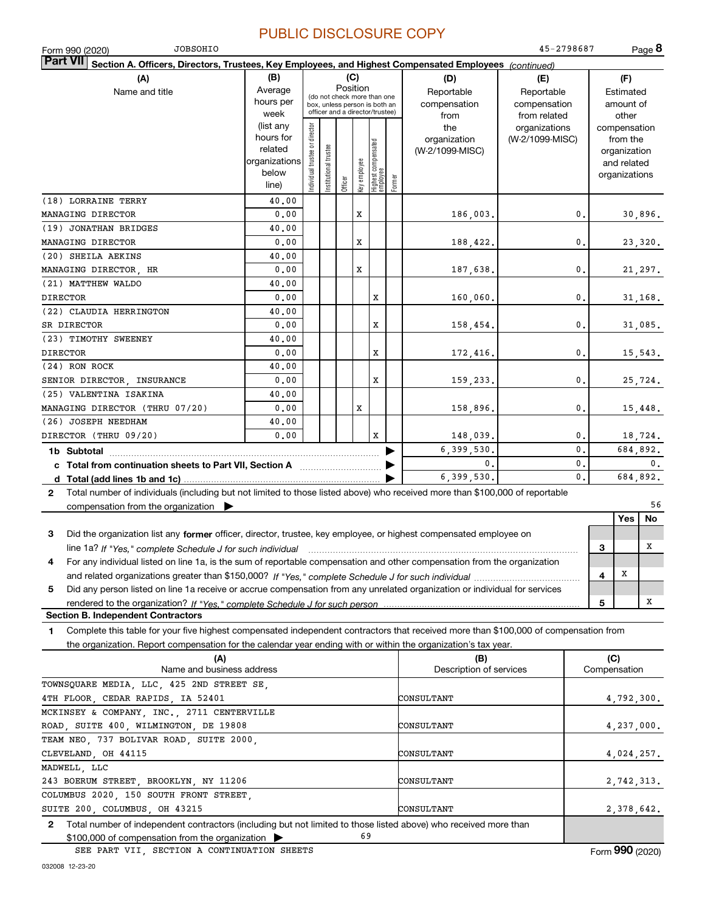| <b>JOBSOHIO</b><br>Form 990 (2020)                                                                                                           |                   |                               |                      |          |              |                                                                  |        |                         | 45-2798687                       |                |              | Page 8                   |
|----------------------------------------------------------------------------------------------------------------------------------------------|-------------------|-------------------------------|----------------------|----------|--------------|------------------------------------------------------------------|--------|-------------------------|----------------------------------|----------------|--------------|--------------------------|
| <b>Part VII</b><br>Section A. Officers, Directors, Trustees, Key Employees, and Highest Compensated Employees (continued)                    |                   |                               |                      |          |              |                                                                  |        |                         |                                  |                |              |                          |
| (A)                                                                                                                                          | (B)               |                               |                      | (C)      |              |                                                                  |        | (D)                     | (E)                              |                |              | (F)                      |
| Name and title                                                                                                                               | Average           |                               |                      | Position |              | (do not check more than one                                      |        | Reportable              | Reportable                       |                |              | Estimated                |
|                                                                                                                                              | hours per         |                               |                      |          |              | box, unless person is both an<br>officer and a director/trustee) |        | compensation            | compensation                     |                |              | amount of                |
|                                                                                                                                              | week<br>(list any |                               |                      |          |              |                                                                  |        | from                    | from related                     |                |              | other                    |
|                                                                                                                                              | hours for         |                               |                      |          |              |                                                                  |        | the<br>organization     | organizations<br>(W-2/1099-MISC) |                |              | compensation<br>from the |
|                                                                                                                                              | related           |                               |                      |          |              |                                                                  |        | (W-2/1099-MISC)         |                                  |                |              | organization             |
|                                                                                                                                              | organizations     |                               |                      |          |              |                                                                  |        |                         |                                  |                |              | and related              |
|                                                                                                                                              | below             | ndividual trustee or director | nstitutional trustee |          |              |                                                                  |        |                         |                                  |                |              | organizations            |
|                                                                                                                                              | line)             |                               |                      | Officer  | Key employee | Highest compensated<br>  employee                                | Former |                         |                                  |                |              |                          |
| (18) LORRAINE TERRY                                                                                                                          | 40.00             |                               |                      |          |              |                                                                  |        |                         |                                  |                |              |                          |
| MANAGING DIRECTOR                                                                                                                            | 0.00              |                               |                      |          | $\mathbf x$  |                                                                  |        | 186,003.                |                                  | 0.             |              | 30,896.                  |
| (19) JONATHAN BRIDGES                                                                                                                        | 40.00             |                               |                      |          |              |                                                                  |        |                         |                                  |                |              |                          |
| MANAGING DIRECTOR                                                                                                                            | 0.00              |                               |                      |          | х            |                                                                  |        | 188,422.                |                                  | 0.             |              | 23,320.                  |
| (20) SHEILA AEKINS                                                                                                                           | 40.00             |                               |                      |          |              |                                                                  |        |                         |                                  |                |              |                          |
| MANAGING DIRECTOR, HR                                                                                                                        | 0.00              |                               |                      |          | $\mathbf x$  |                                                                  |        |                         |                                  | 0.             |              |                          |
| (21) MATTHEW WALDO                                                                                                                           | 40.00             |                               |                      |          |              |                                                                  |        | 187,638.                |                                  |                |              | 21,297.                  |
|                                                                                                                                              | 0.00              |                               |                      |          |              |                                                                  |        |                         |                                  |                |              |                          |
| <b>DIRECTOR</b>                                                                                                                              |                   |                               |                      |          |              | X                                                                |        | 160,060.                |                                  | 0.             |              | 31,168.                  |
| (22) CLAUDIA HERRINGTON                                                                                                                      | 40.00             |                               |                      |          |              |                                                                  |        |                         |                                  |                |              |                          |
| SR DIRECTOR                                                                                                                                  | 0.00              |                               |                      |          |              | X                                                                |        | 158,454.                |                                  | 0.             |              | 31,085.                  |
| (23) TIMOTHY SWEENEY                                                                                                                         | 40.00             |                               |                      |          |              |                                                                  |        |                         |                                  |                |              |                          |
| <b>DIRECTOR</b>                                                                                                                              | 0.00              |                               |                      |          |              | X                                                                |        | 172,416.                |                                  | 0.             |              | 15,543.                  |
| (24) RON ROCK                                                                                                                                | 40.00             |                               |                      |          |              |                                                                  |        |                         |                                  |                |              |                          |
| SENIOR DIRECTOR, INSURANCE                                                                                                                   | 0.00              |                               |                      |          |              | X                                                                |        | 159,233.                |                                  | 0.             |              | 25,724.                  |
| (25) VALENTINA ISAKINA                                                                                                                       | 40.00             |                               |                      |          |              |                                                                  |        |                         |                                  |                |              |                          |
| MANAGING DIRECTOR (THRU 07/20)                                                                                                               | 0.00              |                               |                      |          | X            |                                                                  |        | 158,896.                |                                  | 0.             |              | 15,448.                  |
| (26) JOSEPH NEEDHAM                                                                                                                          | 40.00             |                               |                      |          |              |                                                                  |        |                         |                                  |                |              |                          |
| DIRECTOR (THRU 09/20)                                                                                                                        | 0.00              |                               |                      |          |              | x                                                                |        | 148,039.                |                                  | 0.             |              | 18,724.                  |
|                                                                                                                                              |                   |                               |                      |          |              |                                                                  |        | 6,399,530.              |                                  | 0.             |              | 684,892.                 |
| c Total from continuation sheets to Part VII, Section A                                                                                      |                   |                               |                      |          |              |                                                                  |        | 0.                      |                                  | $\mathbf{0}$ . |              | 0.                       |
|                                                                                                                                              |                   |                               |                      |          |              |                                                                  |        | 6,399,530.              |                                  | 0.             |              | 684,892.                 |
| Total number of individuals (including but not limited to those listed above) who received more than \$100,000 of reportable<br>$\mathbf{2}$ |                   |                               |                      |          |              |                                                                  |        |                         |                                  |                |              |                          |
| compensation from the organization                                                                                                           |                   |                               |                      |          |              |                                                                  |        |                         |                                  |                |              | 56                       |
|                                                                                                                                              |                   |                               |                      |          |              |                                                                  |        |                         |                                  |                |              | Yes<br>No                |
| Did the organization list any former officer, director, trustee, key employee, or highest compensated employee on<br>3                       |                   |                               |                      |          |              |                                                                  |        |                         |                                  |                |              |                          |
|                                                                                                                                              |                   |                               |                      |          |              |                                                                  |        |                         |                                  |                | 3            | x                        |
| line 1a? If "Yes," complete Schedule J for such individual manufactured contained and the Ves," complete Schedule J for such individual      |                   |                               |                      |          |              |                                                                  |        |                         |                                  |                |              |                          |
| For any individual listed on line 1a, is the sum of reportable compensation and other compensation from the organization<br>4                |                   |                               |                      |          |              |                                                                  |        |                         |                                  |                | x<br>4       |                          |
|                                                                                                                                              |                   |                               |                      |          |              |                                                                  |        |                         |                                  |                |              |                          |
| Did any person listed on line 1a receive or accrue compensation from any unrelated organization or individual for services<br>5              |                   |                               |                      |          |              |                                                                  |        |                         |                                  |                |              |                          |
| rendered to the organization? If "Yes." complete Schedule J for such person                                                                  |                   |                               |                      |          |              |                                                                  |        |                         |                                  |                | 5            | x                        |
| <b>Section B. Independent Contractors</b>                                                                                                    |                   |                               |                      |          |              |                                                                  |        |                         |                                  |                |              |                          |
| Complete this table for your five highest compensated independent contractors that received more than \$100,000 of compensation from<br>1    |                   |                               |                      |          |              |                                                                  |        |                         |                                  |                |              |                          |
| the organization. Report compensation for the calendar year ending with or within the organization's tax year.                               |                   |                               |                      |          |              |                                                                  |        |                         |                                  |                |              |                          |
| (A)                                                                                                                                          |                   |                               |                      |          |              |                                                                  |        | (B)                     |                                  |                | (C)          |                          |
| Name and business address                                                                                                                    |                   |                               |                      |          |              |                                                                  |        | Description of services |                                  |                | Compensation |                          |
| TOWNSQUARE MEDIA, LLC, 425 2ND STREET SE,                                                                                                    |                   |                               |                      |          |              |                                                                  |        |                         |                                  |                |              |                          |
| 4TH FLOOR, CEDAR RAPIDS, IA 52401                                                                                                            |                   |                               |                      |          |              |                                                                  |        | CONSULTANT              |                                  |                |              | 4,792,300.               |
| MCKINSEY & COMPANY, INC., 2711 CENTERVILLE                                                                                                   |                   |                               |                      |          |              |                                                                  |        |                         |                                  |                |              |                          |
| ROAD, SUITE 400, WILMINGTON, DE 19808                                                                                                        |                   |                               |                      |          |              |                                                                  |        | CONSULTANT              |                                  |                |              | 4,237,000.               |
| TEAM NEO, 737 BOLIVAR ROAD, SUITE 2000,                                                                                                      |                   |                               |                      |          |              |                                                                  |        |                         |                                  |                |              |                          |
| CLEVELAND, OH 44115                                                                                                                          |                   |                               |                      |          |              |                                                                  |        | CONSULTANT              |                                  |                |              | 4,024,257.               |
| MADWELL, LLC                                                                                                                                 |                   |                               |                      |          |              |                                                                  |        |                         |                                  |                |              |                          |
| 243 BOERUM STREET, BROOKLYN, NY 11206                                                                                                        |                   |                               |                      |          |              |                                                                  |        | CONSULTANT              |                                  |                |              | 2,742,313.               |
| COLUMBUS 2020, 150 SOUTH FRONT STREET,                                                                                                       |                   |                               |                      |          |              |                                                                  |        |                         |                                  |                |              |                          |
| SUITE 200, COLUMBUS, OH 43215                                                                                                                |                   |                               |                      |          |              |                                                                  |        | CONSULTANT              |                                  |                |              | 2,378,642.               |
|                                                                                                                                              |                   |                               |                      |          |              |                                                                  |        |                         |                                  |                |              |                          |

**2**Total number of independent contractors (including but not limited to those listed above) who received more than \$100,000 of compensation from the organization 69

SEE PART VII, SECTION A CONTINUATION SHEETS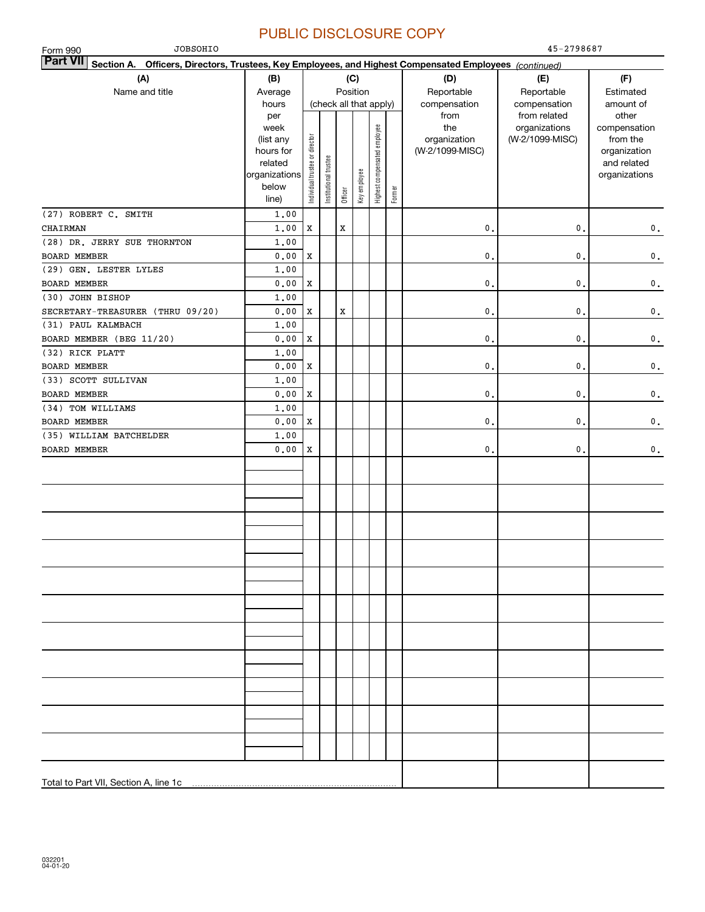| <b>JOBSOHIO</b><br>Form 990                                                                                               |                        |                                |                       |         |              |                              |        |                                 | 45-2798687      |                          |
|---------------------------------------------------------------------------------------------------------------------------|------------------------|--------------------------------|-----------------------|---------|--------------|------------------------------|--------|---------------------------------|-----------------|--------------------------|
| <b>Part VII</b><br>Section A. Officers, Directors, Trustees, Key Employees, and Highest Compensated Employees (continued) |                        |                                |                       |         |              |                              |        |                                 |                 |                          |
| (A)                                                                                                                       | (B)                    |                                |                       |         | (C)          |                              |        | (D)                             | (E)             | (F)                      |
| Name and title                                                                                                            | Average                |                                |                       |         | Position     |                              |        | Reportable                      | Reportable      | Estimated                |
|                                                                                                                           | hours                  |                                |                       |         |              | (check all that apply)       |        | compensation                    | compensation    | amount of                |
|                                                                                                                           | per                    |                                |                       |         |              |                              |        | from                            | from related    | other                    |
|                                                                                                                           | week                   |                                |                       |         |              |                              |        | the                             | organizations   | compensation             |
|                                                                                                                           | (list any<br>hours for |                                |                       |         |              |                              |        | organization<br>(W-2/1099-MISC) | (W-2/1099-MISC) | from the<br>organization |
|                                                                                                                           | related                |                                |                       |         |              |                              |        |                                 |                 | and related              |
|                                                                                                                           | organizations          |                                |                       |         |              |                              |        |                                 |                 | organizations            |
|                                                                                                                           | below                  | Individual trustee or director | Institutional trustee |         | Key employee | Highest compensated employee |        |                                 |                 |                          |
|                                                                                                                           | line)                  |                                |                       | Officer |              |                              | Former |                                 |                 |                          |
| (27) ROBERT C. SMITH                                                                                                      | 1.00                   |                                |                       |         |              |                              |        |                                 |                 |                          |
| CHAIRMAN                                                                                                                  | 1,00                   | X                              |                       | X       |              |                              |        | $\mathbf{0}$ .                  | 0.              | $\mathbf 0$ .            |
| (28) DR. JERRY SUE THORNTON                                                                                               | 1,00                   |                                |                       |         |              |                              |        |                                 |                 |                          |
| <b>BOARD MEMBER</b>                                                                                                       | 0.00                   | X                              |                       |         |              |                              |        | $\mathbf{0}$ .                  | $\mathbf{0}$ .  | $\mathbf 0$ .            |
| (29) GEN. LESTER LYLES                                                                                                    | 1,00                   |                                |                       |         |              |                              |        |                                 |                 |                          |
| <b>BOARD MEMBER</b>                                                                                                       | 0.00                   | X                              |                       |         |              |                              |        | $\mathbf{0}$ .                  | $\mathbf{0}$ .  | $\mathbf 0$ .            |
| (30) JOHN BISHOP                                                                                                          | 1,00                   |                                |                       |         |              |                              |        |                                 |                 |                          |
| SECRETARY-TREASURER (THRU 09/20)                                                                                          | 0.00                   | X                              |                       | X       |              |                              |        | $\mathbf{0}$ .                  | 0.              | $\mathbf 0$ .            |
| (31) PAUL KALMBACH                                                                                                        | 1,00                   |                                |                       |         |              |                              |        |                                 |                 |                          |
| BOARD MEMBER (BEG 11/20)                                                                                                  | 0.00                   | X                              |                       |         |              |                              |        | $\mathbf{0}$ .                  | 0.              | $\mathbf 0$ .            |
| (32) RICK PLATT                                                                                                           | 1,00                   |                                |                       |         |              |                              |        |                                 |                 |                          |
| <b>BOARD MEMBER</b>                                                                                                       | 0.00                   | X                              |                       |         |              |                              |        | $\mathbf{0}$ .                  | 0.              | $\mathbf 0$ .            |
| (33) SCOTT SULLIVAN                                                                                                       | 1,00                   |                                |                       |         |              |                              |        |                                 |                 |                          |
| <b>BOARD MEMBER</b>                                                                                                       | 0.00                   | X                              |                       |         |              |                              |        | $\mathbf{0}$ .                  | 0.              | $\mathbf 0$ .            |
| (34) TOM WILLIAMS                                                                                                         | 1,00                   |                                |                       |         |              |                              |        |                                 |                 |                          |
| <b>BOARD MEMBER</b>                                                                                                       | 0.00                   | X                              |                       |         |              |                              |        | $\mathbf{0}$ .                  | 0.              | $\mathbf 0$ .            |
| (35) WILLIAM BATCHELDER                                                                                                   | 1,00                   |                                |                       |         |              |                              |        |                                 |                 |                          |
| <b>BOARD MEMBER</b>                                                                                                       | 0.00                   | x                              |                       |         |              |                              |        | 0.                              | $\mathfrak o$ . | $\mathbf 0$ .            |
|                                                                                                                           |                        |                                |                       |         |              |                              |        |                                 |                 |                          |
|                                                                                                                           |                        |                                |                       |         |              |                              |        |                                 |                 |                          |
|                                                                                                                           |                        |                                |                       |         |              |                              |        |                                 |                 |                          |
|                                                                                                                           |                        |                                |                       |         |              |                              |        |                                 |                 |                          |
|                                                                                                                           |                        |                                |                       |         |              |                              |        |                                 |                 |                          |
|                                                                                                                           |                        |                                |                       |         |              |                              |        |                                 |                 |                          |
|                                                                                                                           |                        |                                |                       |         |              |                              |        |                                 |                 |                          |
|                                                                                                                           |                        |                                |                       |         |              |                              |        |                                 |                 |                          |
|                                                                                                                           |                        |                                |                       |         |              |                              |        |                                 |                 |                          |
|                                                                                                                           |                        |                                |                       |         |              |                              |        |                                 |                 |                          |
|                                                                                                                           |                        |                                |                       |         |              |                              |        |                                 |                 |                          |
|                                                                                                                           |                        |                                |                       |         |              |                              |        |                                 |                 |                          |
|                                                                                                                           |                        |                                |                       |         |              |                              |        |                                 |                 |                          |
|                                                                                                                           |                        |                                |                       |         |              |                              |        |                                 |                 |                          |
|                                                                                                                           |                        |                                |                       |         |              |                              |        |                                 |                 |                          |
|                                                                                                                           |                        |                                |                       |         |              |                              |        |                                 |                 |                          |
|                                                                                                                           |                        |                                |                       |         |              |                              |        |                                 |                 |                          |
|                                                                                                                           |                        |                                |                       |         |              |                              |        |                                 |                 |                          |
|                                                                                                                           |                        |                                |                       |         |              |                              |        |                                 |                 |                          |
|                                                                                                                           |                        |                                |                       |         |              |                              |        |                                 |                 |                          |
| Total to Part VII, Section A, line 1c                                                                                     |                        |                                |                       |         |              |                              |        |                                 |                 |                          |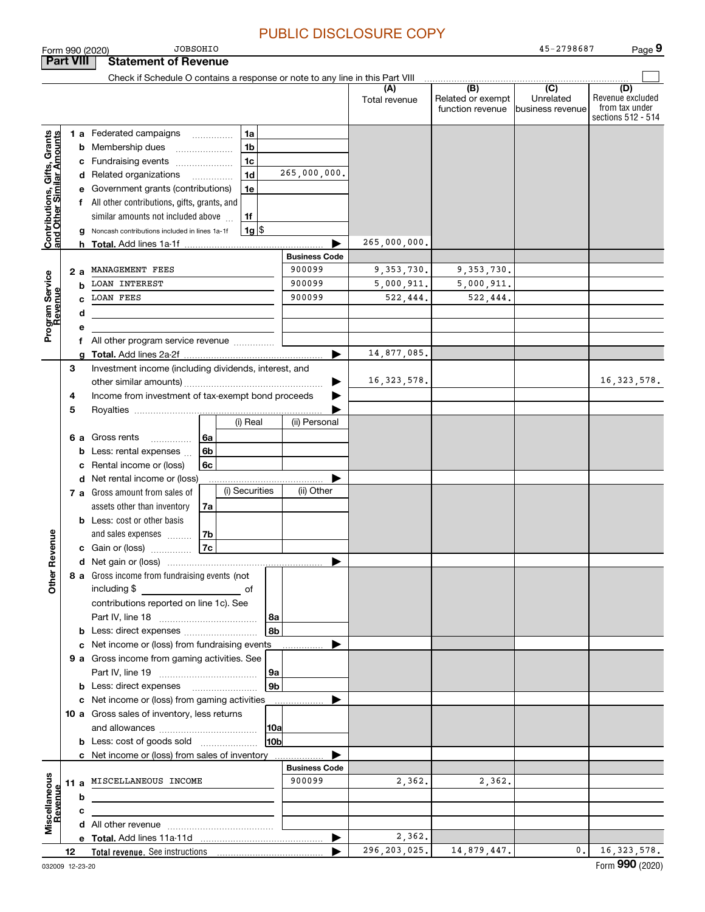**9**

| <b>Part VIII</b>                                          |    |                           | <b>Statement of Revenue</b>                                                   |                          |                |                      |                      |                                              |                                                 |                                                                 |
|-----------------------------------------------------------|----|---------------------------|-------------------------------------------------------------------------------|--------------------------|----------------|----------------------|----------------------|----------------------------------------------|-------------------------------------------------|-----------------------------------------------------------------|
|                                                           |    |                           | Check if Schedule O contains a response or note to any line in this Part VIII |                          |                |                      |                      |                                              |                                                 |                                                                 |
|                                                           |    |                           |                                                                               |                          |                |                      | (A)<br>Total revenue | (B)<br>Related or exempt<br>function revenue | $\overline{C}$<br>Unrelated<br>business revenue | (D)<br>Revenue excluded<br>from tax under<br>sections 512 - 514 |
|                                                           |    |                           | 1 a Federated campaigns                                                       |                          | 1a             |                      |                      |                                              |                                                 |                                                                 |
| Contributions, Gifts, Grants<br>and Other Similar Amounts |    | b                         | Membership dues                                                               |                          | 1 <sub>b</sub> |                      |                      |                                              |                                                 |                                                                 |
|                                                           |    | с                         | Fundraising events                                                            |                          | 1 <sub>c</sub> |                      |                      |                                              |                                                 |                                                                 |
|                                                           |    |                           | d Related organizations                                                       | $\overline{\phantom{a}}$ | 1 <sub>d</sub> | 265,000,000.         |                      |                                              |                                                 |                                                                 |
|                                                           |    | е                         | Government grants (contributions)                                             |                          | 1e             |                      |                      |                                              |                                                 |                                                                 |
|                                                           |    |                           | f All other contributions, gifts, grants, and                                 |                          |                |                      |                      |                                              |                                                 |                                                                 |
|                                                           |    |                           | similar amounts not included above                                            |                          | 1f             |                      |                      |                                              |                                                 |                                                                 |
|                                                           |    |                           | Noncash contributions included in lines 1a-1f                                 |                          | $1g$ \$        |                      |                      |                                              |                                                 |                                                                 |
|                                                           |    | h.                        |                                                                               |                          |                |                      | 265,000,000.         |                                              |                                                 |                                                                 |
|                                                           |    |                           |                                                                               |                          |                | <b>Business Code</b> |                      |                                              |                                                 |                                                                 |
|                                                           |    | 2a                        | MANAGEMENT FEES                                                               |                          |                | 900099               | 9, 353, 730.         | 9, 353, 730.                                 |                                                 |                                                                 |
|                                                           |    | b                         | <b>LOAN INTEREST</b>                                                          |                          |                | 900099               | 5,000,911.           | 5,000,911.                                   |                                                 |                                                                 |
|                                                           |    |                           | <b>LOAN FEES</b>                                                              |                          |                | 900099               | 522,444.             | 522,444.                                     |                                                 |                                                                 |
|                                                           |    | d                         |                                                                               |                          |                |                      |                      |                                              |                                                 |                                                                 |
| Program Service<br>Revenue                                |    | е                         |                                                                               |                          |                |                      |                      |                                              |                                                 |                                                                 |
|                                                           |    | f                         | All other program service revenue                                             |                          |                |                      |                      |                                              |                                                 |                                                                 |
|                                                           |    | a                         |                                                                               |                          |                |                      | 14,877,085.          |                                              |                                                 |                                                                 |
|                                                           | 3  |                           | Investment income (including dividends, interest, and                         |                          |                |                      |                      |                                              |                                                 |                                                                 |
|                                                           |    |                           |                                                                               |                          |                |                      | 16, 323, 578.        |                                              |                                                 | 16, 323, 578.                                                   |
|                                                           | 4  |                           | Income from investment of tax-exempt bond proceeds                            |                          |                |                      |                      |                                              |                                                 |                                                                 |
|                                                           | 5  |                           |                                                                               |                          |                |                      |                      |                                              |                                                 |                                                                 |
|                                                           |    |                           |                                                                               |                          | (i) Real       | (ii) Personal        |                      |                                              |                                                 |                                                                 |
|                                                           |    | 6а                        | Gross rents<br>.                                                              | 6a                       |                |                      |                      |                                              |                                                 |                                                                 |
|                                                           |    | b                         | Less: rental expenses                                                         | 6 <sub>b</sub>           |                |                      |                      |                                              |                                                 |                                                                 |
|                                                           |    | с                         | Rental income or (loss)                                                       | 6с                       |                |                      |                      |                                              |                                                 |                                                                 |
|                                                           |    | d                         | Net rental income or (loss)                                                   |                          | (i) Securities | .<br>(ii) Other      |                      |                                              |                                                 |                                                                 |
|                                                           |    |                           | 7 a Gross amount from sales of                                                |                          |                |                      |                      |                                              |                                                 |                                                                 |
|                                                           |    |                           | assets other than inventory                                                   | 7a                       |                |                      |                      |                                              |                                                 |                                                                 |
|                                                           |    |                           | <b>b</b> Less: cost or other basis                                            |                          |                |                      |                      |                                              |                                                 |                                                                 |
|                                                           |    |                           | and sales expenses<br>c Gain or (loss)                                        | 7b<br>7c                 |                |                      |                      |                                              |                                                 |                                                                 |
| Revenue                                                   |    |                           |                                                                               |                          |                |                      |                      |                                              |                                                 |                                                                 |
|                                                           |    |                           | 8 a Gross income from fundraising events (not                                 |                          |                |                      |                      |                                              |                                                 |                                                                 |
| <b>Othe</b>                                               |    |                           | including \$                                                                  |                          |                |                      |                      |                                              |                                                 |                                                                 |
|                                                           |    |                           | contributions reported on line 1c). See                                       |                          |                |                      |                      |                                              |                                                 |                                                                 |
|                                                           |    |                           |                                                                               |                          |                | 8a                   |                      |                                              |                                                 |                                                                 |
|                                                           |    |                           | <b>b</b> Less: direct expenses <i>manually contained</i>                      |                          |                | 8b                   |                      |                                              |                                                 |                                                                 |
|                                                           |    | с                         | Net income or (loss) from fundraising events                                  |                          |                |                      |                      |                                              |                                                 |                                                                 |
|                                                           |    |                           | 9 a Gross income from gaming activities. See                                  |                          |                |                      |                      |                                              |                                                 |                                                                 |
|                                                           |    |                           |                                                                               |                          |                | 9а                   |                      |                                              |                                                 |                                                                 |
|                                                           |    |                           | <b>b</b> Less: direct expenses <b>manually</b>                                |                          |                | 9 <sub>b</sub>       |                      |                                              |                                                 |                                                                 |
|                                                           |    |                           | c Net income or (loss) from gaming activities                                 |                          |                | .                    |                      |                                              |                                                 |                                                                 |
|                                                           |    |                           | 10 a Gross sales of inventory, less returns                                   |                          |                |                      |                      |                                              |                                                 |                                                                 |
|                                                           |    |                           |                                                                               |                          |                | 10a                  |                      |                                              |                                                 |                                                                 |
|                                                           |    |                           | <b>b</b> Less: cost of goods sold                                             |                          |                | 10bl                 |                      |                                              |                                                 |                                                                 |
|                                                           |    |                           | c Net income or (loss) from sales of inventory                                |                          |                |                      |                      |                                              |                                                 |                                                                 |
|                                                           |    |                           |                                                                               |                          |                | <b>Business Code</b> |                      |                                              |                                                 |                                                                 |
|                                                           |    | 11 a MISCELLANEOUS INCOME |                                                                               | 900099                   | 2,362.         | 2,362.               |                      |                                              |                                                 |                                                                 |
| Miscellaneous<br>Revenue                                  |    | b                         |                                                                               |                          |                |                      |                      |                                              |                                                 |                                                                 |
|                                                           |    | с                         |                                                                               |                          |                |                      |                      |                                              |                                                 |                                                                 |
|                                                           |    |                           |                                                                               |                          |                |                      | 2,362.               |                                              |                                                 |                                                                 |
|                                                           |    |                           |                                                                               |                          |                | ▶                    | 296, 203, 025.       | 14,879,447.                                  | 0.                                              | 16,323,578.                                                     |
|                                                           | 12 |                           |                                                                               |                          |                |                      |                      |                                              |                                                 | $000 \; \omega$                                                 |

Form 990 (2020)

JOBSOHIO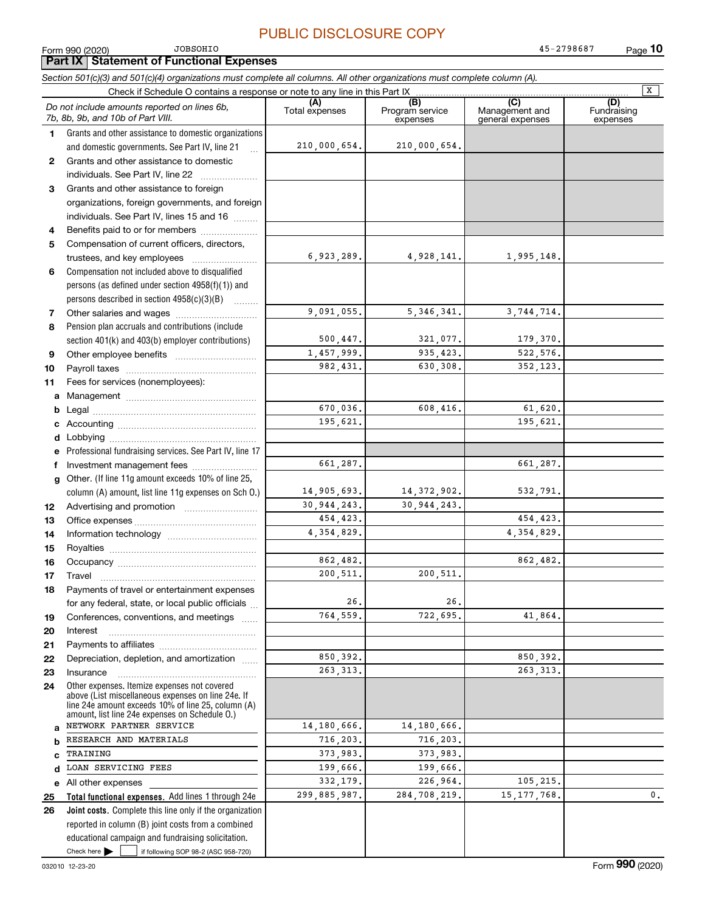$\boxed{\mathbf{X}}$ 

### **(A)**<br>Total expenses **(B) (C) (D) 12345***Section 501(c)(3) and 501(c)(4) organizations must complete all columns. All other organizations must complete column (A).* Grants and other assistance to domestic organizations and domestic governments. See Part IV, line 21 Form 990 (2020) Page Check if Schedule O contains a response or note to any line in this Part IX (C) (C) (C) (C) (C) (C) Program service expensesManagement and general expenses Fundraising expensesGrants and other assistance to domestic individuals. See Part IV, line 22 ~~~~~~~ Grants and other assistance to foreign organizations, foreign governments, and foreign individuals. See Part IV, lines 15 and 16  $\ldots$ Benefits paid to or for members .................... Compensation of current officers, directors, *Do not include amounts reported on lines 6b, 7b, 8b, 9b, and 10b of Part VIII.* **Part IX Statement of Functional Expenses** 210,000,654. 6,923,289. 210,000,654. 4,928,141. 1,995,148. JOBSOHIO45-2798687

9,091,055.

5,346,341. 3,744,714.

321,077. 179,370.<br>935.423. 522.576. 935,423. 522,576.<br>630,308. 352,123.

608,416. 61,620.

14,372,902. 532,791.

722,695. 41,864.

 $\begin{array}{|c|c|c|c|}\n \hline\n 226,964. & & 105,215. \\
\hline\n 284,708,219. & & 15,177,768. \hline \end{array}$ 

30,944,243.

200,511.

14,180,666. 716,203. 373,983. 199,666.

26.

630,308. 352,123.

195,621.

661,287.

 454,423. 4,354,829.

862,482.

 850,392. 263,313.

284,708,219**.** 15,177,768**.** 0.

500,447. 1,457,999. 982,431.

> 670,036. 195,621.

661,287.

14,905,693. 30,944,243. 454,423. 4,354,829.

> 862,482. 200,511.

> 850,392. 263,313.

14,180,666. 716,203. 373,983. 199,666.

26.764,559.

|   | trustees, and key employees                       |  |
|---|---------------------------------------------------|--|
| 6 | Compensation not included above to disqualified   |  |
|   | persons (as defined under section 4958(f)(1)) and |  |
|   | persons described in section 4958(c)(3)(B)        |  |
|   | Other salaries and wages                          |  |

| Pension plan accruals and contributions (include) |
|---------------------------------------------------|
| section 401(k) and 403(b) employer contributions) |
|                                                   |

| -9 | Other employee benefits           |
|----|-----------------------------------|
|    |                                   |
| 11 | Fees for services (nonemployees): |

**11a**Management ~~~~~~~~~~~~~~~~

**bcd**Legal ~~~~~~~~~~~~~~~~~~~~Accounting ~~~~~~~~~~~~~~~~~ Lobbying ~~~~~~~~~~~~~~~~~~

|              | e Professional fundraising services. See Part IV, line 17 |
|--------------|-----------------------------------------------------------|
|              |                                                           |
|              | g Other. (If line 11g amount exceeds 10% of line 25,      |
|              | column (A) amount, list line 11g expenses on Sch 0.)      |
| $\mathbf{2}$ | Advertising and promotion                                 |

Office expenses ~~~~~~~~~~~~~~~

**141516171819202122**Information technology ~~~~~~~~~~~ Royalties ~~~~~~~~~~~~~~~~~~ Occupancy ~~~~~~~~~~~~~~~~~ Travel ……………………………………………… Payments of travel or entertainment expenses for any federal, state, or local public officials ... Conferences, conventions, and meetings InterestPayments to affiliates [*[[[[[[[[[[[[[]]]]]* ~~~~~~~~~~~~~~~~~~Depreciation, depletion, and amortization  $\,\,\ldots\,\,$ 

**2324abc**Other expenses. Itemize expenses not covered above (List miscellaneous expenses on line 24e. If line 24e amount exceeds 10% of line 25, column (A) amount, list line 24e expenses on Schedule O.) Insurance~~~~~~~~~~~~~~~~~NETWORK PARTNER SERVICE RESEARCH AND MATERIALS TRAINING

LOAN SERVICING FEES

Check here  $\bullet$  if following SOP 98-2 (ASC 958-720) **Total functional expenses.**  Add lines 1 through 24e **Joint costs.** Complete this line only if the organization **e2526**reported in column (B) joint costs from a combined educational campaign and fundraising solicitation. All other expenses Check here  $\blacktriangleright$ 332,179. 299,885,987.

**d**

**1213**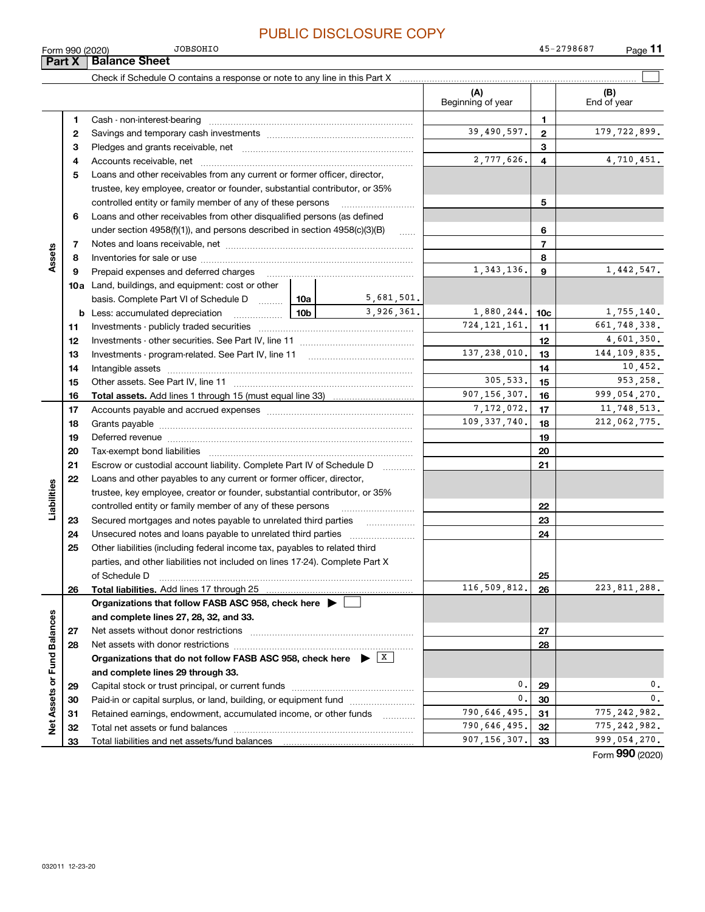JOBSOHIO

|                             | Form 990 (2020) | <b>JOBSOHIO</b>                                                                                                               |                 |            |                          |                 | 45-2798687<br>$Page$ 11 |
|-----------------------------|-----------------|-------------------------------------------------------------------------------------------------------------------------------|-----------------|------------|--------------------------|-----------------|-------------------------|
|                             | Part X          | <b>Balance Sheet</b>                                                                                                          |                 |            |                          |                 |                         |
|                             |                 |                                                                                                                               |                 |            |                          |                 |                         |
|                             |                 |                                                                                                                               |                 |            | (A)<br>Beginning of year |                 | (B)<br>End of year      |
|                             | 1               |                                                                                                                               |                 |            |                          | $\mathbf{1}$    |                         |
|                             | 2               |                                                                                                                               |                 |            | 39,490,597.              | $\overline{2}$  | 179, 722, 899.          |
|                             | з               |                                                                                                                               |                 |            |                          | 3               |                         |
|                             | 4               |                                                                                                                               |                 |            | 2,777,626.               | $\overline{4}$  | 4,710,451.              |
|                             | 5               | Loans and other receivables from any current or former officer, director,                                                     |                 |            |                          |                 |                         |
|                             |                 | trustee, key employee, creator or founder, substantial contributor, or 35%                                                    |                 |            |                          |                 |                         |
|                             |                 | controlled entity or family member of any of these persons                                                                    |                 |            |                          | 5               |                         |
|                             | 6               | Loans and other receivables from other disqualified persons (as defined                                                       |                 |            |                          |                 |                         |
|                             |                 | under section $4958(f)(1)$ , and persons described in section $4958(c)(3)(B)$                                                 |                 | $\ldots$   |                          | 6               |                         |
|                             | 7               |                                                                                                                               |                 |            |                          | $\overline{7}$  |                         |
| Assets                      | 8               |                                                                                                                               |                 |            |                          | 8               |                         |
|                             | 9               | Prepaid expenses and deferred charges                                                                                         |                 |            | 1, 343, 136.             | 9               | 1,442,547.              |
|                             |                 | <b>10a</b> Land, buildings, and equipment: cost or other                                                                      |                 |            |                          |                 |                         |
|                             |                 | basis. Complete Part VI of Schedule D  10a                                                                                    |                 | 5,681,501. |                          |                 |                         |
|                             |                 | <b>b</b> Less: accumulated depreciation<br>.                                                                                  | 10 <sub>b</sub> | 3,926,361. | 1,880,244.               | 10 <sub>c</sub> | 1,755,140.              |
|                             | 11              |                                                                                                                               |                 |            | 724, 121, 161.           | 11              | 661,748,338.            |
|                             | 12              |                                                                                                                               |                 |            |                          | 12              | 4,601,350.              |
|                             | 13              |                                                                                                                               |                 |            | 137,238,010.             | 13              | 144, 109, 835.          |
|                             | 14              |                                                                                                                               |                 |            |                          | 14              | 10,452.                 |
|                             | 15              |                                                                                                                               |                 |            | 305,533.                 | 15              | 953,258.                |
|                             | 16              |                                                                                                                               |                 |            | 907, 156, 307.           | 16              | 999,054,270.            |
|                             | 17              |                                                                                                                               |                 | 7,172,072. | 17                       | 11,748,513.     |                         |
|                             | 18              |                                                                                                                               |                 |            | 109, 337, 740.           | 18              | 212,062,775.            |
|                             | 19              |                                                                                                                               |                 |            |                          | 19              |                         |
|                             | 20              |                                                                                                                               |                 |            |                          | 20              |                         |
|                             | 21              | Escrow or custodial account liability. Complete Part IV of Schedule D                                                         |                 | .          |                          | 21              |                         |
|                             | 22              | Loans and other payables to any current or former officer, director,                                                          |                 |            |                          |                 |                         |
| Liabilities                 |                 | trustee, key employee, creator or founder, substantial contributor, or 35%                                                    |                 |            |                          |                 |                         |
|                             |                 | controlled entity or family member of any of these persons                                                                    |                 |            |                          | 22              |                         |
|                             | 23              | Secured mortgages and notes payable to unrelated third parties                                                                |                 |            |                          | 23              |                         |
|                             | 24              |                                                                                                                               |                 |            |                          | 24              |                         |
|                             | 25              | Other liabilities (including federal income tax, payables to related third                                                    |                 |            |                          |                 |                         |
|                             |                 | parties, and other liabilities not included on lines 17-24). Complete Part X                                                  |                 |            |                          |                 |                         |
|                             |                 | of Schedule D                                                                                                                 |                 |            | 25                       |                 |                         |
|                             | 26              |                                                                                                                               |                 |            | 116,509,812.             | 26              | 223, 811, 288.          |
|                             |                 | Organizations that follow FASB ASC 958, check here >                                                                          |                 |            |                          |                 |                         |
|                             |                 | and complete lines 27, 28, 32, and 33.                                                                                        |                 |            |                          |                 |                         |
|                             | 27              |                                                                                                                               |                 |            |                          | 27              |                         |
|                             | 28              |                                                                                                                               |                 |            |                          | 28              |                         |
|                             |                 | Organizations that do not follow FASB ASC 958, check here $\blacktriangleright \begin{array}{c} \perp \mathbf{X} \end{array}$ |                 |            |                          |                 |                         |
|                             |                 | and complete lines 29 through 33.                                                                                             |                 |            |                          |                 |                         |
|                             | 29              |                                                                                                                               |                 |            | 0.                       | 29              | 0.                      |
|                             | 30              | Paid-in or capital surplus, or land, building, or equipment fund                                                              |                 |            | 0.                       | 30              | $\mathbf{0}$ .          |
|                             | 31              | Retained earnings, endowment, accumulated income, or other funds                                                              |                 |            | 790,646,495.             | 31              | 775, 242, 982.          |
| Net Assets or Fund Balances | 32              |                                                                                                                               |                 |            | 790,646,495.             | 32              | 775, 242, 982.          |
|                             | 33              |                                                                                                                               |                 |            | 907, 156, 307.           | 33              | 999,054,270.            |
|                             |                 |                                                                                                                               |                 |            |                          |                 | Form 990 (2020)         |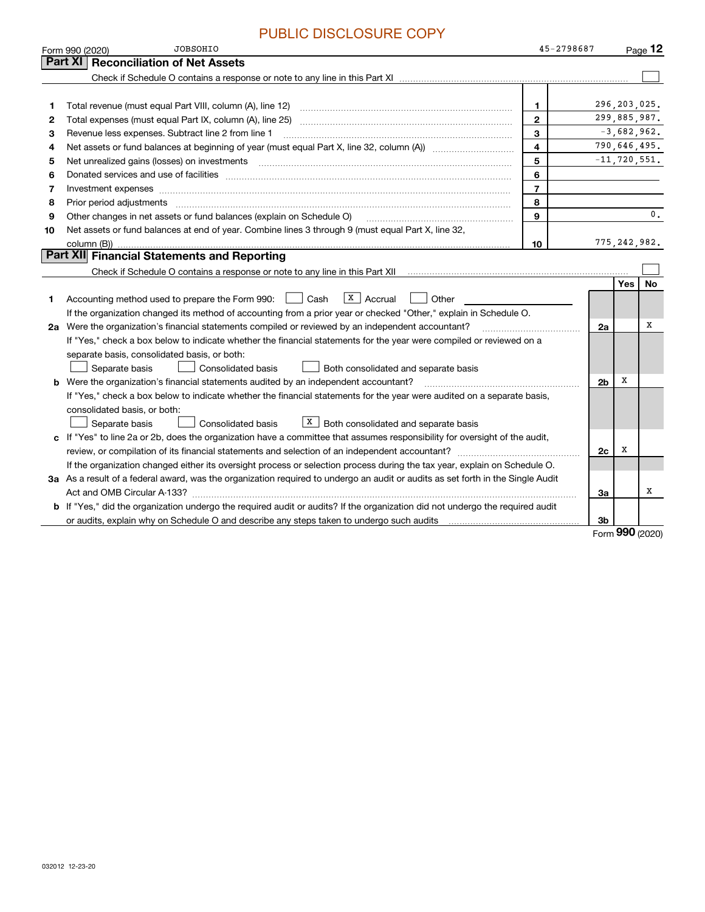|                | <u>U DIUULUUU IL U</u><br><b>JOBSOHIO</b><br>Form 990 (2020)                                                                                                        | 45-2798687     |                |                  | Page $12$      |
|----------------|---------------------------------------------------------------------------------------------------------------------------------------------------------------------|----------------|----------------|------------------|----------------|
|                | <b>Reconciliation of Net Assets</b><br>Part XI                                                                                                                      |                |                |                  |                |
|                |                                                                                                                                                                     |                |                |                  |                |
|                |                                                                                                                                                                     |                |                |                  |                |
| 1              | Total revenue (must equal Part VIII, column (A), line 12)                                                                                                           | $\mathbf 1$    |                | 296, 203, 025.   |                |
| $\overline{2}$ |                                                                                                                                                                     | $\mathbf{2}$   |                | 299,885,987.     |                |
| 3              | Revenue less expenses. Subtract line 2 from line 1                                                                                                                  | 3              |                | $-3,682,962.$    |                |
| 4              |                                                                                                                                                                     | 4              |                | 790,646,495.     |                |
| 5              |                                                                                                                                                                     | 5              |                | $-11, 720, 551.$ |                |
| 6              |                                                                                                                                                                     | 6              |                |                  |                |
| 7              | Investment expenses www.communication.communication.com/www.communication.com/www.communication.com                                                                 | $\overline{7}$ |                |                  |                |
| 8              | Prior period adjustments                                                                                                                                            | 8              |                |                  |                |
| 9              | Other changes in net assets or fund balances (explain on Schedule O)                                                                                                | 9              |                |                  | $\mathbf{0}$ . |
| 10             | Net assets or fund balances at end of year. Combine lines 3 through 9 (must equal Part X, line 32,                                                                  |                |                |                  |                |
|                | column (B))                                                                                                                                                         | 10             |                | 775, 242, 982.   |                |
|                | Part XII Financial Statements and Reporting                                                                                                                         |                |                |                  |                |
|                | Check if Schedule O contains a response or note to any line in this Part XII [11] [12] Check if Schedule O contains a response or note to any line in this Part XII |                |                |                  |                |
|                |                                                                                                                                                                     |                |                | <b>Yes</b>       | No             |
| 1              | $X \vert$ Accrual<br>Cash<br>Other<br>Accounting method used to prepare the Form 990:                                                                               |                |                |                  |                |
|                | If the organization changed its method of accounting from a prior year or checked "Other," explain in Schedule O.                                                   |                |                |                  |                |
|                | 2a Were the organization's financial statements compiled or reviewed by an independent accountant?                                                                  |                | 2a             |                  | х              |
|                | If "Yes," check a box below to indicate whether the financial statements for the year were compiled or reviewed on a                                                |                |                |                  |                |
|                | separate basis, consolidated basis, or both:                                                                                                                        |                |                |                  |                |
|                | Separate basis<br><b>Consolidated basis</b><br>Both consolidated and separate basis                                                                                 |                |                |                  |                |
|                | <b>b</b> Were the organization's financial statements audited by an independent accountant?                                                                         |                | 2 <sub>b</sub> | х                |                |
|                | If "Yes," check a box below to indicate whether the financial statements for the year were audited on a separate basis,                                             |                |                |                  |                |
|                | consolidated basis, or both:                                                                                                                                        |                |                |                  |                |
|                | $X$ Both consolidated and separate basis<br>Consolidated basis<br>Separate basis                                                                                    |                |                |                  |                |
|                | c If "Yes" to line 2a or 2b, does the organization have a committee that assumes responsibility for oversight of the audit,                                         |                |                |                  |                |
|                | review, or compilation of its financial statements and selection of an independent accountant?                                                                      |                | 2c             | х                |                |
|                | If the organization changed either its oversight process or selection process during the tax year, explain on Schedule O.                                           |                |                |                  |                |
|                | 3a As a result of a federal award, was the organization required to undergo an audit or audits as set forth in the Single Audit                                     |                |                |                  |                |
|                |                                                                                                                                                                     |                | За             |                  | х              |
|                | b If "Yes," did the organization undergo the required audit or audits? If the organization did not undergo the required audit                                       |                |                |                  |                |
|                |                                                                                                                                                                     |                | 3b             | $\Omega$         |                |

Form (2020) **990**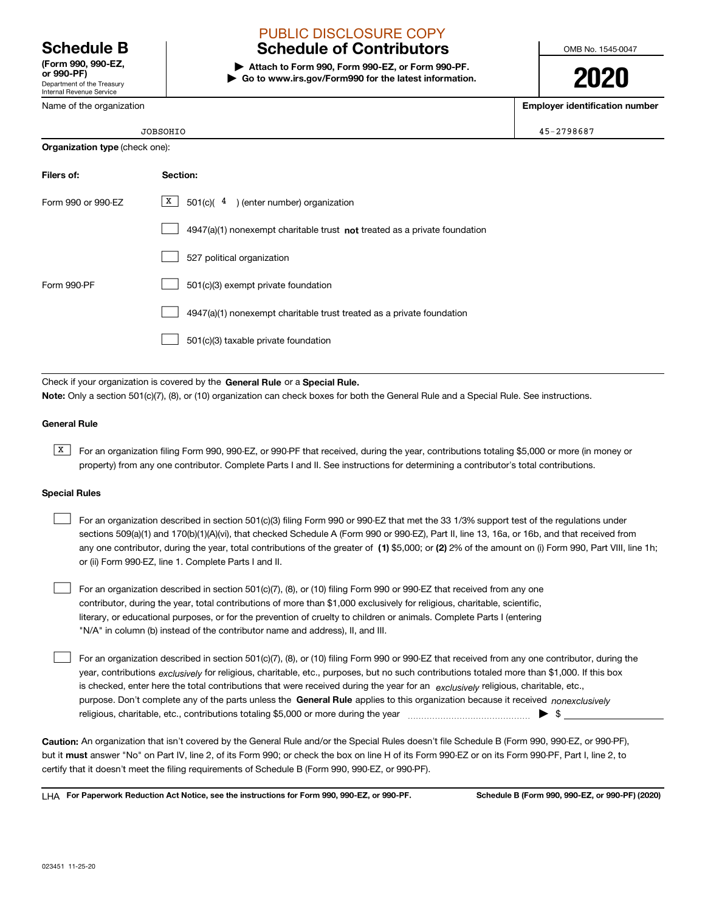Department of the Treasury Internal Revenue Service **(Form 990, 990-EZ, or 990-PF)**

Name of the organization

# PUBLIC DISCLOSURE COPY

# **Schedule B Schedule of Contributors**

**| Attach to Form 990, Form 990-EZ, or Form 990-PF. | Go to www.irs.gov/Form990 for the latest information.** OMB No. 1545-0047

# **2020**

**Employer identification number**

|                                       | <b>JOBSOHIO</b>                                                             | 45-2798687 |  |  |
|---------------------------------------|-----------------------------------------------------------------------------|------------|--|--|
| <b>Organization type (check one):</b> |                                                                             |            |  |  |
| Filers of:                            | Section:                                                                    |            |  |  |
| Form 990 or 990-EZ                    | X  <br>501(c)( $4$ ) (enter number) organization                            |            |  |  |
|                                       | $4947(a)(1)$ nonexempt charitable trust not treated as a private foundation |            |  |  |
|                                       | 527 political organization                                                  |            |  |  |
| Form 990-PF                           | 501(c)(3) exempt private foundation                                         |            |  |  |
|                                       | 4947(a)(1) nonexempt charitable trust treated as a private foundation       |            |  |  |

501(c)(3) taxable private foundation  $\mathcal{L}^{\text{max}}$ 

Check if your organization is covered by the **General Rule** or a **Special Rule.**<br>Nota: Only a section 501(c)(7), (8), or (10) erganization can chock boxes for be **Note:**  Only a section 501(c)(7), (8), or (10) organization can check boxes for both the General Rule and a Special Rule. See instructions.

### **General Rule**

 $\overline{X}$  For an organization filing Form 990, 990-EZ, or 990-PF that received, during the year, contributions totaling \$5,000 or more (in money or property) from any one contributor. Complete Parts I and II. See instructions for determining a contributor's total contributions.

### **Special Rules**

| For an organization described in section 501(c)(3) filing Form 990 or 990-EZ that met the 33 1/3% support test of the regulations under               |  |  |  |  |  |  |
|-------------------------------------------------------------------------------------------------------------------------------------------------------|--|--|--|--|--|--|
| sections 509(a)(1) and 170(b)(1)(A)(vi), that checked Schedule A (Form 990 or 990-EZ), Part II, line 13, 16a, or 16b, and that received from          |  |  |  |  |  |  |
| any one contributor, during the year, total contributions of the greater of (1) \$5,000; or (2) 2% of the amount on (i) Form 990, Part VIII, line 1h; |  |  |  |  |  |  |
| or (ii) Form 990-EZ, line 1. Complete Parts I and II.                                                                                                 |  |  |  |  |  |  |

For an organization described in section 501(c)(7), (8), or (10) filing Form 990 or 990-EZ that received from any one contributor, during the year, total contributions of more than \$1,000 exclusively for religious, charitable, scientific, literary, or educational purposes, or for the prevention of cruelty to children or animals. Complete Parts I (entering "N/A" in column (b) instead of the contributor name and address), II, and III.  $\mathcal{L}^{\text{max}}$ 

purpose. Don't complete any of the parts unless the **General Rule** applies to this organization because it received *nonexclusively* year, contributions <sub>exclusively</sub> for religious, charitable, etc., purposes, but no such contributions totaled more than \$1,000. If this box is checked, enter here the total contributions that were received during the year for an  $\;$ exclusively religious, charitable, etc., For an organization described in section 501(c)(7), (8), or (10) filing Form 990 or 990-EZ that received from any one contributor, during the religious, charitable, etc., contributions totaling \$5,000 or more during the year  $\Box$ — $\Box$   $\Box$  $\mathcal{L}^{\text{max}}$ 

**Caution:**  An organization that isn't covered by the General Rule and/or the Special Rules doesn't file Schedule B (Form 990, 990-EZ, or 990-PF), but it **must** answer "No" on Part IV, line 2, of its Form 990; or check the box on line H of its Form 990-EZ or on its Form 990-PF, Part I, line 2, to<br>cortify that it doesn't meet the filipe requirements of Schodule B (Fer certify that it doesn't meet the filing requirements of Schedule B (Form 990, 990-EZ, or 990-PF).

**For Paperwork Reduction Act Notice, see the instructions for Form 990, 990-EZ, or 990-PF. Schedule B (Form 990, 990-EZ, or 990-PF) (2020)** LHA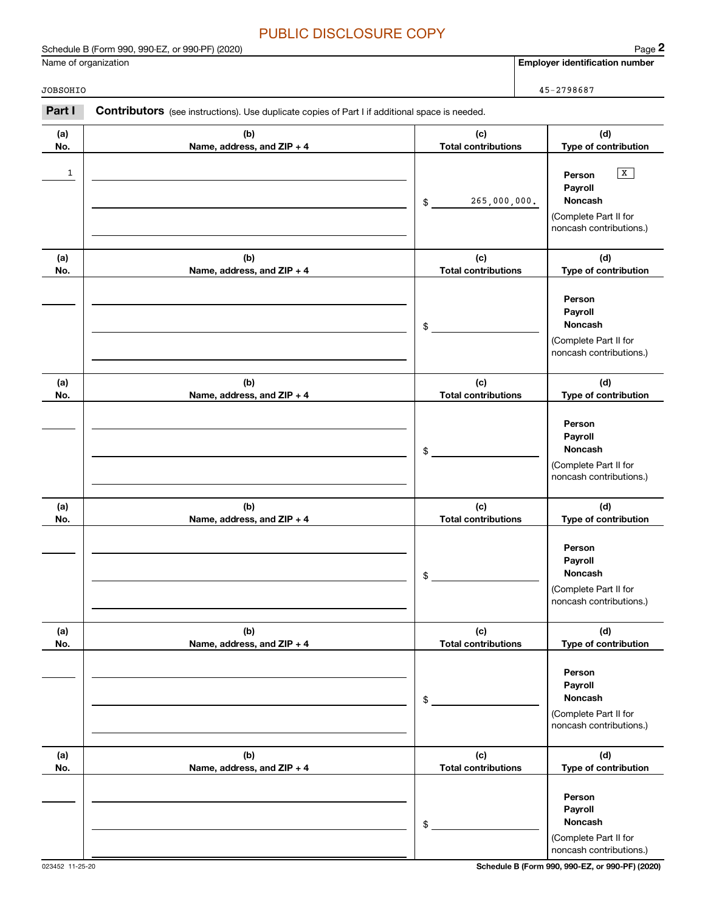Schedule B (Form 990, 990-EZ, or 990-PF) (2020) Page 2

|            | Schedule B (Form 990, 990-EZ, or 990-PF) (2020)                                                |                                   | Page 2                                                                                                   |
|------------|------------------------------------------------------------------------------------------------|-----------------------------------|----------------------------------------------------------------------------------------------------------|
|            | Name of organization                                                                           |                                   | Employer identification number                                                                           |
| JOBSOHIO   |                                                                                                |                                   | 45-2798687                                                                                               |
| Part I     | Contributors (see instructions). Use duplicate copies of Part I if additional space is needed. |                                   |                                                                                                          |
| (a)<br>No. | (b)<br>Name, address, and ZIP + 4                                                              | (c)<br><b>Total contributions</b> | (d)<br>Type of contribution                                                                              |
| 1          |                                                                                                | 265,000,000.<br>\$                | $\boxed{\mathbf{X}}$<br>Person<br>Payroll<br>Noncash<br>(Complete Part II for<br>noncash contributions.) |
| (a)<br>No. | (b)<br>Name, address, and ZIP + 4                                                              | (c)<br><b>Total contributions</b> | (d)<br>Type of contribution                                                                              |
|            |                                                                                                | \$                                | Person<br>Payroll<br>Noncash<br>(Complete Part II for<br>noncash contributions.)                         |
| (a)<br>No. | (b)<br>Name, address, and ZIP + 4                                                              | (c)<br><b>Total contributions</b> | (d)<br>Type of contribution                                                                              |
|            |                                                                                                | \$                                | Person<br>Payroll<br>Noncash<br>(Complete Part II for<br>noncash contributions.)                         |
| (a)<br>No. | (b)<br>Name, address, and ZIP + 4                                                              | (c)<br><b>Total contributions</b> | (d)<br>Type of contribution                                                                              |
|            |                                                                                                | \$                                | Person<br>Payroll<br>Noncash<br>(Complete Part II for<br>noncash contributions.)                         |
| (a)<br>No. | (b)<br>Name, address, and ZIP + 4                                                              | (c)<br><b>Total contributions</b> | (d)<br>Type of contribution                                                                              |
|            |                                                                                                | \$                                | Person<br>Payroll<br>Noncash<br>(Complete Part II for<br>noncash contributions.)                         |
| (a)<br>No. | (b)<br>Name, address, and ZIP + 4                                                              | (c)<br><b>Total contributions</b> | (d)<br>Type of contribution                                                                              |
|            |                                                                                                | \$                                | Person<br>Payroll<br><b>Noncash</b><br>(Complete Part II for<br>noncash contributions.)                  |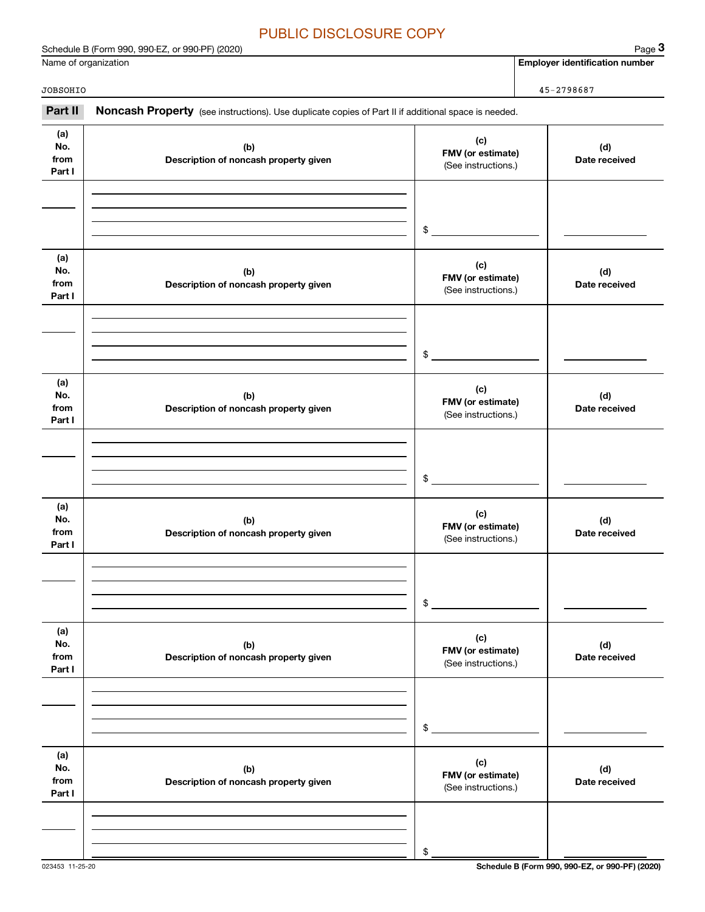|                              | Name of organization                                                                                |                                                 | <b>Employer identification number</b> |
|------------------------------|-----------------------------------------------------------------------------------------------------|-------------------------------------------------|---------------------------------------|
| JOBSOHIO                     |                                                                                                     |                                                 | 45-2798687                            |
| Part II                      | Noncash Property (see instructions). Use duplicate copies of Part II if additional space is needed. |                                                 |                                       |
| (a)<br>No.<br>from<br>Part I | (b)<br>Description of noncash property given                                                        | (c)<br>FMV (or estimate)<br>(See instructions.) | (d)<br>Date received                  |
|                              |                                                                                                     | \$                                              |                                       |
| (a)<br>No.<br>from<br>Part I | (b)<br>Description of noncash property given                                                        | (c)<br>FMV (or estimate)<br>(See instructions.) | (d)<br>Date received                  |
|                              |                                                                                                     | \$                                              |                                       |
| (a)<br>No.<br>from<br>Part I | (b)<br>Description of noncash property given                                                        | (c)<br>FMV (or estimate)<br>(See instructions.) | (d)<br>Date received                  |
|                              |                                                                                                     | \$                                              |                                       |
| (a)<br>No.<br>from<br>Part I | (b)<br>Description of noncash property given                                                        | (c)<br>FMV (or estimate)<br>(See instructions.) | (d)<br>Date received                  |
|                              |                                                                                                     | \$                                              |                                       |
| (a)<br>No.<br>from<br>Part I | (b)<br>Description of noncash property given                                                        | (c)<br>FMV (or estimate)<br>(See instructions.) | (d)<br>Date received                  |
|                              |                                                                                                     | \$                                              |                                       |
| (a)<br>No.<br>from<br>Part I | (b)<br>Description of noncash property given                                                        | (c)<br>FMV (or estimate)<br>(See instructions.) | (d)<br>Date received                  |

\$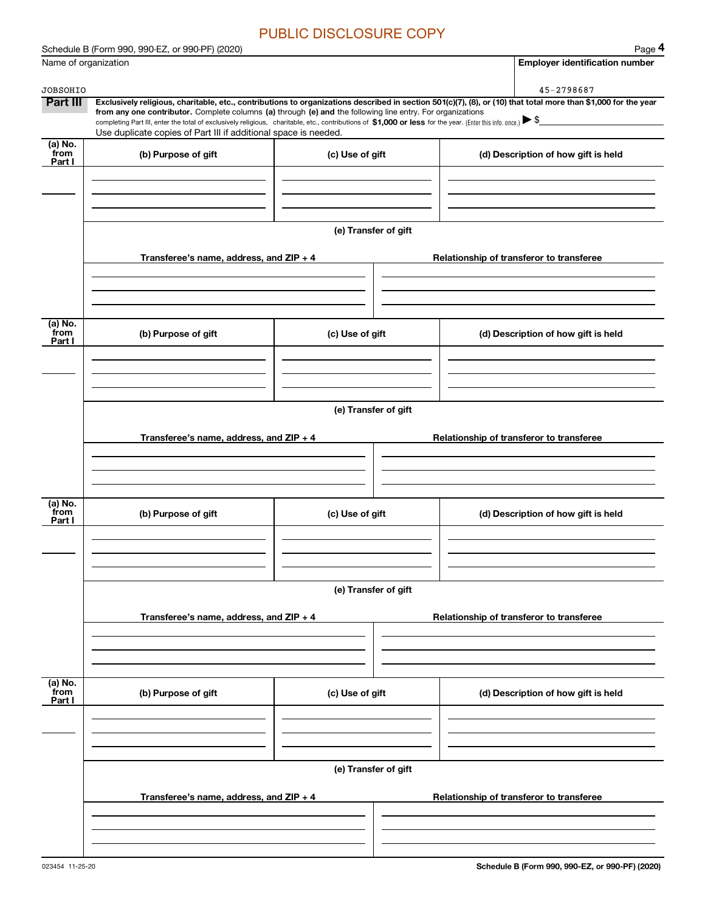|                             | Schedule B (Form 990, 990-EZ, or 990-PF) (2020)                                                            |                      | Page 4                                                                                                                                                                       |  |  |  |  |  |  |
|-----------------------------|------------------------------------------------------------------------------------------------------------|----------------------|------------------------------------------------------------------------------------------------------------------------------------------------------------------------------|--|--|--|--|--|--|
| Name of organization        |                                                                                                            |                      | <b>Employer identification number</b>                                                                                                                                        |  |  |  |  |  |  |
|                             |                                                                                                            |                      |                                                                                                                                                                              |  |  |  |  |  |  |
| <b>JOBSOHIO</b><br>Part III |                                                                                                            |                      | 45-2798687<br>Exclusively religious, charitable, etc., contributions to organizations described in section 501(c)(7), (8), or (10) that total more than \$1,000 for the year |  |  |  |  |  |  |
|                             | from any one contributor. Complete columns (a) through (e) and the following line entry. For organizations |                      | completing Part III, enter the total of exclusively religious, charitable, etc., contributions of \$1,000 or less for the year. (Enter this info. once.) $\triangleright$ \$ |  |  |  |  |  |  |
|                             | Use duplicate copies of Part III if additional space is needed.                                            |                      |                                                                                                                                                                              |  |  |  |  |  |  |
| (a) No.<br>from<br>Part I   | (b) Purpose of gift                                                                                        | (c) Use of gift      | (d) Description of how gift is held                                                                                                                                          |  |  |  |  |  |  |
|                             |                                                                                                            |                      |                                                                                                                                                                              |  |  |  |  |  |  |
|                             |                                                                                                            |                      |                                                                                                                                                                              |  |  |  |  |  |  |
|                             |                                                                                                            | (e) Transfer of gift |                                                                                                                                                                              |  |  |  |  |  |  |
|                             | Transferee's name, address, and $ZIP + 4$                                                                  |                      | Relationship of transferor to transferee                                                                                                                                     |  |  |  |  |  |  |
|                             |                                                                                                            |                      |                                                                                                                                                                              |  |  |  |  |  |  |
|                             |                                                                                                            |                      |                                                                                                                                                                              |  |  |  |  |  |  |
| (a) No.<br>from<br>Part I   | (b) Purpose of gift                                                                                        | (c) Use of gift      | (d) Description of how gift is held                                                                                                                                          |  |  |  |  |  |  |
|                             |                                                                                                            |                      |                                                                                                                                                                              |  |  |  |  |  |  |
|                             |                                                                                                            |                      |                                                                                                                                                                              |  |  |  |  |  |  |
|                             | (e) Transfer of gift                                                                                       |                      |                                                                                                                                                                              |  |  |  |  |  |  |
|                             | Transferee's name, address, and $ZIP + 4$<br>Relationship of transferor to transferee                      |                      |                                                                                                                                                                              |  |  |  |  |  |  |
|                             |                                                                                                            |                      |                                                                                                                                                                              |  |  |  |  |  |  |
|                             |                                                                                                            |                      |                                                                                                                                                                              |  |  |  |  |  |  |
| (a) No.<br>from             | (b) Purpose of gift                                                                                        | (c) Use of gift      | (d) Description of how gift is held                                                                                                                                          |  |  |  |  |  |  |
| Part I                      |                                                                                                            |                      |                                                                                                                                                                              |  |  |  |  |  |  |
|                             |                                                                                                            |                      |                                                                                                                                                                              |  |  |  |  |  |  |
|                             |                                                                                                            |                      |                                                                                                                                                                              |  |  |  |  |  |  |
|                             |                                                                                                            | (e) Transfer of gift |                                                                                                                                                                              |  |  |  |  |  |  |
|                             | Transferee's name, address, and $ZIP + 4$                                                                  |                      | Relationship of transferor to transferee                                                                                                                                     |  |  |  |  |  |  |
|                             |                                                                                                            |                      |                                                                                                                                                                              |  |  |  |  |  |  |
|                             |                                                                                                            |                      |                                                                                                                                                                              |  |  |  |  |  |  |
| (a) No.<br>from<br>Part I   | (b) Purpose of gift                                                                                        | (c) Use of gift      | (d) Description of how gift is held                                                                                                                                          |  |  |  |  |  |  |
|                             |                                                                                                            |                      |                                                                                                                                                                              |  |  |  |  |  |  |
|                             |                                                                                                            |                      |                                                                                                                                                                              |  |  |  |  |  |  |
|                             | (e) Transfer of gift                                                                                       |                      |                                                                                                                                                                              |  |  |  |  |  |  |
|                             | Transferee's name, address, and ZIP + 4                                                                    |                      | Relationship of transferor to transferee                                                                                                                                     |  |  |  |  |  |  |
|                             |                                                                                                            |                      |                                                                                                                                                                              |  |  |  |  |  |  |
|                             |                                                                                                            |                      |                                                                                                                                                                              |  |  |  |  |  |  |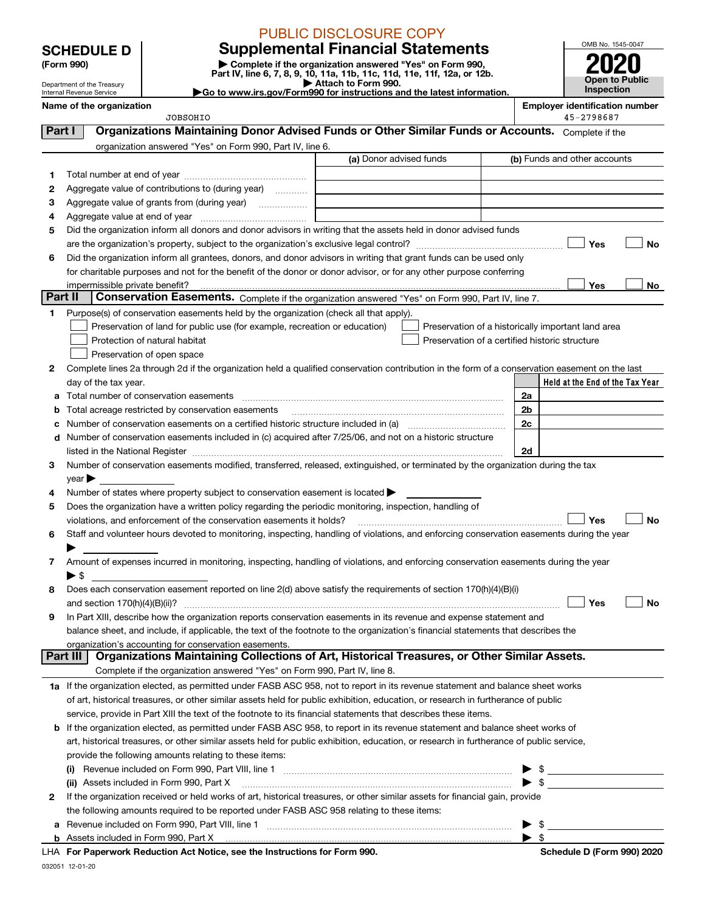# PUBLIC DISCLOSURE COPY

**SCHEDULE D Supplemental Financial Statements**



|         | (Form 990)                                             |                                                                                                                                                                                                                                               | Complete if the organization answered "Yes" on Form 990,<br>Part IV, line 6, 7, 8, 9, 10, 11a, 11b, 11c, 11d, 11e, 11f, 12a, or 12b. |                                                     |                                     |
|---------|--------------------------------------------------------|-----------------------------------------------------------------------------------------------------------------------------------------------------------------------------------------------------------------------------------------------|--------------------------------------------------------------------------------------------------------------------------------------|-----------------------------------------------------|-------------------------------------|
|         | Department of the Treasury<br>Internal Revenue Service |                                                                                                                                                                                                                                               | Attach to Form 990.<br>Go to www.irs.gov/Form990 for instructions and the latest information.                                        |                                                     | <b>Open to Public</b><br>Inspection |
|         | Name of the organization                               | JOBSOHIO                                                                                                                                                                                                                                      |                                                                                                                                      | <b>Employer identification number</b><br>45-2798687 |                                     |
| Part I  |                                                        | Organizations Maintaining Donor Advised Funds or Other Similar Funds or Accounts. Complete if the                                                                                                                                             |                                                                                                                                      |                                                     |                                     |
|         |                                                        | organization answered "Yes" on Form 990, Part IV, line 6.                                                                                                                                                                                     |                                                                                                                                      |                                                     |                                     |
|         |                                                        |                                                                                                                                                                                                                                               | (a) Donor advised funds                                                                                                              | (b) Funds and other accounts                        |                                     |
| 1       |                                                        |                                                                                                                                                                                                                                               |                                                                                                                                      |                                                     |                                     |
| 2       |                                                        | Aggregate value of contributions to (during year)                                                                                                                                                                                             |                                                                                                                                      |                                                     |                                     |
| з       |                                                        | Aggregate value of grants from (during year)                                                                                                                                                                                                  |                                                                                                                                      |                                                     |                                     |
| 4       |                                                        |                                                                                                                                                                                                                                               |                                                                                                                                      |                                                     |                                     |
| 5       |                                                        | Did the organization inform all donors and donor advisors in writing that the assets held in donor advised funds                                                                                                                              |                                                                                                                                      |                                                     |                                     |
|         |                                                        |                                                                                                                                                                                                                                               |                                                                                                                                      |                                                     | Yes<br>No                           |
| 6       |                                                        | Did the organization inform all grantees, donors, and donor advisors in writing that grant funds can be used only                                                                                                                             |                                                                                                                                      |                                                     |                                     |
|         |                                                        | for charitable purposes and not for the benefit of the donor or donor advisor, or for any other purpose conferring                                                                                                                            |                                                                                                                                      |                                                     |                                     |
|         |                                                        |                                                                                                                                                                                                                                               |                                                                                                                                      |                                                     | Yes<br>No                           |
| Part II |                                                        | Conservation Easements. Complete if the organization answered "Yes" on Form 990, Part IV, line 7.                                                                                                                                             |                                                                                                                                      |                                                     |                                     |
| 1       |                                                        | Purpose(s) of conservation easements held by the organization (check all that apply).                                                                                                                                                         |                                                                                                                                      |                                                     |                                     |
|         |                                                        | Preservation of land for public use (for example, recreation or education)                                                                                                                                                                    |                                                                                                                                      | Preservation of a historically important land area  |                                     |
|         |                                                        | Protection of natural habitat                                                                                                                                                                                                                 |                                                                                                                                      | Preservation of a certified historic structure      |                                     |
|         |                                                        | Preservation of open space                                                                                                                                                                                                                    |                                                                                                                                      |                                                     |                                     |
| 2       |                                                        | Complete lines 2a through 2d if the organization held a qualified conservation contribution in the form of a conservation easement on the last                                                                                                |                                                                                                                                      |                                                     |                                     |
|         | day of the tax year.                                   |                                                                                                                                                                                                                                               |                                                                                                                                      |                                                     | Held at the End of the Tax Year     |
| a       |                                                        | Total number of conservation easements                                                                                                                                                                                                        |                                                                                                                                      | 2a<br>2b                                            |                                     |
| b       |                                                        | Total acreage restricted by conservation easements                                                                                                                                                                                            |                                                                                                                                      | 2c                                                  |                                     |
| d       |                                                        | Number of conservation easements included in (c) acquired after 7/25/06, and not on a historic structure                                                                                                                                      |                                                                                                                                      |                                                     |                                     |
|         |                                                        |                                                                                                                                                                                                                                               |                                                                                                                                      | 2d                                                  |                                     |
| 3       |                                                        | Number of conservation easements modified, transferred, released, extinguished, or terminated by the organization during the tax                                                                                                              |                                                                                                                                      |                                                     |                                     |
|         | $year \blacktriangleright$                             |                                                                                                                                                                                                                                               |                                                                                                                                      |                                                     |                                     |
| 4       |                                                        | Number of states where property subject to conservation easement is located >                                                                                                                                                                 |                                                                                                                                      |                                                     |                                     |
| 5       |                                                        | Does the organization have a written policy regarding the periodic monitoring, inspection, handling of                                                                                                                                        |                                                                                                                                      |                                                     |                                     |
|         |                                                        | violations, and enforcement of the conservation easements it holds?                                                                                                                                                                           |                                                                                                                                      | ∣ Yes                                               | <b>No</b>                           |
| 6       |                                                        | Staff and volunteer hours devoted to monitoring, inspecting, handling of violations, and enforcing conservation easements during the year                                                                                                     |                                                                                                                                      |                                                     |                                     |
|         |                                                        |                                                                                                                                                                                                                                               |                                                                                                                                      |                                                     |                                     |
| 7       |                                                        | Amount of expenses incurred in monitoring, inspecting, handling of violations, and enforcing conservation easements during the year                                                                                                           |                                                                                                                                      |                                                     |                                     |
|         | $\blacktriangleright$ s                                |                                                                                                                                                                                                                                               |                                                                                                                                      |                                                     |                                     |
| 8       |                                                        | Does each conservation easement reported on line 2(d) above satisfy the requirements of section 170(h)(4)(B)(i)                                                                                                                               |                                                                                                                                      |                                                     |                                     |
|         | and section $170(h)(4)(B)(ii)?$                        |                                                                                                                                                                                                                                               |                                                                                                                                      |                                                     | Yes<br>No                           |
| 9       |                                                        | In Part XIII, describe how the organization reports conservation easements in its revenue and expense statement and                                                                                                                           |                                                                                                                                      |                                                     |                                     |
|         |                                                        | balance sheet, and include, if applicable, the text of the footnote to the organization's financial statements that describes the                                                                                                             |                                                                                                                                      |                                                     |                                     |
|         | Part III                                               | organization's accounting for conservation easements.                                                                                                                                                                                         |                                                                                                                                      |                                                     |                                     |
|         |                                                        | Organizations Maintaining Collections of Art, Historical Treasures, or Other Similar Assets.                                                                                                                                                  |                                                                                                                                      |                                                     |                                     |
|         |                                                        | Complete if the organization answered "Yes" on Form 990, Part IV, line 8.                                                                                                                                                                     |                                                                                                                                      |                                                     |                                     |
|         |                                                        | 1a If the organization elected, as permitted under FASB ASC 958, not to report in its revenue statement and balance sheet works                                                                                                               |                                                                                                                                      |                                                     |                                     |
|         |                                                        | of art, historical treasures, or other similar assets held for public exhibition, education, or research in furtherance of public                                                                                                             |                                                                                                                                      |                                                     |                                     |
|         |                                                        | service, provide in Part XIII the text of the footnote to its financial statements that describes these items.<br>If the organization elected, as permitted under FASB ASC 958, to report in its revenue statement and balance sheet works of |                                                                                                                                      |                                                     |                                     |
| b       |                                                        | art, historical treasures, or other similar assets held for public exhibition, education, or research in furtherance of public service,                                                                                                       |                                                                                                                                      |                                                     |                                     |
|         |                                                        | provide the following amounts relating to these items:                                                                                                                                                                                        |                                                                                                                                      |                                                     |                                     |
|         | $\left( 1\right)$                                      |                                                                                                                                                                                                                                               |                                                                                                                                      | \$                                                  |                                     |
|         |                                                        | (ii) Assets included in Form 990, Part X                                                                                                                                                                                                      |                                                                                                                                      | \$                                                  |                                     |
| 2       |                                                        | If the organization received or held works of art, historical treasures, or other similar assets for financial gain, provide                                                                                                                  |                                                                                                                                      |                                                     |                                     |
|         |                                                        | the following amounts required to be reported under FASB ASC 958 relating to these items:                                                                                                                                                     |                                                                                                                                      |                                                     |                                     |
|         |                                                        |                                                                                                                                                                                                                                               |                                                                                                                                      | \$                                                  |                                     |
|         |                                                        | Appate included in Form 000, Dort V.                                                                                                                                                                                                          |                                                                                                                                      |                                                     |                                     |

032051 12-01-20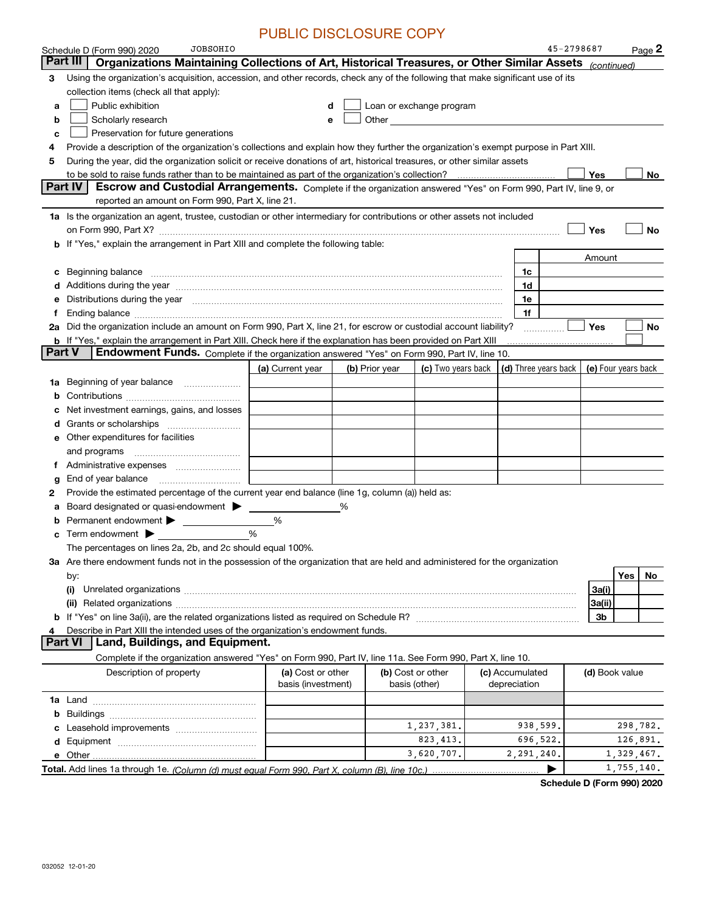|        | JOBSOHIO<br>Schedule D (Form 990) 2020                                                                                                                                                                                         |                    |   |                |                                                                                                                                                                                                                               |                                            | 45-2798687 |                |            | Page 2 |
|--------|--------------------------------------------------------------------------------------------------------------------------------------------------------------------------------------------------------------------------------|--------------------|---|----------------|-------------------------------------------------------------------------------------------------------------------------------------------------------------------------------------------------------------------------------|--------------------------------------------|------------|----------------|------------|--------|
|        | Part III<br>Organizations Maintaining Collections of Art, Historical Treasures, or Other Similar Assets (continued)                                                                                                            |                    |   |                |                                                                                                                                                                                                                               |                                            |            |                |            |        |
| з      | Using the organization's acquisition, accession, and other records, check any of the following that make significant use of its                                                                                                |                    |   |                |                                                                                                                                                                                                                               |                                            |            |                |            |        |
|        | collection items (check all that apply):                                                                                                                                                                                       |                    |   |                |                                                                                                                                                                                                                               |                                            |            |                |            |        |
| a      | Public exhibition                                                                                                                                                                                                              |                    |   |                | Loan or exchange program                                                                                                                                                                                                      |                                            |            |                |            |        |
| b      | Scholarly research                                                                                                                                                                                                             | е                  |   |                | Other and the contract of the contract of the contract of the contract of the contract of the contract of the contract of the contract of the contract of the contract of the contract of the contract of the contract of the |                                            |            |                |            |        |
| c      | Preservation for future generations                                                                                                                                                                                            |                    |   |                |                                                                                                                                                                                                                               |                                            |            |                |            |        |
| 4      | Provide a description of the organization's collections and explain how they further the organization's exempt purpose in Part XIII.                                                                                           |                    |   |                |                                                                                                                                                                                                                               |                                            |            |                |            |        |
| 5      | During the year, did the organization solicit or receive donations of art, historical treasures, or other similar assets                                                                                                       |                    |   |                |                                                                                                                                                                                                                               |                                            |            |                |            |        |
|        | Part IV<br>Escrow and Custodial Arrangements. Complete if the organization answered "Yes" on Form 990, Part IV, line 9, or                                                                                                     |                    |   |                |                                                                                                                                                                                                                               |                                            |            | Yes            |            | No.    |
|        | reported an amount on Form 990, Part X, line 21.                                                                                                                                                                               |                    |   |                |                                                                                                                                                                                                                               |                                            |            |                |            |        |
|        | 1a Is the organization an agent, trustee, custodian or other intermediary for contributions or other assets not included                                                                                                       |                    |   |                |                                                                                                                                                                                                                               |                                            |            |                |            |        |
|        |                                                                                                                                                                                                                                |                    |   |                |                                                                                                                                                                                                                               |                                            |            | Yes            |            | No     |
|        | b If "Yes," explain the arrangement in Part XIII and complete the following table:                                                                                                                                             |                    |   |                |                                                                                                                                                                                                                               |                                            |            |                |            |        |
|        |                                                                                                                                                                                                                                |                    |   |                |                                                                                                                                                                                                                               |                                            |            | Amount         |            |        |
|        | c Beginning balance measurements and the contract of the contract of the contract of the contract of the contract of the contract of the contract of the contract of the contract of the contract of the contract of the contr |                    |   |                |                                                                                                                                                                                                                               | 1c                                         |            |                |            |        |
|        |                                                                                                                                                                                                                                |                    |   |                |                                                                                                                                                                                                                               | 1d                                         |            |                |            |        |
| е      | Distributions during the year manufactured and continuum control of the year manufactured and control of the year manufactured and control of the year manufactured and control of the state of the state of the state of the  |                    |   |                |                                                                                                                                                                                                                               | 1e                                         |            |                |            |        |
| f      |                                                                                                                                                                                                                                |                    |   |                |                                                                                                                                                                                                                               | 1f                                         |            |                |            |        |
|        | 2a Did the organization include an amount on Form 990, Part X, line 21, for escrow or custodial account liability?                                                                                                             |                    |   |                |                                                                                                                                                                                                                               |                                            |            | Yes            |            | No     |
|        | <b>b</b> If "Yes," explain the arrangement in Part XIII. Check here if the explanation has been provided on Part XIII                                                                                                          |                    |   |                |                                                                                                                                                                                                                               |                                            |            |                |            |        |
| Part V | Endowment Funds. Complete if the organization answered "Yes" on Form 990, Part IV, line 10.                                                                                                                                    |                    |   |                |                                                                                                                                                                                                                               |                                            |            |                |            |        |
|        |                                                                                                                                                                                                                                | (a) Current year   |   | (b) Prior year | (c) Two years back                                                                                                                                                                                                            | (d) Three years back   (e) Four years back |            |                |            |        |
|        | 1a Beginning of year balance                                                                                                                                                                                                   |                    |   |                |                                                                                                                                                                                                                               |                                            |            |                |            |        |
| b      |                                                                                                                                                                                                                                |                    |   |                |                                                                                                                                                                                                                               |                                            |            |                |            |        |
| с      | Net investment earnings, gains, and losses                                                                                                                                                                                     |                    |   |                |                                                                                                                                                                                                                               |                                            |            |                |            |        |
| d      |                                                                                                                                                                                                                                |                    |   |                |                                                                                                                                                                                                                               |                                            |            |                |            |        |
|        | e Other expenditures for facilities                                                                                                                                                                                            |                    |   |                |                                                                                                                                                                                                                               |                                            |            |                |            |        |
|        | and programs                                                                                                                                                                                                                   |                    |   |                |                                                                                                                                                                                                                               |                                            |            |                |            |        |
| Ť.     | Administrative expenses                                                                                                                                                                                                        |                    |   |                |                                                                                                                                                                                                                               |                                            |            |                |            |        |
| g      | End of year balance                                                                                                                                                                                                            |                    |   |                |                                                                                                                                                                                                                               |                                            |            |                |            |        |
| 2      | Provide the estimated percentage of the current year end balance (line 1g, column (a)) held as:<br>Board designated or quasi-endowment                                                                                         |                    | % |                |                                                                                                                                                                                                                               |                                            |            |                |            |        |
| а<br>b | Permanent endowment                                                                                                                                                                                                            | %                  |   |                |                                                                                                                                                                                                                               |                                            |            |                |            |        |
| c      | Term endowment $\blacktriangleright$                                                                                                                                                                                           | %                  |   |                |                                                                                                                                                                                                                               |                                            |            |                |            |        |
|        | The percentages on lines 2a, 2b, and 2c should equal 100%.                                                                                                                                                                     |                    |   |                |                                                                                                                                                                                                                               |                                            |            |                |            |        |
|        | 3a Are there endowment funds not in the possession of the organization that are held and administered for the organization                                                                                                     |                    |   |                |                                                                                                                                                                                                                               |                                            |            |                |            |        |
|        | by:                                                                                                                                                                                                                            |                    |   |                |                                                                                                                                                                                                                               |                                            |            |                | Yes        | No     |
|        | (i)                                                                                                                                                                                                                            |                    |   |                |                                                                                                                                                                                                                               |                                            |            | 3a(i)          |            |        |
|        | (ii)                                                                                                                                                                                                                           |                    |   |                |                                                                                                                                                                                                                               |                                            |            | 3a(ii)         |            |        |
|        |                                                                                                                                                                                                                                |                    |   |                |                                                                                                                                                                                                                               |                                            |            | 3b             |            |        |
| 4      | Describe in Part XIII the intended uses of the organization's endowment funds.                                                                                                                                                 |                    |   |                |                                                                                                                                                                                                                               |                                            |            |                |            |        |
|        | Land, Buildings, and Equipment.<br><b>Part VI</b>                                                                                                                                                                              |                    |   |                |                                                                                                                                                                                                                               |                                            |            |                |            |        |
|        | Complete if the organization answered "Yes" on Form 990, Part IV, line 11a. See Form 990, Part X, line 10.                                                                                                                     |                    |   |                |                                                                                                                                                                                                                               |                                            |            |                |            |        |
|        | Description of property                                                                                                                                                                                                        | (a) Cost or other  |   |                | (b) Cost or other                                                                                                                                                                                                             | (c) Accumulated                            |            | (d) Book value |            |        |
|        |                                                                                                                                                                                                                                | basis (investment) |   | basis (other)  |                                                                                                                                                                                                                               | depreciation                               |            |                |            |        |
|        |                                                                                                                                                                                                                                |                    |   |                |                                                                                                                                                                                                                               |                                            |            |                |            |        |
|        |                                                                                                                                                                                                                                |                    |   |                |                                                                                                                                                                                                                               |                                            |            |                |            |        |
|        |                                                                                                                                                                                                                                |                    |   |                | 1,237,381.                                                                                                                                                                                                                    | 938,599.                                   |            |                | 298,782.   |        |
|        |                                                                                                                                                                                                                                |                    |   |                | 823, 413.                                                                                                                                                                                                                     | 696,522.                                   |            |                | 126,891.   |        |
|        |                                                                                                                                                                                                                                |                    |   |                | 3,620,707.                                                                                                                                                                                                                    | 2,291,240.                                 |            |                | 1,329,467. |        |
|        |                                                                                                                                                                                                                                |                    |   |                |                                                                                                                                                                                                                               |                                            |            |                | 1,755,140. |        |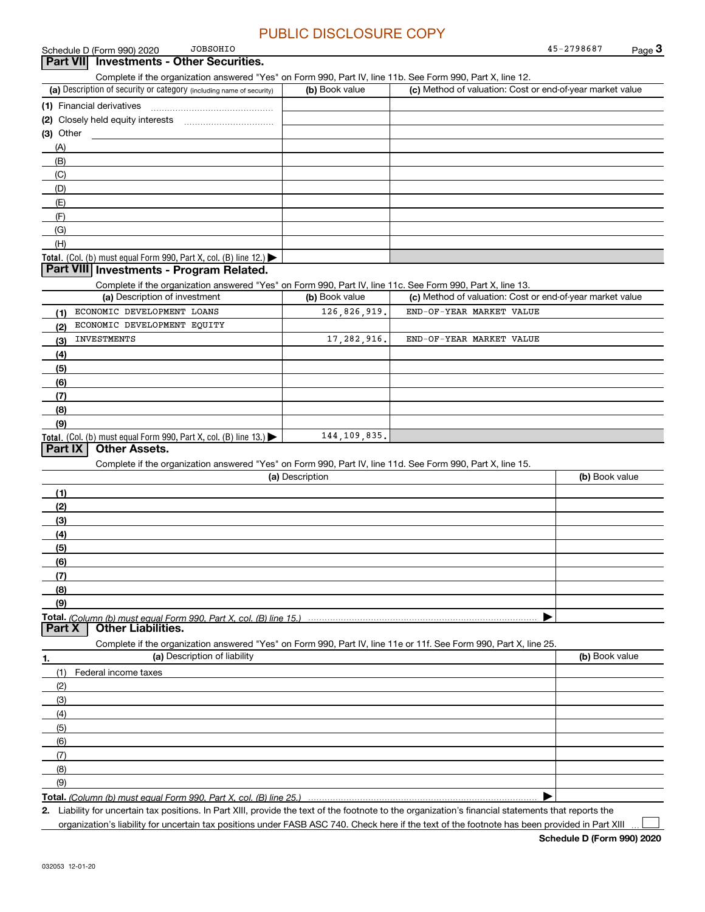|             | <b>JOBSOHIO</b><br>Schedule D (Form 990) 2020                                                                                                        |                 |                                                           | 45-2798687     | Page $3$ |
|-------------|------------------------------------------------------------------------------------------------------------------------------------------------------|-----------------|-----------------------------------------------------------|----------------|----------|
|             | Part VII Investments - Other Securities.                                                                                                             |                 |                                                           |                |          |
|             | Complete if the organization answered "Yes" on Form 990, Part IV, line 11b. See Form 990, Part X, line 12.                                           |                 |                                                           |                |          |
|             | (a) Description of security or category (including name of security)                                                                                 | (b) Book value  | (c) Method of valuation: Cost or end-of-year market value |                |          |
|             |                                                                                                                                                      |                 |                                                           |                |          |
|             |                                                                                                                                                      |                 |                                                           |                |          |
| $(3)$ Other |                                                                                                                                                      |                 |                                                           |                |          |
| (A)         |                                                                                                                                                      |                 |                                                           |                |          |
| (B)         |                                                                                                                                                      |                 |                                                           |                |          |
| (C)         |                                                                                                                                                      |                 |                                                           |                |          |
| (D)         |                                                                                                                                                      |                 |                                                           |                |          |
| (E)         |                                                                                                                                                      |                 |                                                           |                |          |
| (F)         |                                                                                                                                                      |                 |                                                           |                |          |
| (G)         |                                                                                                                                                      |                 |                                                           |                |          |
| (H)         |                                                                                                                                                      |                 |                                                           |                |          |
|             | Total. (Col. (b) must equal Form 990, Part X, col. (B) line 12.) $\blacktriangleright$                                                               |                 |                                                           |                |          |
|             | Part VIII Investments - Program Related.                                                                                                             |                 |                                                           |                |          |
|             | Complete if the organization answered "Yes" on Form 990, Part IV, line 11c. See Form 990, Part X, line 13.                                           |                 |                                                           |                |          |
|             | (a) Description of investment                                                                                                                        | (b) Book value  | (c) Method of valuation: Cost or end-of-year market value |                |          |
| (1)         | ECONOMIC DEVELOPMENT LOANS                                                                                                                           | 126,826,919.    | END-OF-YEAR MARKET VALUE                                  |                |          |
| (2)         | ECONOMIC DEVELOPMENT EQUITY                                                                                                                          |                 |                                                           |                |          |
| (3)         | INVESTMENTS                                                                                                                                          | 17, 282, 916.   | END-OF-YEAR MARKET VALUE                                  |                |          |
| (4)         |                                                                                                                                                      |                 |                                                           |                |          |
| (5)         |                                                                                                                                                      |                 |                                                           |                |          |
| (6)         |                                                                                                                                                      |                 |                                                           |                |          |
| (7)         |                                                                                                                                                      |                 |                                                           |                |          |
| (8)         |                                                                                                                                                      |                 |                                                           |                |          |
| (9)         |                                                                                                                                                      |                 |                                                           |                |          |
|             | <b>Total.</b> (Col. (b) must equal Form 990, Part X, col. (B) line 13.)                                                                              | 144, 109, 835.  |                                                           |                |          |
| Part IX     | <b>Other Assets.</b>                                                                                                                                 |                 |                                                           |                |          |
|             | Complete if the organization answered "Yes" on Form 990, Part IV, line 11d. See Form 990, Part X, line 15.                                           |                 |                                                           |                |          |
|             |                                                                                                                                                      | (a) Description |                                                           | (b) Book value |          |
| (1)         |                                                                                                                                                      |                 |                                                           |                |          |
| (2)         |                                                                                                                                                      |                 |                                                           |                |          |
| (3)         |                                                                                                                                                      |                 |                                                           |                |          |
| (4)         |                                                                                                                                                      |                 |                                                           |                |          |
| (5)         |                                                                                                                                                      |                 |                                                           |                |          |
| <u>(6)</u>  |                                                                                                                                                      |                 |                                                           |                |          |
| (7)         |                                                                                                                                                      |                 |                                                           |                |          |
| (8)         |                                                                                                                                                      |                 |                                                           |                |          |
| (9)         |                                                                                                                                                      |                 |                                                           |                |          |
|             |                                                                                                                                                      |                 |                                                           |                |          |
| Part X      | <b>Other Liabilities.</b>                                                                                                                            |                 |                                                           |                |          |
|             | Complete if the organization answered "Yes" on Form 990, Part IV, line 11e or 11f. See Form 990, Part X, line 25.                                    |                 |                                                           |                |          |
| 1.          | (a) Description of liability                                                                                                                         |                 |                                                           | (b) Book value |          |
| (1)         | Federal income taxes                                                                                                                                 |                 |                                                           |                |          |
| (2)         |                                                                                                                                                      |                 |                                                           |                |          |
| (3)         |                                                                                                                                                      |                 |                                                           |                |          |
| (4)         |                                                                                                                                                      |                 |                                                           |                |          |
| (5)         |                                                                                                                                                      |                 |                                                           |                |          |
|             |                                                                                                                                                      |                 |                                                           |                |          |
| (6)<br>(7)  |                                                                                                                                                      |                 |                                                           |                |          |
| (8)         |                                                                                                                                                      |                 |                                                           |                |          |
| (9)         |                                                                                                                                                      |                 |                                                           |                |          |
|             |                                                                                                                                                      |                 |                                                           |                |          |
|             |                                                                                                                                                      |                 |                                                           |                |          |
|             | 2. Liability for uncertain tax positions. In Part XIII, provide the text of the footnote to the organization's financial statements that reports the |                 |                                                           |                |          |

organization's liability for uncertain tax positions under FASB ASC 740. Check here if the text of the footnote has been provided in Part XIII

**Schedule D (Form 990) 2020**

 $\mathcal{L}^{\text{max}}$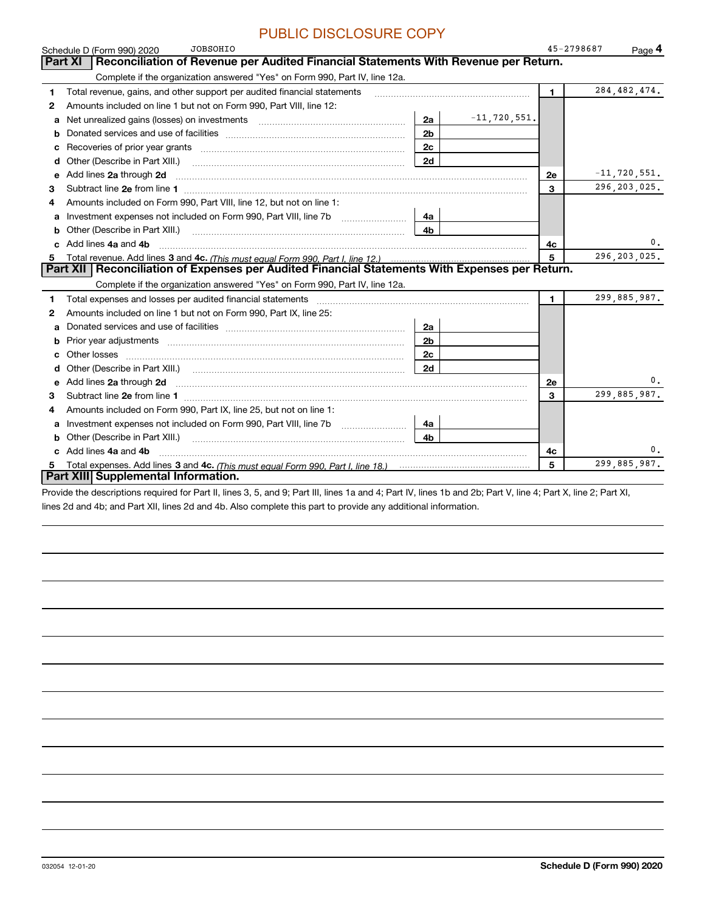|    | <b>JOBSOHIO</b><br>Schedule D (Form 990) 2020                                                                                                                                                                                  |                |                  | 45-2798687   | Page $4$         |
|----|--------------------------------------------------------------------------------------------------------------------------------------------------------------------------------------------------------------------------------|----------------|------------------|--------------|------------------|
|    | Reconciliation of Revenue per Audited Financial Statements With Revenue per Return.<br>Part XI                                                                                                                                 |                |                  |              |                  |
|    | Complete if the organization answered "Yes" on Form 990, Part IV, line 12a.                                                                                                                                                    |                |                  |              |                  |
| 1  | Total revenue, gains, and other support per audited financial statements                                                                                                                                                       |                |                  | $\mathbf{1}$ | 284, 482, 474.   |
| 2  | Amounts included on line 1 but not on Form 990, Part VIII, line 12:                                                                                                                                                            |                |                  |              |                  |
| a  | Net unrealized gains (losses) on investments [11] matter contracts and the unrealized gains (losses) on investments                                                                                                            | 2a             | $-11, 720, 551.$ |              |                  |
| b  |                                                                                                                                                                                                                                | 2 <sub>b</sub> |                  |              |                  |
| c  | Recoveries of prior year grants [11] matter contracts and prior year grants [11] matter contracts and prior year grants and all the contracts and all the contracts and all the contracts and all the contracts of prior year. | 2c             |                  |              |                  |
| d  | Other (Describe in Part XIII.)                                                                                                                                                                                                 | 2d             |                  |              |                  |
| е  | Add lines 2a through 2d                                                                                                                                                                                                        |                |                  | <b>2e</b>    | $-11, 720, 551.$ |
| 3  |                                                                                                                                                                                                                                |                |                  | 3            | 296, 203, 025.   |
| 4  | Amounts included on Form 990, Part VIII, line 12, but not on line 1:                                                                                                                                                           |                |                  |              |                  |
| a  |                                                                                                                                                                                                                                | 4a             |                  |              |                  |
| b  | Other (Describe in Part XIII.)                                                                                                                                                                                                 | 4b             |                  |              |                  |
|    | c Add lines 4a and 4b                                                                                                                                                                                                          |                |                  | 4с           | 0.               |
| 5. |                                                                                                                                                                                                                                |                |                  | 5            | 296, 203, 025.   |
|    | Reconciliation of Expenses per Audited Financial Statements With Expenses per Return.<br>Part XII                                                                                                                              |                |                  |              |                  |
|    | Complete if the organization answered "Yes" on Form 990, Part IV, line 12a.                                                                                                                                                    |                |                  |              |                  |
| 1  |                                                                                                                                                                                                                                |                |                  | 1.           | 299,885,987.     |
| 2  | Amounts included on line 1 but not on Form 990, Part IX, line 25:                                                                                                                                                              |                |                  |              |                  |
| a  |                                                                                                                                                                                                                                | 2a             |                  |              |                  |
| b  |                                                                                                                                                                                                                                | 2 <sub>b</sub> |                  |              |                  |
| c  |                                                                                                                                                                                                                                | 2c             |                  |              |                  |
| d  |                                                                                                                                                                                                                                | 2d             |                  |              |                  |
| е  | Add lines 2a through 2d                                                                                                                                                                                                        |                |                  | <b>2e</b>    | 0.               |
| 3  |                                                                                                                                                                                                                                |                |                  | 3            | 299,885,987.     |
| 4  | Amounts included on Form 990, Part IX, line 25, but not on line 1:                                                                                                                                                             |                |                  |              |                  |
| a  |                                                                                                                                                                                                                                | 4a             |                  |              |                  |
| b  | Other (Describe in Part XIII.) <b>Construction Contract Construction</b> Chern Construction Construction Construction                                                                                                          | 4 <sub>h</sub> |                  |              |                  |
|    | c Add lines 4a and 4b                                                                                                                                                                                                          |                |                  | 4c           | 0.               |
| 5. |                                                                                                                                                                                                                                |                |                  | 5            | 299,885,987.     |
|    | Part XIII Supplemental Information.                                                                                                                                                                                            |                |                  |              |                  |
|    | Provide the descriptions required for Part II, lines 3, 5, and 9; Part III, lines 1a and 4; Part IV, lines 1b and 2b; Part V, line 4; Part X, line 2; Part XI,                                                                 |                |                  |              |                  |

lines 2d and 4b; and Part XII, lines 2d and 4b. Also complete this part to provide any additional information.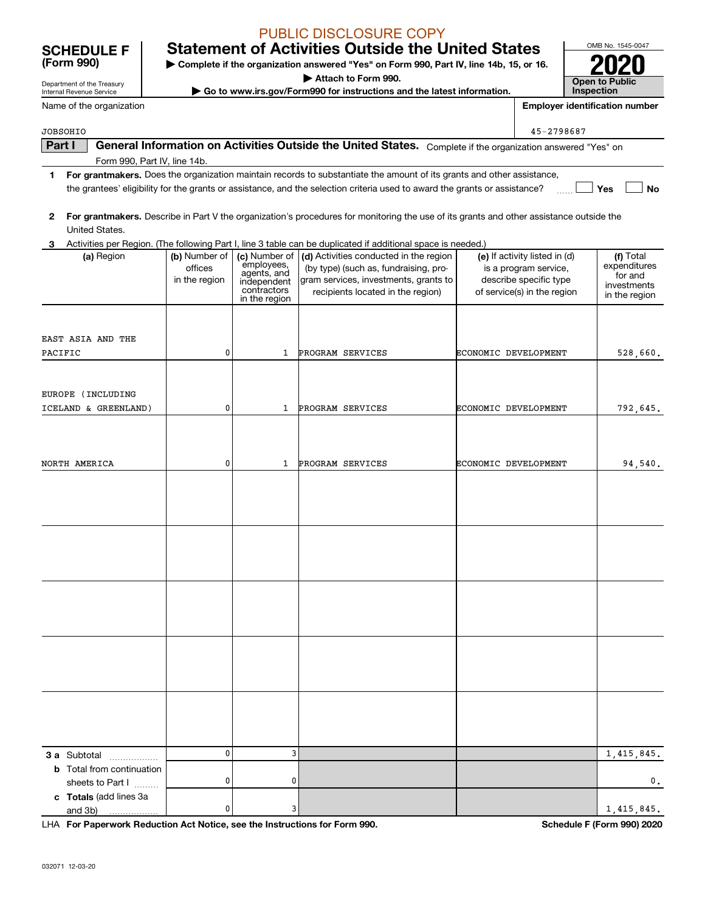# **Statement of Activities Outside the United States**

**| Complete if the organization answered "Yes" on Form 990, Part IV, line 14b, 15, or 16.**

**| Attach to Form 990.**

**| Go to www.irs.gov/Form990 for instructions and the latest information.**

**Part I | General Information on Activities Outside the United States.** Complete if the organization answered "Yes" on<br>Form 990, Part IV, line 14b

**1For grantmakers.**  Does the organization maintain records to substantiate the amount of its grants and other assistance,

|              |                                                                            |                                           |                                                                                           | the grantees' eligibility for the grants or assistance, and the selection criteria used to award the grants or assistance?                                    |                                                                                                                 | Yes<br>No                                                            |
|--------------|----------------------------------------------------------------------------|-------------------------------------------|-------------------------------------------------------------------------------------------|---------------------------------------------------------------------------------------------------------------------------------------------------------------|-----------------------------------------------------------------------------------------------------------------|----------------------------------------------------------------------|
| $\mathbf{2}$ |                                                                            |                                           |                                                                                           | For grantmakers. Describe in Part V the organization's procedures for monitoring the use of its grants and other assistance outside the                       |                                                                                                                 |                                                                      |
|              | United States.                                                             |                                           |                                                                                           |                                                                                                                                                               |                                                                                                                 |                                                                      |
| 3            |                                                                            |                                           |                                                                                           | Activities per Region. (The following Part I, line 3 table can be duplicated if additional space is needed.)                                                  |                                                                                                                 |                                                                      |
|              | (a) Region                                                                 | (b) Number of<br>offices<br>in the region | (c) Number of<br>employees,<br>agents, and<br>independent<br>contractors<br>in the region | (d) Activities conducted in the region<br>(by type) (such as, fundraising, pro-<br>gram services, investments, grants to<br>recipients located in the region) | (e) If activity listed in (d)<br>is a program service,<br>describe specific type<br>of service(s) in the region | (f) Total<br>expenditures<br>for and<br>investments<br>in the region |
|              |                                                                            |                                           |                                                                                           |                                                                                                                                                               |                                                                                                                 |                                                                      |
| PACIFIC      | EAST ASIA AND THE                                                          | 0                                         | 1                                                                                         | PROGRAM SERVICES                                                                                                                                              | ECONOMIC DEVELOPMENT                                                                                            | 528,660.                                                             |
|              |                                                                            |                                           |                                                                                           |                                                                                                                                                               |                                                                                                                 |                                                                      |
|              | EUROPE (INCLUDING<br>ICELAND & GREENLAND)                                  | 0                                         | 1                                                                                         | PROGRAM SERVICES                                                                                                                                              | ECONOMIC DEVELOPMENT                                                                                            | 792,645.                                                             |
|              | NORTH AMERICA                                                              | 0                                         | 1                                                                                         | PROGRAM SERVICES                                                                                                                                              | ECONOMIC DEVELOPMENT                                                                                            | 94,540.                                                              |
|              |                                                                            |                                           |                                                                                           |                                                                                                                                                               |                                                                                                                 |                                                                      |
|              |                                                                            |                                           |                                                                                           |                                                                                                                                                               |                                                                                                                 |                                                                      |
|              |                                                                            |                                           |                                                                                           |                                                                                                                                                               |                                                                                                                 |                                                                      |
|              |                                                                            |                                           |                                                                                           |                                                                                                                                                               |                                                                                                                 |                                                                      |
|              |                                                                            |                                           |                                                                                           |                                                                                                                                                               |                                                                                                                 |                                                                      |
|              |                                                                            |                                           |                                                                                           |                                                                                                                                                               |                                                                                                                 |                                                                      |
|              |                                                                            |                                           |                                                                                           |                                                                                                                                                               |                                                                                                                 |                                                                      |
|              |                                                                            |                                           |                                                                                           |                                                                                                                                                               |                                                                                                                 |                                                                      |
|              | 3 a Subtotal                                                               | $\mathbf{0}$                              | 3                                                                                         |                                                                                                                                                               |                                                                                                                 | 1,415,845.                                                           |
|              | <b>b</b> Total from continuation                                           |                                           |                                                                                           |                                                                                                                                                               |                                                                                                                 |                                                                      |
|              | sheets to Part I                                                           | 0                                         | 0                                                                                         |                                                                                                                                                               |                                                                                                                 | $\mathbf{0}$ .                                                       |
|              | c Totals (add lines 3a                                                     |                                           |                                                                                           |                                                                                                                                                               |                                                                                                                 |                                                                      |
|              | and 3b)                                                                    | 0                                         | 3                                                                                         |                                                                                                                                                               |                                                                                                                 | 1,415,845.                                                           |
|              | LHA For Paperwork Reduction Act Notice, see the Instructions for Form 990. |                                           |                                                                                           |                                                                                                                                                               |                                                                                                                 | Schedule F (Form 990) 2020                                           |



**Employer identification number**

45-2798687

Department of the Treasury Internal Revenue Service

**(Form 990)**

Name of the organization

Form 990, Part IV, line 14b.

JOBSOHIO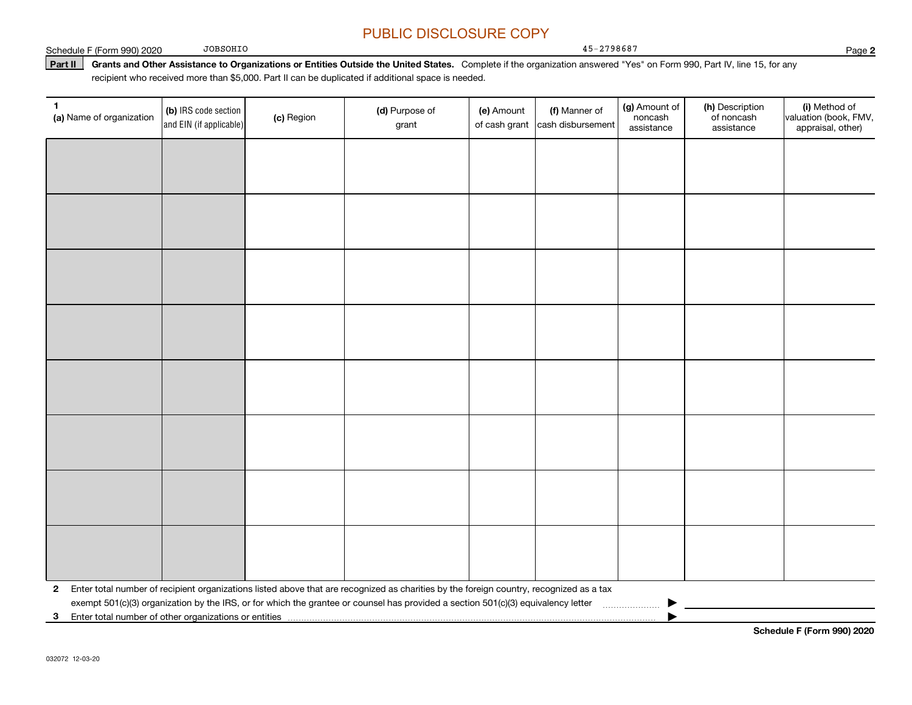45-2798687

Schedule F (Form 990) 2020

JOBSOHIO

**Part II** Grants and Other Assistance to Organizations or Entities Outside the United States. Complete if the organization answered "Yes" on Form 990, Part IV, line 15, for any<br>recisiont who received more than \$5,000. Part recipient who received more than \$5,000. Part II can be duplicated if additional space is needed.

| 1.<br>(a) Name of organization                             | (b) IRS code section<br>and EIN (if applicable) | (c) Region | (d) Purpose of<br>grant                                                                                                                 | (e) Amount | (f) Manner of<br>of cash grant cash disbursement | (g) Amount of<br>noncash<br>assistance | (h) Description<br>of noncash<br>assistance | (i) Method of<br>valuation (book, FMV,<br>appraisal, other) |
|------------------------------------------------------------|-------------------------------------------------|------------|-----------------------------------------------------------------------------------------------------------------------------------------|------------|--------------------------------------------------|----------------------------------------|---------------------------------------------|-------------------------------------------------------------|
|                                                            |                                                 |            |                                                                                                                                         |            |                                                  |                                        |                                             |                                                             |
|                                                            |                                                 |            |                                                                                                                                         |            |                                                  |                                        |                                             |                                                             |
|                                                            |                                                 |            |                                                                                                                                         |            |                                                  |                                        |                                             |                                                             |
|                                                            |                                                 |            |                                                                                                                                         |            |                                                  |                                        |                                             |                                                             |
|                                                            |                                                 |            |                                                                                                                                         |            |                                                  |                                        |                                             |                                                             |
|                                                            |                                                 |            |                                                                                                                                         |            |                                                  |                                        |                                             |                                                             |
|                                                            |                                                 |            |                                                                                                                                         |            |                                                  |                                        |                                             |                                                             |
|                                                            |                                                 |            |                                                                                                                                         |            |                                                  |                                        |                                             |                                                             |
|                                                            |                                                 |            |                                                                                                                                         |            |                                                  |                                        |                                             |                                                             |
|                                                            |                                                 |            |                                                                                                                                         |            |                                                  |                                        |                                             |                                                             |
|                                                            |                                                 |            |                                                                                                                                         |            |                                                  |                                        |                                             |                                                             |
|                                                            |                                                 |            |                                                                                                                                         |            |                                                  |                                        |                                             |                                                             |
|                                                            |                                                 |            |                                                                                                                                         |            |                                                  |                                        |                                             |                                                             |
|                                                            |                                                 |            |                                                                                                                                         |            |                                                  |                                        |                                             |                                                             |
|                                                            |                                                 |            |                                                                                                                                         |            |                                                  |                                        |                                             |                                                             |
|                                                            |                                                 |            |                                                                                                                                         |            |                                                  |                                        |                                             |                                                             |
| $\mathbf{2}$                                               |                                                 |            | Enter total number of recipient organizations listed above that are recognized as charities by the foreign country, recognized as a tax |            |                                                  |                                        |                                             |                                                             |
| Enter total number of other organizations or entities<br>3 |                                                 |            | exempt 501(c)(3) organization by the IRS, or for which the grantee or counsel has provided a section 501(c)(3) equivalency letter       |            |                                                  |                                        |                                             |                                                             |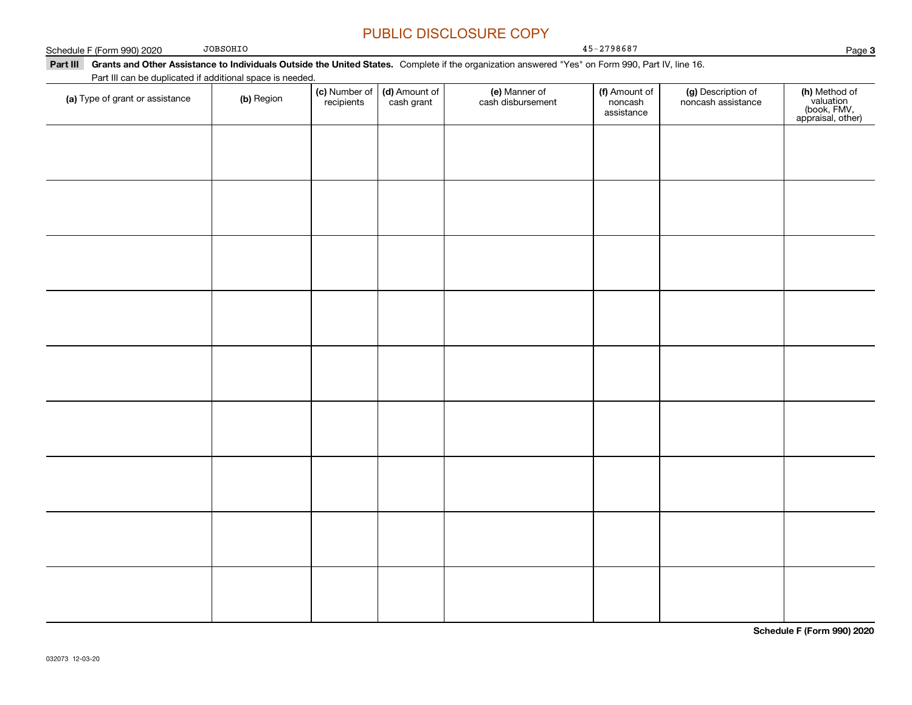Page 3 **Part III Grants and Other Assistance to Individuals Outside the United States.**  Complete if the organization answered "Yes" on Form 990, Part IV, line 16. **(c)** Number of **| (d)** Amount of **| (e)** Manner of **| (f)** Amount of **| (g)** Description of **| (h) (a)** Type of grant or assistance  $\qquad$  **(b)** Region Schedule F (Form 990) 2020 Part III can be duplicated if additional space is needed. (c) Number of *recipients* (d) Amount of cash grant (e) Manner of cash disbursement (f) Amount of noncash assistancenoncash assistance **(h)** Method of<br>valuation<br>(book, FMV,<br>appraisal, other) JOBSOHIO45-2798687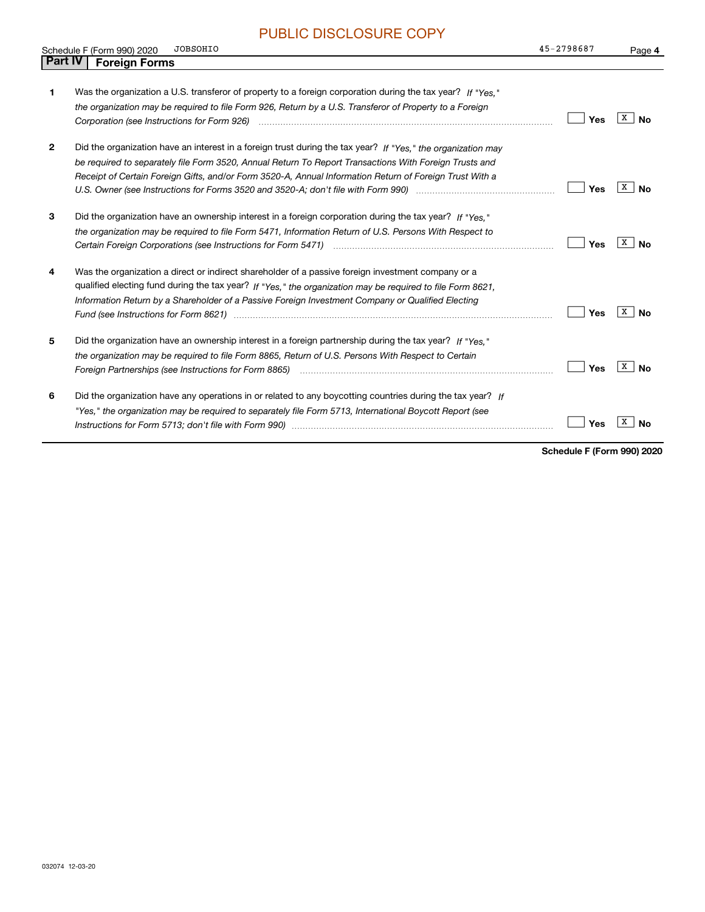|                | <b>JOBSOHIO</b><br>Schedule F (Form 990) 2020                                                                                                                                                                                                                                                                                                                                                                                                         | 45-2798687 | Page 4         |
|----------------|-------------------------------------------------------------------------------------------------------------------------------------------------------------------------------------------------------------------------------------------------------------------------------------------------------------------------------------------------------------------------------------------------------------------------------------------------------|------------|----------------|
| <b>Part IV</b> | <b>Foreign Forms</b>                                                                                                                                                                                                                                                                                                                                                                                                                                  |            |                |
| 1              | Was the organization a U.S. transferor of property to a foreign corporation during the tax year? If "Yes."<br>the organization may be required to file Form 926, Return by a U.S. Transferor of Property to a Foreign                                                                                                                                                                                                                                 | Yes        | $X \mid No$    |
| $\mathbf{2}$   | Did the organization have an interest in a foreign trust during the tax year? If "Yes," the organization may<br>be required to separately file Form 3520, Annual Return To Report Transactions With Foreign Trusts and<br>Receipt of Certain Foreign Gifts, and/or Form 3520-A, Annual Information Return of Foreign Trust With a<br>U.S. Owner (see Instructions for Forms 3520 and 3520-A; don't file with Form 990) manual content content content | Yes        | $X \mid No$    |
| 3              | Did the organization have an ownership interest in a foreign corporation during the tax year? If "Yes."<br>the organization may be required to file Form 5471, Information Return of U.S. Persons With Respect to                                                                                                                                                                                                                                     | Yes        | $X \mid$ No    |
| 4              | Was the organization a direct or indirect shareholder of a passive foreign investment company or a<br>qualified electing fund during the tax year? If "Yes," the organization may be required to file Form 8621,<br>Information Return by a Shareholder of a Passive Foreign Investment Company or Qualified Electing                                                                                                                                 | Yes        | $X \mid$ No    |
| 5              | Did the organization have an ownership interest in a foreign partnership during the tax year? If "Yes."<br>the organization may be required to file Form 8865, Return of U.S. Persons With Respect to Certain                                                                                                                                                                                                                                         | Yes        | X<br><b>No</b> |
| 6              | Did the organization have any operations in or related to any boycotting countries during the tax year? If<br>"Yes," the organization may be required to separately file Form 5713, International Boycott Report (see                                                                                                                                                                                                                                 | Yes        | х<br>Nο        |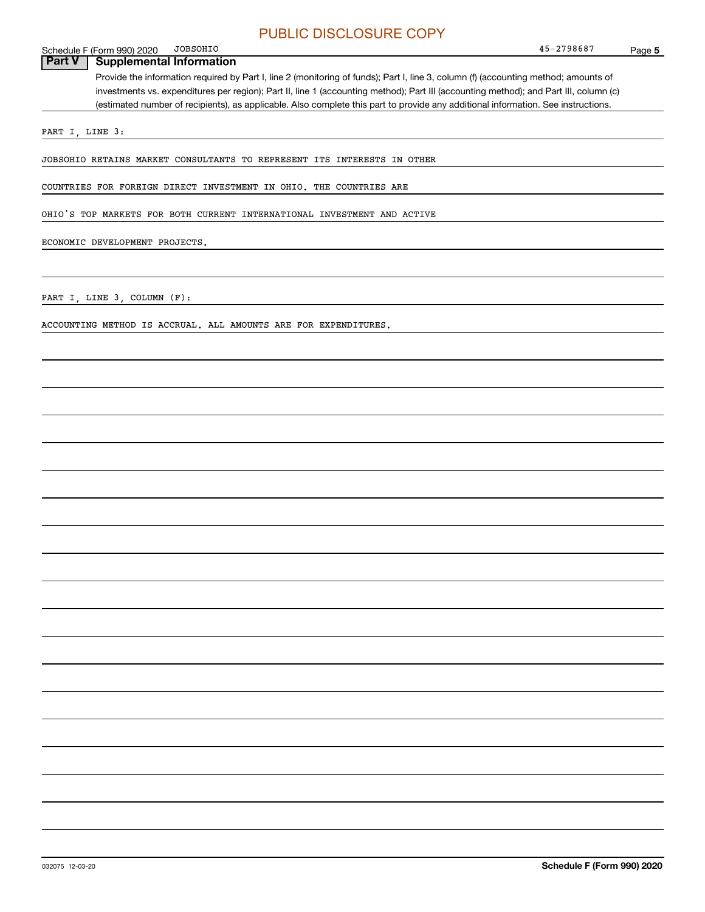### Schedule F (Form 990) 2020<br>**Part V** | Supplement JOBSOHIO

**Supplemental Information** 

Provide the information required by Part I, line 2 (monitoring of funds); Part I, line 3, column (f) (accounting method; amounts of investments vs. expenditures per region); Part II, line 1 (accounting method); Part III (accounting method); and Part III, column (c) (estimated number of recipients), as applicable. Also complete this part to provide any additional information. See instructions.

PART I, LINE 3:

JOBSOHIO RETAINS MARKET CONSULTANTS TO REPRESENT ITS INTERESTS IN OTHER

COUNTRIES FOR FOREIGN DIRECT INVESTMENT IN OHIO. THE COUNTRIES ARE

OHIO'S TOP MARKETS FOR BOTH CURRENT INTERNATIONAL INVESTMENT AND ACTIVE

ECONOMIC DEVELOPMENT PROJECTS.

PART I, LINE 3, COLUMN (F):

ACCOUNTING METHOD IS ACCRUAL. ALL AMOUNTS ARE FOR EXPENDITURES.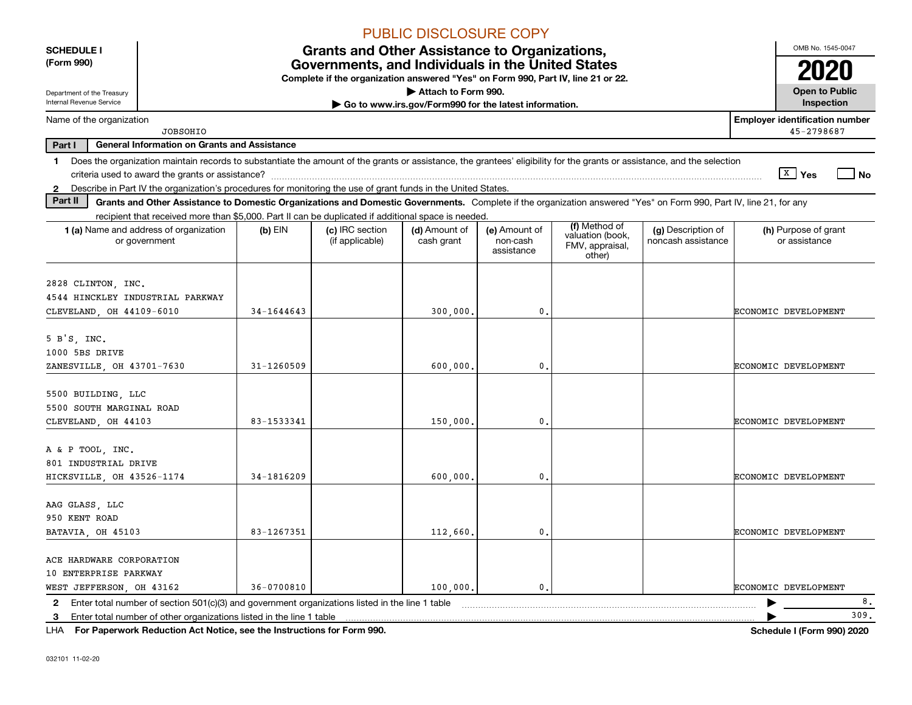|                                                                       |                                                                                                                                                                          |            |                                                                                                                                       | <b>PUBLIC DISCLOSURE COPY</b>                         |                                         |                                                                |                                          |                                       |
|-----------------------------------------------------------------------|--------------------------------------------------------------------------------------------------------------------------------------------------------------------------|------------|---------------------------------------------------------------------------------------------------------------------------------------|-------------------------------------------------------|-----------------------------------------|----------------------------------------------------------------|------------------------------------------|---------------------------------------|
| <b>SCHEDULE I</b>                                                     |                                                                                                                                                                          |            | <b>Grants and Other Assistance to Organizations,</b>                                                                                  |                                                       |                                         |                                                                |                                          | OMB No. 1545-0047                     |
| (Form 990)                                                            |                                                                                                                                                                          |            | Governments, and Individuals in the United States<br>Complete if the organization answered "Yes" on Form 990, Part IV, line 21 or 22. |                                                       |                                         |                                                                |                                          |                                       |
| Department of the Treasury                                            |                                                                                                                                                                          |            |                                                                                                                                       | Attach to Form 990.                                   |                                         |                                                                |                                          | <b>Open to Public</b>                 |
| Internal Revenue Service                                              |                                                                                                                                                                          |            |                                                                                                                                       | Go to www.irs.gov/Form990 for the latest information. |                                         |                                                                |                                          | Inspection                            |
| Name of the organization                                              |                                                                                                                                                                          |            |                                                                                                                                       |                                                       |                                         |                                                                |                                          | <b>Employer identification number</b> |
|                                                                       | <b>JOBSOHIO</b>                                                                                                                                                          |            |                                                                                                                                       |                                                       |                                         |                                                                |                                          | 45-2798687                            |
| Part I                                                                | <b>General Information on Grants and Assistance</b>                                                                                                                      |            |                                                                                                                                       |                                                       |                                         |                                                                |                                          |                                       |
| $\mathbf 1$                                                           | Does the organization maintain records to substantiate the amount of the grants or assistance, the grantees' eligibility for the grants or assistance, and the selection |            |                                                                                                                                       |                                                       |                                         |                                                                |                                          | $\sqrt{X}$ Yes<br>$ $ No              |
|                                                                       | 2 Describe in Part IV the organization's procedures for monitoring the use of grant funds in the United States.                                                          |            |                                                                                                                                       |                                                       |                                         |                                                                |                                          |                                       |
| Part II                                                               | Grants and Other Assistance to Domestic Organizations and Domestic Governments. Complete if the organization answered "Yes" on Form 990, Part IV, line 21, for any       |            |                                                                                                                                       |                                                       |                                         |                                                                |                                          |                                       |
|                                                                       | recipient that received more than \$5,000. Part II can be duplicated if additional space is needed.                                                                      |            |                                                                                                                                       |                                                       |                                         |                                                                |                                          |                                       |
|                                                                       | 1 (a) Name and address of organization<br>or government                                                                                                                  | $(b)$ EIN  | (c) IRC section<br>(if applicable)                                                                                                    | (d) Amount of<br>cash grant                           | (e) Amount of<br>non-cash<br>assistance | (f) Method of<br>valuation (book,<br>FMV, appraisal,<br>other) | (g) Description of<br>noncash assistance | (h) Purpose of grant<br>or assistance |
| 2828 CLINTON, INC.<br>CLEVELAND, OH 44109-6010                        | 4544 HINCKLEY INDUSTRIAL PARKWAY                                                                                                                                         | 34-1644643 |                                                                                                                                       | 300,000.                                              | 0.                                      |                                                                |                                          | ECONOMIC DEVELOPMENT                  |
|                                                                       |                                                                                                                                                                          |            |                                                                                                                                       |                                                       |                                         |                                                                |                                          |                                       |
| $5 B'S$ , INC.<br>1000 5BS DRIVE                                      |                                                                                                                                                                          |            |                                                                                                                                       |                                                       |                                         |                                                                |                                          |                                       |
| ZANESVILLE, OH 43701-7630                                             |                                                                                                                                                                          | 31-1260509 |                                                                                                                                       | 600,000.                                              | 0.                                      |                                                                |                                          | ECONOMIC DEVELOPMENT                  |
| 5500 BUILDING, LLC<br>5500 SOUTH MARGINAL ROAD                        |                                                                                                                                                                          |            |                                                                                                                                       |                                                       |                                         |                                                                |                                          |                                       |
| CLEVELAND, OH 44103                                                   |                                                                                                                                                                          | 83-1533341 |                                                                                                                                       | 150,000.                                              | 0.                                      |                                                                |                                          | ECONOMIC DEVELOPMENT                  |
| A & P TOOL, INC.<br>801 INDUSTRIAL DRIVE<br>HICKSVILLE, OH 43526-1174 |                                                                                                                                                                          | 34-1816209 |                                                                                                                                       | 600,000.                                              | 0.                                      |                                                                |                                          | ECONOMIC DEVELOPMENT                  |
| AAG GLASS, LLC<br>950 KENT ROAD                                       |                                                                                                                                                                          |            |                                                                                                                                       |                                                       |                                         |                                                                |                                          |                                       |
| BATAVIA, OH 45103                                                     |                                                                                                                                                                          | 83-1267351 |                                                                                                                                       | 112,660.                                              | 0.                                      |                                                                |                                          | ECONOMIC DEVELOPMENT                  |
| ACE HARDWARE CORPORATION                                              |                                                                                                                                                                          |            |                                                                                                                                       |                                                       |                                         |                                                                |                                          |                                       |
| 10 ENTERPRISE PARKWAY<br>WEST JEFFERSON, OH 43162                     |                                                                                                                                                                          | 36-0700810 |                                                                                                                                       | 100,000,                                              | 0.                                      |                                                                |                                          | ECONOMIC DEVELOPMENT                  |
| 2                                                                     | Enter total number of section 501(c)(3) and government organizations listed in the line 1 table                                                                          |            |                                                                                                                                       |                                                       |                                         |                                                                |                                          | 8.                                    |
| 3                                                                     | Enter total number of other organizations listed in the line 1 table                                                                                                     |            |                                                                                                                                       |                                                       |                                         |                                                                |                                          | 309.                                  |
|                                                                       | LHA For Paperwork Reduction Act Notice, see the Instructions for Form 990.                                                                                               |            |                                                                                                                                       |                                                       |                                         |                                                                |                                          | Schedule I (Form 990) 2020            |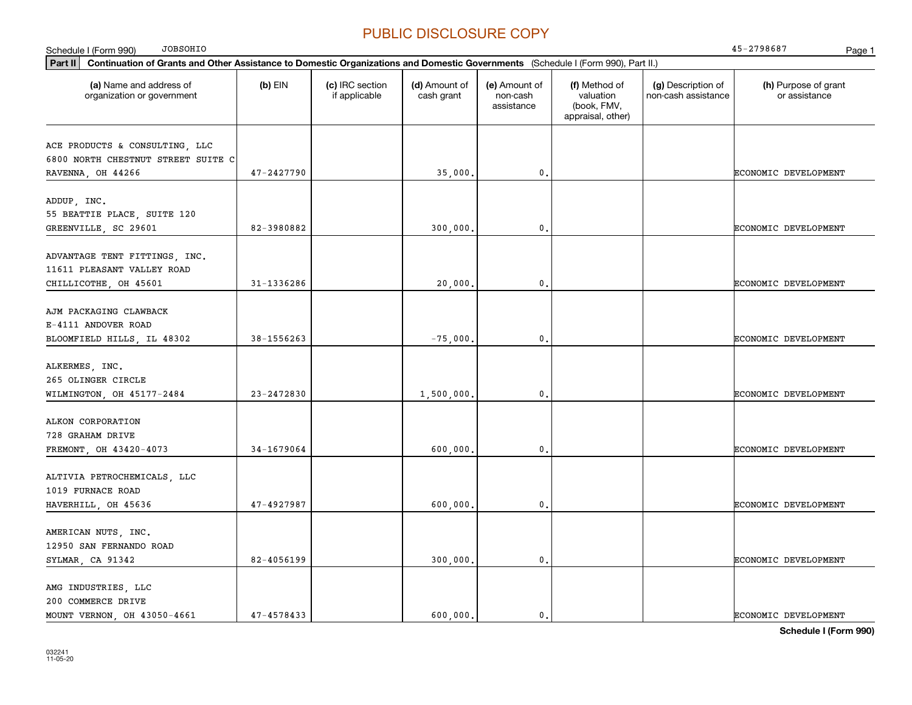| <b>JOBSOHIO</b><br>Schedule I (Form 990)                                                                                                            |                |                                  |                             |                                         |                                                                |                                           | 45-2798687<br>Page 1                  |
|-----------------------------------------------------------------------------------------------------------------------------------------------------|----------------|----------------------------------|-----------------------------|-----------------------------------------|----------------------------------------------------------------|-------------------------------------------|---------------------------------------|
| $ $ Part II $ $<br>Continuation of Grants and Other Assistance to Domestic Organizations and Domestic Governments (Schedule I (Form 990), Part II.) |                |                                  |                             |                                         |                                                                |                                           |                                       |
| (a) Name and address of<br>organization or government                                                                                               | $(b)$ EIN      | (c) IRC section<br>if applicable | (d) Amount of<br>cash grant | (e) Amount of<br>non-cash<br>assistance | (f) Method of<br>valuation<br>(book, FMV,<br>appraisal, other) | (g) Description of<br>non-cash assistance | (h) Purpose of grant<br>or assistance |
| ACE PRODUCTS & CONSULTING, LLC<br>6800 NORTH CHESTNUT STREET SUITE C<br>RAVENNA, OH 44266                                                           | 47-2427790     |                                  | 35,000                      | 0.                                      |                                                                |                                           | ECONOMIC DEVELOPMENT                  |
| ADDUP, INC.<br>55 BEATTIE PLACE, SUITE 120<br>GREENVILLE, SC 29601                                                                                  | 82-3980882     |                                  | 300,000                     | 0.                                      |                                                                |                                           | <b>ECONOMIC DEVELOPMENT</b>           |
| ADVANTAGE TENT FITTINGS, INC.<br>11611 PLEASANT VALLEY ROAD<br>CHILLICOTHE, OH 45601                                                                | 31-1336286     |                                  | 20,000                      | 0.                                      |                                                                |                                           | <b>ECONOMIC DEVELOPMENT</b>           |
| AJM PACKAGING CLAWBACK<br>E-4111 ANDOVER ROAD<br>BLOOMFIELD HILLS, IL 48302                                                                         | 38-1556263     |                                  | $-75,000$                   | 0.                                      |                                                                |                                           | ECONOMIC DEVELOPMENT                  |
| ALKERMES, INC.<br>265 OLINGER CIRCLE<br>WILMINGTON, OH 45177-2484                                                                                   | 23-2472830     |                                  | 1,500,000.                  | $\mathfrak{o}$ .                        |                                                                |                                           | ECONOMIC DEVELOPMENT                  |
| ALKON CORPORATION<br>728 GRAHAM DRIVE<br>FREMONT, OH 43420-4073                                                                                     | 34-1679064     |                                  | 600,000                     | 0.                                      |                                                                |                                           | ECONOMIC DEVELOPMENT                  |
| ALTIVIA PETROCHEMICALS, LLC<br>1019 FURNACE ROAD<br>HAVERHILL, OH 45636                                                                             | 47-4927987     |                                  | 600,000                     | 0.                                      |                                                                |                                           | <b>ECONOMIC DEVELOPMENT</b>           |
| AMERICAN NUTS, INC.<br>12950 SAN FERNANDO ROAD<br>SYLMAR, CA 91342                                                                                  | 82-4056199     |                                  | 300,000.                    | 0.                                      |                                                                |                                           | ECONOMIC DEVELOPMENT                  |
| AMG INDUSTRIES, LLC<br>200 COMMERCE DRIVE<br>MOUNT VERNON, OH 43050-4661                                                                            | $47 - 4578433$ |                                  | 600,000.                    | $\mathfrak{o}$ .                        |                                                                |                                           | <b>ECONOMIC DEVELOPMENT</b>           |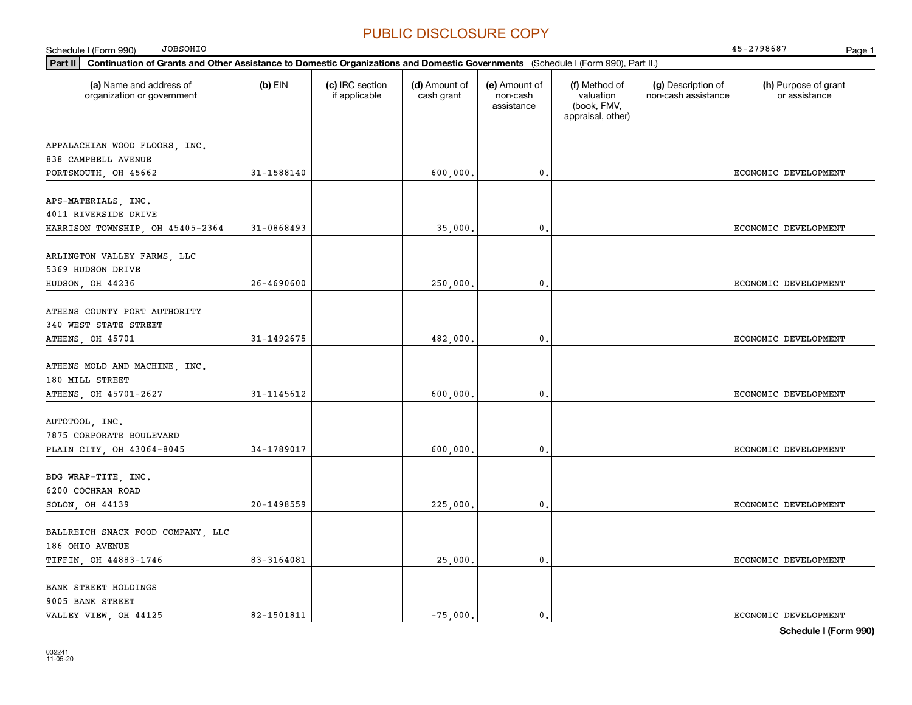| <b>JOBSOHIO</b><br>Schedule I (Form 990)                                                                                                    |                |                                  |                             |                                         |                                                                |                                           | 45-2798687<br>Page 1                  |
|---------------------------------------------------------------------------------------------------------------------------------------------|----------------|----------------------------------|-----------------------------|-----------------------------------------|----------------------------------------------------------------|-------------------------------------------|---------------------------------------|
| Part II<br>Continuation of Grants and Other Assistance to Domestic Organizations and Domestic Governments (Schedule I (Form 990), Part II.) |                |                                  |                             |                                         |                                                                |                                           |                                       |
| (a) Name and address of<br>organization or government                                                                                       | $(b)$ EIN      | (c) IRC section<br>if applicable | (d) Amount of<br>cash grant | (e) Amount of<br>non-cash<br>assistance | (f) Method of<br>valuation<br>(book, FMV,<br>appraisal, other) | (g) Description of<br>non-cash assistance | (h) Purpose of grant<br>or assistance |
| APPALACHIAN WOOD FLOORS, INC.<br>838 CAMPBELL AVENUE                                                                                        |                |                                  |                             |                                         |                                                                |                                           |                                       |
| PORTSMOUTH, OH 45662                                                                                                                        | 31-1588140     |                                  | 600,000.                    | $\mathbf 0$ .                           |                                                                |                                           | ECONOMIC DEVELOPMENT                  |
| APS-MATERIALS, INC.<br>4011 RIVERSIDE DRIVE                                                                                                 |                |                                  |                             |                                         |                                                                |                                           |                                       |
| HARRISON TOWNSHIP, OH 45405-2364                                                                                                            | 31-0868493     |                                  | 35,000.                     | 0.                                      |                                                                |                                           | ECONOMIC DEVELOPMENT                  |
| ARLINGTON VALLEY FARMS, LLC<br>5369 HUDSON DRIVE                                                                                            |                |                                  |                             |                                         |                                                                |                                           |                                       |
| HUDSON, OH 44236                                                                                                                            | $26 - 4690600$ |                                  | 250,000,                    | 0.                                      |                                                                |                                           | ECONOMIC DEVELOPMENT                  |
| ATHENS COUNTY PORT AUTHORITY<br>340 WEST STATE STREET                                                                                       |                |                                  |                             |                                         |                                                                |                                           |                                       |
| ATHENS, OH 45701                                                                                                                            | 31-1492675     |                                  | 482,000.                    | 0.                                      |                                                                |                                           | ECONOMIC DEVELOPMENT                  |
| ATHENS MOLD AND MACHINE, INC.<br>180 MILL STREET                                                                                            |                |                                  |                             |                                         |                                                                |                                           |                                       |
| ATHENS, OH 45701-2627                                                                                                                       | 31-1145612     |                                  | 600,000,                    | 0.                                      |                                                                |                                           | ECONOMIC DEVELOPMENT                  |
| AUTOTOOL, INC.<br>7875 CORPORATE BOULEVARD                                                                                                  |                |                                  |                             |                                         |                                                                |                                           |                                       |
| PLAIN CITY, OH 43064-8045                                                                                                                   | 34-1789017     |                                  | 600,000.                    | 0.                                      |                                                                |                                           | ECONOMIC DEVELOPMENT                  |
| BDG WRAP-TITE, INC.<br>6200 COCHRAN ROAD                                                                                                    |                |                                  |                             |                                         |                                                                |                                           |                                       |
| SOLON, OH 44139                                                                                                                             | 20-1498559     |                                  | 225,000,                    | 0.                                      |                                                                |                                           | ECONOMIC DEVELOPMENT                  |
| BALLREICH SNACK FOOD COMPANY, LLC<br>186 OHIO AVENUE                                                                                        |                |                                  |                             |                                         |                                                                |                                           |                                       |
| TIFFIN, OH 44883-1746                                                                                                                       | 83-3164081     |                                  | 25,000.                     | 0.                                      |                                                                |                                           | ECONOMIC DEVELOPMENT                  |
| <b>BANK STREET HOLDINGS</b><br>9005 BANK STREET                                                                                             |                |                                  |                             |                                         |                                                                |                                           |                                       |
| VALLEY VIEW, OH 44125                                                                                                                       | 82-1501811     |                                  | $-75,000.$                  | 0.                                      |                                                                |                                           | ECONOMIC DEVELOPMENT                  |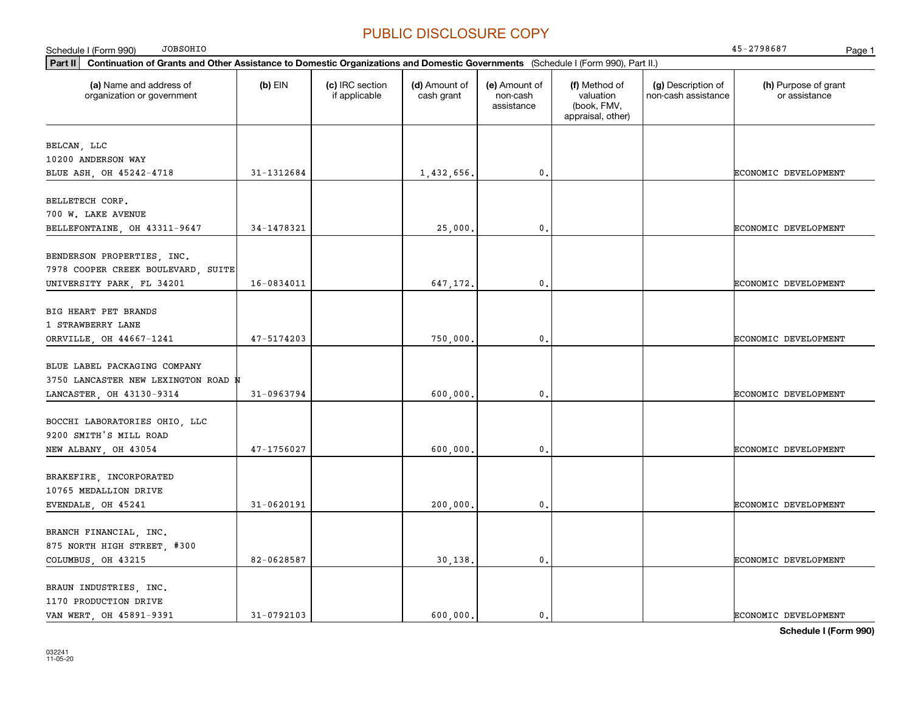| <b>JOBSOHIO</b><br>Schedule I (Form 990)                                                                                                    |            |                                  |                             |                                         |                                                                |                                           | 45-2798687<br>Page 1                  |
|---------------------------------------------------------------------------------------------------------------------------------------------|------------|----------------------------------|-----------------------------|-----------------------------------------|----------------------------------------------------------------|-------------------------------------------|---------------------------------------|
| Continuation of Grants and Other Assistance to Domestic Organizations and Domestic Governments (Schedule I (Form 990), Part II.)<br>Part II |            |                                  |                             |                                         |                                                                |                                           |                                       |
| (a) Name and address of<br>organization or government                                                                                       | $(b)$ EIN  | (c) IRC section<br>if applicable | (d) Amount of<br>cash grant | (e) Amount of<br>non-cash<br>assistance | (f) Method of<br>valuation<br>(book, FMV,<br>appraisal, other) | (g) Description of<br>non-cash assistance | (h) Purpose of grant<br>or assistance |
| BELCAN, LLC<br>10200 ANDERSON WAY                                                                                                           |            |                                  |                             |                                         |                                                                |                                           |                                       |
| BLUE ASH, OH 45242-4718                                                                                                                     | 31-1312684 |                                  | 1,432,656.                  | $\mathbf{0}$ .                          |                                                                |                                           | ECONOMIC DEVELOPMENT                  |
| BELLETECH CORP.<br>700 W. LAKE AVENUE                                                                                                       |            |                                  |                             |                                         |                                                                |                                           |                                       |
| BELLEFONTAINE, OH 43311-9647                                                                                                                | 34-1478321 |                                  | 25,000                      | $\mathbf 0$ .                           |                                                                |                                           | ECONOMIC DEVELOPMENT                  |
| BENDERSON PROPERTIES, INC.<br>7978 COOPER CREEK BOULEVARD, SUITE<br>UNIVERSITY PARK, FL 34201                                               | 16-0834011 |                                  | 647,172.                    | $\mathbf{0}$ .                          |                                                                |                                           | ECONOMIC DEVELOPMENT                  |
| BIG HEART PET BRANDS<br>1 STRAWBERRY LANE<br>ORRVILLE, OH 44667-1241                                                                        | 47-5174203 |                                  | 750,000                     | $\mathfrak{o}$ .                        |                                                                |                                           | ECONOMIC DEVELOPMENT                  |
| BLUE LABEL PACKAGING COMPANY<br>3750 LANCASTER NEW LEXINGTON ROAD N<br>LANCASTER, OH 43130-9314                                             | 31-0963794 |                                  | 600,000                     | $\mathbf{0}$ .                          |                                                                |                                           | ECONOMIC DEVELOPMENT                  |
| BOCCHI LABORATORIES OHIO, LLC<br>9200 SMITH'S MILL ROAD<br>NEW ALBANY, OH 43054                                                             | 47-1756027 |                                  | 600,000,                    | $\mathbf{0}$ .                          |                                                                |                                           | ECONOMIC DEVELOPMENT                  |
| BRAKEFIRE, INCORPORATED<br>10765 MEDALLION DRIVE                                                                                            |            |                                  |                             |                                         |                                                                |                                           |                                       |
| EVENDALE, OH 45241                                                                                                                          | 31-0620191 |                                  | 200,000,                    | $\mathbf{0}$ .                          |                                                                |                                           | ECONOMIC DEVELOPMENT                  |
| BRANCH FINANCIAL, INC.<br>875 NORTH HIGH STREET, #300<br>COLUMBUS, OH 43215                                                                 | 82-0628587 |                                  | 30,138,                     | $\mathbf{0}$ .                          |                                                                |                                           | ECONOMIC DEVELOPMENT                  |
| BRAUN INDUSTRIES, INC.<br>1170 PRODUCTION DRIVE<br>VAN WERT, OH 45891-9391                                                                  | 31-0792103 |                                  | 600,000.                    | $\mathbf{0}$ .                          |                                                                |                                           | ECONOMIC DEVELOPMENT                  |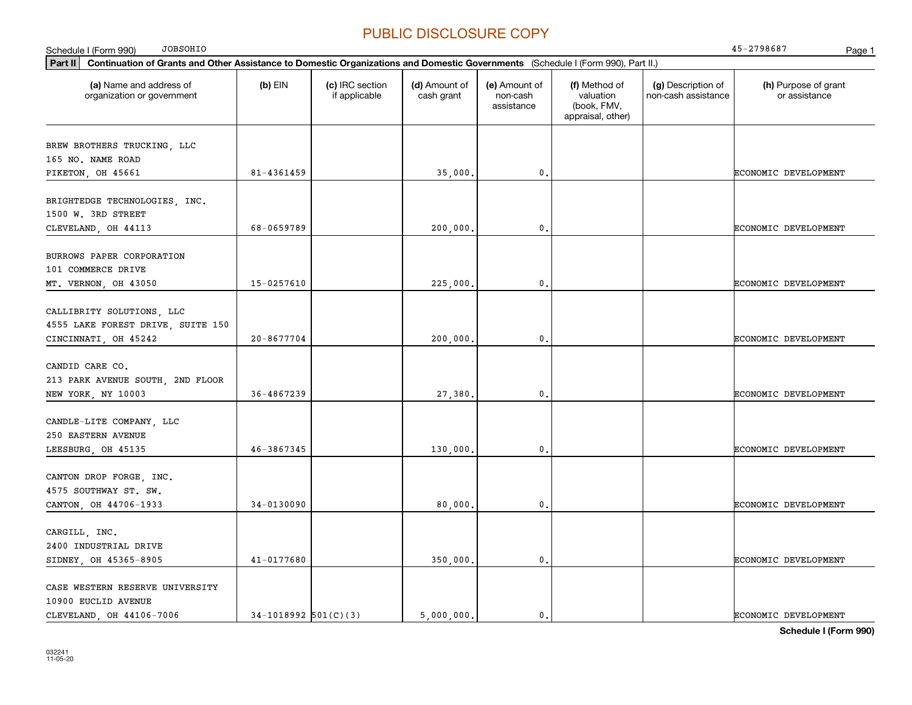| JOBSOHIO<br>Schedule I (Form 990)                                                                                                               |                |                                  |                             |                                         |                                                                |                                           | 45-2798687<br>Page 1                  |
|-------------------------------------------------------------------------------------------------------------------------------------------------|----------------|----------------------------------|-----------------------------|-----------------------------------------|----------------------------------------------------------------|-------------------------------------------|---------------------------------------|
| $ $ Part II<br>Continuation of Grants and Other Assistance to Domestic Organizations and Domestic Governments (Schedule I (Form 990), Part II.) |                |                                  |                             |                                         |                                                                |                                           |                                       |
| (a) Name and address of<br>organization or government                                                                                           | $(b)$ EIN      | (c) IRC section<br>if applicable | (d) Amount of<br>cash grant | (e) Amount of<br>non-cash<br>assistance | (f) Method of<br>valuation<br>(book, FMV,<br>appraisal, other) | (g) Description of<br>non-cash assistance | (h) Purpose of grant<br>or assistance |
| BREW BROTHERS TRUCKING, LLC<br>165 NO. NAME ROAD<br>PIKETON, OH 45661                                                                           | 81-4361459     |                                  | 35,000.                     | $\mathfrak{o}$ .                        |                                                                |                                           | ECONOMIC DEVELOPMENT                  |
| BRIGHTEDGE TECHNOLOGIES, INC.<br>1500 W. 3RD STREET<br>CLEVELAND, OH 44113                                                                      | 68-0659789     |                                  | 200,000.                    | $\mathbf{0}$ .                          |                                                                |                                           | ECONOMIC DEVELOPMENT                  |
| BURROWS PAPER CORPORATION<br>101 COMMERCE DRIVE<br>MT. VERNON, OH 43050                                                                         | $15 - 0257610$ |                                  | 225,000.                    | $\mathbf{0}$                            |                                                                |                                           | ECONOMIC DEVELOPMENT                  |
| CALLIBRITY SOLUTIONS, LLC<br>4555 LAKE FOREST DRIVE, SUITE 150<br>CINCINNATI, OH 45242                                                          | $20 - 8677704$ |                                  | 200,000.                    | $\mathbf{0}$ .                          |                                                                |                                           | ECONOMIC DEVELOPMENT                  |
| CANDID CARE CO.<br>213 PARK AVENUE SOUTH, 2ND FLOOR<br>NEW YORK, NY 10003                                                                       | 36-4867239     |                                  | 27,380.                     | $\mathbf{0}$ .                          |                                                                |                                           | ECONOMIC DEVELOPMENT                  |
| CANDLE-LITE COMPANY, LLC<br>250 EASTERN AVENUE<br>LEESBURG, OH 45135                                                                            | 46-3867345     |                                  | 130,000.                    | 0.                                      |                                                                |                                           | ECONOMIC DEVELOPMENT                  |
| CANTON DROP FORGE, INC.<br>4575 SOUTHWAY ST. SW.<br>CANTON, OH 44706-1933                                                                       | 34-0130090     |                                  | 80,000.                     | $\mathbf{0}$ .                          |                                                                |                                           | ECONOMIC DEVELOPMENT                  |
| CARGILL, INC.<br>2400 INDUSTRIAL DRIVE<br>SIDNEY, OH 45365-8905                                                                                 | 41-0177680     |                                  | 350,000                     | 0.                                      |                                                                |                                           | ECONOMIC DEVELOPMENT                  |
| CASE WESTERN RESERVE UNIVERSITY<br>10900 EUCLID AVENUE                                                                                          |                |                                  |                             |                                         |                                                                |                                           |                                       |

**Schedule I (Form 990)** CLEVELAND, OH 44106-7006 34-1018992 501(C)(3) 5,000,000. 0. ECONOMIC DEVELOPMENT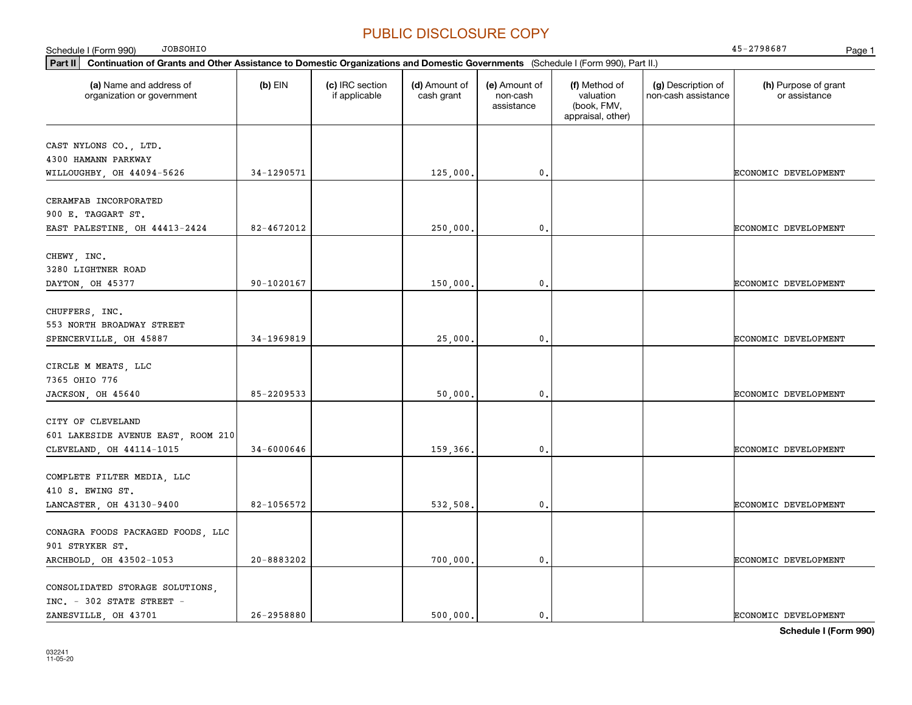| <b>JOBSOHIO</b><br>Schedule I (Form 990)                                                                                                    |                |                                  |                             |                                         |                                                                |                                           | 45-2798687<br>Page 1                  |  |  |
|---------------------------------------------------------------------------------------------------------------------------------------------|----------------|----------------------------------|-----------------------------|-----------------------------------------|----------------------------------------------------------------|-------------------------------------------|---------------------------------------|--|--|
| Part II<br>Continuation of Grants and Other Assistance to Domestic Organizations and Domestic Governments (Schedule I (Form 990), Part II.) |                |                                  |                             |                                         |                                                                |                                           |                                       |  |  |
| (a) Name and address of<br>organization or government                                                                                       | $(b)$ EIN      | (c) IRC section<br>if applicable | (d) Amount of<br>cash grant | (e) Amount of<br>non-cash<br>assistance | (f) Method of<br>valuation<br>(book, FMV,<br>appraisal, other) | (g) Description of<br>non-cash assistance | (h) Purpose of grant<br>or assistance |  |  |
| CAST NYLONS CO., LTD.<br>4300 HAMANN PARKWAY<br>WILLOUGHBY, OH 44094-5626                                                                   | 34-1290571     |                                  | 125,000.                    | $\mathbf{0}$ .                          |                                                                |                                           | ECONOMIC DEVELOPMENT                  |  |  |
| CERAMFAB INCORPORATED<br>900 E. TAGGART ST.<br>EAST PALESTINE, OH 44413-2424                                                                | 82-4672012     |                                  | 250,000                     | $\mathbf{0}$ .                          |                                                                |                                           | <b>ECONOMIC DEVELOPMENT</b>           |  |  |
| CHEWY, INC.<br>3280 LIGHTNER ROAD<br>DAYTON, OH 45377                                                                                       | 90-1020167     |                                  | 150,000.                    | $\mathbf{0}$ .                          |                                                                |                                           | ECONOMIC DEVELOPMENT                  |  |  |
| CHUFFERS, INC.<br>553 NORTH BROADWAY STREET<br>SPENCERVILLE, OH 45887                                                                       | 34-1969819     |                                  | 25,000                      | $\mathbf 0$ .                           |                                                                |                                           | ECONOMIC DEVELOPMENT                  |  |  |
| CIRCLE M MEATS, LLC<br>7365 OHIO 776<br>JACKSON, OH 45640                                                                                   | 85-2209533     |                                  | 50,000                      | $\mathbf{0}$ .                          |                                                                |                                           | ECONOMIC DEVELOPMENT                  |  |  |
| CITY OF CLEVELAND<br>601 LAKESIDE AVENUE EAST, ROOM 210<br>CLEVELAND, OH 44114-1015                                                         | $34 - 6000646$ |                                  | 159,366.                    | $\mathfrak o$ .                         |                                                                |                                           | ECONOMIC DEVELOPMENT                  |  |  |
| COMPLETE FILTER MEDIA, LLC<br>410 S. EWING ST.<br>LANCASTER, OH 43130-9400                                                                  | 82-1056572     |                                  | 532,508                     | $\mathfrak o$ .                         |                                                                |                                           | ECONOMIC DEVELOPMENT                  |  |  |
| CONAGRA FOODS PACKAGED FOODS, LLC<br>901 STRYKER ST.<br>ARCHBOLD, OH 43502-1053                                                             | 20-8883202     |                                  | 700,000                     | $\mathbf{0}$ .                          |                                                                |                                           | <b>ECONOMIC DEVELOPMENT</b>           |  |  |
| CONSOLIDATED STORAGE SOLUTIONS,<br>INC. - 302 STATE STREET -<br>ZANESVILLE, OH 43701                                                        | 26-2958880     |                                  | 500,000.                    | $\mathbf{0}$ .                          |                                                                |                                           | ECONOMIC DEVELOPMENT                  |  |  |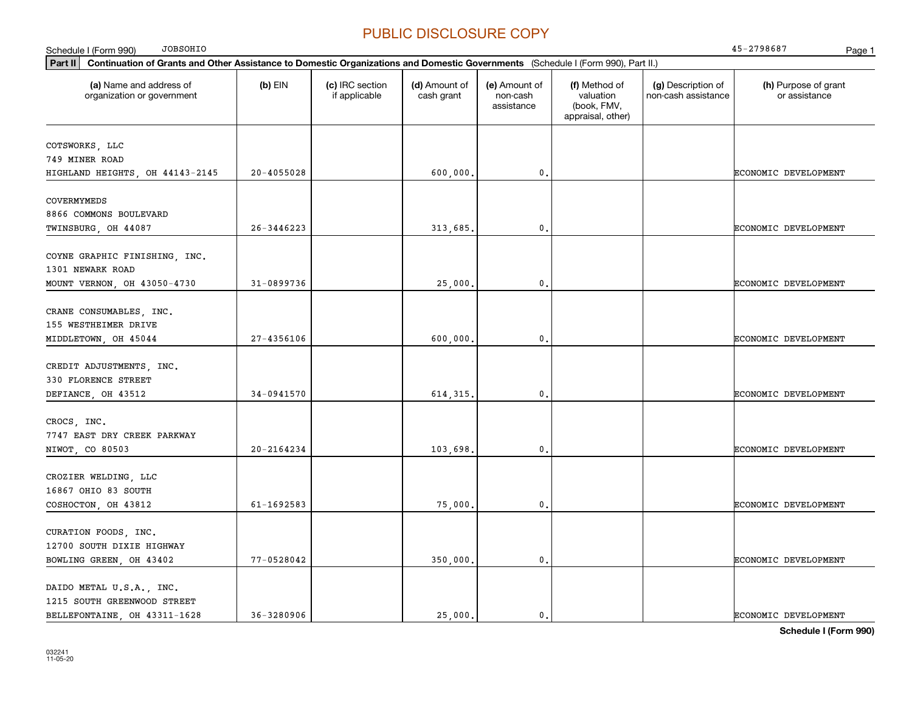| <b>JOBSOHIO</b><br>Schedule I (Form 990)                                                                                                    |                |                                  |                             |                                         |                                                                |                                           | 45-2798687<br>Page 1                  |
|---------------------------------------------------------------------------------------------------------------------------------------------|----------------|----------------------------------|-----------------------------|-----------------------------------------|----------------------------------------------------------------|-------------------------------------------|---------------------------------------|
| Continuation of Grants and Other Assistance to Domestic Organizations and Domestic Governments (Schedule I (Form 990), Part II.)<br>Part II |                |                                  |                             |                                         |                                                                |                                           |                                       |
| (a) Name and address of<br>organization or government                                                                                       | $(b)$ EIN      | (c) IRC section<br>if applicable | (d) Amount of<br>cash grant | (e) Amount of<br>non-cash<br>assistance | (f) Method of<br>valuation<br>(book, FMV,<br>appraisal, other) | (g) Description of<br>non-cash assistance | (h) Purpose of grant<br>or assistance |
| COTSWORKS, LLC<br>749 MINER ROAD<br>HIGHLAND HEIGHTS, OH 44143-2145                                                                         | $20 - 4055028$ |                                  | 600,000,                    | $\mathbf{0}$ .                          |                                                                |                                           | <b>ECONOMIC DEVELOPMENT</b>           |
| COVERMYMEDS<br>8866 COMMONS BOULEVARD<br>TWINSBURG, OH 44087                                                                                | 26-3446223     |                                  | 313,685.                    | 0.                                      |                                                                |                                           | ECONOMIC DEVELOPMENT                  |
| COYNE GRAPHIC FINISHING, INC.<br>1301 NEWARK ROAD<br>MOUNT VERNON, OH 43050-4730                                                            | 31-0899736     |                                  | 25,000,                     | 0.                                      |                                                                |                                           | ECONOMIC DEVELOPMENT                  |
| CRANE CONSUMABLES, INC.<br>155 WESTHEIMER DRIVE<br>MIDDLETOWN, OH 45044                                                                     | $27 - 4356106$ |                                  | 600,000,                    | $\mathbf 0$ .                           |                                                                |                                           | <b>ECONOMIC DEVELOPMENT</b>           |
| CREDIT ADJUSTMENTS, INC.<br>330 FLORENCE STREET<br>DEFIANCE, OH 43512                                                                       | 34-0941570     |                                  | 614, 315.                   | $\mathbf 0$ .                           |                                                                |                                           | ECONOMIC DEVELOPMENT                  |
| CROCS, INC.<br>7747 EAST DRY CREEK PARKWAY<br>NIWOT, CO 80503                                                                               | $20 - 2164234$ |                                  | 103,698                     | $\mathbf{0}$ .                          |                                                                |                                           | ECONOMIC DEVELOPMENT                  |
| CROZIER WELDING, LLC<br>16867 OHIO 83 SOUTH<br>COSHOCTON, OH 43812                                                                          | 61-1692583     |                                  | 75,000,                     | $\mathbf{0}$ .                          |                                                                |                                           | <b>ECONOMIC DEVELOPMENT</b>           |
| CURATION FOODS, INC.<br>12700 SOUTH DIXIE HIGHWAY<br>BOWLING GREEN, OH 43402                                                                | 77-0528042     |                                  | 350,000,                    | $\mathbf 0$ .                           |                                                                |                                           | <b>ECONOMIC DEVELOPMENT</b>           |
| DAIDO METAL U.S.A., INC.<br>1215 SOUTH GREENWOOD STREET<br>BELLEFONTAINE, OH 43311-1628                                                     | $36 - 3280906$ |                                  | 25,000.                     | $\mathbf{0}$ .                          |                                                                |                                           | <b>ECONOMIC DEVELOPMENT</b>           |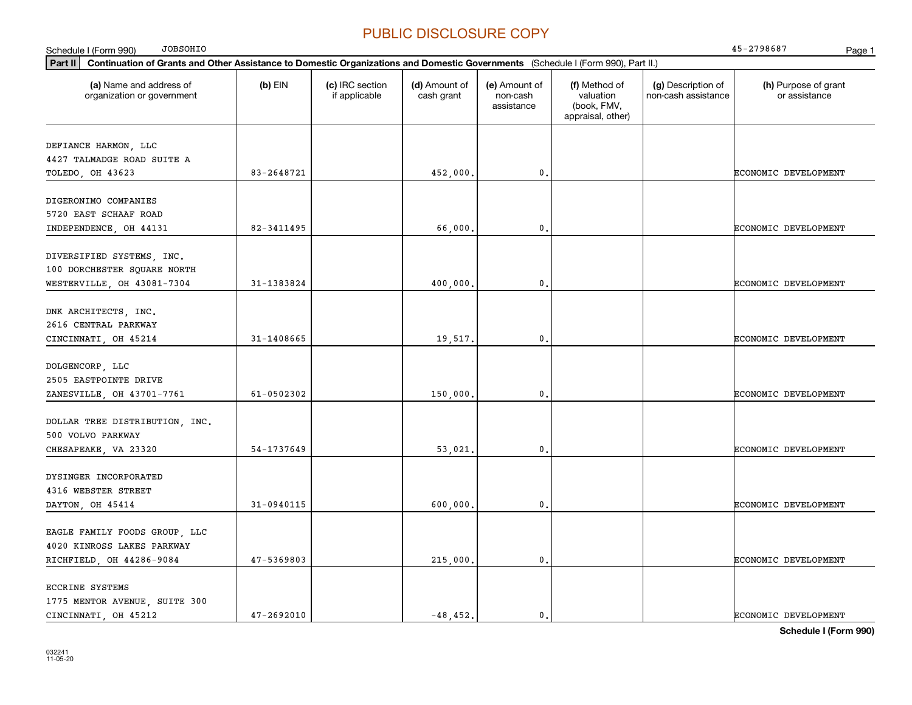| <b>JOBSOHIO</b><br>Schedule I (Form 990)                                                                                                    |                |                                  |                             |                                         |                                                                |                                           | 45-2798687<br>Page 1                  |
|---------------------------------------------------------------------------------------------------------------------------------------------|----------------|----------------------------------|-----------------------------|-----------------------------------------|----------------------------------------------------------------|-------------------------------------------|---------------------------------------|
| Part II<br>Continuation of Grants and Other Assistance to Domestic Organizations and Domestic Governments (Schedule I (Form 990), Part II.) |                |                                  |                             |                                         |                                                                |                                           |                                       |
| (a) Name and address of<br>organization or government                                                                                       | $(b)$ EIN      | (c) IRC section<br>if applicable | (d) Amount of<br>cash grant | (e) Amount of<br>non-cash<br>assistance | (f) Method of<br>valuation<br>(book, FMV,<br>appraisal, other) | (g) Description of<br>non-cash assistance | (h) Purpose of grant<br>or assistance |
| DEFIANCE HARMON, LLC                                                                                                                        |                |                                  |                             |                                         |                                                                |                                           |                                       |
| 4427 TALMADGE ROAD SUITE A                                                                                                                  |                |                                  |                             |                                         |                                                                |                                           |                                       |
| TOLEDO, OH 43623                                                                                                                            | 83-2648721     |                                  | 452,000                     | $\mathbf 0$ .                           |                                                                |                                           | ECONOMIC DEVELOPMENT                  |
| DIGERONIMO COMPANIES                                                                                                                        |                |                                  |                             |                                         |                                                                |                                           |                                       |
| 5720 EAST SCHAAF ROAD                                                                                                                       |                |                                  |                             |                                         |                                                                |                                           |                                       |
| INDEPENDENCE, OH 44131                                                                                                                      | 82-3411495     |                                  | 66,000,                     | $\mathfrak o$ .                         |                                                                |                                           | ECONOMIC DEVELOPMENT                  |
| DIVERSIFIED SYSTEMS, INC.                                                                                                                   |                |                                  |                             |                                         |                                                                |                                           |                                       |
| 100 DORCHESTER SQUARE NORTH                                                                                                                 |                |                                  |                             |                                         |                                                                |                                           |                                       |
| WESTERVILLE, OH 43081-7304                                                                                                                  | 31-1383824     |                                  | 400.000                     | $\mathbf{0}$ .                          |                                                                |                                           | ECONOMIC DEVELOPMENT                  |
|                                                                                                                                             |                |                                  |                             |                                         |                                                                |                                           |                                       |
| DNK ARCHITECTS, INC.                                                                                                                        |                |                                  |                             |                                         |                                                                |                                           |                                       |
| 2616 CENTRAL PARKWAY                                                                                                                        |                |                                  |                             |                                         |                                                                |                                           |                                       |
| CINCINNATI, OH 45214                                                                                                                        | 31-1408665     |                                  | 19,517.                     | $\mathbf 0$ .                           |                                                                |                                           | ECONOMIC DEVELOPMENT                  |
|                                                                                                                                             |                |                                  |                             |                                         |                                                                |                                           |                                       |
| DOLGENCORP, LLC                                                                                                                             |                |                                  |                             |                                         |                                                                |                                           |                                       |
| 2505 EASTPOINTE DRIVE                                                                                                                       |                |                                  |                             |                                         |                                                                |                                           |                                       |
| ZANESVILLE, OH 43701-7761                                                                                                                   | 61-0502302     |                                  | 150,000                     | $\mathbf{0}$ .                          |                                                                |                                           | ECONOMIC DEVELOPMENT                  |
|                                                                                                                                             |                |                                  |                             |                                         |                                                                |                                           |                                       |
| DOLLAR TREE DISTRIBUTION, INC.<br>500 VOLVO PARKWAY                                                                                         |                |                                  |                             |                                         |                                                                |                                           |                                       |
| CHESAPEAKE, VA 23320                                                                                                                        | 54-1737649     |                                  | 53,021.                     | $\mathbf{0}$ .                          |                                                                |                                           | ECONOMIC DEVELOPMENT                  |
|                                                                                                                                             |                |                                  |                             |                                         |                                                                |                                           |                                       |
| DYSINGER INCORPORATED                                                                                                                       |                |                                  |                             |                                         |                                                                |                                           |                                       |
| 4316 WEBSTER STREET                                                                                                                         |                |                                  |                             |                                         |                                                                |                                           |                                       |
| DAYTON, OH 45414                                                                                                                            | 31-0940115     |                                  | 600,000                     | $\mathbf{0}$ .                          |                                                                |                                           | ECONOMIC DEVELOPMENT                  |
|                                                                                                                                             |                |                                  |                             |                                         |                                                                |                                           |                                       |
| EAGLE FAMILY FOODS GROUP, LLC                                                                                                               |                |                                  |                             |                                         |                                                                |                                           |                                       |
| 4020 KINROSS LAKES PARKWAY                                                                                                                  |                |                                  |                             |                                         |                                                                |                                           |                                       |
| RICHFIELD, OH 44286-9084                                                                                                                    | 47-5369803     |                                  | 215,000.                    | $\mathfrak{o}$ .                        |                                                                |                                           | ECONOMIC DEVELOPMENT                  |
| ECCRINE SYSTEMS                                                                                                                             |                |                                  |                             |                                         |                                                                |                                           |                                       |
| 1775 MENTOR AVENUE, SUITE 300                                                                                                               |                |                                  |                             |                                         |                                                                |                                           |                                       |
| CINCINNATI OH 45212                                                                                                                         | $47 - 2692010$ |                                  | $-48, 452.$                 | $\mathbf{0}$ .                          |                                                                |                                           | ECONOMIC DEVELOPMENT                  |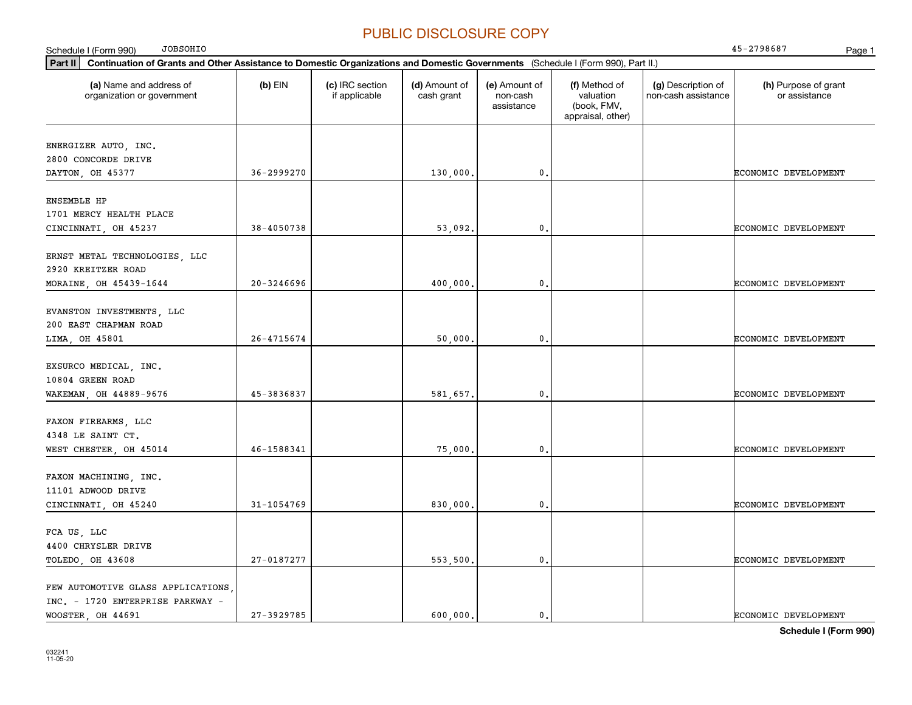| <b>JOBSOHIO</b><br>Schedule I (Form 990)                                                                                                    |                |                                  |                             |                                         |                                                                |                                           | 45-2798687                            | Page 1 |
|---------------------------------------------------------------------------------------------------------------------------------------------|----------------|----------------------------------|-----------------------------|-----------------------------------------|----------------------------------------------------------------|-------------------------------------------|---------------------------------------|--------|
| Part II<br>Continuation of Grants and Other Assistance to Domestic Organizations and Domestic Governments (Schedule I (Form 990), Part II.) |                |                                  |                             |                                         |                                                                |                                           |                                       |        |
| (a) Name and address of<br>organization or government                                                                                       | $(b)$ EIN      | (c) IRC section<br>if applicable | (d) Amount of<br>cash grant | (e) Amount of<br>non-cash<br>assistance | (f) Method of<br>valuation<br>(book, FMV,<br>appraisal, other) | (g) Description of<br>non-cash assistance | (h) Purpose of grant<br>or assistance |        |
| ENERGIZER AUTO, INC.<br>2800 CONCORDE DRIVE                                                                                                 |                |                                  |                             |                                         |                                                                |                                           |                                       |        |
| DAYTON, OH 45377                                                                                                                            | $36 - 2999270$ |                                  | 130,000.                    | 0.                                      |                                                                |                                           | ECONOMIC DEVELOPMENT                  |        |
| <b>ENSEMBLE HP</b><br>1701 MERCY HEALTH PLACE<br>CINCINNATI, OH 45237                                                                       | 38-4050738     |                                  | 53,092.                     | $\mathbf{0}$                            |                                                                |                                           | ECONOMIC DEVELOPMENT                  |        |
|                                                                                                                                             |                |                                  |                             |                                         |                                                                |                                           |                                       |        |
| ERNST METAL TECHNOLOGIES, LLC<br>2920 KREITZER ROAD<br>MORAINE, OH 45439-1644                                                               | $20 - 3246696$ |                                  | 400,000.                    | 0.                                      |                                                                |                                           | ECONOMIC DEVELOPMENT                  |        |
|                                                                                                                                             |                |                                  |                             |                                         |                                                                |                                           |                                       |        |
| EVANSTON INVESTMENTS, LLC<br>200 EAST CHAPMAN ROAD                                                                                          |                |                                  |                             |                                         |                                                                |                                           |                                       |        |
| LIMA, OH 45801                                                                                                                              | $26 - 4715674$ |                                  | 50,000,                     | 0.                                      |                                                                |                                           | ECONOMIC DEVELOPMENT                  |        |
| EXSURCO MEDICAL, INC.<br>10804 GREEN ROAD<br>WAKEMAN, OH 44889-9676                                                                         | 45-3836837     |                                  | 581,657.                    | 0.                                      |                                                                |                                           | ECONOMIC DEVELOPMENT                  |        |
| FAXON FIREARMS, LLC<br>4348 LE SAINT CT.                                                                                                    |                |                                  |                             |                                         |                                                                |                                           |                                       |        |
| WEST CHESTER, OH 45014                                                                                                                      | 46-1588341     |                                  | 75,000.                     | 0.                                      |                                                                |                                           | ECONOMIC DEVELOPMENT                  |        |
| FAXON MACHINING, INC.<br>11101 ADWOOD DRIVE                                                                                                 |                |                                  |                             |                                         |                                                                |                                           |                                       |        |
| CINCINNATI, OH 45240                                                                                                                        | $31 - 1054769$ |                                  | 830,000.                    | 0.                                      |                                                                |                                           | ECONOMIC DEVELOPMENT                  |        |
| FCA US, LLC<br>4400 CHRYSLER DRIVE                                                                                                          |                |                                  |                             |                                         |                                                                |                                           |                                       |        |
| TOLEDO, OH 43608                                                                                                                            | 27-0187277     |                                  | 553,500,                    | 0.                                      |                                                                |                                           | ECONOMIC DEVELOPMENT                  |        |
| FEW AUTOMOTIVE GLASS APPLICATIONS<br>INC. - 1720 ENTERPRISE PARKWAY -<br>WOOSTER, OH 44691                                                  | 27-3929785     |                                  | 600,000.                    | 0.                                      |                                                                |                                           | <b>ECONOMIC DEVELOPMENT</b>           |        |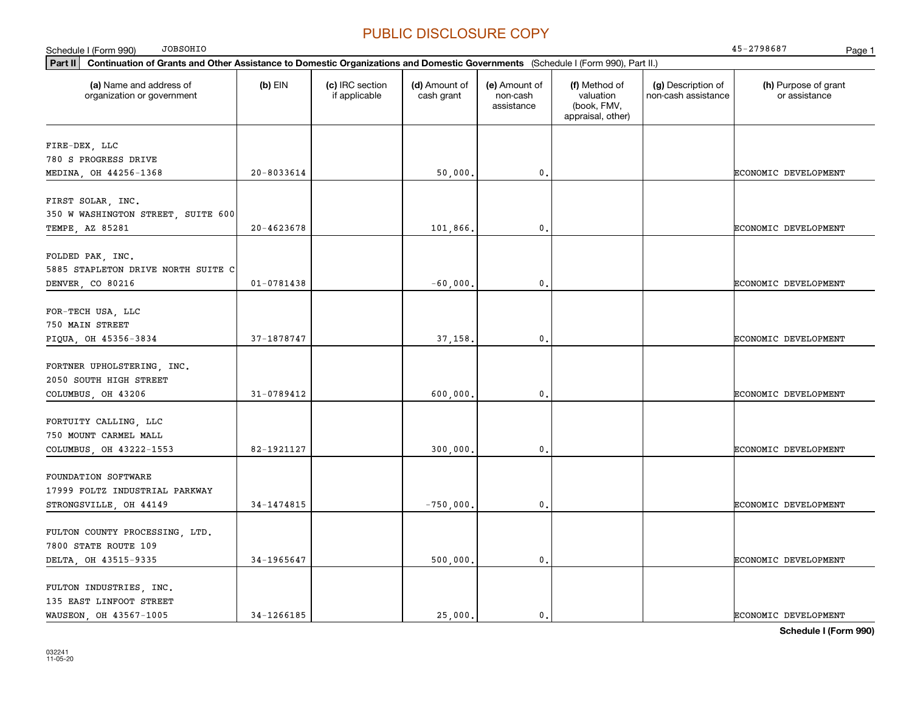| <b>JOBSOHIO</b><br>Schedule I (Form 990)                                                                                                    |                |                                  |                             |                                         |                                                                |                                           | 45-2798687<br>Page 1                  |
|---------------------------------------------------------------------------------------------------------------------------------------------|----------------|----------------------------------|-----------------------------|-----------------------------------------|----------------------------------------------------------------|-------------------------------------------|---------------------------------------|
| Part II<br>Continuation of Grants and Other Assistance to Domestic Organizations and Domestic Governments (Schedule I (Form 990), Part II.) |                |                                  |                             |                                         |                                                                |                                           |                                       |
| (a) Name and address of<br>organization or government                                                                                       | $(b)$ EIN      | (c) IRC section<br>if applicable | (d) Amount of<br>cash grant | (e) Amount of<br>non-cash<br>assistance | (f) Method of<br>valuation<br>(book, FMV,<br>appraisal, other) | (g) Description of<br>non-cash assistance | (h) Purpose of grant<br>or assistance |
| FIRE-DEX, LLC                                                                                                                               |                |                                  |                             |                                         |                                                                |                                           |                                       |
| 780 S PROGRESS DRIVE                                                                                                                        |                |                                  |                             |                                         |                                                                |                                           |                                       |
| MEDINA, OH 44256-1368                                                                                                                       | $20 - 8033614$ |                                  | 50,000.                     | 0                                       |                                                                |                                           | <b>ECONOMIC DEVELOPMENT</b>           |
|                                                                                                                                             |                |                                  |                             |                                         |                                                                |                                           |                                       |
| FIRST SOLAR, INC.                                                                                                                           |                |                                  |                             |                                         |                                                                |                                           |                                       |
| 350 W WASHINGTON STREET, SUITE 600                                                                                                          |                |                                  |                             |                                         |                                                                |                                           |                                       |
| TEMPE, AZ 85281                                                                                                                             | 20-4623678     |                                  | 101,866.                    | $\mathbf{0}$                            |                                                                |                                           | ECONOMIC DEVELOPMENT                  |
|                                                                                                                                             |                |                                  |                             |                                         |                                                                |                                           |                                       |
| FOLDED PAK, INC.                                                                                                                            |                |                                  |                             |                                         |                                                                |                                           |                                       |
| 5885 STAPLETON DRIVE NORTH SUITE C<br>DENVER, CO 80216                                                                                      | $01 - 0781438$ |                                  | $-60,000.$                  | $\mathbf{0}$                            |                                                                |                                           | ECONOMIC DEVELOPMENT                  |
|                                                                                                                                             |                |                                  |                             |                                         |                                                                |                                           |                                       |
| FOR-TECH USA, LLC                                                                                                                           |                |                                  |                             |                                         |                                                                |                                           |                                       |
| 750 MAIN STREET                                                                                                                             |                |                                  |                             |                                         |                                                                |                                           |                                       |
| PIQUA, OH 45356-3834                                                                                                                        | 37-1878747     |                                  | 37,158.                     | $\mathbf{0}$                            |                                                                |                                           | ECONOMIC DEVELOPMENT                  |
|                                                                                                                                             |                |                                  |                             |                                         |                                                                |                                           |                                       |
| FORTNER UPHOLSTERING, INC.                                                                                                                  |                |                                  |                             |                                         |                                                                |                                           |                                       |
| 2050 SOUTH HIGH STREET                                                                                                                      |                |                                  |                             |                                         |                                                                |                                           |                                       |
| COLUMBUS, OH 43206                                                                                                                          | 31-0789412     |                                  | 600,000.                    | $\mathbf{0}$ .                          |                                                                |                                           | ECONOMIC DEVELOPMENT                  |
|                                                                                                                                             |                |                                  |                             |                                         |                                                                |                                           |                                       |
| FORTUITY CALLING, LLC<br>750 MOUNT CARMEL MALL                                                                                              |                |                                  |                             |                                         |                                                                |                                           |                                       |
| COLUMBUS, OH 43222-1553                                                                                                                     | 82-1921127     |                                  | 300,000,                    | $\mathbf{0}$ .                          |                                                                |                                           | ECONOMIC DEVELOPMENT                  |
|                                                                                                                                             |                |                                  |                             |                                         |                                                                |                                           |                                       |
| FOUNDATION SOFTWARE                                                                                                                         |                |                                  |                             |                                         |                                                                |                                           |                                       |
| 17999 FOLTZ INDUSTRIAL PARKWAY                                                                                                              |                |                                  |                             |                                         |                                                                |                                           |                                       |
| STRONGSVILLE, OH 44149                                                                                                                      | 34-1474815     |                                  | $-750,000.$                 | $\mathbf{0}$ .                          |                                                                |                                           | ECONOMIC DEVELOPMENT                  |
|                                                                                                                                             |                |                                  |                             |                                         |                                                                |                                           |                                       |
| FULTON COUNTY PROCESSING, LTD.                                                                                                              |                |                                  |                             |                                         |                                                                |                                           |                                       |
| 7800 STATE ROUTE 109                                                                                                                        |                |                                  |                             |                                         |                                                                |                                           |                                       |
| DELTA, OH 43515-9335                                                                                                                        | 34-1965647     |                                  | 500,000.                    | $\mathbf{0}$ .                          |                                                                |                                           | ECONOMIC DEVELOPMENT                  |
|                                                                                                                                             |                |                                  |                             |                                         |                                                                |                                           |                                       |
| FULTON INDUSTRIES, INC.                                                                                                                     |                |                                  |                             |                                         |                                                                |                                           |                                       |
| 135 EAST LINFOOT STREET                                                                                                                     |                |                                  |                             |                                         |                                                                |                                           |                                       |
| WAUSEON, OH 43567-1005                                                                                                                      | 34-1266185     |                                  | 25,000.                     | $\mathbf{0}$ .                          |                                                                |                                           | <b>ECONOMIC DEVELOPMENT</b>           |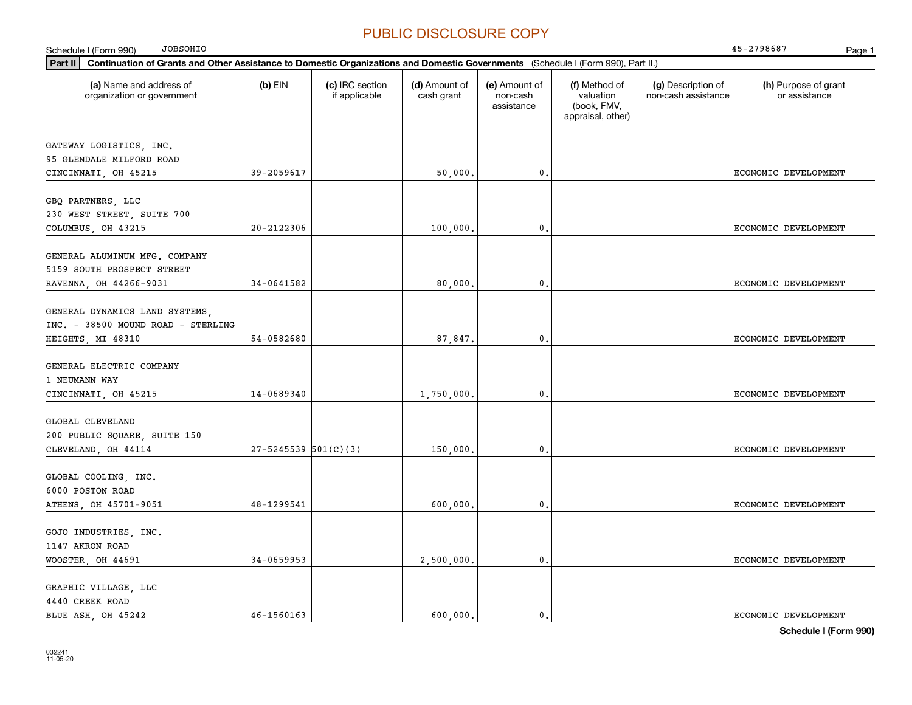| <b>JOBSOHIO</b><br>Schedule I (Form 990)                                                                                                    |                            |                                  |                             |                                         |                                                                |                                           | 45-2798687<br>Page 1                  |
|---------------------------------------------------------------------------------------------------------------------------------------------|----------------------------|----------------------------------|-----------------------------|-----------------------------------------|----------------------------------------------------------------|-------------------------------------------|---------------------------------------|
| Part II<br>Continuation of Grants and Other Assistance to Domestic Organizations and Domestic Governments (Schedule I (Form 990), Part II.) |                            |                                  |                             |                                         |                                                                |                                           |                                       |
| (a) Name and address of<br>organization or government                                                                                       | $(b)$ EIN                  | (c) IRC section<br>if applicable | (d) Amount of<br>cash grant | (e) Amount of<br>non-cash<br>assistance | (f) Method of<br>valuation<br>(book, FMV,<br>appraisal, other) | (g) Description of<br>non-cash assistance | (h) Purpose of grant<br>or assistance |
| GATEWAY LOGISTICS, INC.<br>95 GLENDALE MILFORD ROAD<br>CINCINNATI, OH 45215                                                                 | 39-2059617                 |                                  | 50,000                      | 0                                       |                                                                |                                           | ECONOMIC DEVELOPMENT                  |
| GBQ PARTNERS, LLC<br>230 WEST STREET, SUITE 700                                                                                             | $20 - 2122306$             |                                  |                             | $\mathbf 0$ .                           |                                                                |                                           |                                       |
| COLUMBUS, OH 43215<br>GENERAL ALUMINUM MFG. COMPANY                                                                                         |                            |                                  | 100,000.                    |                                         |                                                                |                                           | ECONOMIC DEVELOPMENT                  |
| 5159 SOUTH PROSPECT STREET<br>RAVENNA, OH 44266-9031                                                                                        | 34-0641582                 |                                  | 80,000,                     | $\mathbf{0}$ .                          |                                                                |                                           | ECONOMIC DEVELOPMENT                  |
| GENERAL DYNAMICS LAND SYSTEMS,<br>INC. - 38500 MOUND ROAD - STERLING<br>HEIGHTS, MI 48310                                                   | 54-0582680                 |                                  | 87,847.                     | $\mathbf 0$ .                           |                                                                |                                           | ECONOMIC DEVELOPMENT                  |
| GENERAL ELECTRIC COMPANY<br>1 NEUMANN WAY<br>CINCINNATI, OH 45215                                                                           | 14-0689340                 |                                  | 1,750,000                   | $\mathbf{0}$                            |                                                                |                                           | ECONOMIC DEVELOPMENT                  |
| GLOBAL CLEVELAND<br>200 PUBLIC SQUARE, SUITE 150                                                                                            |                            |                                  |                             |                                         |                                                                |                                           |                                       |
| CLEVELAND, OH 44114                                                                                                                         | $27 - 5245539$ $501(C)(3)$ |                                  | 150,000.                    | $\mathbf 0$ .                           |                                                                |                                           | ECONOMIC DEVELOPMENT                  |
| GLOBAL COOLING, INC.<br>6000 POSTON ROAD<br>ATHENS, OH 45701-9051                                                                           | 48-1299541                 |                                  | 600,000                     | $\mathbf{0}$ .                          |                                                                |                                           | ECONOMIC DEVELOPMENT                  |
| GOJO INDUSTRIES, INC.<br>1147 AKRON ROAD                                                                                                    |                            |                                  |                             |                                         |                                                                |                                           |                                       |
| WOOSTER, OH 44691<br>GRAPHIC VILLAGE, LLC                                                                                                   | 34-0659953                 |                                  | 2,500,000.                  | $\mathbf{0}$ .                          |                                                                |                                           | ECONOMIC DEVELOPMENT                  |
| 4440 CREEK ROAD<br>BLUE ASH OH 45242                                                                                                        | $46 - 1560163$             |                                  | 600.000.                    | $\mathbf 0$ .                           |                                                                |                                           | ECONOMIC DEVELOPMENT                  |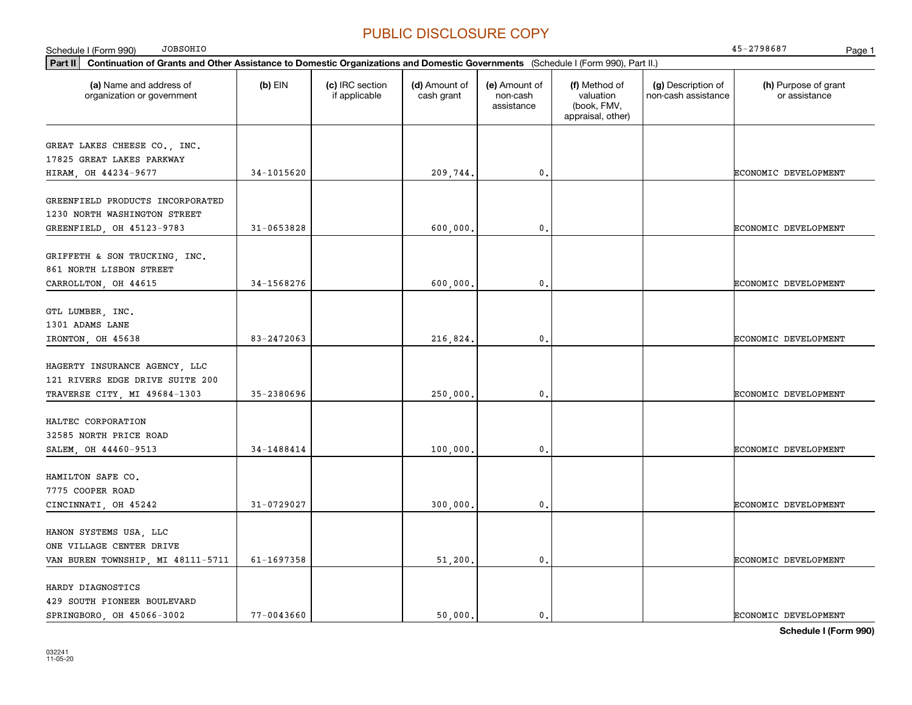| <b>JOBSOHIO</b><br>Schedule I (Form 990)                                                                                                    |                |                                  |                             |                                         |                                                                |                                           | 45-2798687<br>Page 1                  |
|---------------------------------------------------------------------------------------------------------------------------------------------|----------------|----------------------------------|-----------------------------|-----------------------------------------|----------------------------------------------------------------|-------------------------------------------|---------------------------------------|
| Part II<br>Continuation of Grants and Other Assistance to Domestic Organizations and Domestic Governments (Schedule I (Form 990), Part II.) |                |                                  |                             |                                         |                                                                |                                           |                                       |
| (a) Name and address of<br>organization or government                                                                                       | $(b)$ EIN      | (c) IRC section<br>if applicable | (d) Amount of<br>cash grant | (e) Amount of<br>non-cash<br>assistance | (f) Method of<br>valuation<br>(book, FMV,<br>appraisal, other) | (g) Description of<br>non-cash assistance | (h) Purpose of grant<br>or assistance |
| GREAT LAKES CHEESE CO., INC.<br>17825 GREAT LAKES PARKWAY<br>HIRAM, OH 44234-9677                                                           | 34-1015620     |                                  | 209,744.                    | $\mathfrak o$ .                         |                                                                |                                           | ECONOMIC DEVELOPMENT                  |
| GREENFIELD PRODUCTS INCORPORATED<br>1230 NORTH WASHINGTON STREET                                                                            | $31 - 0653828$ |                                  |                             |                                         |                                                                |                                           |                                       |
| GREENFIELD, OH 45123-9783                                                                                                                   |                |                                  | 600,000                     | 0.                                      |                                                                |                                           | ECONOMIC DEVELOPMENT                  |
| GRIFFETH & SON TRUCKING, INC.<br>861 NORTH LISBON STREET<br>CARROLLTON, OH 44615                                                            | 34-1568276     |                                  | 600,000                     | $\mathbf{0}$ .                          |                                                                |                                           | ECONOMIC DEVELOPMENT                  |
| GTL LUMBER, INC.<br>1301 ADAMS LANE<br>IRONTON, OH 45638                                                                                    | 83-2472063     |                                  | 216,824.                    | $\mathfrak o$ .                         |                                                                |                                           | ECONOMIC DEVELOPMENT                  |
| HAGERTY INSURANCE AGENCY, LLC<br>121 RIVERS EDGE DRIVE SUITE 200<br>TRAVERSE CITY, MI 49684-1303                                            | 35-2380696     |                                  | 250,000                     | $\mathbf{0}$ .                          |                                                                |                                           | ECONOMIC DEVELOPMENT                  |
| HALTEC CORPORATION<br>32585 NORTH PRICE ROAD<br>SALEM, OH 44460-9513                                                                        | 34-1488414     |                                  | 100,000.                    | $\mathbf{0}$ .                          |                                                                |                                           | ECONOMIC DEVELOPMENT                  |
| HAMILTON SAFE CO.<br>7775 COOPER ROAD<br>CINCINNATI, OH 45242                                                                               | 31-0729027     |                                  | 300,000                     | $\mathfrak{o}$ .                        |                                                                |                                           | ECONOMIC DEVELOPMENT                  |
| HANON SYSTEMS USA, LLC<br>ONE VILLAGE CENTER DRIVE<br>VAN BUREN TOWNSHIP, MI 48111-5711                                                     | 61-1697358     |                                  | 51,200.                     | $\mathfrak{o}$ .                        |                                                                |                                           | ECONOMIC DEVELOPMENT                  |
| HARDY DIAGNOSTICS<br>429 SOUTH PIONEER BOULEVARD<br>SPRINGBORO OH 45066-3002                                                                | $77 - 0043660$ |                                  | 50,000.                     | $\mathbf{0}$ .                          |                                                                |                                           | ECONOMIC DEVELOPMENT                  |

**Schedule I (Form 990)**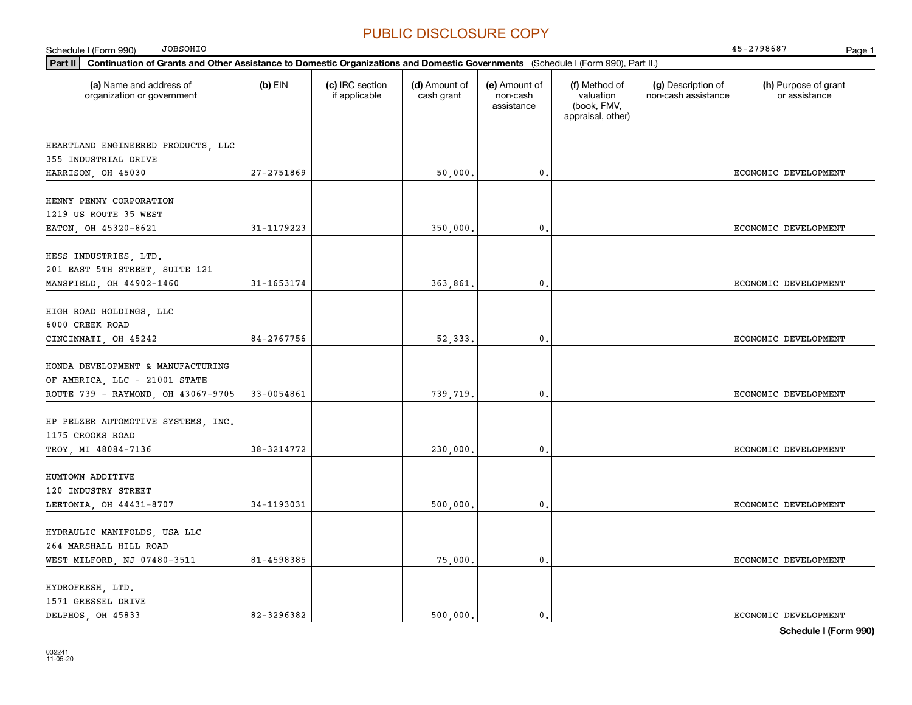| <b>JOBSOHIO</b><br>Schedule I (Form 990)                                                                                                    |                |                                  |                             |                                         |                                                                |                                           | 45-2798687<br>Page 1                  |
|---------------------------------------------------------------------------------------------------------------------------------------------|----------------|----------------------------------|-----------------------------|-----------------------------------------|----------------------------------------------------------------|-------------------------------------------|---------------------------------------|
| Part II<br>Continuation of Grants and Other Assistance to Domestic Organizations and Domestic Governments (Schedule I (Form 990), Part II.) |                |                                  |                             |                                         |                                                                |                                           |                                       |
| (a) Name and address of<br>organization or government                                                                                       | $(b)$ EIN      | (c) IRC section<br>if applicable | (d) Amount of<br>cash grant | (e) Amount of<br>non-cash<br>assistance | (f) Method of<br>valuation<br>(book, FMV,<br>appraisal, other) | (g) Description of<br>non-cash assistance | (h) Purpose of grant<br>or assistance |
| HEARTLAND ENGINEERED PRODUCTS, LLC<br>355 INDUSTRIAL DRIVE                                                                                  |                |                                  |                             |                                         |                                                                |                                           |                                       |
| HARRISON, OH 45030                                                                                                                          | $27 - 2751869$ |                                  | 50,000.                     | $\mathbf{0}$ .                          |                                                                |                                           | ECONOMIC DEVELOPMENT                  |
| HENNY PENNY CORPORATION<br>1219 US ROUTE 35 WEST                                                                                            |                |                                  |                             |                                         |                                                                |                                           |                                       |
| EATON, OH 45320-8621                                                                                                                        | 31-1179223     |                                  | 350,000.                    | $\mathbf{0}$                            |                                                                |                                           | ECONOMIC DEVELOPMENT                  |
| HESS INDUSTRIES, LTD.<br>201 EAST 5TH STREET, SUITE 121<br>MANSFIELD, OH 44902-1460                                                         | 31-1653174     |                                  | 363,861.                    | $\mathbf{0}$                            |                                                                |                                           | ECONOMIC DEVELOPMENT                  |
| HIGH ROAD HOLDINGS, LLC<br>6000 CREEK ROAD                                                                                                  |                |                                  |                             |                                         |                                                                |                                           |                                       |
| CINCINNATI, OH 45242                                                                                                                        | 84-2767756     |                                  | 52, 333,                    | 0.                                      |                                                                |                                           | ECONOMIC DEVELOPMENT                  |
| HONDA DEVELOPMENT & MANUFACTURING<br>OF AMERICA, LLC - 21001 STATE<br>ROUTE 739 - RAYMOND, OH 43067-9705                                    | 33-0054861     |                                  | 739,719.                    | 0.                                      |                                                                |                                           | ECONOMIC DEVELOPMENT                  |
| HP PELZER AUTOMOTIVE SYSTEMS, INC.<br>1175 CROOKS ROAD                                                                                      |                |                                  |                             |                                         |                                                                |                                           |                                       |
| TROY, MI 48084-7136                                                                                                                         | 38-3214772     |                                  | 230,000.                    | 0.                                      |                                                                |                                           | ECONOMIC DEVELOPMENT                  |
| HUMTOWN ADDITIVE<br>120 INDUSTRY STREET<br>LEETONIA, OH 44431-8707                                                                          | 34-1193031     |                                  | 500,000.                    | 0.                                      |                                                                |                                           | ECONOMIC DEVELOPMENT                  |
| HYDRAULIC MANIFOLDS, USA LLC<br>264 MARSHALL HILL ROAD                                                                                      |                |                                  |                             |                                         |                                                                |                                           |                                       |
| WEST MILFORD, NJ 07480-3511                                                                                                                 | 81-4598385     |                                  | 75,000.                     | 0.                                      |                                                                |                                           | ECONOMIC DEVELOPMENT                  |
| HYDROFRESH, LTD.<br>1571 GRESSEL DRIVE<br>DELPHOS, OH 45833                                                                                 | 82-3296382     |                                  | 500,000.                    | 0.                                      |                                                                |                                           | ECONOMIC DEVELOPMENT                  |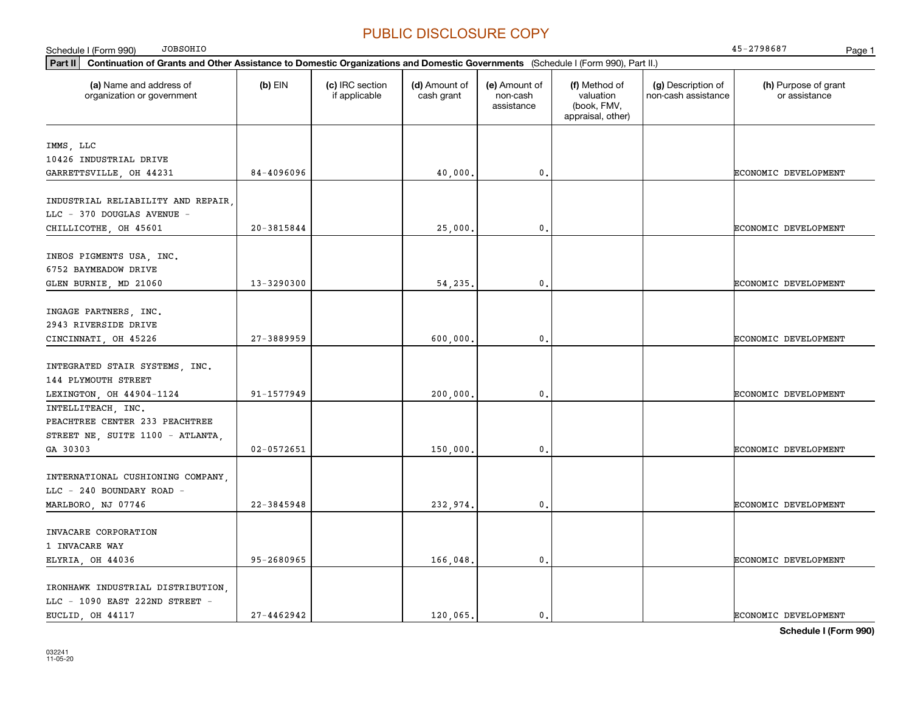| <b>JOBSOHIO</b><br>Schedule I (Form 990)                                                                                                    |                |                                  |                             |                                         |                                                                |                                           | 45-2798687<br>Page 1                  |
|---------------------------------------------------------------------------------------------------------------------------------------------|----------------|----------------------------------|-----------------------------|-----------------------------------------|----------------------------------------------------------------|-------------------------------------------|---------------------------------------|
| Part II<br>Continuation of Grants and Other Assistance to Domestic Organizations and Domestic Governments (Schedule I (Form 990), Part II.) |                |                                  |                             |                                         |                                                                |                                           |                                       |
| (a) Name and address of<br>organization or government                                                                                       | $(b)$ EIN      | (c) IRC section<br>if applicable | (d) Amount of<br>cash grant | (e) Amount of<br>non-cash<br>assistance | (f) Method of<br>valuation<br>(book, FMV,<br>appraisal, other) | (g) Description of<br>non-cash assistance | (h) Purpose of grant<br>or assistance |
|                                                                                                                                             |                |                                  |                             |                                         |                                                                |                                           |                                       |
| IMMS, LLC                                                                                                                                   |                |                                  |                             |                                         |                                                                |                                           |                                       |
| 10426 INDUSTRIAL DRIVE                                                                                                                      | 84-4096096     |                                  |                             |                                         |                                                                |                                           |                                       |
| GARRETTSVILLE, OH 44231                                                                                                                     |                |                                  | 40,000.                     | $\mathbf{0}$ .                          |                                                                |                                           | ECONOMIC DEVELOPMENT                  |
| INDUSTRIAL RELIABILITY AND REPAIR,                                                                                                          |                |                                  |                             |                                         |                                                                |                                           |                                       |
| LLC - 370 DOUGLAS AVENUE -                                                                                                                  |                |                                  |                             |                                         |                                                                |                                           |                                       |
| CHILLICOTHE, OH 45601                                                                                                                       | $20 - 3815844$ |                                  | 25,000,                     | $\mathbf{0}$ .                          |                                                                |                                           | ECONOMIC DEVELOPMENT                  |
|                                                                                                                                             |                |                                  |                             |                                         |                                                                |                                           |                                       |
| INEOS PIGMENTS USA, INC.                                                                                                                    |                |                                  |                             |                                         |                                                                |                                           |                                       |
| 6752 BAYMEADOW DRIVE                                                                                                                        |                |                                  |                             |                                         |                                                                |                                           |                                       |
| GLEN BURNIE, MD 21060                                                                                                                       | 13-3290300     |                                  | 54,235.                     | $\mathbf{0}$ .                          |                                                                |                                           | <b>ECONOMIC DEVELOPMENT</b>           |
|                                                                                                                                             |                |                                  |                             |                                         |                                                                |                                           |                                       |
| INGAGE PARTNERS, INC.                                                                                                                       |                |                                  |                             |                                         |                                                                |                                           |                                       |
| 2943 RIVERSIDE DRIVE                                                                                                                        |                |                                  |                             |                                         |                                                                |                                           |                                       |
| CINCINNATI, OH 45226                                                                                                                        | $27 - 3889959$ |                                  | 600,000                     | $\mathbf{0}$ .                          |                                                                |                                           | <b>ECONOMIC DEVELOPMENT</b>           |
|                                                                                                                                             |                |                                  |                             |                                         |                                                                |                                           |                                       |
| INTEGRATED STAIR SYSTEMS, INC.                                                                                                              |                |                                  |                             |                                         |                                                                |                                           |                                       |
| 144 PLYMOUTH STREET                                                                                                                         |                |                                  |                             |                                         |                                                                |                                           |                                       |
| LEXINGTON, OH 44904-1124                                                                                                                    | 91-1577949     |                                  | 200,000,                    | $\mathbf{0}$ .                          |                                                                |                                           | <b>ECONOMIC DEVELOPMENT</b>           |
| INTELLITEACH, INC.                                                                                                                          |                |                                  |                             |                                         |                                                                |                                           |                                       |
| PEACHTREE CENTER 233 PEACHTREE                                                                                                              |                |                                  |                             |                                         |                                                                |                                           |                                       |
| STREET NE, SUITE 1100 - ATLANTA,                                                                                                            |                |                                  |                             |                                         |                                                                |                                           |                                       |
| GA 30303                                                                                                                                    | 02-0572651     |                                  | 150,000,                    | $\mathbf{0}$ .                          |                                                                |                                           | ECONOMIC DEVELOPMENT                  |
|                                                                                                                                             |                |                                  |                             |                                         |                                                                |                                           |                                       |
| INTERNATIONAL CUSHIONING COMPANY,                                                                                                           |                |                                  |                             |                                         |                                                                |                                           |                                       |
| LLC - 240 BOUNDARY ROAD -                                                                                                                   |                |                                  |                             |                                         |                                                                |                                           |                                       |
| MARLBORO, NJ 07746                                                                                                                          | 22-3845948     |                                  | 232,974.                    | $\mathbf{0}$ .                          |                                                                |                                           | ECONOMIC DEVELOPMENT                  |
|                                                                                                                                             |                |                                  |                             |                                         |                                                                |                                           |                                       |
| INVACARE CORPORATION                                                                                                                        |                |                                  |                             |                                         |                                                                |                                           |                                       |
| 1 INVACARE WAY                                                                                                                              |                |                                  |                             |                                         |                                                                |                                           |                                       |
| ELYRIA, OH 44036                                                                                                                            | 95-2680965     |                                  | 166,048                     | $\mathbf{0}$ .                          |                                                                |                                           | ECONOMIC DEVELOPMENT                  |
|                                                                                                                                             |                |                                  |                             |                                         |                                                                |                                           |                                       |
| IRONHAWK INDUSTRIAL DISTRIBUTION,                                                                                                           |                |                                  |                             |                                         |                                                                |                                           |                                       |
| LLC - 1090 EAST 222ND STREET -                                                                                                              |                |                                  |                             |                                         |                                                                |                                           |                                       |
| EUCLID, OH 44117                                                                                                                            | $27 - 4462942$ |                                  | 120,065,                    | $\mathbf{0}$ .                          |                                                                |                                           | ECONOMIC DEVELOPMENT                  |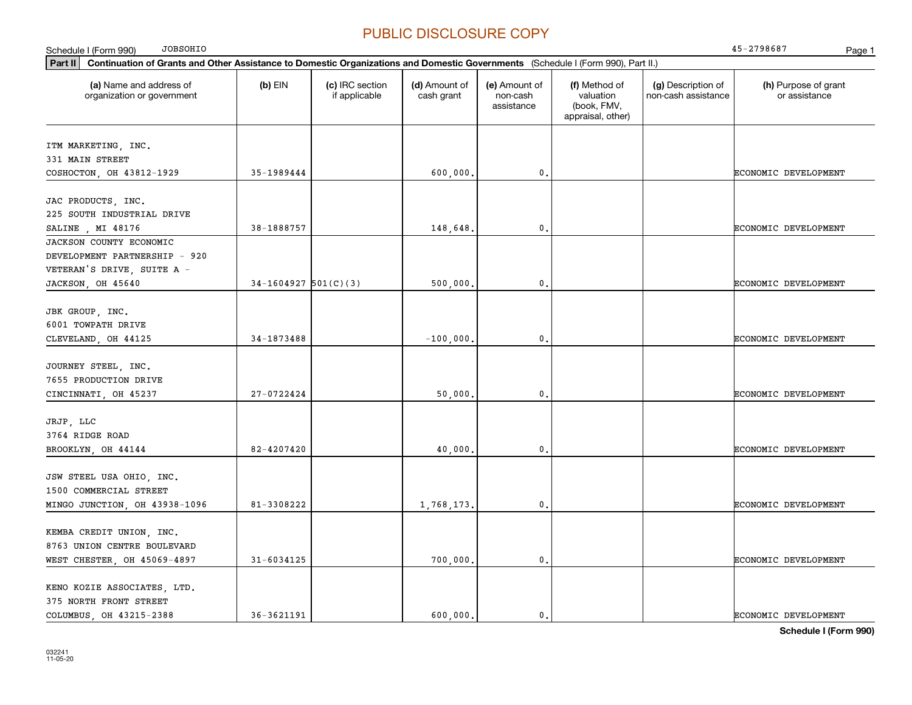| <b>JOBSOHIO</b><br>Schedule I (Form 990)                                                                                                    |                        |                                  |                             |                                         |                                                                |                                           | 45-2798687<br>Page 1                  |
|---------------------------------------------------------------------------------------------------------------------------------------------|------------------------|----------------------------------|-----------------------------|-----------------------------------------|----------------------------------------------------------------|-------------------------------------------|---------------------------------------|
| Part II<br>Continuation of Grants and Other Assistance to Domestic Organizations and Domestic Governments (Schedule I (Form 990), Part II.) |                        |                                  |                             |                                         |                                                                |                                           |                                       |
| (a) Name and address of<br>organization or government                                                                                       | $(b)$ EIN              | (c) IRC section<br>if applicable | (d) Amount of<br>cash grant | (e) Amount of<br>non-cash<br>assistance | (f) Method of<br>valuation<br>(book, FMV,<br>appraisal, other) | (g) Description of<br>non-cash assistance | (h) Purpose of grant<br>or assistance |
| ITM MARKETING, INC.                                                                                                                         |                        |                                  |                             |                                         |                                                                |                                           |                                       |
| 331 MAIN STREET                                                                                                                             |                        |                                  |                             |                                         |                                                                |                                           |                                       |
| COSHOCTON, OH 43812-1929                                                                                                                    | 35-1989444             |                                  | 600,000.                    | 0.                                      |                                                                |                                           | ECONOMIC DEVELOPMENT                  |
|                                                                                                                                             |                        |                                  |                             |                                         |                                                                |                                           |                                       |
| JAC PRODUCTS, INC.                                                                                                                          |                        |                                  |                             |                                         |                                                                |                                           |                                       |
| 225 SOUTH INDUSTRIAL DRIVE                                                                                                                  |                        |                                  |                             |                                         |                                                                |                                           |                                       |
| SALINE , MI 48176                                                                                                                           | 38-1888757             |                                  | 148,648.                    | $\mathbf{0}$ .                          |                                                                |                                           | ECONOMIC DEVELOPMENT                  |
| JACKSON COUNTY ECONOMIC                                                                                                                     |                        |                                  |                             |                                         |                                                                |                                           |                                       |
| DEVELOPMENT PARTNERSHIP - 920                                                                                                               |                        |                                  |                             |                                         |                                                                |                                           |                                       |
| VETERAN'S DRIVE, SUITE A -                                                                                                                  |                        |                                  |                             |                                         |                                                                |                                           |                                       |
| JACKSON, OH 45640                                                                                                                           | $34-1604927$ 501(C)(3) |                                  | 500,000.                    | $\mathbf{0}$ .                          |                                                                |                                           | ECONOMIC DEVELOPMENT                  |
|                                                                                                                                             |                        |                                  |                             |                                         |                                                                |                                           |                                       |
| JBK GROUP, INC.                                                                                                                             |                        |                                  |                             |                                         |                                                                |                                           |                                       |
| 6001 TOWPATH DRIVE                                                                                                                          |                        |                                  |                             |                                         |                                                                |                                           |                                       |
| CLEVELAND, OH 44125                                                                                                                         | 34-1873488             |                                  | $-100,000,$                 | $\mathbf 0$ .                           |                                                                |                                           | ECONOMIC DEVELOPMENT                  |
| JOURNEY STEEL, INC.                                                                                                                         |                        |                                  |                             |                                         |                                                                |                                           |                                       |
| 7655 PRODUCTION DRIVE                                                                                                                       |                        |                                  |                             |                                         |                                                                |                                           |                                       |
| CINCINNATI, OH 45237                                                                                                                        | 27-0722424             |                                  | 50,000,                     | $\mathbf 0$ .                           |                                                                |                                           | ECONOMIC DEVELOPMENT                  |
|                                                                                                                                             |                        |                                  |                             |                                         |                                                                |                                           |                                       |
| JRJP, LLC<br>3764 RIDGE ROAD                                                                                                                |                        |                                  |                             |                                         |                                                                |                                           |                                       |
|                                                                                                                                             | 82-4207420             |                                  |                             | $\mathbf 0$ .                           |                                                                |                                           |                                       |
| BROOKLYN, OH 44144                                                                                                                          |                        |                                  | 40,000.                     |                                         |                                                                |                                           | ECONOMIC DEVELOPMENT                  |
| JSW STEEL USA OHIO, INC.                                                                                                                    |                        |                                  |                             |                                         |                                                                |                                           |                                       |
| 1500 COMMERCIAL STREET                                                                                                                      |                        |                                  |                             |                                         |                                                                |                                           |                                       |
| MINGO JUNCTION, OH 43938-1096                                                                                                               | 81-3308222             |                                  | 1,768,173.                  | 0.                                      |                                                                |                                           | ECONOMIC DEVELOPMENT                  |
|                                                                                                                                             |                        |                                  |                             |                                         |                                                                |                                           |                                       |
| KEMBA CREDIT UNION, INC.                                                                                                                    |                        |                                  |                             |                                         |                                                                |                                           |                                       |
| 8763 UNION CENTRE BOULEVARD                                                                                                                 |                        |                                  |                             |                                         |                                                                |                                           |                                       |
| WEST CHESTER, OH 45069-4897                                                                                                                 | 31-6034125             |                                  | 700,000.                    | $\mathbf{0}$ .                          |                                                                |                                           | ECONOMIC DEVELOPMENT                  |
|                                                                                                                                             |                        |                                  |                             |                                         |                                                                |                                           |                                       |
| KENO KOZIE ASSOCIATES, LTD.                                                                                                                 |                        |                                  |                             |                                         |                                                                |                                           |                                       |
| 375 NORTH FRONT STREET                                                                                                                      |                        |                                  |                             |                                         |                                                                |                                           |                                       |
| COLUMBUS, OH 43215-2388                                                                                                                     | 36-3621191             |                                  | 600,000.                    | $\mathbf{0}$ .                          |                                                                |                                           | ECONOMIC DEVELOPMENT                  |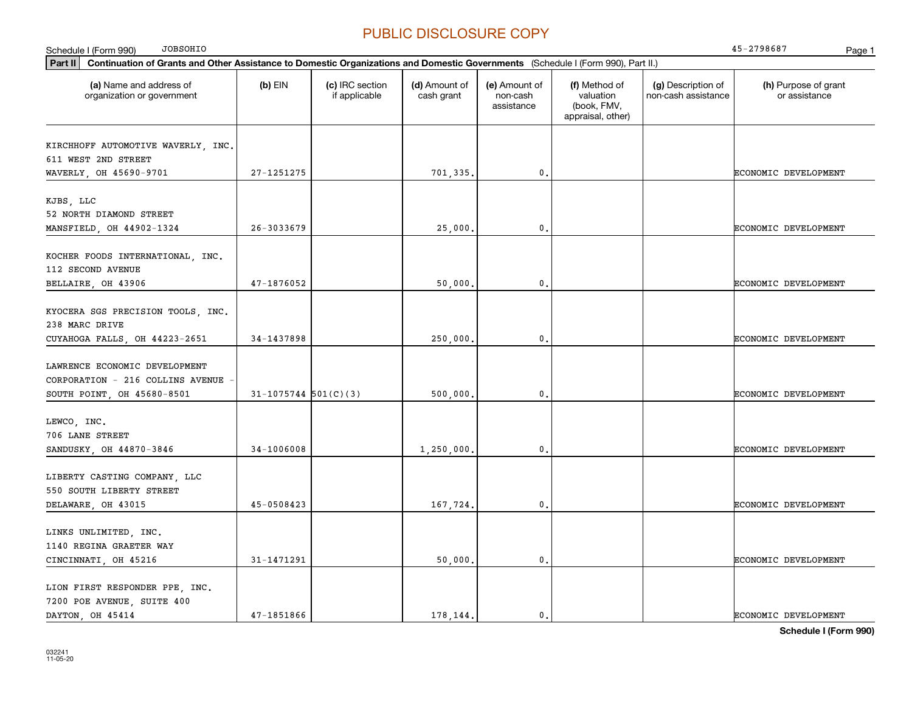| <b>JOBSOHIO</b><br>Schedule I (Form 990)                                                                                                    |                        |                                  |                             |                                         |                                                                |                                           | 45-2798687<br>Page 1                  |
|---------------------------------------------------------------------------------------------------------------------------------------------|------------------------|----------------------------------|-----------------------------|-----------------------------------------|----------------------------------------------------------------|-------------------------------------------|---------------------------------------|
| Part II<br>Continuation of Grants and Other Assistance to Domestic Organizations and Domestic Governments (Schedule I (Form 990), Part II.) |                        |                                  |                             |                                         |                                                                |                                           |                                       |
| (a) Name and address of<br>organization or government                                                                                       | $(b)$ EIN              | (c) IRC section<br>if applicable | (d) Amount of<br>cash grant | (e) Amount of<br>non-cash<br>assistance | (f) Method of<br>valuation<br>(book, FMV,<br>appraisal, other) | (g) Description of<br>non-cash assistance | (h) Purpose of grant<br>or assistance |
| KIRCHHOFF AUTOMOTIVE WAVERLY, INC.<br>611 WEST 2ND STREET<br>WAVERLY, OH 45690-9701                                                         | 27-1251275             |                                  | 701,335.                    | $\mathbf{0}$ .                          |                                                                |                                           | ECONOMIC DEVELOPMENT                  |
| KJBS, LLC<br>52 NORTH DIAMOND STREET<br>MANSFIELD, OH 44902-1324                                                                            | 26-3033679             |                                  | 25,000                      | $\mathbf{0}$ .                          |                                                                |                                           | ECONOMIC DEVELOPMENT                  |
| KOCHER FOODS INTERNATIONAL, INC.<br>112 SECOND AVENUE<br>BELLAIRE, OH 43906                                                                 | 47-1876052             |                                  | 50,000.                     | 0.                                      |                                                                |                                           | ECONOMIC DEVELOPMENT                  |
| KYOCERA SGS PRECISION TOOLS, INC.<br>238 MARC DRIVE<br>CUYAHOGA FALLS, OH 44223-2651                                                        | 34-1437898             |                                  | 250,000,                    | 0.                                      |                                                                |                                           | ECONOMIC DEVELOPMENT                  |
| LAWRENCE ECONOMIC DEVELOPMENT<br>CORPORATION - 216 COLLINS AVENUE<br>SOUTH POINT, OH 45680-8501                                             | $31-1075744$ 501(C)(3) |                                  | 500,000,                    | 0.                                      |                                                                |                                           | ECONOMIC DEVELOPMENT                  |
| LEWCO, INC.<br>706 LANE STREET<br>SANDUSKY, OH 44870-3846                                                                                   | 34-1006008             |                                  | 1,250,000.                  | 0.                                      |                                                                |                                           | ECONOMIC DEVELOPMENT                  |
| LIBERTY CASTING COMPANY, LLC<br>550 SOUTH LIBERTY STREET<br>DELAWARE, OH 43015                                                              | 45-0508423             |                                  | 167,724.                    | 0.                                      |                                                                |                                           | ECONOMIC DEVELOPMENT                  |
| LINKS UNLIMITED, INC.<br>1140 REGINA GRAETER WAY<br>CINCINNATI, OH 45216                                                                    | 31-1471291             |                                  | 50,000.                     | 0.                                      |                                                                |                                           | ECONOMIC DEVELOPMENT                  |
| LION FIRST RESPONDER PPE, INC.<br>7200 POE AVENUE, SUITE 400<br>DAYTON, OH 45414                                                            | 47-1851866             |                                  | 178.144.                    | 0.                                      |                                                                |                                           | ECONOMIC DEVELOPMENT                  |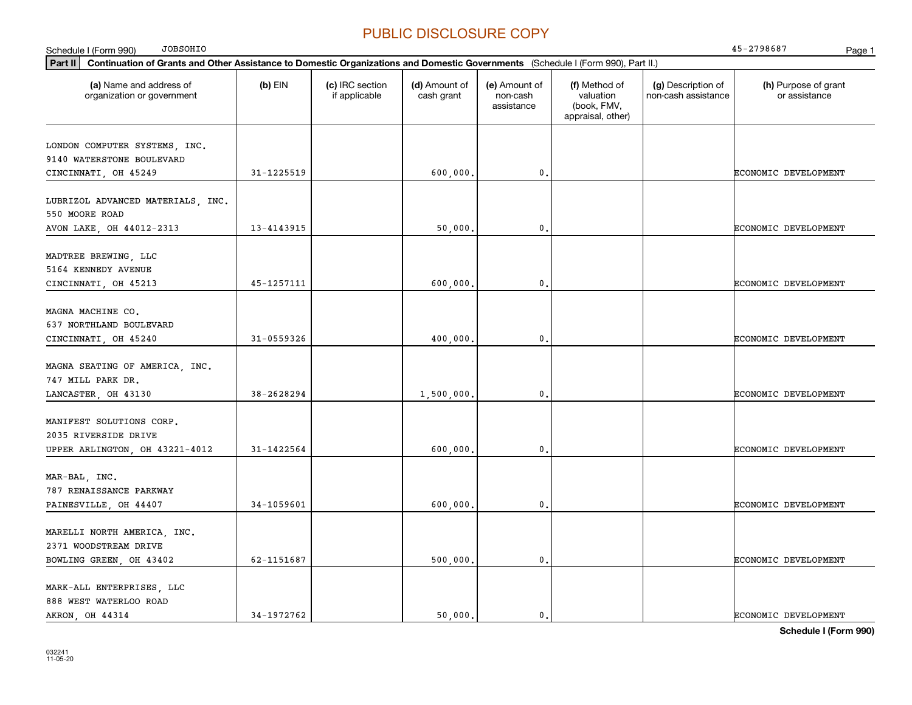| <b>JOBSOHIO</b><br>Schedule I (Form 990)                                                                                                    |            |                                  |                             |                                         |                                                                |                                           | 45-2798687<br>Page 1                  |
|---------------------------------------------------------------------------------------------------------------------------------------------|------------|----------------------------------|-----------------------------|-----------------------------------------|----------------------------------------------------------------|-------------------------------------------|---------------------------------------|
| Continuation of Grants and Other Assistance to Domestic Organizations and Domestic Governments (Schedule I (Form 990), Part II.)<br>Part II |            |                                  |                             |                                         |                                                                |                                           |                                       |
| (a) Name and address of<br>organization or government                                                                                       | $(b)$ EIN  | (c) IRC section<br>if applicable | (d) Amount of<br>cash grant | (e) Amount of<br>non-cash<br>assistance | (f) Method of<br>valuation<br>(book, FMV,<br>appraisal, other) | (g) Description of<br>non-cash assistance | (h) Purpose of grant<br>or assistance |
| LONDON COMPUTER SYSTEMS, INC.<br>9140 WATERSTONE BOULEVARD<br>CINCINNATI, OH 45249                                                          | 31-1225519 |                                  | 600,000.                    | 0.                                      |                                                                |                                           | ECONOMIC DEVELOPMENT                  |
| LUBRIZOL ADVANCED MATERIALS, INC.<br>550 MOORE ROAD                                                                                         |            |                                  |                             |                                         |                                                                |                                           |                                       |
| AVON LAKE, OH 44012-2313                                                                                                                    | 13-4143915 |                                  | 50,000,                     | 0.                                      |                                                                |                                           | ECONOMIC DEVELOPMENT                  |
| MADTREE BREWING, LLC<br>5164 KENNEDY AVENUE<br>CINCINNATI, OH 45213                                                                         | 45-1257111 |                                  | 600,000,                    | 0.                                      |                                                                |                                           | ECONOMIC DEVELOPMENT                  |
| MAGNA MACHINE CO.<br>637 NORTHLAND BOULEVARD<br>CINCINNATI, OH 45240                                                                        | 31-0559326 |                                  | 400,000.                    | 0.                                      |                                                                |                                           | ECONOMIC DEVELOPMENT                  |
| MAGNA SEATING OF AMERICA, INC.<br>747 MILL PARK DR.<br>LANCASTER, OH 43130                                                                  | 38-2628294 |                                  | 1,500,000,                  | 0.                                      |                                                                |                                           | ECONOMIC DEVELOPMENT                  |
| MANIFEST SOLUTIONS CORP.<br>2035 RIVERSIDE DRIVE<br>UPPER ARLINGTON, OH 43221-4012                                                          | 31-1422564 |                                  | 600,000.                    | 0.                                      |                                                                |                                           | ECONOMIC DEVELOPMENT                  |
| MAR-BAL, INC.<br>787 RENAISSANCE PARKWAY<br>PAINESVILLE, OH 44407                                                                           | 34-1059601 |                                  | 600,000,                    | 0.                                      |                                                                |                                           | ECONOMIC DEVELOPMENT                  |
| MARELLI NORTH AMERICA, INC.<br>2371 WOODSTREAM DRIVE<br>BOWLING GREEN, OH 43402                                                             | 62-1151687 |                                  | 500,000.                    | 0.                                      |                                                                |                                           | ECONOMIC DEVELOPMENT                  |
| MARK-ALL ENTERPRISES, LLC<br>888 WEST WATERLOO ROAD<br>AKRON, OH 44314                                                                      | 34-1972762 |                                  | 50,000.                     | 0.                                      |                                                                |                                           | ECONOMIC DEVELOPMENT                  |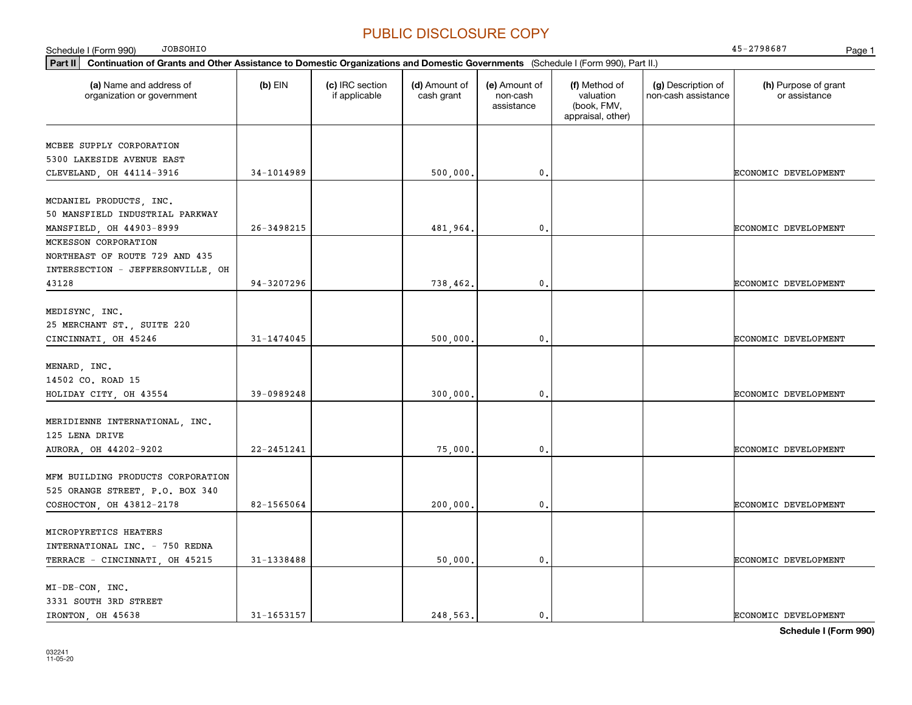**Part II Continuation of Grants and Other Assistance to Domestic Organizations and Domestic Governments**  (Schedule I (Form 990), Part II.) **(a) (b) (c) (d) (e) (f) (g) (h)** Name and address of Schedule I (Form 990) Page 1 organization or government  $(b)$  EIN  $(c)$  IRC section if applicable (d) Amount of cash grant (e) Amount of non-cash assistance(f) Method of valuation (book, FMV, appraisal, other) (g) Description of non-cash assistance (h) Purpose of grant or assistance JOBSOHIO 45-2798687 MCBEE SUPPLY CORPORATION 5300 LAKESIDE AVENUE EAST CLEVELAND OH 44114-3916 | 34-1014989 | | 500,000. | | | | ECONOMIC DEVELOPMENT MCDANIEL PRODUCTS, INC. 50 MANSFIELD INDUSTRIAL PARKWAY MANSFIELD OH 44903-8999 26-3498215 26-3498215 481,964. 0. MCKESSON CORPORATION NORTHEAST OF ROUTE 729 AND 435 INTERSECTION - JEFFERSONVILLE, OH 4312894-3207296 738.462. 0. 0. ECONOMIC DEVELOPMENT MEDISYNC, INC. 25 MERCHANT ST., SUITE 220 CINCINNATI OH 45246  $\begin{vmatrix} 31-1474045 \end{vmatrix}$  500 000. 000. 0. MENARD, INC. 14502 CO. ROAD 15 HOLIDAY CITY OH 43554 39-0989248 39-0989248 300 000. 0. 0. MERIDIENNE INTERNATIONAL, INC. 125 LENA DRIVE AURORA, OH 44202-9202 22-2451241 22-2451241 75,000. 0. 0. CONOMIC DEVELOPMENT MFM BUILDING PRODUCTS CORPORATION 525 ORANGE STREET, P.O. BOX 340 COSHOCTON OH 43812-2178 | 82-1565064 | 200 000. | 0. | COSHOCTON DEVELOPMENT MICROPYRETICS HEATERS INTERNATIONAL INC. - 750 REDNA TERRACE - CINCINNATI, OH 45215 31-1338488 31-1338488 50,000. 0. Second Development MI-DE-CON, INC. 3331 SOUTH 3RD STREET IRONTON, OH 45638 31-1653157 248,563. 0. ECONOMIC DEVELOPMENT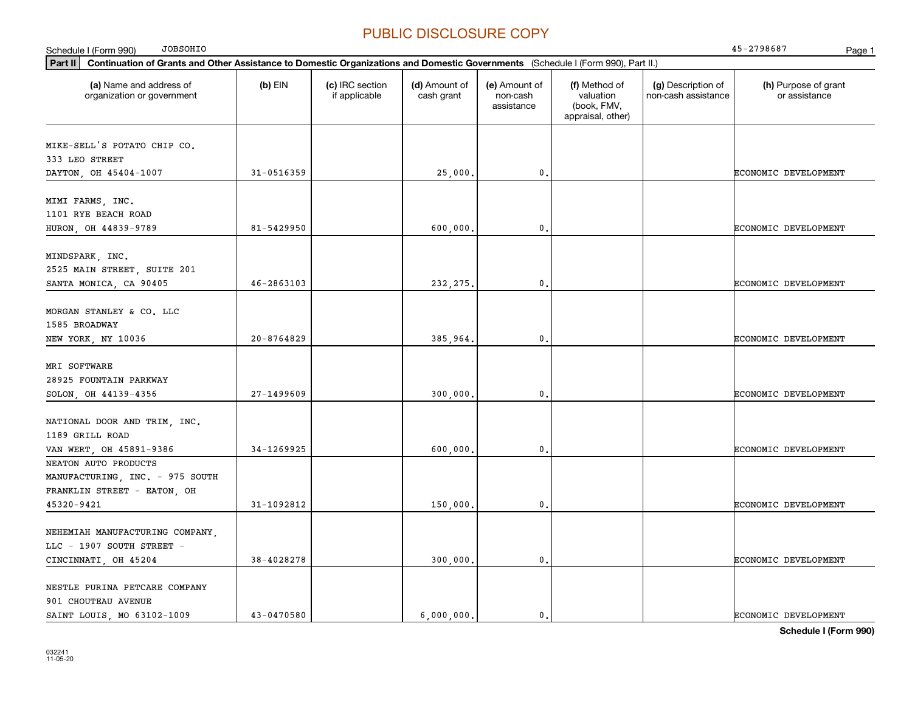| <b>JOBSOHIO</b><br>Schedule I (Form 990)                                                                                                    |                |                                  |                             |                                         |                                                                |                                           | 45-2798687<br>Page 1                  |
|---------------------------------------------------------------------------------------------------------------------------------------------|----------------|----------------------------------|-----------------------------|-----------------------------------------|----------------------------------------------------------------|-------------------------------------------|---------------------------------------|
| Continuation of Grants and Other Assistance to Domestic Organizations and Domestic Governments (Schedule I (Form 990), Part II.)<br>Part II |                |                                  |                             |                                         |                                                                |                                           |                                       |
| (a) Name and address of<br>organization or government                                                                                       | (b) EIN        | (c) IRC section<br>if applicable | (d) Amount of<br>cash grant | (e) Amount of<br>non-cash<br>assistance | (f) Method of<br>valuation<br>(book, FMV,<br>appraisal, other) | (g) Description of<br>non-cash assistance | (h) Purpose of grant<br>or assistance |
| MIKE-SELL'S POTATO CHIP CO.<br>333 LEO STREET                                                                                               |                |                                  |                             |                                         |                                                                |                                           |                                       |
| DAYTON, OH 45404-1007                                                                                                                       | $31 - 0516359$ |                                  | 25,000.                     | 0.                                      |                                                                |                                           | <b>ECONOMIC DEVELOPMENT</b>           |
| MIMI FARMS, INC.<br>1101 RYE BEACH ROAD                                                                                                     |                |                                  |                             |                                         |                                                                |                                           |                                       |
| HURON, OH 44839-9789                                                                                                                        | 81-5429950     |                                  | 600,000,                    | 0.                                      |                                                                |                                           | <b>ECONOMIC DEVELOPMENT</b>           |
| MINDSPARK, INC.<br>2525 MAIN STREET, SUITE 201<br>SANTA MONICA, CA 90405                                                                    | $46 - 2863103$ |                                  | 232, 275.                   | 0.                                      |                                                                |                                           | <b>ECONOMIC DEVELOPMENT</b>           |
| MORGAN STANLEY & CO. LLC<br>1585 BROADWAY<br>NEW YORK, NY 10036                                                                             | $20 - 8764829$ |                                  | 385,964.                    | 0.                                      |                                                                |                                           | ECONOMIC DEVELOPMENT                  |
| MRI SOFTWARE<br>28925 FOUNTAIN PARKWAY<br>SOLON, OH 44139-4356                                                                              | 27-1499609     |                                  | 300,000.                    | 0.                                      |                                                                |                                           | ECONOMIC DEVELOPMENT                  |
| NATIONAL DOOR AND TRIM, INC.<br>1189 GRILL ROAD<br>VAN WERT, OH 45891-9386                                                                  | 34-1269925     |                                  | 600,000.                    | $\mathfrak o$ .                         |                                                                |                                           | <b>ECONOMIC DEVELOPMENT</b>           |
| NEATON AUTO PRODUCTS<br>MANUFACTURING, INC. - 975 SOUTH<br>FRANKLIN STREET - EATON, OH                                                      |                |                                  |                             |                                         |                                                                |                                           |                                       |
| 45320-9421                                                                                                                                  | 31-1092812     |                                  | 150,000                     | 0.                                      |                                                                |                                           | <b>ECONOMIC DEVELOPMENT</b>           |
| NEHEMIAH MANUFACTURING COMPANY,<br>LLC - 1907 SOUTH STREET -<br>CINCINNATI, OH 45204                                                        | 38-4028278     |                                  | 300,000.                    | $\mathbf 0$ .                           |                                                                |                                           | ECONOMIC DEVELOPMENT                  |
| NESTLE PURINA PETCARE COMPANY<br>901 CHOUTEAU AVENUE<br>SAINT LOUIS, MO 63102-1009                                                          | 43-0470580     |                                  | 6,000,000.                  | 0.                                      |                                                                |                                           | <b>ECONOMIC DEVELOPMENT</b>           |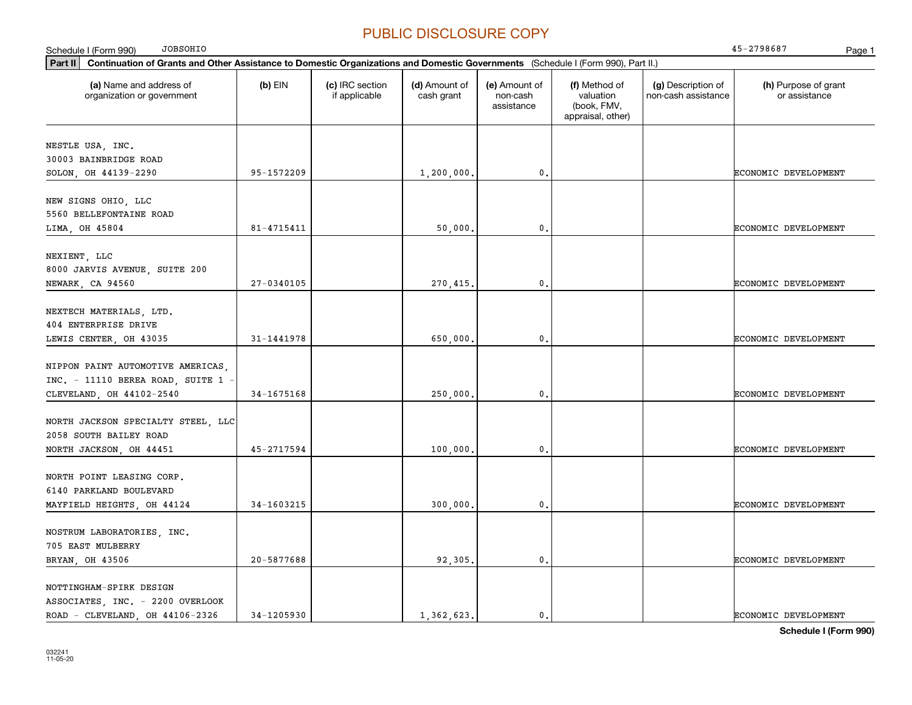| JOBSOHIO<br>Schedule I (Form 990)                                                                                                           |            |                                  |                             |                                         |                                                                |                                           | 45-2798687<br>Page 1                  |
|---------------------------------------------------------------------------------------------------------------------------------------------|------------|----------------------------------|-----------------------------|-----------------------------------------|----------------------------------------------------------------|-------------------------------------------|---------------------------------------|
| Part II<br>Continuation of Grants and Other Assistance to Domestic Organizations and Domestic Governments (Schedule I (Form 990), Part II.) |            |                                  |                             |                                         |                                                                |                                           |                                       |
| (a) Name and address of<br>organization or government                                                                                       | $(b)$ EIN  | (c) IRC section<br>if applicable | (d) Amount of<br>cash grant | (e) Amount of<br>non-cash<br>assistance | (f) Method of<br>valuation<br>(book, FMV,<br>appraisal, other) | (g) Description of<br>non-cash assistance | (h) Purpose of grant<br>or assistance |
| NESTLE USA, INC.<br>30003 BAINBRIDGE ROAD                                                                                                   |            |                                  |                             |                                         |                                                                |                                           |                                       |
| SOLON, OH 44139-2290                                                                                                                        | 95-1572209 |                                  | 1,200,000.                  | $\mathbf{0}$ .                          |                                                                |                                           | ECONOMIC DEVELOPMENT                  |
| NEW SIGNS OHIO, LLC<br>5560 BELLEFONTAINE ROAD                                                                                              |            |                                  |                             |                                         |                                                                |                                           |                                       |
| LIMA, OH 45804                                                                                                                              | 81-4715411 |                                  | 50,000                      | $\mathbf 0$ .                           |                                                                |                                           | ECONOMIC DEVELOPMENT                  |
| NEXIENT, LLC<br>8000 JARVIS AVENUE, SUITE 200<br>NEWARK, CA 94560                                                                           | 27-0340105 |                                  | 270,415.                    | $\mathbf{0}$ .                          |                                                                |                                           | ECONOMIC DEVELOPMENT                  |
| NEXTECH MATERIALS, LTD.<br>404 ENTERPRISE DRIVE                                                                                             |            |                                  |                             |                                         |                                                                |                                           |                                       |
| LEWIS CENTER, OH 43035                                                                                                                      | 31-1441978 |                                  | 650,000                     | $\mathfrak{o}$ .                        |                                                                |                                           | ECONOMIC DEVELOPMENT                  |
| NIPPON PAINT AUTOMOTIVE AMERICAS,<br>INC. - 11110 BEREA ROAD, SUITE 1 -<br>CLEVELAND, OH 44102-2540                                         | 34-1675168 |                                  | 250,000                     | $\mathfrak o$ .                         |                                                                |                                           | ECONOMIC DEVELOPMENT                  |
| NORTH JACKSON SPECIALTY STEEL, LLC<br>2058 SOUTH BAILEY ROAD                                                                                |            |                                  |                             |                                         |                                                                |                                           |                                       |
| NORTH JACKSON, OH 44451                                                                                                                     | 45-2717594 |                                  | 100,000.                    | $\mathbf{0}$ .                          |                                                                |                                           | ECONOMIC DEVELOPMENT                  |
| NORTH POINT LEASING CORP.<br>6140 PARKLAND BOULEVARD<br>MAYFIELD HEIGHTS, OH 44124                                                          | 34-1603215 |                                  | 300,000                     | $\mathfrak{o}$ .                        |                                                                |                                           | ECONOMIC DEVELOPMENT                  |
| NOSTRUM LABORATORIES, INC.<br>705 EAST MULBERRY                                                                                             |            |                                  |                             |                                         |                                                                |                                           |                                       |
| BRYAN, OH 43506                                                                                                                             | 20-5877688 |                                  | 92,305.                     | $\mathbf{0}$ .                          |                                                                |                                           | ECONOMIC DEVELOPMENT                  |
| NOTTINGHAM-SPIRK DESIGN<br>ASSOCIATES, INC. - 2200 OVERLOOK<br>ROAD - CLEVELAND, OH 44106-2326                                              | 34-1205930 |                                  | 1,362,623.                  | 0.                                      |                                                                |                                           | ECONOMIC DEVELOPMENT                  |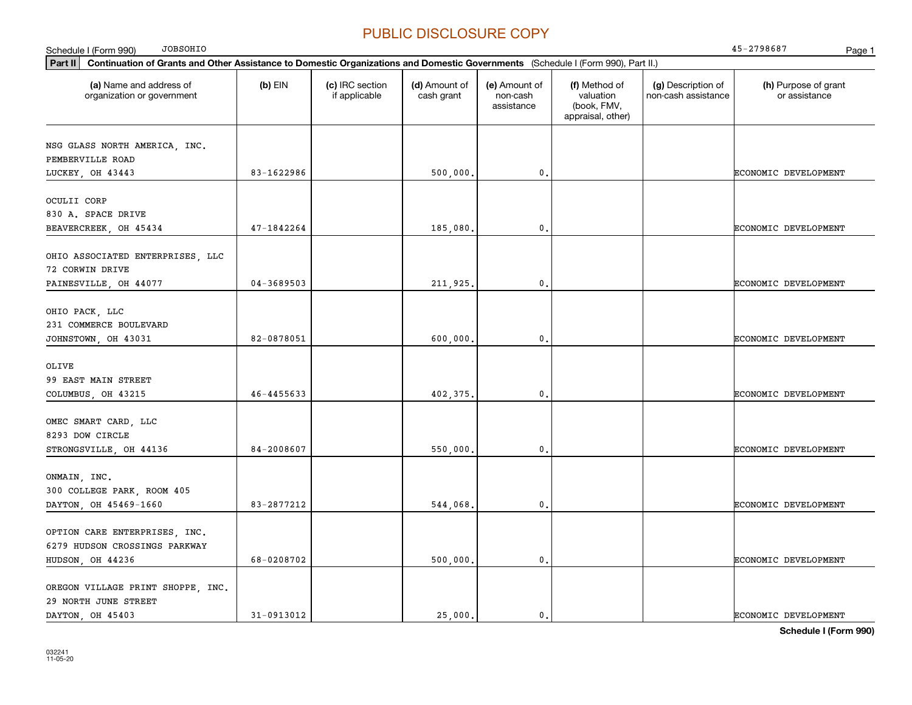| <b>JOBSOHIO</b><br>Schedule I (Form 990)                                                                                                    |                |                                  |                             |                                         |                                                                |                                           | 45-2798687<br>Page 1                  |
|---------------------------------------------------------------------------------------------------------------------------------------------|----------------|----------------------------------|-----------------------------|-----------------------------------------|----------------------------------------------------------------|-------------------------------------------|---------------------------------------|
| Part II<br>Continuation of Grants and Other Assistance to Domestic Organizations and Domestic Governments (Schedule I (Form 990), Part II.) |                |                                  |                             |                                         |                                                                |                                           |                                       |
| (a) Name and address of<br>organization or government                                                                                       | $(b)$ EIN      | (c) IRC section<br>if applicable | (d) Amount of<br>cash grant | (e) Amount of<br>non-cash<br>assistance | (f) Method of<br>valuation<br>(book, FMV,<br>appraisal, other) | (g) Description of<br>non-cash assistance | (h) Purpose of grant<br>or assistance |
| NSG GLASS NORTH AMERICA, INC.<br>PEMBERVILLE ROAD                                                                                           |                |                                  |                             |                                         |                                                                |                                           |                                       |
| LUCKEY, OH 43443                                                                                                                            | 83-1622986     |                                  | 500,000.                    | 0.                                      |                                                                |                                           | ECONOMIC DEVELOPMENT                  |
| OCULII CORP<br>830 A. SPACE DRIVE                                                                                                           |                |                                  |                             |                                         |                                                                |                                           |                                       |
| BEAVERCREEK, OH 45434                                                                                                                       | 47-1842264     |                                  | 185,080.                    | 0.                                      |                                                                |                                           | ECONOMIC DEVELOPMENT                  |
| OHIO ASSOCIATED ENTERPRISES, LLC<br>72 CORWIN DRIVE                                                                                         |                |                                  |                             |                                         |                                                                |                                           |                                       |
| PAINESVILLE, OH 44077                                                                                                                       | $04 - 3689503$ |                                  | 211,925.                    | 0.                                      |                                                                |                                           | ECONOMIC DEVELOPMENT                  |
| OHIO PACK, LLC<br>231 COMMERCE BOULEVARD                                                                                                    |                |                                  |                             |                                         |                                                                |                                           |                                       |
| JOHNSTOWN, OH 43031                                                                                                                         | 82-0878051     |                                  | 600,000.                    | $\mathbf{0}$ .                          |                                                                |                                           | ECONOMIC DEVELOPMENT                  |
| OLIVE<br>99 EAST MAIN STREET                                                                                                                |                |                                  |                             |                                         |                                                                |                                           |                                       |
| COLUMBUS, OH 43215                                                                                                                          | 46-4455633     |                                  | 402,375.                    | 0.                                      |                                                                |                                           | ECONOMIC DEVELOPMENT                  |
| OMEC SMART CARD, LLC<br>8293 DOW CIRCLE                                                                                                     |                |                                  |                             |                                         |                                                                |                                           |                                       |
| STRONGSVILLE, OH 44136                                                                                                                      | 84-2008607     |                                  | 550,000.                    | 0.                                      |                                                                |                                           | ECONOMIC DEVELOPMENT                  |
| ONMAIN, INC.<br>300 COLLEGE PARK, ROOM 405                                                                                                  |                |                                  |                             |                                         |                                                                |                                           |                                       |
| DAYTON, OH 45469-1660                                                                                                                       | 83-2877212     |                                  | 544,068.                    | 0.                                      |                                                                |                                           | ECONOMIC DEVELOPMENT                  |
| OPTION CARE ENTERPRISES, INC.<br>6279 HUDSON CROSSINGS PARKWAY                                                                              |                |                                  |                             |                                         |                                                                |                                           |                                       |
| HUDSON, OH 44236                                                                                                                            | 68-0208702     |                                  | 500,000.                    | 0.                                      |                                                                |                                           | ECONOMIC DEVELOPMENT                  |
| OREGON VILLAGE PRINT SHOPPE, INC.<br>29 NORTH JUNE STREET                                                                                   |                |                                  |                             |                                         |                                                                |                                           |                                       |
| DAYTON, OH 45403                                                                                                                            | 31-0913012     |                                  | 25,000.                     | 0.                                      |                                                                |                                           | ECONOMIC DEVELOPMENT                  |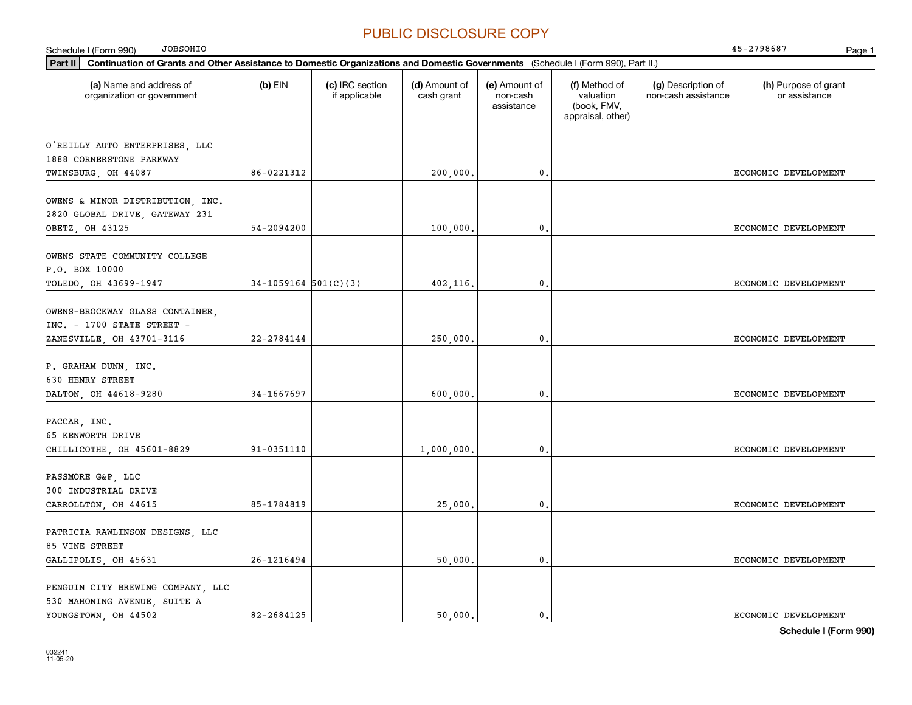| <b>JOBSOHIO</b><br>Schedule I (Form 990)                                                                                                    |                        |                                  |                             |                                         |                                                                |                                           | 45-2798687<br>Page 1                  |
|---------------------------------------------------------------------------------------------------------------------------------------------|------------------------|----------------------------------|-----------------------------|-----------------------------------------|----------------------------------------------------------------|-------------------------------------------|---------------------------------------|
| Part II<br>Continuation of Grants and Other Assistance to Domestic Organizations and Domestic Governments (Schedule I (Form 990), Part II.) |                        |                                  |                             |                                         |                                                                |                                           |                                       |
| (a) Name and address of<br>organization or government                                                                                       | $(b)$ EIN              | (c) IRC section<br>if applicable | (d) Amount of<br>cash grant | (e) Amount of<br>non-cash<br>assistance | (f) Method of<br>valuation<br>(book, FMV,<br>appraisal, other) | (g) Description of<br>non-cash assistance | (h) Purpose of grant<br>or assistance |
| O'REILLY AUTO ENTERPRISES, LLC<br>1888 CORNERSTONE PARKWAY<br>TWINSBURG, OH 44087                                                           | 86-0221312             |                                  | 200,000.                    | 0.                                      |                                                                |                                           | ECONOMIC DEVELOPMENT                  |
| OWENS & MINOR DISTRIBUTION, INC.<br>2820 GLOBAL DRIVE, GATEWAY 231<br>OBETZ, OH 43125                                                       | 54-2094200             |                                  | 100,000,                    | 0.                                      |                                                                |                                           | ECONOMIC DEVELOPMENT                  |
| OWENS STATE COMMUNITY COLLEGE<br>P.O. BOX 10000<br>TOLEDO, OH 43699-1947                                                                    | $34-1059164$ 501(C)(3) |                                  | 402,116.                    | 0.                                      |                                                                |                                           | ECONOMIC DEVELOPMENT                  |
| OWENS-BROCKWAY GLASS CONTAINER,<br>$INC. - 1700$ STATE STREET -<br>ZANESVILLE, OH 43701-3116                                                | $22 - 2784144$         |                                  | 250,000.                    | 0.                                      |                                                                |                                           | ECONOMIC DEVELOPMENT                  |
| P. GRAHAM DUNN, INC.<br>630 HENRY STREET<br>DALTON, OH 44618-9280                                                                           | 34-1667697             |                                  | 600,000,                    | 0.                                      |                                                                |                                           | ECONOMIC DEVELOPMENT                  |
| PACCAR, INC.<br>65 KENWORTH DRIVE<br>CHILLICOTHE, OH 45601-8829                                                                             | 91-0351110             |                                  | 1,000,000.                  | 0.                                      |                                                                |                                           | ECONOMIC DEVELOPMENT                  |
| PASSMORE G&P, LLC<br>300 INDUSTRIAL DRIVE<br>CARROLLTON, OH 44615                                                                           | 85-1784819             |                                  | 25,000,                     | 0.                                      |                                                                |                                           | ECONOMIC DEVELOPMENT                  |
| PATRICIA RAWLINSON DESIGNS, LLC<br>85 VINE STREET<br>GALLIPOLIS, OH 45631                                                                   | 26-1216494             |                                  | 50,000.                     | 0.                                      |                                                                |                                           | ECONOMIC DEVELOPMENT                  |
| PENGUIN CITY BREWING COMPANY, LLC<br>530 MAHONING AVENUE, SUITE A<br>YOUNGSTOWN, OH 44502                                                   | 82-2684125             |                                  | 50,000.                     | 0.                                      |                                                                |                                           | ECONOMIC DEVELOPMENT                  |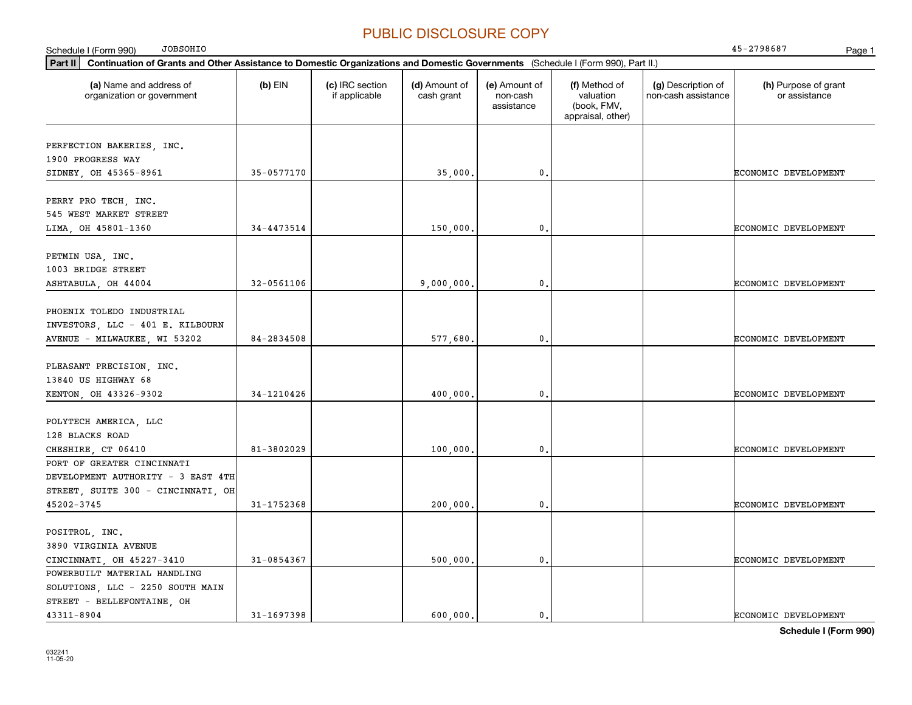| <b>JOBSOHIO</b><br>Schedule I (Form 990)                                                                                                        |                |                                  |                             |                                         |                                                                |                                           | 45-2798687<br>Page 1                  |
|-------------------------------------------------------------------------------------------------------------------------------------------------|----------------|----------------------------------|-----------------------------|-----------------------------------------|----------------------------------------------------------------|-------------------------------------------|---------------------------------------|
| $ $ Part II<br>Continuation of Grants and Other Assistance to Domestic Organizations and Domestic Governments (Schedule I (Form 990), Part II.) |                |                                  |                             |                                         |                                                                |                                           |                                       |
| (a) Name and address of<br>organization or government                                                                                           | $(b)$ EIN      | (c) IRC section<br>if applicable | (d) Amount of<br>cash grant | (e) Amount of<br>non-cash<br>assistance | (f) Method of<br>valuation<br>(book, FMV,<br>appraisal, other) | (g) Description of<br>non-cash assistance | (h) Purpose of grant<br>or assistance |
| PERFECTION BAKERIES, INC.<br>1900 PROGRESS WAY                                                                                                  |                |                                  |                             |                                         |                                                                |                                           |                                       |
| SIDNEY, OH 45365-8961                                                                                                                           | 35-0577170     |                                  | 35,000                      | $\mathbf 0$                             |                                                                |                                           | ECONOMIC DEVELOPMENT                  |
| PERRY PRO TECH, INC.<br>545 WEST MARKET STREET<br>LIMA, OH 45801-1360                                                                           | 34-4473514     |                                  | 150,000                     | $\mathbf{0}$                            |                                                                |                                           | ECONOMIC DEVELOPMENT                  |
|                                                                                                                                                 |                |                                  |                             |                                         |                                                                |                                           |                                       |
| PETMIN USA, INC.<br>1003 BRIDGE STREET<br>ASHTABULA, OH 44004                                                                                   | $32 - 0561106$ |                                  | 9,000,000,                  | $\mathfrak{o}$ .                        |                                                                |                                           | ECONOMIC DEVELOPMENT                  |
| PHOENIX TOLEDO INDUSTRIAL<br>INVESTORS, LLC - 401 E. KILBOURN<br>AVENUE - MILWAUKEE, WI 53202                                                   | 84-2834508     |                                  | 577,680                     | $\mathfrak{o}$ .                        |                                                                |                                           | ECONOMIC DEVELOPMENT                  |
| PLEASANT PRECISION, INC.<br>13840 US HIGHWAY 68<br>KENTON, OH 43326-9302                                                                        | 34-1210426     |                                  | 400,000.                    | $\mathfrak{o}$ .                        |                                                                |                                           | ECONOMIC DEVELOPMENT                  |
| POLYTECH AMERICA, LLC<br>128 BLACKS ROAD<br>CHESHIRE, CT 06410                                                                                  | 81-3802029     |                                  | 100,000                     | 0.                                      |                                                                |                                           | ECONOMIC DEVELOPMENT                  |
| PORT OF GREATER CINCINNATI<br>DEVELOPMENT AUTHORITY - 3 EAST 4TH<br>STREET, SUITE 300 - CINCINNATI, OH                                          |                |                                  |                             |                                         |                                                                |                                           |                                       |
| 45202-3745                                                                                                                                      | 31-1752368     |                                  | 200,000.                    | $\mathbf{0}$ .                          |                                                                |                                           | ECONOMIC DEVELOPMENT                  |
| POSITROL, INC.<br>3890 VIRGINIA AVENUE<br>CINCINNATI, OH 45227-3410                                                                             | 31-0854367     |                                  | 500,000                     | $\mathfrak{o}$ .                        |                                                                |                                           | ECONOMIC DEVELOPMENT                  |
| POWERBUILT MATERIAL HANDLING<br>SOLUTIONS, LLC - 2250 SOUTH MAIN<br>STREET - BELLEFONTAINE, OH<br>43311-8904                                    | 31-1697398     |                                  | 600,000.                    | $\mathbf{0}$ .                          |                                                                |                                           | <b>ECONOMIC DEVELOPMENT</b>           |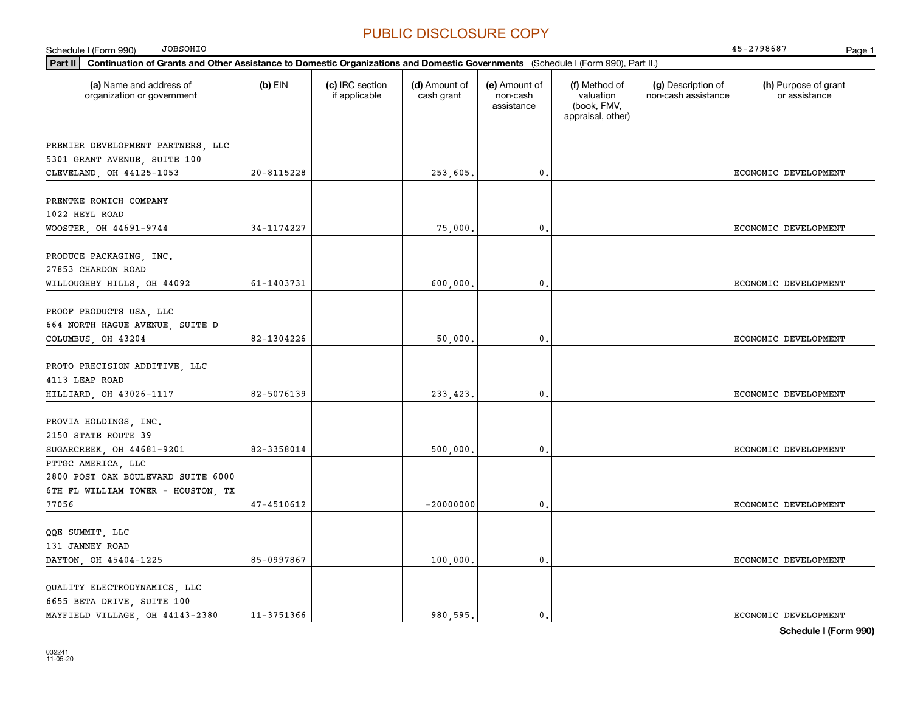**Part II Continuation of Grants and Other Assistance to Domestic Organizations and Domestic Governments**  (Schedule I (Form 990), Part II.) **(a) (b) (c) (d) (e) (f) (g) (h)** Name and address of Schedule I (Form 990) Page 1 organization or government  $(b)$  EIN  $(c)$  IRC section if applicable (d) Amount of cash grant (e) Amount of non-cash assistance(f) Method of valuation (book, FMV, appraisal, other) (g) Description of non-cash assistance (h) Purpose of grant or assistance JOBSOHIO 45-2798687 PREMIER DEVELOPMENT PARTNERS, LLC 5301 GRANT AVENUE, SUITE 100 CLEVELAND OH 44125-1053 | 20-8115228 | 20-8115228 | 253 605. | 0. | | ECONOMIC DEVELOPMENT PRENTKE ROMICH COMPANY 1022 HEYL ROAD WOOSTER OH 44691-9744 | 34-1174227 | 34-1174227 | 75.000. | 0. | CONOMIC DEVELOPMENT PRODUCE PACKAGING, INC. 27853 CHARDON ROAD WILLOUGHBY HILLS OH 44092 | 61-1403731 | 600 000. | 0. | CONOMIC DEVELOPMENT PROOF PRODUCTS USA, LLC 664 NORTH HAGUE AVENUE, SUITE D COLUMBUS OH 43204 82-1304226 82-1304226 50,000. 0. PROTO PRECISION ADDITIVE, LLC 4113 LEAP ROAD HILLIARD, OH 43026-1117 82-5076139 233,423. 0. ECONOMIC DEVELOPMENT PROVIA HOLDINGS, INC. 2150 STATE ROUTE 39 SUGARCREEK, OH 44681-9201 | 82-3358014 | 500.000. | 60. | 60. | ECONOMIC DEVELOPMENT PTTGC AMERICA, LLC 2800 POST OAK BOULEVARD SUITE 6000 6TH FL WILLIAM TOWER - HOUSTON, TX 7705647-4510612 | 20000000 0. CONOMIC DEVELOPMENT QQE SUMMIT, LLC 131 JANNEY ROAD DAYTON, OH 45404-1225 85-0997867 | 85-0997867 | 100,000. 0. | 0. | ECONOMIC DEVELOPMENT QUALITY ELECTRODYNAMICS, LLC 6655 BETA DRIVE, SUITE 100 MAYFIELD VILLAGE, OH 44143-2380 11-3751366 980,595. 0. ECONOMIC DEVELOPMENT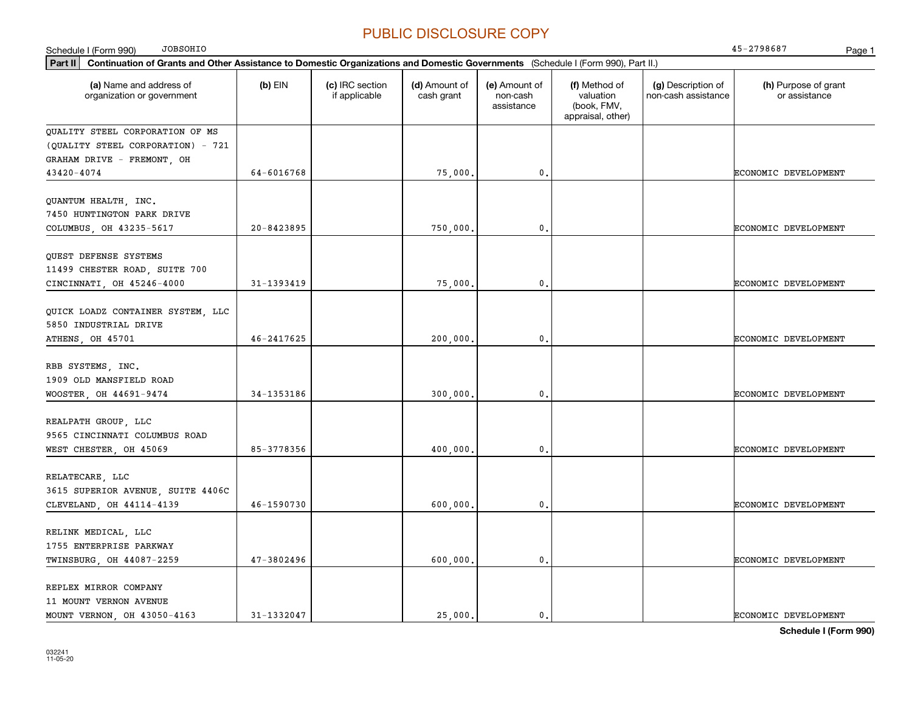| <b>JOBSOHIO</b><br>Schedule I (Form 990)                                                                                                    |                |                                  |                             |                                         |                                                                |                                           | 45-2798687<br>Page 1                  |
|---------------------------------------------------------------------------------------------------------------------------------------------|----------------|----------------------------------|-----------------------------|-----------------------------------------|----------------------------------------------------------------|-------------------------------------------|---------------------------------------|
| Part II<br>Continuation of Grants and Other Assistance to Domestic Organizations and Domestic Governments (Schedule I (Form 990), Part II.) |                |                                  |                             |                                         |                                                                |                                           |                                       |
| (a) Name and address of<br>organization or government                                                                                       | $(b)$ EIN      | (c) IRC section<br>if applicable | (d) Amount of<br>cash grant | (e) Amount of<br>non-cash<br>assistance | (f) Method of<br>valuation<br>(book, FMV,<br>appraisal, other) | (g) Description of<br>non-cash assistance | (h) Purpose of grant<br>or assistance |
| QUALITY STEEL CORPORATION OF MS<br>(QUALITY STEEL CORPORATION) - 721                                                                        |                |                                  |                             |                                         |                                                                |                                           |                                       |
| GRAHAM DRIVE - FREMONT, OH                                                                                                                  |                |                                  |                             |                                         |                                                                |                                           |                                       |
| 43420-4074                                                                                                                                  | 64-6016768     |                                  | 75,000                      | $\mathbf{0}$ .                          |                                                                |                                           | ECONOMIC DEVELOPMENT                  |
| QUANTUM HEALTH, INC.<br>7450 HUNTINGTON PARK DRIVE                                                                                          |                |                                  |                             |                                         |                                                                |                                           |                                       |
| COLUMBUS, OH 43235-5617                                                                                                                     | 20-8423895     |                                  | 750,000                     | $\mathbf{0}$ .                          |                                                                |                                           | ECONOMIC DEVELOPMENT                  |
| QUEST DEFENSE SYSTEMS<br>11499 CHESTER ROAD, SUITE 700<br>CINCINNATI, OH 45246-4000                                                         | 31-1393419     |                                  | 75,000                      | 0.                                      |                                                                |                                           | ECONOMIC DEVELOPMENT                  |
|                                                                                                                                             |                |                                  |                             |                                         |                                                                |                                           |                                       |
| QUICK LOADZ CONTAINER SYSTEM, LLC<br>5850 INDUSTRIAL DRIVE                                                                                  |                |                                  |                             |                                         |                                                                |                                           |                                       |
| ATHENS, OH 45701                                                                                                                            | 46-2417625     |                                  | 200,000                     | $\mathbf{0}$ .                          |                                                                |                                           | ECONOMIC DEVELOPMENT                  |
| RBB SYSTEMS, INC.<br>1909 OLD MANSFIELD ROAD<br>WOOSTER, OH 44691-9474                                                                      | $34 - 1353186$ |                                  | 300,000                     | $\mathbf{0}$ .                          |                                                                |                                           | ECONOMIC DEVELOPMENT                  |
| REALPATH GROUP, LLC<br>9565 CINCINNATI COLUMBUS ROAD                                                                                        |                |                                  |                             |                                         |                                                                |                                           |                                       |
| WEST CHESTER, OH 45069                                                                                                                      | 85-3778356     |                                  | 400,000                     | $\mathbf{0}$ .                          |                                                                |                                           | ECONOMIC DEVELOPMENT                  |
| RELATECARE, LLC<br>3615 SUPERIOR AVENUE, SUITE 4406C<br>CLEVELAND, OH 44114-4139                                                            | 46-1590730     |                                  | 600,000                     | $\mathbf{0}$ .                          |                                                                |                                           | ECONOMIC DEVELOPMENT                  |
| RELINK MEDICAL, LLC<br>1755 ENTERPRISE PARKWAY                                                                                              |                |                                  |                             |                                         |                                                                |                                           |                                       |
| TWINSBURG, OH 44087-2259                                                                                                                    | 47-3802496     |                                  | 600,000                     | $\mathfrak o$ .                         |                                                                |                                           | ECONOMIC DEVELOPMENT                  |
| REPLEX MIRROR COMPANY<br>11 MOUNT VERNON AVENUE                                                                                             |                |                                  |                             |                                         |                                                                |                                           |                                       |
| MOUNT VERNON, OH 43050-4163                                                                                                                 | 31-1332047     |                                  | 25,000.                     | $\mathfrak o$ .                         |                                                                |                                           | ECONOMIC DEVELOPMENT                  |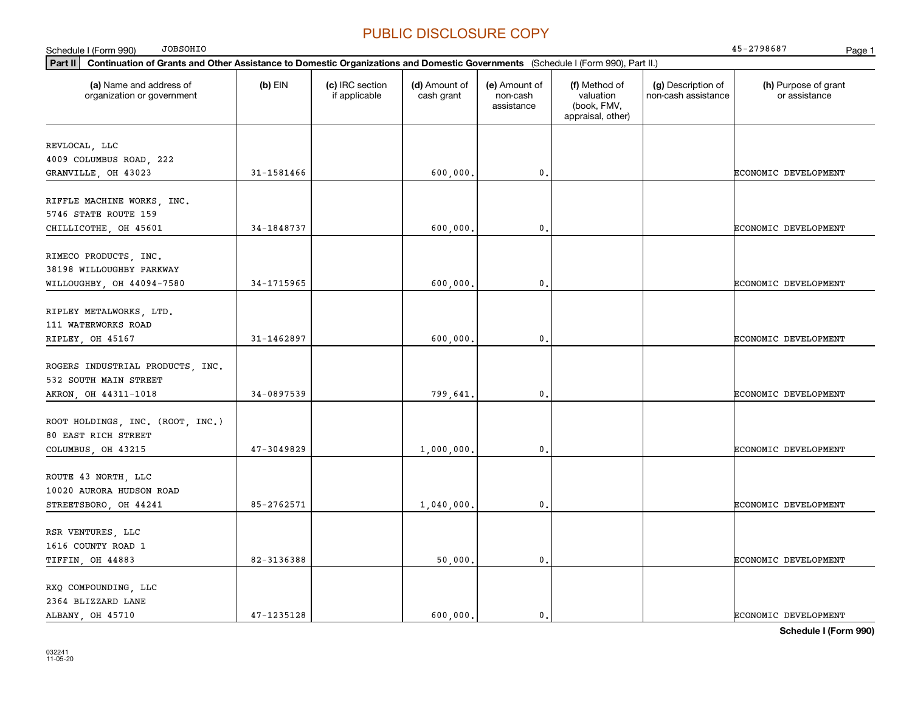| <b>JOBSOHIO</b><br>Schedule I (Form 990)                                                                                                    |            |                                  |                             |                                         |                                                                |                                           | 45-2798687<br>Page 1                  |
|---------------------------------------------------------------------------------------------------------------------------------------------|------------|----------------------------------|-----------------------------|-----------------------------------------|----------------------------------------------------------------|-------------------------------------------|---------------------------------------|
| Continuation of Grants and Other Assistance to Domestic Organizations and Domestic Governments (Schedule I (Form 990), Part II.)<br>Part II |            |                                  |                             |                                         |                                                                |                                           |                                       |
| (a) Name and address of<br>organization or government                                                                                       | $(b)$ EIN  | (c) IRC section<br>if applicable | (d) Amount of<br>cash grant | (e) Amount of<br>non-cash<br>assistance | (f) Method of<br>valuation<br>(book, FMV,<br>appraisal, other) | (g) Description of<br>non-cash assistance | (h) Purpose of grant<br>or assistance |
| REVLOCAL, LLC<br>4009 COLUMBUS ROAD, 222                                                                                                    |            |                                  |                             |                                         |                                                                |                                           |                                       |
| GRANVILLE, OH 43023                                                                                                                         | 31-1581466 |                                  | 600,000,                    | $\mathbf{0}$ .                          |                                                                |                                           | ECONOMIC DEVELOPMENT                  |
| RIFFLE MACHINE WORKS, INC.<br>5746 STATE ROUTE 159                                                                                          |            |                                  |                             |                                         |                                                                |                                           |                                       |
| CHILLICOTHE, OH 45601                                                                                                                       | 34-1848737 |                                  | 600,000,                    | $\mathbf 0$ .                           |                                                                |                                           | ECONOMIC DEVELOPMENT                  |
| RIMECO PRODUCTS, INC.<br>38198 WILLOUGHBY PARKWAY<br>WILLOUGHBY, OH 44094-7580                                                              | 34-1715965 |                                  | 600,000,                    | $\mathbf{0}$ .                          |                                                                |                                           | <b>ECONOMIC DEVELOPMENT</b>           |
| RIPLEY METALWORKS, LTD.<br>111 WATERWORKS ROAD<br>RIPLEY, OH 45167                                                                          | 31-1462897 |                                  | 600,000,                    | $\mathbf 0$ .                           |                                                                |                                           | ECONOMIC DEVELOPMENT                  |
| ROGERS INDUSTRIAL PRODUCTS, INC.<br>532 SOUTH MAIN STREET<br>AKRON, OH 44311-1018                                                           | 34-0897539 |                                  | 799,641                     | $\mathbf{0}$ .                          |                                                                |                                           | ECONOMIC DEVELOPMENT                  |
| ROOT HOLDINGS, INC. (ROOT, INC.)<br>80 EAST RICH STREET<br>COLUMBUS, OH 43215                                                               | 47-3049829 |                                  | 1,000,000.                  | $\mathbf{0}$ .                          |                                                                |                                           | <b>ECONOMIC DEVELOPMENT</b>           |
| ROUTE 43 NORTH, LLC<br>10020 AURORA HUDSON ROAD<br>STREETSBORO, OH 44241                                                                    | 85-2762571 |                                  | 1,040,000.                  | $\mathbf{0}$ .                          |                                                                |                                           | ECONOMIC DEVELOPMENT                  |
| RSR VENTURES, LLC<br>1616 COUNTY ROAD 1<br>TIFFIN, OH 44883                                                                                 | 82-3136388 |                                  | 50,000.                     | $\mathbf{0}$ .                          |                                                                |                                           | <b>ECONOMIC DEVELOPMENT</b>           |
| RXQ COMPOUNDING, LLC<br>2364 BLIZZARD LANE<br>ALBANY, OH 45710                                                                              | 47-1235128 |                                  | 600,000.                    | $\mathbf{0}$ .                          |                                                                |                                           | <b>ECONOMIC DEVELOPMENT</b>           |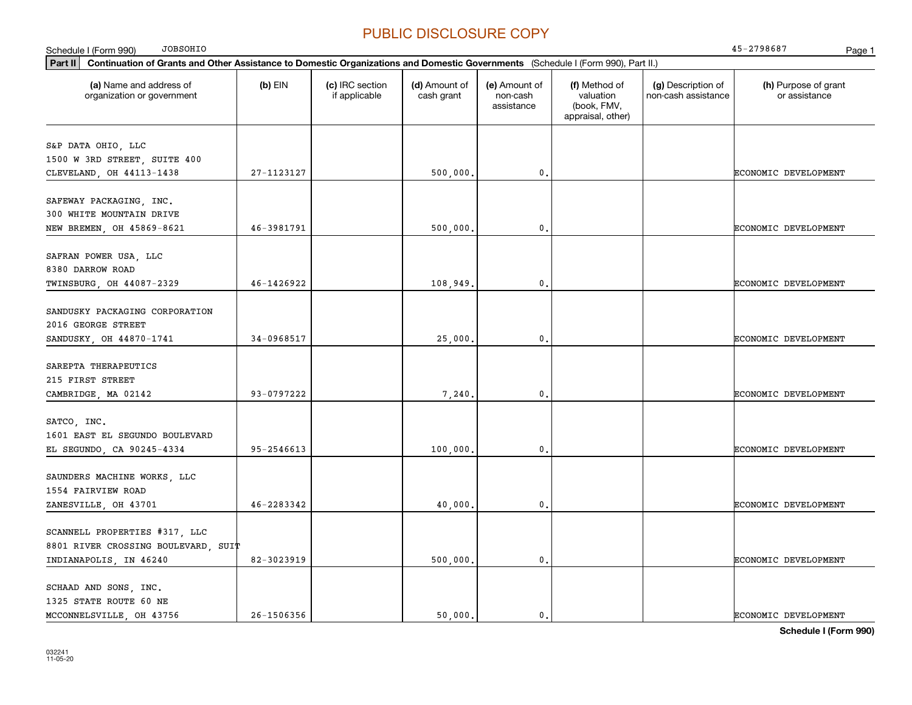**Part II Continuation of Grants and Other Assistance to Domestic Organizations and Domestic Governments**  (Schedule I (Form 990), Part II.) **(a) (b) (c) (d) (e) (f) (g) (h)** Name and address of Schedule I (Form 990) Page 1 organization or government  $(b)$  EIN  $(c)$  IRC section if applicable (d) Amount of cash grant (e) Amount of non-cash assistance(f) Method of valuation (book, FMV, appraisal, other) (g) Description of non-cash assistance (h) Purpose of grant or assistance JOBSOHIO 45-2798687 S&P DATA OHIO, LLC 1500 W 3RD STREET, SUITE 400 CLEVELAND OH 44113-1438 27-1123127 300 000. 500 000. 0. CLEVELAND OF SCONOMIC DEVELOPMENT SAFEWAY PACKAGING, INC. 300 WHITE MOUNTAIN DRIVE NEW BREMEN, OH 45869-8621 | 46-3981791 | 500.000. | 0. | 0. | ECONOMIC DEVELOPMENT SAFRAN POWER USA, LLC 8380 DARROW ROAD TWINSBURG OH 44087-2329 146-1426922 108.949. 108.949. 0. CONOMIC DEVELOPMENT SANDUSKY PACKAGING CORPORATION 2016 GEORGE STREET SANDUSKY, OH 44870-1741 | 34-0968517 | 34-0968517 | 25,000. 0. 0. | CONOMIC DEVELOPMENT SAREPTA THERAPEUTICS 215 FIRST STREET CAMBRIDGE, MA 02142  $\begin{vmatrix} 93-0797222 & 93-0797222 & 7240. \end{vmatrix}$  0. SATCO, INC. 1601 EAST EL SEGUNDO BOULEVARD EL SEGUNDO, CA 90245-4334 | 95-2546613 | 100,000. | 0. CONOMIC DEVELOPMENT SAUNDERS MACHINE WORKS, LLC 1554 FAIRVIEW ROAD ZANESVILLE OH 43701  $\begin{vmatrix} 46-2283342 & 4000 & 4000 & 0 \end{vmatrix}$  0. SCANNELL PROPERTIES #317, LLC 8801 RIVER CROSSING BOULEVARD, SUIT INDIANAPOLIS IN 46240 82-3023919 82-3023919 500,000. 0. 0. ECONOMIC DEVELOPMENT SCHAAD AND SONS, INC. 1325 STATE ROUTE 60 NE MCCONNELSVILLE OH 43756  $\vert$  26-1506356  $\vert$  50.000. 0. 0.  $\vert$  50.000  $\vert$  50.000  $\vert$  50.000  $\vert$  ECONOMIC DEVELOPMENT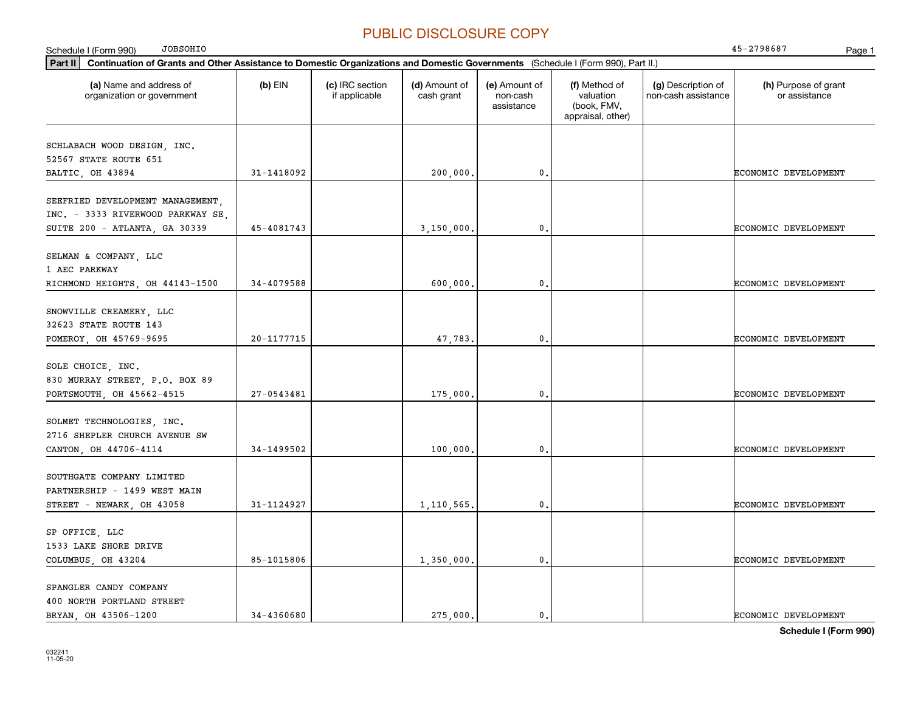| <b>JOBSOHIO</b><br>Schedule I (Form 990)                                                                                                    |            |                                  |                             |                                         |                                                                |                                           | 45-2798687<br>Page 1                  |
|---------------------------------------------------------------------------------------------------------------------------------------------|------------|----------------------------------|-----------------------------|-----------------------------------------|----------------------------------------------------------------|-------------------------------------------|---------------------------------------|
| Part II<br>Continuation of Grants and Other Assistance to Domestic Organizations and Domestic Governments (Schedule I (Form 990), Part II.) |            |                                  |                             |                                         |                                                                |                                           |                                       |
| (a) Name and address of<br>organization or government                                                                                       | $(b)$ EIN  | (c) IRC section<br>if applicable | (d) Amount of<br>cash grant | (e) Amount of<br>non-cash<br>assistance | (f) Method of<br>valuation<br>(book, FMV,<br>appraisal, other) | (g) Description of<br>non-cash assistance | (h) Purpose of grant<br>or assistance |
| SCHLABACH WOOD DESIGN, INC.<br>52567 STATE ROUTE 651<br>BALTIC, OH 43894                                                                    | 31-1418092 |                                  | 200,000.                    | $\mathbf 0$ .                           |                                                                |                                           | ECONOMIC DEVELOPMENT                  |
| SEEFRIED DEVELOPMENT MANAGEMENT,<br>INC. - 3333 RIVERWOOD PARKWAY SE,                                                                       |            |                                  |                             |                                         |                                                                |                                           |                                       |
| SUITE 200 - ATLANTA, GA 30339                                                                                                               | 45-4081743 |                                  | 3,150,000.                  | $\mathbf{0}$                            |                                                                |                                           | ECONOMIC DEVELOPMENT                  |
| SELMAN & COMPANY, LLC<br>1 AEC PARKWAY<br>RICHMOND HEIGHTS, OH 44143-1500                                                                   | 34-4079588 |                                  | 600,000,                    | 0.                                      |                                                                |                                           | ECONOMIC DEVELOPMENT                  |
| SNOWVILLE CREAMERY, LLC<br>32623 STATE ROUTE 143                                                                                            |            |                                  |                             |                                         |                                                                |                                           |                                       |
| POMEROY, OH 45769-9695                                                                                                                      | 20-1177715 |                                  | 47,783.                     | $\mathbf 0$ .                           |                                                                |                                           | ECONOMIC DEVELOPMENT                  |
| SOLE CHOICE, INC.<br>830 MURRAY STREET, P.O. BOX 89<br>PORTSMOUTH, OH 45662-4515                                                            | 27-0543481 |                                  | 175,000,                    | 0.                                      |                                                                |                                           | ECONOMIC DEVELOPMENT                  |
| SOLMET TECHNOLOGIES, INC.<br>2716 SHEPLER CHURCH AVENUE SW<br>CANTON, OH 44706-4114                                                         | 34-1499502 |                                  | 100,000.                    | 0.                                      |                                                                |                                           | ECONOMIC DEVELOPMENT                  |
| SOUTHGATE COMPANY LIMITED<br>PARTNERSHIP - 1499 WEST MAIN                                                                                   |            |                                  |                             |                                         |                                                                |                                           |                                       |
| STREET - NEWARK, OH 43058                                                                                                                   | 31-1124927 |                                  | 1,110,565.                  | $\mathbf{0}$ .                          |                                                                |                                           | ECONOMIC DEVELOPMENT                  |
| SP OFFICE, LLC<br>1533 LAKE SHORE DRIVE<br>COLUMBUS, OH 43204                                                                               | 85-1015806 |                                  | 1,350,000.                  | 0.                                      |                                                                |                                           | ECONOMIC DEVELOPMENT                  |
| SPANGLER CANDY COMPANY<br>400 NORTH PORTLAND STREET<br>BRYAN, OH 43506-1200                                                                 | 34-4360680 |                                  | 275,000.                    | 0.                                      |                                                                |                                           | ECONOMIC DEVELOPMENT                  |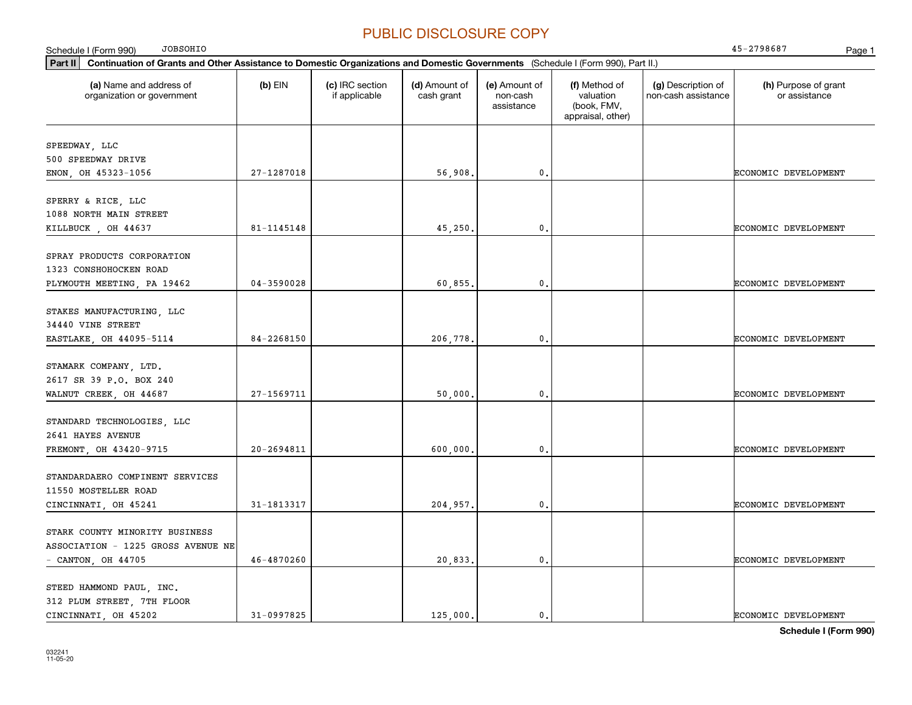| <b>JOBSOHIO</b><br>Schedule I (Form 990)                                                                                                    |                |                                  |                             |                                         |                                                                |                                           | 45-2798687<br>Page 1                  |
|---------------------------------------------------------------------------------------------------------------------------------------------|----------------|----------------------------------|-----------------------------|-----------------------------------------|----------------------------------------------------------------|-------------------------------------------|---------------------------------------|
| Part II<br>Continuation of Grants and Other Assistance to Domestic Organizations and Domestic Governments (Schedule I (Form 990), Part II.) |                |                                  |                             |                                         |                                                                |                                           |                                       |
| (a) Name and address of<br>organization or government                                                                                       | $(b)$ EIN      | (c) IRC section<br>if applicable | (d) Amount of<br>cash grant | (e) Amount of<br>non-cash<br>assistance | (f) Method of<br>valuation<br>(book, FMV,<br>appraisal, other) | (g) Description of<br>non-cash assistance | (h) Purpose of grant<br>or assistance |
| SPEEDWAY, LLC<br>500 SPEEDWAY DRIVE                                                                                                         |                |                                  |                             |                                         |                                                                |                                           |                                       |
| ENON, OH 45323-1056                                                                                                                         | 27-1287018     |                                  | 56,908.                     | $\mathbf 0$ .                           |                                                                |                                           | ECONOMIC DEVELOPMENT                  |
| SPERRY & RICE, LLC<br>1088 NORTH MAIN STREET                                                                                                |                |                                  |                             |                                         |                                                                |                                           |                                       |
| KILLBUCK, OH 44637                                                                                                                          | 81-1145148     |                                  | 45,250                      | $\mathbf 0$                             |                                                                |                                           | ECONOMIC DEVELOPMENT                  |
| SPRAY PRODUCTS CORPORATION<br>1323 CONSHOHOCKEN ROAD<br>PLYMOUTH MEETING, PA 19462                                                          | $04 - 3590028$ |                                  | 60,855.                     | $\mathbf{0}$ .                          |                                                                |                                           | ECONOMIC DEVELOPMENT                  |
| STAKES MANUFACTURING, LLC<br>34440 VINE STREET                                                                                              |                |                                  |                             |                                         |                                                                |                                           |                                       |
| EASTLAKE, OH 44095-5114                                                                                                                     | 84-2268150     |                                  | 206,778.                    | $\mathbf{0}$ .                          |                                                                |                                           | ECONOMIC DEVELOPMENT                  |
| STAMARK COMPANY, LTD.<br>2617 SR 39 P.O. BOX 240<br>WALNUT CREEK, OH 44687                                                                  | 27-1569711     |                                  | 50,000.                     | $\mathfrak o$ .                         |                                                                |                                           | ECONOMIC DEVELOPMENT                  |
| STANDARD TECHNOLOGIES, LLC<br>2641 HAYES AVENUE<br>FREMONT, OH 43420-9715                                                                   | $20 - 2694811$ |                                  | 600,000.                    | 0.                                      |                                                                |                                           | ECONOMIC DEVELOPMENT                  |
| STANDARDAERO COMPINENT SERVICES<br>11550 MOSTELLER ROAD                                                                                     |                |                                  |                             |                                         |                                                                |                                           |                                       |
| CINCINNATI, OH 45241                                                                                                                        | 31-1813317     |                                  | 204,957.                    | $\mathbf{0}$ .                          |                                                                |                                           | ECONOMIC DEVELOPMENT                  |
| STARK COUNTY MINORITY BUSINESS<br>ASSOCIATION - 1225 GROSS AVENUE NE<br>- CANTON, OH $44705$                                                | 46-4870260     |                                  | 20,833.                     | $\mathbf{0}$ .                          |                                                                |                                           | ECONOMIC DEVELOPMENT                  |
| STEED HAMMOND PAUL, INC.<br>312 PLUM STREET, 7TH FLOOR<br>CINCINNATI, OH 45202                                                              | 31-0997825     |                                  | 125,000.                    | $\mathbf{0}$ .                          |                                                                |                                           | <b>ECONOMIC DEVELOPMENT</b>           |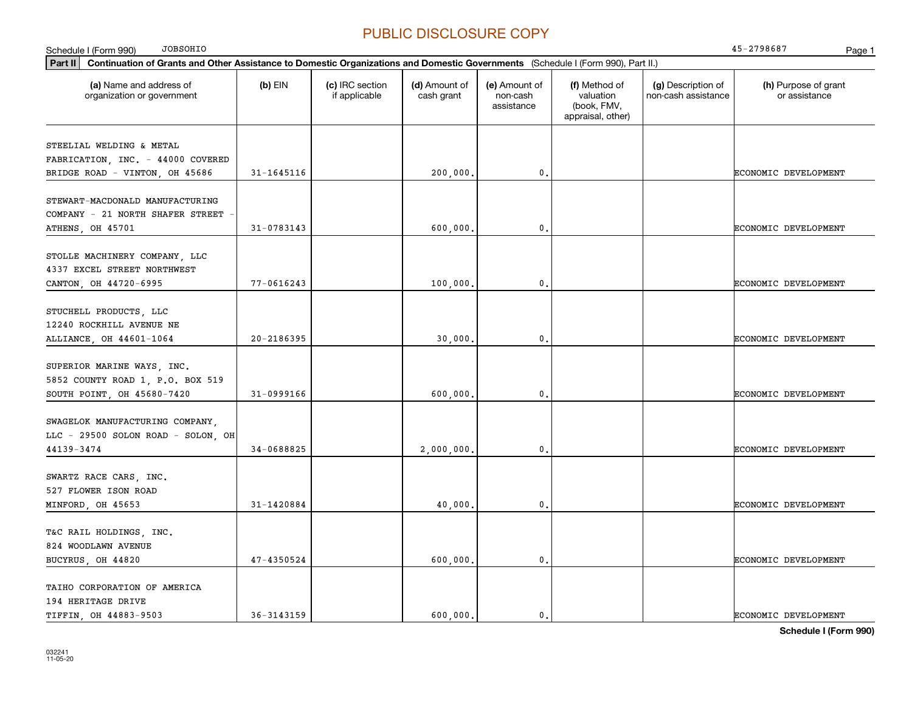| <b>JOBSOHIO</b><br>Schedule I (Form 990)                                                                                                    |                |                                  |                             |                                         |                                                                |                                           | 45-2798687<br>Page 1                  |
|---------------------------------------------------------------------------------------------------------------------------------------------|----------------|----------------------------------|-----------------------------|-----------------------------------------|----------------------------------------------------------------|-------------------------------------------|---------------------------------------|
| Part II<br>Continuation of Grants and Other Assistance to Domestic Organizations and Domestic Governments (Schedule I (Form 990), Part II.) |                |                                  |                             |                                         |                                                                |                                           |                                       |
| (a) Name and address of<br>organization or government                                                                                       | $(b)$ EIN      | (c) IRC section<br>if applicable | (d) Amount of<br>cash grant | (e) Amount of<br>non-cash<br>assistance | (f) Method of<br>valuation<br>(book, FMV,<br>appraisal, other) | (g) Description of<br>non-cash assistance | (h) Purpose of grant<br>or assistance |
| STEELIAL WELDING & METAL                                                                                                                    |                |                                  |                             |                                         |                                                                |                                           |                                       |
| FABRICATION, INC. - 44000 COVERED                                                                                                           |                |                                  |                             |                                         |                                                                |                                           |                                       |
| BRIDGE ROAD - VINTON, OH 45686                                                                                                              | 31-1645116     |                                  | 200,000.                    | $\mathbf{0}$ .                          |                                                                |                                           | ECONOMIC DEVELOPMENT                  |
|                                                                                                                                             |                |                                  |                             |                                         |                                                                |                                           |                                       |
| STEWART-MACDONALD MANUFACTURING                                                                                                             |                |                                  |                             |                                         |                                                                |                                           |                                       |
| COMPANY - 21 NORTH SHAFER STREET                                                                                                            |                |                                  |                             |                                         |                                                                |                                           |                                       |
| ATHENS, OH 45701                                                                                                                            | 31-0783143     |                                  | 600,000,                    | $\mathbf{0}$ .                          |                                                                |                                           | ECONOMIC DEVELOPMENT                  |
|                                                                                                                                             |                |                                  |                             |                                         |                                                                |                                           |                                       |
| STOLLE MACHINERY COMPANY, LLC                                                                                                               |                |                                  |                             |                                         |                                                                |                                           |                                       |
| 4337 EXCEL STREET NORTHWEST                                                                                                                 |                |                                  |                             |                                         |                                                                |                                           |                                       |
| CANTON, OH 44720-6995                                                                                                                       | $77 - 0616243$ |                                  | 100,000.                    | 0.                                      |                                                                |                                           | ECONOMIC DEVELOPMENT                  |
| STUCHELL PRODUCTS, LLC                                                                                                                      |                |                                  |                             |                                         |                                                                |                                           |                                       |
| 12240 ROCKHILL AVENUE NE                                                                                                                    |                |                                  |                             |                                         |                                                                |                                           |                                       |
| ALLIANCE, OH 44601-1064                                                                                                                     | 20-2186395     |                                  | 30,000,                     | 0.                                      |                                                                |                                           | ECONOMIC DEVELOPMENT                  |
|                                                                                                                                             |                |                                  |                             |                                         |                                                                |                                           |                                       |
| SUPERIOR MARINE WAYS, INC.                                                                                                                  |                |                                  |                             |                                         |                                                                |                                           |                                       |
| 5852 COUNTY ROAD 1, P.O. BOX 519                                                                                                            |                |                                  |                             |                                         |                                                                |                                           |                                       |
| SOUTH POINT, OH 45680-7420                                                                                                                  | 31-0999166     |                                  | 600,000.                    | $\mathbf{0}$ .                          |                                                                |                                           | ECONOMIC DEVELOPMENT                  |
|                                                                                                                                             |                |                                  |                             |                                         |                                                                |                                           |                                       |
| SWAGELOK MANUFACTURING COMPANY,                                                                                                             |                |                                  |                             |                                         |                                                                |                                           |                                       |
| LLC - 29500 SOLON ROAD - SOLON, OH                                                                                                          |                |                                  |                             |                                         |                                                                |                                           |                                       |
| 44139-3474                                                                                                                                  | 34-0688825     |                                  | 2,000,000.                  | $\mathbf{0}$ .                          |                                                                |                                           | ECONOMIC DEVELOPMENT                  |
| SWARTZ RACE CARS, INC.                                                                                                                      |                |                                  |                             |                                         |                                                                |                                           |                                       |
| 527 FLOWER ISON ROAD                                                                                                                        |                |                                  |                             |                                         |                                                                |                                           |                                       |
| MINFORD, OH 45653                                                                                                                           | 31-1420884     |                                  | 40,000,                     | $\mathbf{0}$ .                          |                                                                |                                           | ECONOMIC DEVELOPMENT                  |
|                                                                                                                                             |                |                                  |                             |                                         |                                                                |                                           |                                       |
| T&C RAIL HOLDINGS, INC.                                                                                                                     |                |                                  |                             |                                         |                                                                |                                           |                                       |
| 824 WOODLAWN AVENUE                                                                                                                         |                |                                  |                             |                                         |                                                                |                                           |                                       |
| BUCYRUS, OH 44820                                                                                                                           | 47-4350524     |                                  | 600,000.                    | $\mathbf{0}$ .                          |                                                                |                                           | ECONOMIC DEVELOPMENT                  |
|                                                                                                                                             |                |                                  |                             |                                         |                                                                |                                           |                                       |
| TAIHO CORPORATION OF AMERICA                                                                                                                |                |                                  |                             |                                         |                                                                |                                           |                                       |
| 194 HERITAGE DRIVE                                                                                                                          |                |                                  |                             |                                         |                                                                |                                           |                                       |
| TIFFIN, OH 44883-9503                                                                                                                       | 36-3143159     |                                  | 600.000.                    | $\mathbf{0}$ .                          |                                                                |                                           | ECONOMIC DEVELOPMENT                  |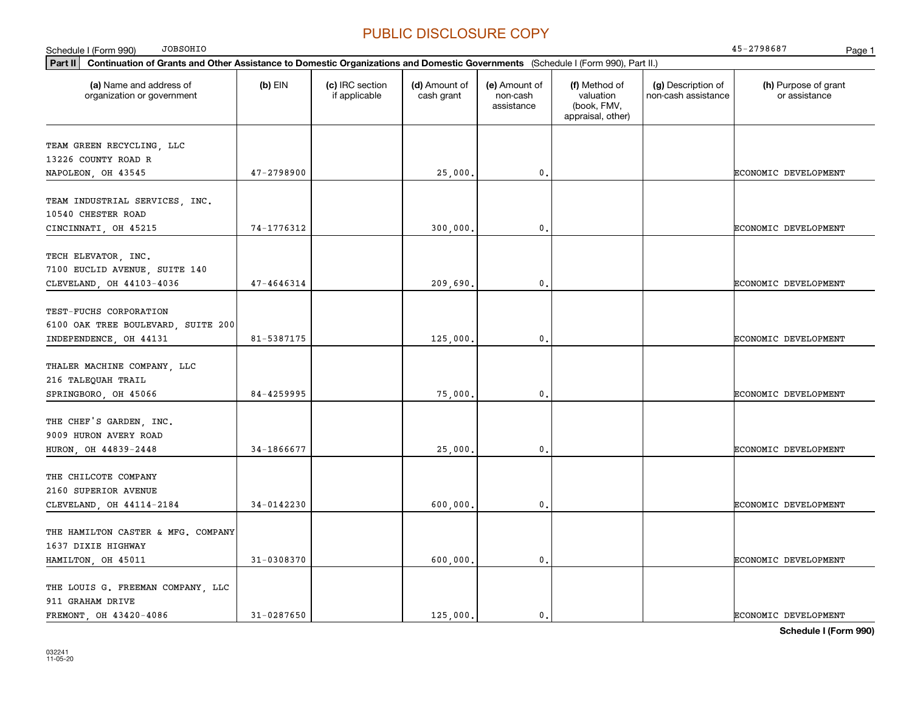| <b>JOBSOHIO</b><br>Schedule I (Form 990)                                                                                                    |                |                                  |                             |                                         |                                                                |                                           | 45-2798687<br>Page 1                  |
|---------------------------------------------------------------------------------------------------------------------------------------------|----------------|----------------------------------|-----------------------------|-----------------------------------------|----------------------------------------------------------------|-------------------------------------------|---------------------------------------|
| Part II<br>Continuation of Grants and Other Assistance to Domestic Organizations and Domestic Governments (Schedule I (Form 990), Part II.) |                |                                  |                             |                                         |                                                                |                                           |                                       |
| (a) Name and address of<br>organization or government                                                                                       | $(b)$ EIN      | (c) IRC section<br>if applicable | (d) Amount of<br>cash grant | (e) Amount of<br>non-cash<br>assistance | (f) Method of<br>valuation<br>(book, FMV,<br>appraisal, other) | (g) Description of<br>non-cash assistance | (h) Purpose of grant<br>or assistance |
| TEAM GREEN RECYCLING, LLC<br>13226 COUNTY ROAD R                                                                                            |                |                                  |                             |                                         |                                                                |                                           |                                       |
| NAPOLEON, OH 43545                                                                                                                          | 47-2798900     |                                  | 25,000                      | $\mathbf{0}$                            |                                                                |                                           | ECONOMIC DEVELOPMENT                  |
| TEAM INDUSTRIAL SERVICES, INC.<br>10540 CHESTER ROAD                                                                                        |                |                                  |                             |                                         |                                                                |                                           |                                       |
| CINCINNATI, OH 45215                                                                                                                        | 74-1776312     |                                  | 300,000                     | $\mathbf 0$ .                           |                                                                |                                           | ECONOMIC DEVELOPMENT                  |
| TECH ELEVATOR, INC.<br>7100 EUCLID AVENUE, SUITE 140<br>CLEVELAND, OH 44103-4036                                                            | 47-4646314     |                                  | 209,690.                    | $\mathbf{0}$ .                          |                                                                |                                           | ECONOMIC DEVELOPMENT                  |
| TEST-FUCHS CORPORATION<br>6100 OAK TREE BOULEVARD, SUITE 200<br>INDEPENDENCE, OH 44131                                                      | 81-5387175     |                                  | 125,000                     | $\mathbf{0}$ .                          |                                                                |                                           | ECONOMIC DEVELOPMENT                  |
| THALER MACHINE COMPANY, LLC<br>216 TALEQUAH TRAIL<br>SPRINGBORO, OH 45066                                                                   | 84-4259995     |                                  | 75,000                      | $\mathbf{0}$ .                          |                                                                |                                           | ECONOMIC DEVELOPMENT                  |
| THE CHEF'S GARDEN, INC.<br>9009 HURON AVERY ROAD<br>HURON, OH 44839-2448                                                                    | 34-1866677     |                                  | 25,000                      | $\mathfrak{o}$ .                        |                                                                |                                           | ECONOMIC DEVELOPMENT                  |
| THE CHILCOTE COMPANY<br>2160 SUPERIOR AVENUE<br>CLEVELAND, OH 44114-2184                                                                    | 34-0142230     |                                  | 600,000                     | $\mathbf{0}$ .                          |                                                                |                                           | ECONOMIC DEVELOPMENT                  |
| THE HAMILTON CASTER & MFG. COMPANY<br>1637 DIXIE HIGHWAY<br>HAMILTON, OH 45011                                                              | $31 - 0308370$ |                                  | 600,000,                    | $\mathbf{0}$ .                          |                                                                |                                           | ECONOMIC DEVELOPMENT                  |
| THE LOUIS G. FREEMAN COMPANY, LLC<br>911 GRAHAM DRIVE<br>FREMONT OH 43420-4086                                                              | $31 - 0287650$ |                                  | 125,000.                    | $\mathbf{0}$ .                          |                                                                |                                           | ECONOMIC DEVELOPMENT                  |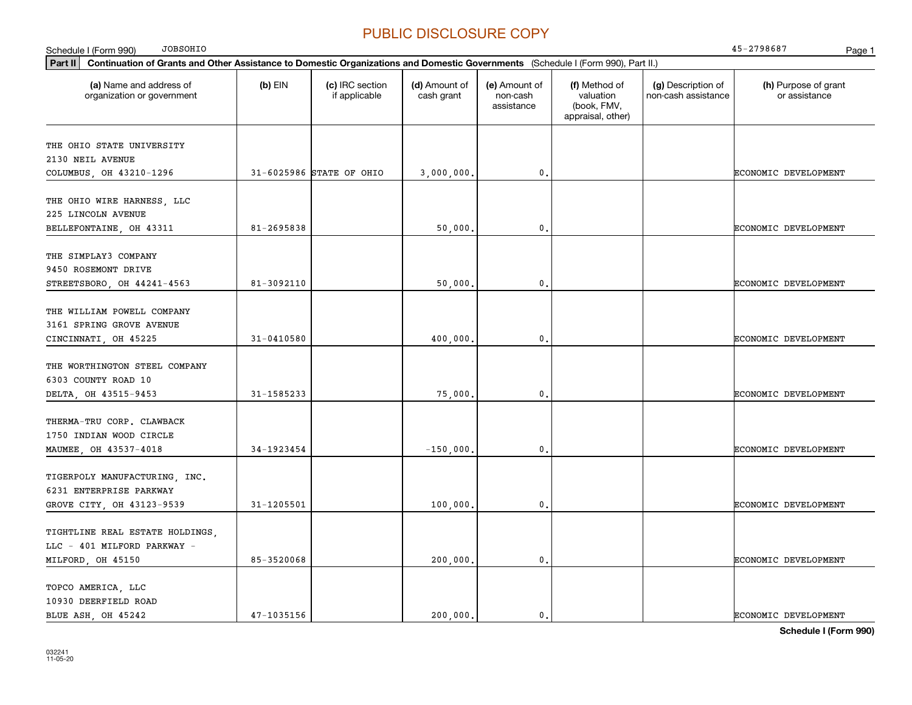| <b>JOBSOHIO</b><br>Schedule I (Form 990)                                                                                                    |                |                                  |                             |                                         |                                                                |                                           | 45-2798687<br>Page 1                  |
|---------------------------------------------------------------------------------------------------------------------------------------------|----------------|----------------------------------|-----------------------------|-----------------------------------------|----------------------------------------------------------------|-------------------------------------------|---------------------------------------|
| Part II<br>Continuation of Grants and Other Assistance to Domestic Organizations and Domestic Governments (Schedule I (Form 990), Part II.) |                |                                  |                             |                                         |                                                                |                                           |                                       |
| (a) Name and address of<br>organization or government                                                                                       | $(b)$ EIN      | (c) IRC section<br>if applicable | (d) Amount of<br>cash grant | (e) Amount of<br>non-cash<br>assistance | (f) Method of<br>valuation<br>(book, FMV,<br>appraisal, other) | (g) Description of<br>non-cash assistance | (h) Purpose of grant<br>or assistance |
| THE OHIO STATE UNIVERSITY                                                                                                                   |                |                                  |                             |                                         |                                                                |                                           |                                       |
| 2130 NEIL AVENUE                                                                                                                            |                |                                  |                             |                                         |                                                                |                                           |                                       |
| COLUMBUS, OH 43210-1296                                                                                                                     |                | 31-6025986 STATE OF OHIO         | 3,000,000.                  | $\mathbf{0}$ .                          |                                                                |                                           | ECONOMIC DEVELOPMENT                  |
| THE OHIO WIRE HARNESS, LLC                                                                                                                  |                |                                  |                             |                                         |                                                                |                                           |                                       |
| 225 LINCOLN AVENUE                                                                                                                          |                |                                  |                             |                                         |                                                                |                                           |                                       |
| BELLEFONTAINE, OH 43311                                                                                                                     | 81-2695838     |                                  | 50,000,                     | $\mathbf{0}$ .                          |                                                                |                                           | ECONOMIC DEVELOPMENT                  |
| THE SIMPLAY3 COMPANY                                                                                                                        |                |                                  |                             |                                         |                                                                |                                           |                                       |
| 9450 ROSEMONT DRIVE                                                                                                                         |                |                                  |                             |                                         |                                                                |                                           |                                       |
| STREETSBORO, OH 44241-4563                                                                                                                  | 81-3092110     |                                  | 50,000.                     | $\mathbf{0}$ .                          |                                                                |                                           | ECONOMIC DEVELOPMENT                  |
|                                                                                                                                             |                |                                  |                             |                                         |                                                                |                                           |                                       |
| THE WILLIAM POWELL COMPANY                                                                                                                  |                |                                  |                             |                                         |                                                                |                                           |                                       |
| 3161 SPRING GROVE AVENUE                                                                                                                    |                |                                  |                             |                                         |                                                                |                                           |                                       |
| CINCINNATI, OH 45225                                                                                                                        | $31 - 0410580$ |                                  | 400.000,                    | 0.                                      |                                                                |                                           | ECONOMIC DEVELOPMENT                  |
| THE WORTHINGTON STEEL COMPANY                                                                                                               |                |                                  |                             |                                         |                                                                |                                           |                                       |
| 6303 COUNTY ROAD 10                                                                                                                         |                |                                  |                             |                                         |                                                                |                                           |                                       |
| DELTA, OH 43515-9453                                                                                                                        | 31-1585233     |                                  | 75,000.                     | $\mathbf{0}$ .                          |                                                                |                                           | ECONOMIC DEVELOPMENT                  |
|                                                                                                                                             |                |                                  |                             |                                         |                                                                |                                           |                                       |
| THERMA-TRU CORP. CLAWBACK                                                                                                                   |                |                                  |                             |                                         |                                                                |                                           |                                       |
| 1750 INDIAN WOOD CIRCLE                                                                                                                     |                |                                  |                             |                                         |                                                                |                                           |                                       |
| MAUMEE, OH 43537-4018                                                                                                                       | 34-1923454     |                                  | $-150,000.$                 | $\mathbf{0}$ .                          |                                                                |                                           | ECONOMIC DEVELOPMENT                  |
| TIGERPOLY MANUFACTURING, INC.                                                                                                               |                |                                  |                             |                                         |                                                                |                                           |                                       |
| 6231 ENTERPRISE PARKWAY                                                                                                                     |                |                                  |                             |                                         |                                                                |                                           |                                       |
| GROVE CITY, OH 43123-9539                                                                                                                   | 31-1205501     |                                  | 100,000,                    | $\mathbf{0}$ .                          |                                                                |                                           | ECONOMIC DEVELOPMENT                  |
|                                                                                                                                             |                |                                  |                             |                                         |                                                                |                                           |                                       |
| TIGHTLINE REAL ESTATE HOLDINGS,<br>LLC - 401 MILFORD PARKWAY -                                                                              |                |                                  |                             |                                         |                                                                |                                           |                                       |
| MILFORD, OH 45150                                                                                                                           | 85-3520068     |                                  | 200,000.                    | $\mathbf{0}$ .                          |                                                                |                                           | ECONOMIC DEVELOPMENT                  |
|                                                                                                                                             |                |                                  |                             |                                         |                                                                |                                           |                                       |
| TOPCO AMERICA, LLC                                                                                                                          |                |                                  |                             |                                         |                                                                |                                           |                                       |
| 10930 DEERFIELD ROAD                                                                                                                        |                |                                  |                             |                                         |                                                                |                                           |                                       |
| BLUE ASH OH 45242                                                                                                                           | $47 - 1035156$ |                                  | 200.000.                    | $\mathbf{0}$ .                          |                                                                |                                           | ECONOMIC DEVELOPMENT                  |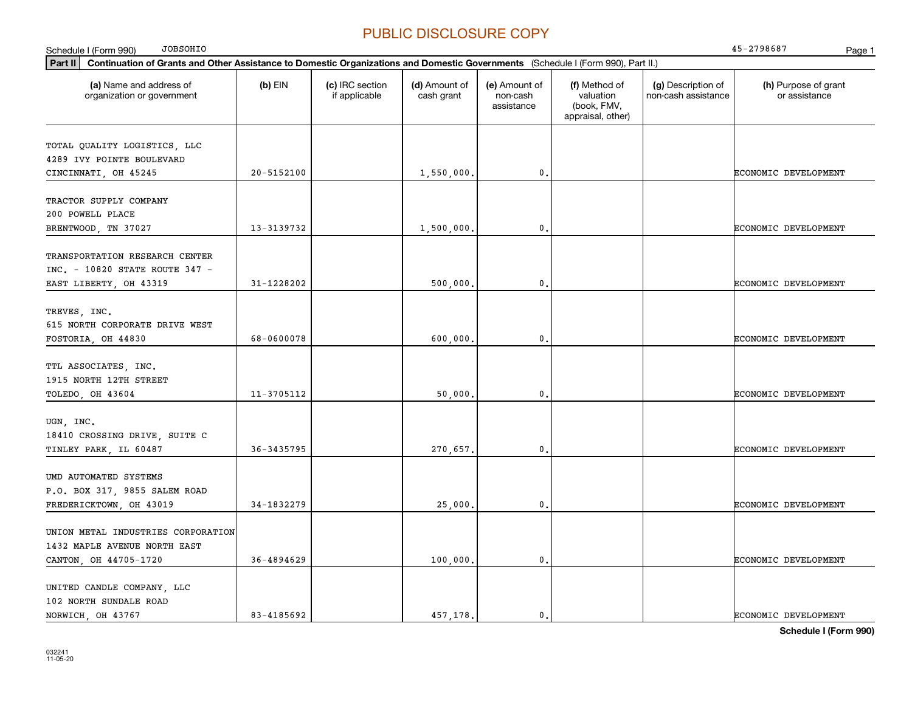| <b>JOBSOHIO</b><br>Schedule I (Form 990)                                                                                                    |            |                                  |                             |                                         |                                                                |                                           | 45-2798687<br>Page 1                  |
|---------------------------------------------------------------------------------------------------------------------------------------------|------------|----------------------------------|-----------------------------|-----------------------------------------|----------------------------------------------------------------|-------------------------------------------|---------------------------------------|
| Part II<br>Continuation of Grants and Other Assistance to Domestic Organizations and Domestic Governments (Schedule I (Form 990), Part II.) |            |                                  |                             |                                         |                                                                |                                           |                                       |
| (a) Name and address of<br>organization or government                                                                                       | $(b)$ EIN  | (c) IRC section<br>if applicable | (d) Amount of<br>cash grant | (e) Amount of<br>non-cash<br>assistance | (f) Method of<br>valuation<br>(book, FMV,<br>appraisal, other) | (g) Description of<br>non-cash assistance | (h) Purpose of grant<br>or assistance |
| TOTAL QUALITY LOGISTICS, LLC<br>4289 IVY POINTE BOULEVARD                                                                                   | 20-5152100 |                                  |                             | $\mathbf 0$ .                           |                                                                |                                           |                                       |
| CINCINNATI, OH 45245                                                                                                                        |            |                                  | 1,550,000.                  |                                         |                                                                |                                           | ECONOMIC DEVELOPMENT                  |
| TRACTOR SUPPLY COMPANY<br>200 POWELL PLACE                                                                                                  |            |                                  |                             |                                         |                                                                |                                           |                                       |
| BRENTWOOD, TN 37027                                                                                                                         | 13-3139732 |                                  | 1,500,000                   | $\mathbf 0$ .                           |                                                                |                                           | ECONOMIC DEVELOPMENT                  |
| TRANSPORTATION RESEARCH CENTER<br>INC. - 10820 STATE ROUTE 347 -<br>EAST LIBERTY, OH 43319                                                  | 31-1228202 |                                  | 500,000.                    | $\mathbf{0}$ .                          |                                                                |                                           | ECONOMIC DEVELOPMENT                  |
| TREVES, INC.<br>615 NORTH CORPORATE DRIVE WEST<br>FOSTORIA, OH 44830                                                                        | 68-0600078 |                                  | 600,000                     | $\mathbf 0$ .                           |                                                                |                                           | ECONOMIC DEVELOPMENT                  |
| TTL ASSOCIATES, INC.<br>1915 NORTH 12TH STREET<br>TOLEDO, OH 43604                                                                          | 11-3705112 |                                  | 50,000                      | $\mathbf{0}$ .                          |                                                                |                                           | ECONOMIC DEVELOPMENT                  |
| UGN, INC.<br>18410 CROSSING DRIVE, SUITE C<br>TINLEY PARK, IL 60487                                                                         | 36-3435795 |                                  | 270,657.                    | $\mathbf{0}$ .                          |                                                                |                                           | ECONOMIC DEVELOPMENT                  |
| UMD AUTOMATED SYSTEMS<br>P.O. BOX 317, 9855 SALEM ROAD<br>FREDERICKTOWN, OH 43019                                                           | 34-1832279 |                                  | 25,000                      | $\mathfrak{o}$ .                        |                                                                |                                           | ECONOMIC DEVELOPMENT                  |
| UNION METAL INDUSTRIES CORPORATION<br>1432 MAPLE AVENUE NORTH EAST<br>CANTON, OH 44705-1720                                                 | 36-4894629 |                                  | 100,000.                    | $\mathbf{0}$ .                          |                                                                |                                           | ECONOMIC DEVELOPMENT                  |
|                                                                                                                                             |            |                                  |                             |                                         |                                                                |                                           |                                       |
| UNITED CANDLE COMPANY, LLC<br>102 NORTH SUNDALE ROAD<br>NORWICH OH 43767                                                                    | 83-4185692 |                                  | 457,178.                    | $\mathbf{0}$ .                          |                                                                |                                           | ECONOMIC DEVELOPMENT                  |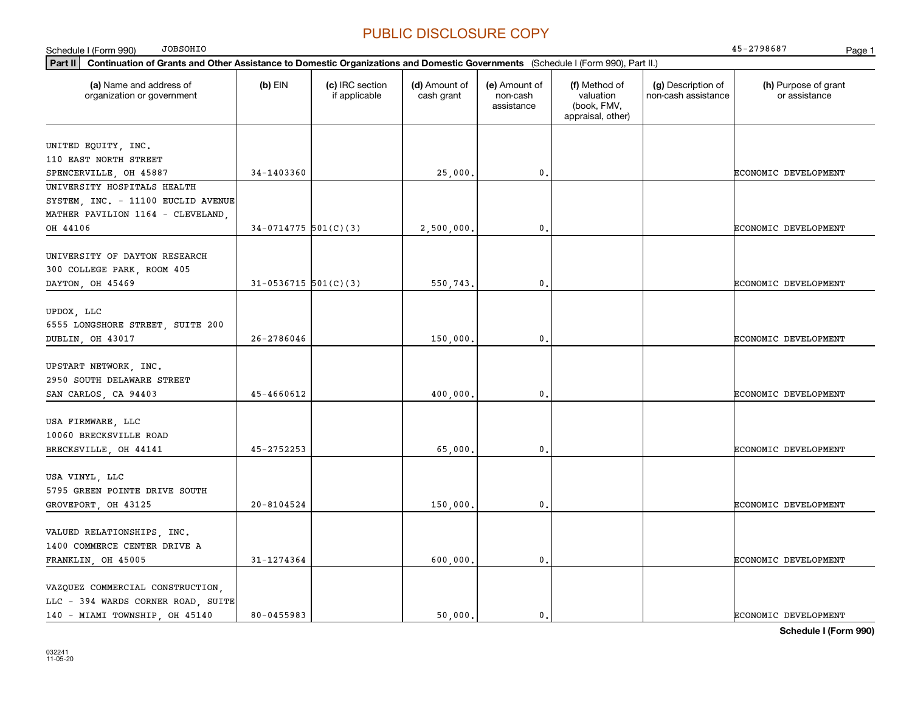| <b>JOBSOHIO</b><br>Schedule I (Form 990)                                                                                                    |                          |                                  |                             |                                         |                                                                |                                           | 45-2798687<br>Page 1                  |
|---------------------------------------------------------------------------------------------------------------------------------------------|--------------------------|----------------------------------|-----------------------------|-----------------------------------------|----------------------------------------------------------------|-------------------------------------------|---------------------------------------|
| Part II<br>Continuation of Grants and Other Assistance to Domestic Organizations and Domestic Governments (Schedule I (Form 990), Part II.) |                          |                                  |                             |                                         |                                                                |                                           |                                       |
| (a) Name and address of<br>organization or government                                                                                       | $(b)$ EIN                | (c) IRC section<br>if applicable | (d) Amount of<br>cash grant | (e) Amount of<br>non-cash<br>assistance | (f) Method of<br>valuation<br>(book, FMV,<br>appraisal, other) | (g) Description of<br>non-cash assistance | (h) Purpose of grant<br>or assistance |
| UNITED EQUITY, INC.<br>110 EAST NORTH STREET                                                                                                |                          |                                  |                             |                                         |                                                                |                                           |                                       |
| SPENCERVILLE, OH 45887                                                                                                                      | 34-1403360               |                                  | 25,000.                     | 0.                                      |                                                                |                                           | ECONOMIC DEVELOPMENT                  |
| UNIVERSITY HOSPITALS HEALTH<br>SYSTEM, INC. - 11100 EUCLID AVENUE<br>MATHER PAVILION 1164 - CLEVELAND,                                      |                          |                                  |                             |                                         |                                                                |                                           |                                       |
| OH 44106                                                                                                                                    | $34-0714775$ 501(C)(3)   |                                  | 2,500,000.                  | $\mathbf{0}$ .                          |                                                                |                                           | ECONOMIC DEVELOPMENT                  |
| UNIVERSITY OF DAYTON RESEARCH<br>300 COLLEGE PARK, ROOM 405<br>DAYTON, OH 45469                                                             | $31 - 0536715$ 501(C)(3) |                                  | 550,743.                    | $\mathbf{0}$ .                          |                                                                |                                           | ECONOMIC DEVELOPMENT                  |
| UPDOX, LLC<br>6555 LONGSHORE STREET, SUITE 200<br>DUBLIN, OH 43017                                                                          | $26 - 2786046$           |                                  | 150,000.                    | $\mathfrak o$ .                         |                                                                |                                           | ECONOMIC DEVELOPMENT                  |
| UPSTART NETWORK, INC.<br>2950 SOUTH DELAWARE STREET<br>SAN CARLOS, CA 94403                                                                 | 45-4660612               |                                  | 400,000                     | $\mathfrak o$ .                         |                                                                |                                           | ECONOMIC DEVELOPMENT                  |
| USA FIRMWARE, LLC<br>10060 BRECKSVILLE ROAD<br>BRECKSVILLE, OH 44141                                                                        | $45 - 2752253$           |                                  | 65,000.                     | $\mathbf{0}$ .                          |                                                                |                                           | ECONOMIC DEVELOPMENT                  |
| USA VINYL, LLC<br>5795 GREEN POINTE DRIVE SOUTH<br>GROVEPORT, OH 43125                                                                      | $20 - 8104524$           |                                  | 150,000.                    | $\mathbf{0}$ .                          |                                                                |                                           | ECONOMIC DEVELOPMENT                  |
| VALUED RELATIONSHIPS, INC.<br>1400 COMMERCE CENTER DRIVE A<br>FRANKLIN, OH 45005                                                            | 31-1274364               |                                  | 600,000.                    | $\mathbf{0}$ .                          |                                                                |                                           | ECONOMIC DEVELOPMENT                  |
| VAZQUEZ COMMERCIAL CONSTRUCTION.<br>LLC - 394 WARDS CORNER ROAD, SUITE<br>140 - MIAMI TOWNSHIP, OH 45140                                    | 80-0455983               |                                  | 50,000.                     | $\mathbf{0}$ .                          |                                                                |                                           | ECONOMIC DEVELOPMENT                  |

**Schedule I (Form 990)**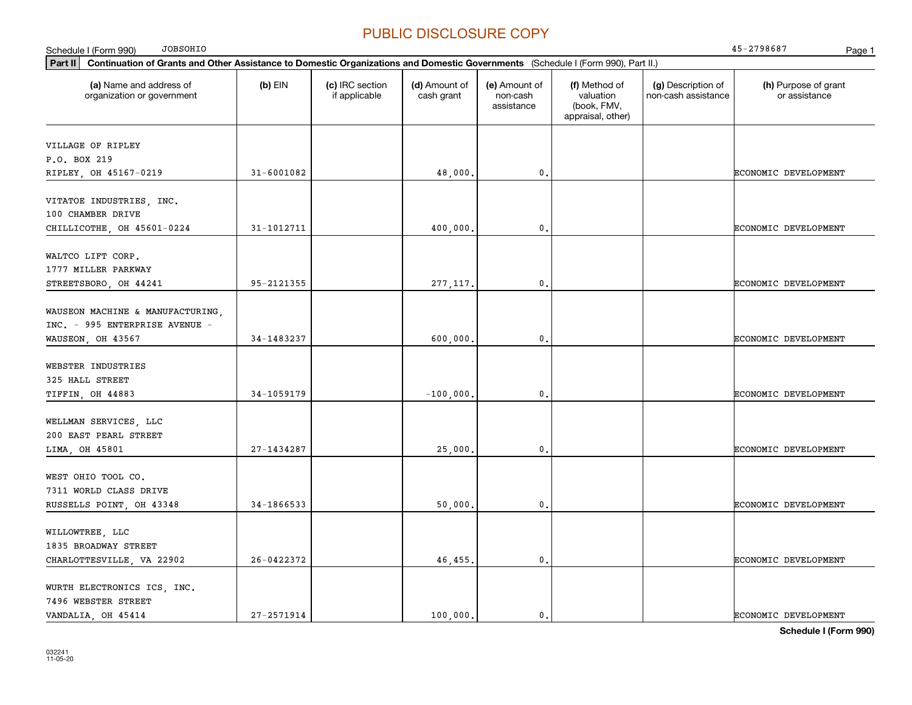| <b>JOBSOHIO</b><br>Schedule I (Form 990)                                                                                                                                                             |                |                                  |                             |                                         |                                                                |                                           | 45-2798687<br>Page 1                  |
|------------------------------------------------------------------------------------------------------------------------------------------------------------------------------------------------------|----------------|----------------------------------|-----------------------------|-----------------------------------------|----------------------------------------------------------------|-------------------------------------------|---------------------------------------|
| Continuation of Grants and Other Assistance to Domestic Organizations and Domestic Governments (Schedule I (Form 990), Part II.)<br>Part II<br>(a) Name and address of<br>organization or government | (b) EIN        | (c) IRC section<br>if applicable | (d) Amount of<br>cash grant | (e) Amount of<br>non-cash<br>assistance | (f) Method of<br>valuation<br>(book, FMV,<br>appraisal, other) | (g) Description of<br>non-cash assistance | (h) Purpose of grant<br>or assistance |
| VILLAGE OF RIPLEY<br>P.O. BOX 219                                                                                                                                                                    |                |                                  |                             |                                         |                                                                |                                           |                                       |
| RIPLEY, OH 45167-0219<br>VITATOE INDUSTRIES, INC.<br>100 CHAMBER DRIVE                                                                                                                               | 31-6001082     |                                  | 48,000.                     | $\mathbf{0}$                            |                                                                |                                           | ECONOMIC DEVELOPMENT                  |
| CHILLICOTHE, OH 45601-0224                                                                                                                                                                           | 31-1012711     |                                  | 400,000.                    | $\mathbf 0$ .                           |                                                                |                                           | ECONOMIC DEVELOPMENT                  |
| WALTCO LIFT CORP.<br>1777 MILLER PARKWAY<br>STREETSBORO, OH 44241                                                                                                                                    | 95-2121355     |                                  | 277, 117.                   | 0.                                      |                                                                |                                           | ECONOMIC DEVELOPMENT                  |
| WAUSEON MACHINE & MANUFACTURING,<br>INC. - 995 ENTERPRISE AVENUE -<br>WAUSEON, OH 43567                                                                                                              | 34-1483237     |                                  | 600,000.                    | $\mathbf 0$ .                           |                                                                |                                           | ECONOMIC DEVELOPMENT                  |
| WEBSTER INDUSTRIES<br>325 HALL STREET<br>TIFFIN, OH 44883                                                                                                                                            | 34-1059179     |                                  | $-100,000,$                 | $\mathbf 0$ .                           |                                                                |                                           | ECONOMIC DEVELOPMENT                  |
| WELLMAN SERVICES, LLC<br>200 EAST PEARL STREET                                                                                                                                                       | $27 - 1434287$ |                                  |                             | $\mathbf 0$ .                           |                                                                |                                           | ECONOMIC DEVELOPMENT                  |
| LIMA, OH 45801<br>WEST OHIO TOOL CO.<br>7311 WORLD CLASS DRIVE                                                                                                                                       |                |                                  | 25,000.                     |                                         |                                                                |                                           |                                       |
| RUSSELLS POINT, OH 43348<br>WILLOWTREE, LLC<br>1835 BROADWAY STREET                                                                                                                                  | 34-1866533     |                                  | 50,000.                     | $\mathbf{0}$ .                          |                                                                |                                           | ECONOMIC DEVELOPMENT                  |
| CHARLOTTESVILLE, VA 22902<br>WURTH ELECTRONICS ICS, INC.<br>7496 WEBSTER STREET                                                                                                                      | 26-0422372     |                                  | 46,455.                     | 0.                                      |                                                                |                                           | ECONOMIC DEVELOPMENT                  |
| VANDALIA, OH 45414                                                                                                                                                                                   | 27-2571914     |                                  | 100,000.                    | 0.                                      |                                                                |                                           | <b>ECONOMIC DEVELOPMENT</b>           |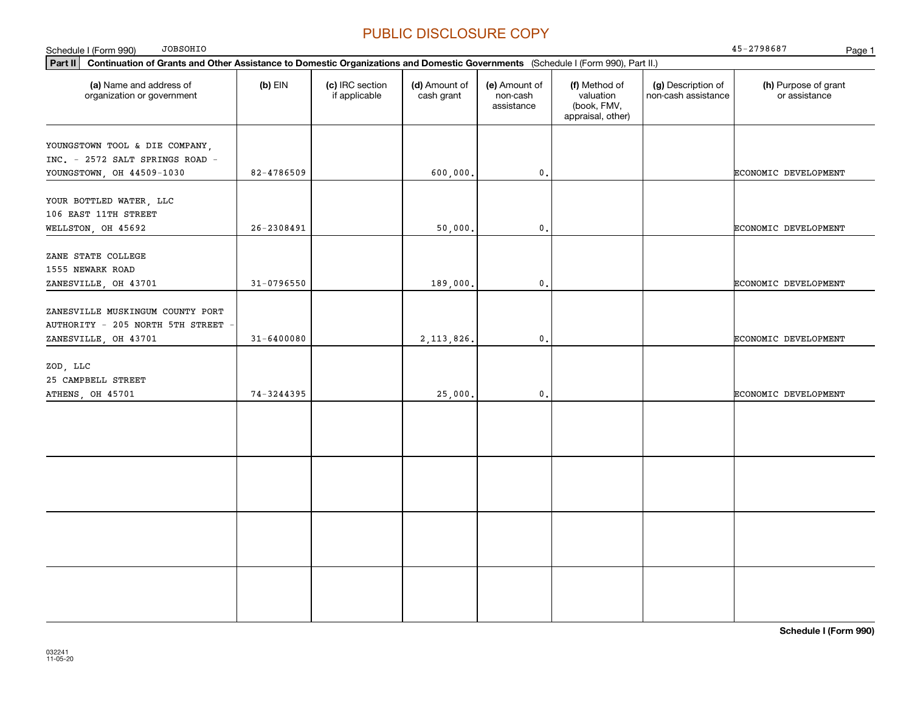**Part II Continuation of Grants and Other Assistance to Domestic Organizations and Domestic Governments**  (Schedule I (Form 990), Part II.) **(a) (b) (c) (d) (e) (f) (g) (h)** Name and address of Schedule I (Form 990) Page 1 organization or government  $(b)$  EIN  $(c)$  IRC section if applicable (d) Amount of cash grant (e) Amount of non-cash assistance(f) Method of valuation (book, FMV, appraisal, other) (g) Description of non-cash assistance (h) Purpose of grant or assistance JOBSOHIOYOUNGSTOWN TOOL & DIE COMPANY, INC. - 2572 SALT SPRINGS ROAD - YOUNGSTOWN OH 44509-1030 82-4786509 82-4786509 600,000. 0. 0. YOUR BOTTLED WATER, LLC 106 EAST 11TH STREET WELLSTON OH 45692 26-2308491 26-2308491 50000. 0. OUNDER THE ECONOMIC DEVELOPMENT ZANE STATE COLLEGE 1555 NEWARK ROAD ZANESVILLE OH 43701 31-0796550 31-0796550 31-0796550 31-0796550 31 31 39 000. ZANESVILLE MUSKINGUM COUNTY PORT AUTHORITY - 205 NORTH 5TH STREET ZANESVILLE OH 43701 31-6400080 31-6400080 31-6400080 2,113,826. 0. ZOD, LLC 25 CAMPBELL STREET ATHENS, OH 45701 74-3244395 25,000. 0. ECONOMIC DEVELOPMENT 45-2798687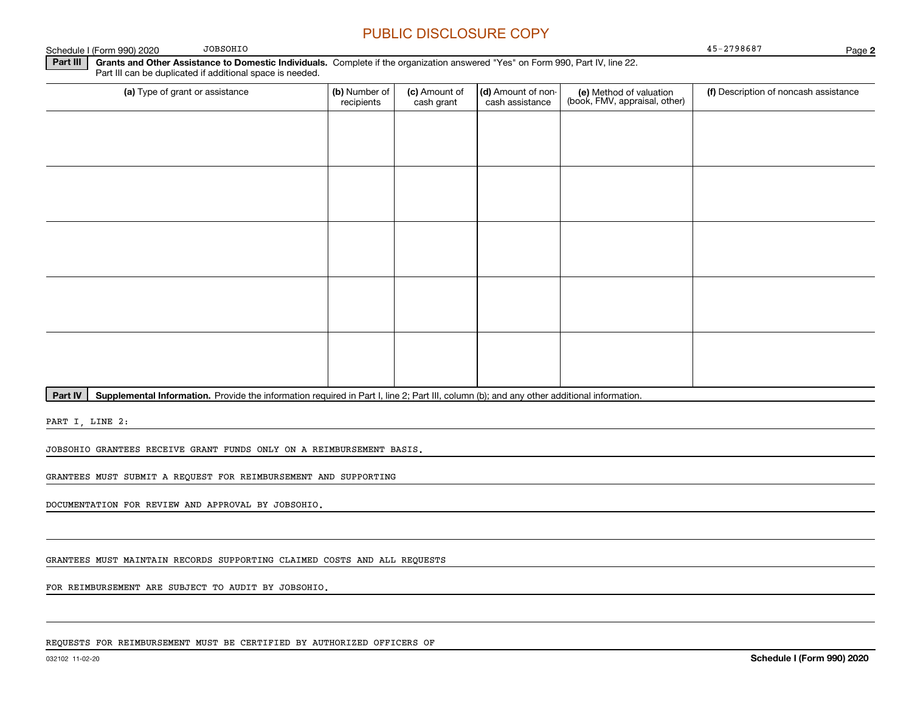Schedule I (Form 990) 2020 Page 45-2798687

**2**

**Part III | Grants and Other Assistance to Domestic Individuals. Complete if the organization answered "Yes" on Form 990, Part IV, line 22.** Part III can be duplicated if additional space is needed.

| (a) Type of grant or assistance | (b) Number of<br>recipients | (c) Amount of<br>cash grant | (d) Amount of non-<br>cash assistance | (e) Method of valuation<br>(book, FMV, appraisal, other) | (f) Description of noncash assistance |
|---------------------------------|-----------------------------|-----------------------------|---------------------------------------|----------------------------------------------------------|---------------------------------------|
|                                 |                             |                             |                                       |                                                          |                                       |
|                                 |                             |                             |                                       |                                                          |                                       |
|                                 |                             |                             |                                       |                                                          |                                       |
|                                 |                             |                             |                                       |                                                          |                                       |
|                                 |                             |                             |                                       |                                                          |                                       |
|                                 |                             |                             |                                       |                                                          |                                       |
|                                 |                             |                             |                                       |                                                          |                                       |
|                                 |                             |                             |                                       |                                                          |                                       |
|                                 |                             |                             |                                       |                                                          |                                       |
|                                 |                             |                             |                                       |                                                          |                                       |

**Part IV** | Supplemental Information. Provide the information required in Part I, line 2; Part III, column (b); and any other additional information.<br>

PART I, LINE 2:

JOBSOHIO GRANTEES RECEIVE GRANT FUNDS ONLY ON A REIMBURSEMENT BASIS.

JOBSOHIO

GRANTEES MUST SUBMIT A REQUEST FOR REIMBURSEMENT AND SUPPORTING

DOCUMENTATION FOR REVIEW AND APPROVAL BY JOBSOHIO.

GRANTEES MUST MAINTAIN RECORDS SUPPORTING CLAIMED COSTS AND ALL REQUESTS

FOR REIMBURSEMENT ARE SUBJECT TO AUDIT BY JOBSOHIO.

REQUESTS FOR REIMBURSEMENT MUST BE CERTIFIED BY AUTHORIZED OFFICERS OF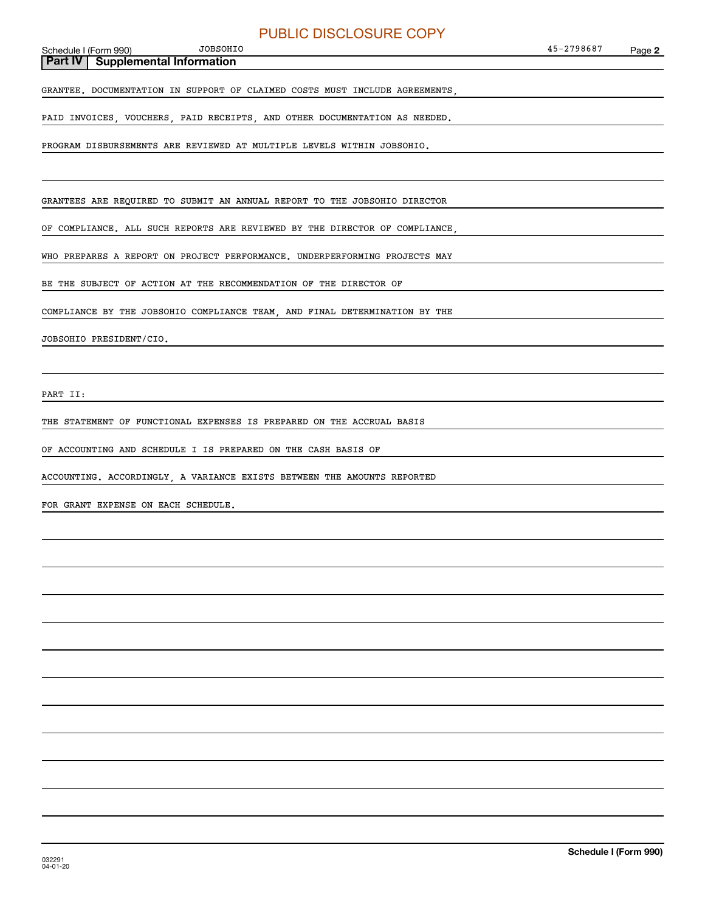#### Schedule I (Form 990) JOBSOHIO

**Part IV Supplemental Information**

GRANTEE. DOCUMENTATION IN SUPPORT OF CLAIMED COSTS MUST INCLUDE AGREEMENTS,

PAID INVOICES, VOUCHERS, PAID RECEIPTS, AND OTHER DOCUMENTATION AS NEEDED.

PROGRAM DISBURSEMENTS ARE REVIEWED AT MULTIPLE LEVELS WITHIN JOBSOHIO.

GRANTEES ARE REQUIRED TO SUBMIT AN ANNUAL REPORT TO THE JOBSOHIO DIRECTOR

OF COMPLIANCE. ALL SUCH REPORTS ARE REVIEWED BY THE DIRECTOR OF COMPLIANCE,

WHO PREPARES A REPORT ON PROJECT PERFORMANCE. UNDERPERFORMING PROJECTS MAY

BE THE SUBJECT OF ACTION AT THE RECOMMENDATION OF THE DIRECTOR OF

COMPLIANCE BY THE JOBSOHIO COMPLIANCE TEAM, AND FINAL DETERMINATION BY THE

JOBSOHIO PRESIDENT/CIO.

PART II:

THE STATEMENT OF FUNCTIONAL EXPENSES IS PREPARED ON THE ACCRUAL BASIS

OF ACCOUNTING AND SCHEDULE I IS PREPARED ON THE CASH BASIS OF

ACCOUNTING. ACCORDINGLY, A VARIANCE EXISTS BETWEEN THE AMOUNTS REPORTED

FOR GRANT EXPENSE ON EACH SCHEDULE.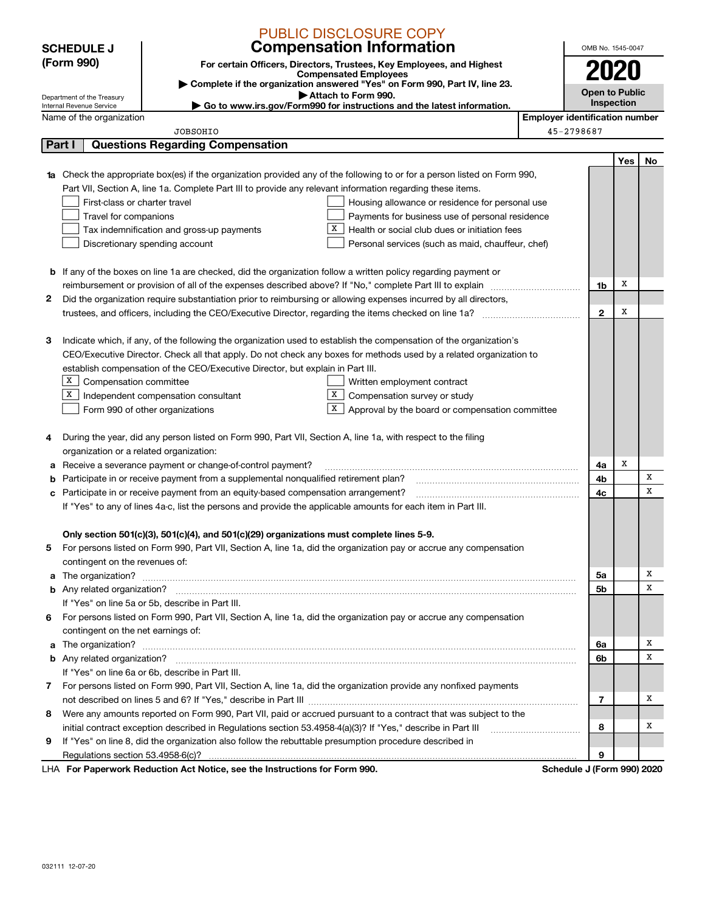|   |                                                      | <b>PUBLIC DISCLOSURE COPY</b>                                                                                                                                                                        |                                       |                                     |     |    |  |
|---|------------------------------------------------------|------------------------------------------------------------------------------------------------------------------------------------------------------------------------------------------------------|---------------------------------------|-------------------------------------|-----|----|--|
|   | <b>SCHEDULE J</b>                                    | <b>Compensation Information</b>                                                                                                                                                                      |                                       | OMB No. 1545-0047                   |     |    |  |
|   | (Form 990)                                           | For certain Officers, Directors, Trustees, Key Employees, and Highest                                                                                                                                |                                       |                                     |     |    |  |
|   |                                                      | <b>Compensated Employees</b><br>Complete if the organization answered "Yes" on Form 990, Part IV, line 23.                                                                                           |                                       |                                     |     |    |  |
|   | Department of the Treasury                           | Attach to Form 990.                                                                                                                                                                                  |                                       | <b>Open to Public</b><br>Inspection |     |    |  |
|   | Internal Revenue Service<br>Name of the organization | Go to www.irs.gov/Form990 for instructions and the latest information.                                                                                                                               | <b>Employer identification number</b> |                                     |     |    |  |
|   |                                                      | <b>JOBSOHIO</b>                                                                                                                                                                                      |                                       | 45-2798687                          |     |    |  |
|   | Part I                                               | <b>Questions Regarding Compensation</b>                                                                                                                                                              |                                       |                                     |     |    |  |
|   |                                                      |                                                                                                                                                                                                      |                                       |                                     | Yes | No |  |
|   |                                                      | 1a Check the appropriate box(es) if the organization provided any of the following to or for a person listed on Form 990,                                                                            |                                       |                                     |     |    |  |
|   |                                                      | Part VII, Section A, line 1a. Complete Part III to provide any relevant information regarding these items.                                                                                           |                                       |                                     |     |    |  |
|   | First-class or charter travel                        | Housing allowance or residence for personal use                                                                                                                                                      |                                       |                                     |     |    |  |
|   | Travel for companions                                | Payments for business use of personal residence                                                                                                                                                      |                                       |                                     |     |    |  |
|   |                                                      | Health or social club dues or initiation fees<br>Tax indemnification and gross-up payments                                                                                                           |                                       |                                     |     |    |  |
|   |                                                      | Discretionary spending account<br>Personal services (such as maid, chauffeur, chef)                                                                                                                  |                                       |                                     |     |    |  |
|   |                                                      |                                                                                                                                                                                                      |                                       |                                     |     |    |  |
|   |                                                      | <b>b</b> If any of the boxes on line 1a are checked, did the organization follow a written policy regarding payment or                                                                               |                                       |                                     |     |    |  |
|   |                                                      |                                                                                                                                                                                                      |                                       | 1b                                  | X   |    |  |
| 2 |                                                      | Did the organization require substantiation prior to reimbursing or allowing expenses incurred by all directors,                                                                                     |                                       |                                     |     |    |  |
|   |                                                      |                                                                                                                                                                                                      |                                       | $\mathbf{2}$                        | x   |    |  |
|   |                                                      |                                                                                                                                                                                                      |                                       |                                     |     |    |  |
| з |                                                      | Indicate which, if any, of the following the organization used to establish the compensation of the organization's                                                                                   |                                       |                                     |     |    |  |
|   |                                                      | CEO/Executive Director. Check all that apply. Do not check any boxes for methods used by a related organization to<br>establish compensation of the CEO/Executive Director, but explain in Part III. |                                       |                                     |     |    |  |
|   | x<br>Compensation committee                          |                                                                                                                                                                                                      |                                       |                                     |     |    |  |
|   | Х                                                    | Written employment contract<br>Compensation survey or study<br>Independent compensation consultant<br>X                                                                                              |                                       |                                     |     |    |  |
|   |                                                      | $\mathbf{x}$<br>Approval by the board or compensation committee<br>Form 990 of other organizations                                                                                                   |                                       |                                     |     |    |  |
|   |                                                      |                                                                                                                                                                                                      |                                       |                                     |     |    |  |
| 4 |                                                      | During the year, did any person listed on Form 990, Part VII, Section A, line 1a, with respect to the filing                                                                                         |                                       |                                     |     |    |  |
|   | organization or a related organization:              |                                                                                                                                                                                                      |                                       |                                     |     |    |  |
| а |                                                      | Receive a severance payment or change-of-control payment?                                                                                                                                            |                                       | 4a                                  | X   |    |  |
| b |                                                      | Participate in or receive payment from a supplemental nonqualified retirement plan?                                                                                                                  |                                       | 4b                                  |     | x  |  |
| c |                                                      | Participate in or receive payment from an equity-based compensation arrangement?                                                                                                                     |                                       | 4c                                  |     | x  |  |
|   |                                                      | If "Yes" to any of lines 4a-c, list the persons and provide the applicable amounts for each item in Part III.                                                                                        |                                       |                                     |     |    |  |
|   |                                                      |                                                                                                                                                                                                      |                                       |                                     |     |    |  |
|   |                                                      | Only section 501(c)(3), 501(c)(4), and 501(c)(29) organizations must complete lines 5-9.                                                                                                             |                                       |                                     |     |    |  |
| 5 |                                                      | For persons listed on Form 990, Part VII, Section A, line 1a, did the organization pay or accrue any compensation                                                                                    |                                       |                                     |     |    |  |
|   | contingent on the revenues of:                       |                                                                                                                                                                                                      |                                       |                                     |     |    |  |
| a |                                                      |                                                                                                                                                                                                      |                                       | 5а                                  |     | х  |  |
|   |                                                      |                                                                                                                                                                                                      |                                       | 5b                                  |     | х  |  |
|   |                                                      | If "Yes" on line 5a or 5b, describe in Part III.                                                                                                                                                     |                                       |                                     |     |    |  |
| 6 |                                                      | For persons listed on Form 990, Part VII, Section A, line 1a, did the organization pay or accrue any compensation                                                                                    |                                       |                                     |     |    |  |
|   | contingent on the net earnings of:                   |                                                                                                                                                                                                      |                                       |                                     |     | х  |  |
| a |                                                      |                                                                                                                                                                                                      |                                       | 6a<br>6b                            |     | х  |  |
|   |                                                      | If "Yes" on line 6a or 6b, describe in Part III.                                                                                                                                                     |                                       |                                     |     |    |  |
|   |                                                      | 7 For persons listed on Form 990, Part VII, Section A, line 1a, did the organization provide any nonfixed payments                                                                                   |                                       |                                     |     |    |  |
|   |                                                      |                                                                                                                                                                                                      |                                       | 7                                   |     | х  |  |
| 8 |                                                      | Were any amounts reported on Form 990, Part VII, paid or accrued pursuant to a contract that was subject to the                                                                                      |                                       |                                     |     |    |  |
|   |                                                      | initial contract exception described in Regulations section 53.4958-4(a)(3)? If "Yes," describe in Part III                                                                                          |                                       | 8                                   |     | х  |  |
| 9 |                                                      | If "Yes" on line 8, did the organization also follow the rebuttable presumption procedure described in                                                                                               |                                       |                                     |     |    |  |
|   |                                                      |                                                                                                                                                                                                      |                                       | 9                                   |     |    |  |
|   |                                                      | LHA For Paperwork Reduction Act Notice, see the Instructions for Form 990.                                                                                                                           |                                       | Schedule J (Form 990) 2020          |     |    |  |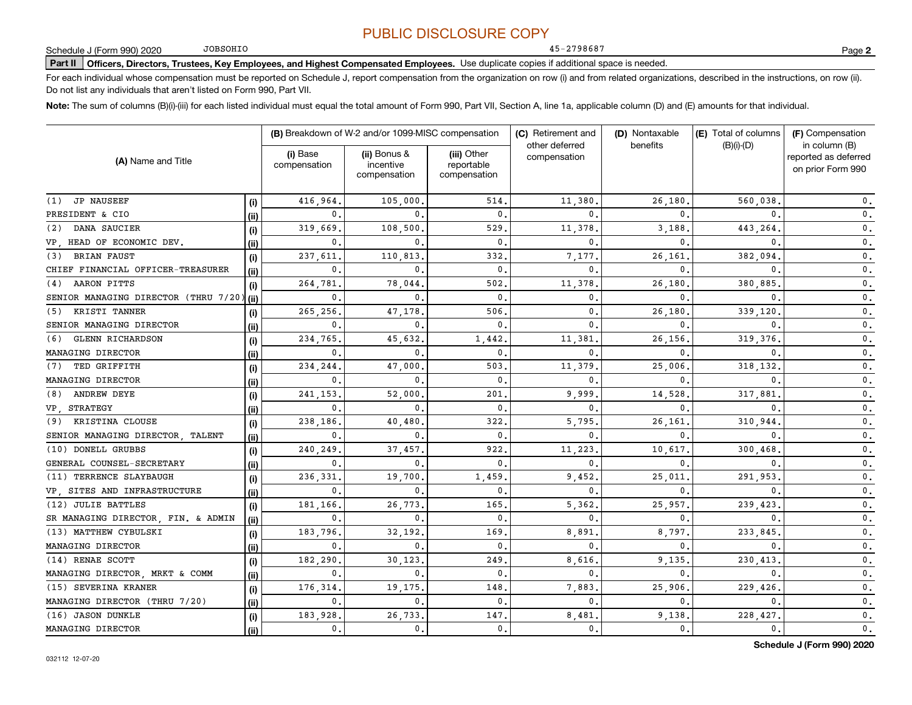45-2798687

JOBSOHIO

**Part II Officers, Directors, Trustees, Key Employees, and Highest Compensated Employees.**  Schedule J (Form 990) 2020 Page Use duplicate copies if additional space is needed.

For each individual whose compensation must be reported on Schedule J, report compensation from the organization on row (i) and from related organizations, described in the instructions, on row (ii). Do not list any individuals that aren't listed on Form 990, Part VII.

**Note:**  The sum of columns (B)(i)-(iii) for each listed individual must equal the total amount of Form 990, Part VII, Section A, line 1a, applicable column (D) and (E) amounts for that individual.

| (A) Name and Title                   |        |                          | (B) Breakdown of W-2 and/or 1099-MISC compensation |                                           | (C) Retirement and<br>other deferred<br>compensation | (D) Nontaxable<br>benefits | (E) Total of columns<br>$(B)(i)-(D)$ | (F) Compensation<br>in column (B)<br>reported as deferred<br>on prior Form 990 |
|--------------------------------------|--------|--------------------------|----------------------------------------------------|-------------------------------------------|------------------------------------------------------|----------------------------|--------------------------------------|--------------------------------------------------------------------------------|
|                                      |        | (i) Base<br>compensation | (ii) Bonus &<br>incentive<br>compensation          | (iii) Other<br>reportable<br>compensation |                                                      |                            |                                      |                                                                                |
| <b>JP NAUSEEF</b><br>(1)             | (i)    | 416,964                  | 105,000                                            | 514                                       | 11,380                                               | 26.180                     | 560,038                              | 0.                                                                             |
| PRESIDENT & CIO                      | (ii)   | 0.                       | $\Omega$                                           | $\mathbf{0}$                              | 0                                                    | $\Omega$                   |                                      | 0.                                                                             |
| DANA SAUCIER<br>(2)                  | (i)    | 319,669                  | 108,500                                            | 529                                       | 11,378                                               | 3,188                      | 443,264                              | $\mathbf{0}$ .                                                                 |
| VP, HEAD OF ECONOMIC DEV.            | (ii)   | 0.                       | $\Omega$                                           | $\mathbf{0}$                              | 0                                                    | $\Omega$                   | 0                                    | 0.                                                                             |
| <b>BRIAN FAUST</b><br>(3)            | (i)    | 237,611                  | 110,813                                            | 332                                       | 7,177                                                | 26,161                     | 382,094                              | 0.                                                                             |
| CHIEF FINANCIAL OFFICER-TREASURER    | (ii)   | 0.                       | $\Omega$                                           | $\mathbf{0}$                              | 0                                                    | $\Omega$                   | $\Omega$                             | $\mathbf{0}$ .                                                                 |
| AARON PITTS<br>(4)                   | (i)    | 264.781                  | 78,044                                             | 502                                       | 11,378                                               | 26,180                     | 380,885                              | $\mathbf{0}$ .                                                                 |
| SENIOR MANAGING DIRECTOR (THRU 7/20) | l (ii) | $\mathbf{0}$             | $\Omega$                                           | $\mathbf{0}$                              | 0                                                    | 0                          | $\mathbf{0}$                         | $\mathbf{0}$ .                                                                 |
| KRISTI TANNER<br>(5)                 | (i)    | 265,256                  | 47,178                                             | 506                                       | 0                                                    | 26,180                     | 339,120                              | $\mathbf 0$ .                                                                  |
| SENIOR MANAGING DIRECTOR             | (ii)   | 0.                       | 0                                                  | $\mathbf{0}$                              | 0                                                    | 0                          | $\mathbf{0}$                         | 0.                                                                             |
| <b>GLENN RICHARDSON</b><br>(6)       | (i)    | 234,765                  | 45,632                                             | 1,442                                     | 11,381                                               | 26.156                     | 319, 376                             | $\mathbf{0}$ .                                                                 |
| MANAGING DIRECTOR                    | (ii)   | $\mathbf{0}$             | 0                                                  | $\mathbf{0}$                              | 0                                                    | 0                          | $\mathbf{0}$                         | $\mathbf 0$ .                                                                  |
| TED GRIFFITH<br>(7)                  | (i)    | 234,244                  | 47,000                                             | 503                                       | 11,379                                               | 25,006                     | 318,132                              | 0.                                                                             |
| MANAGING DIRECTOR                    | (ii)   | 0.                       | 0                                                  | $\mathbf{0}$                              | 0                                                    | 0                          | $\mathbf{0}$                         | 0.                                                                             |
| ANDREW DEYE<br>(8)                   | (i)    | 241,153                  | 52,000                                             | 201                                       | 9,999                                                | 14,528                     | 317,881                              | 0.                                                                             |
| VP, STRATEGY                         | (ii)   | 0.                       | 0                                                  | $\mathbf{0}$                              | 0                                                    | 0                          | $\mathbf{0}$                         | 0.                                                                             |
| (9) KRISTINA CLOUSE                  | (i)    | 238,186,                 | 40,480                                             | 322                                       | 5,795                                                | 26,161                     | 310,944                              | 0.                                                                             |
| SENIOR MANAGING DIRECTOR, TALENT     | (ii)   | 0.                       | $\Omega$                                           | $\mathbf{0}$                              | $\mathbf{0}$                                         | 0                          | 0                                    | $\mathbf{0}$ .                                                                 |
| (10) DONELL GRUBBS                   | (i)    | 240,249                  | 37,457                                             | 922                                       | 11,223                                               | 10,617                     | 300,468                              | $\mathbf{0}$ .                                                                 |
| GENERAL COUNSEL-SECRETARY            | (ii)   | 0.                       | 0                                                  | $\mathbf{0}$                              | 0                                                    | 0                          |                                      | $\mathbf{0}$ .                                                                 |
| (11) TERRENCE SLAYBAUGH              | (i)    | 236,331                  | 19,700                                             | 1,459                                     | 9,452                                                | 25,011                     | 291,953                              | 0.                                                                             |
| VP, SITES AND INFRASTRUCTURE         | (ii)   | $\mathbf 0$ .            | 0                                                  | $\mathbf{0}$                              | 0                                                    | 0                          | 0                                    | 0.                                                                             |
| (12) JULIE BATTLES                   | (i)    | 181,166                  | 26,773                                             | 165                                       | 5,362                                                | 25,957                     | 239,423                              | $\mathbf{0}$ .                                                                 |
| SR MANAGING DIRECTOR, FIN. & ADMIN   | (ii)   | 0.                       | 0                                                  | $\mathbf{0}$                              | 0                                                    | 0                          | 0                                    | $\mathbf{0}$ .                                                                 |
| (13) MATTHEW CYBULSKI                | (i)    | 183,796.                 | 32,192                                             | 169                                       | 8,891                                                | 8,797                      | 233,845                              | 0.                                                                             |
| MANAGING DIRECTOR                    | (ii)   | 0.                       | 0                                                  | $\mathbf{0}$                              | 0                                                    | 0                          | $\mathbf{0}$                         | $\mathbf{0}$ .                                                                 |
| (14) RENAE SCOTT                     | (i)    | 182,290                  | 30,123                                             | 249                                       | 8,616                                                | 9.135                      | 230,413                              | $\mathbf{0}$ .                                                                 |
| MANAGING DIRECTOR, MRKT & COMM       | (ii)   | 0.                       | $\mathbf{0}$                                       | $\mathbf{0}$ .                            | 0                                                    | $\mathbf{0}$               | $\mathbf{0}$                         | $\mathbf{0}$ .                                                                 |
| (15) SEVERINA KRANER                 | (i)    | 176, 314                 | 19,175                                             | 148                                       | 7,883                                                | 25,906                     | 229,426                              | $\mathbf{0}$ .                                                                 |
| MANAGING DIRECTOR (THRU 7/20)        | (ii)   | 0.                       | $\mathbf 0$ .                                      | $\mathbf 0$ .                             | 0                                                    | $\mathbf 0$ .              | $\mathbf{0}$                         | 0.                                                                             |
| (16) JASON DUNKLE                    | (i)    | 183,928.                 | 26,733                                             | 147                                       | 8,481                                                | 9,138                      | 228,427                              | $\mathbf 0$ .                                                                  |
| MANAGING DIRECTOR                    | (ii)   | 0.                       | 0.                                                 | $\mathbf{0}$ .                            | $\mathbf{0}$ .                                       | 0.                         | 0.                                   | $\mathbf 0$ .                                                                  |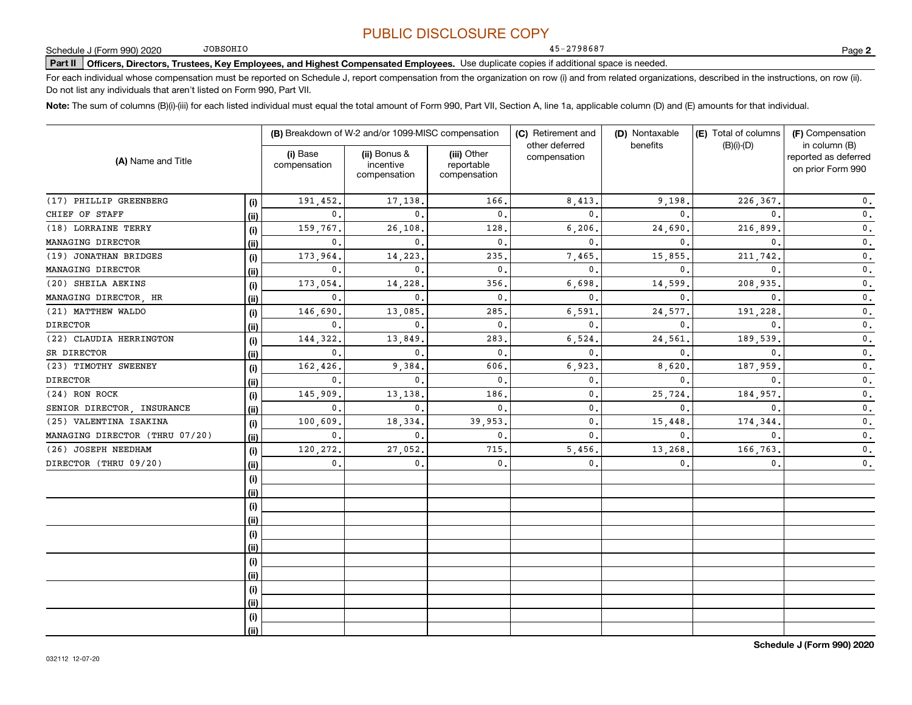45-2798687

JOBSOHIO

**Part II Officers, Directors, Trustees, Key Employees, and Highest Compensated Employees.**  Schedule J (Form 990) 2020 Page Use duplicate copies if additional space is needed.

For each individual whose compensation must be reported on Schedule J, report compensation from the organization on row (i) and from related organizations, described in the instructions, on row (ii). Do not list any individuals that aren't listed on Form 990, Part VII.

**Note:**  The sum of columns (B)(i)-(iii) for each listed individual must equal the total amount of Form 990, Part VII, Section A, line 1a, applicable column (D) and (E) amounts for that individual.

| (A) Name and Title             |      |                          | (B) Breakdown of W-2 and/or 1099-MISC compensation |                                           | (C) Retirement and<br>other deferred<br>compensation | (D) Nontaxable<br>benefits | (E) Total of columns<br>$(B)(i)$ - $(D)$ | (F) Compensation<br>in column (B)<br>reported as deferred<br>on prior Form 990 |
|--------------------------------|------|--------------------------|----------------------------------------------------|-------------------------------------------|------------------------------------------------------|----------------------------|------------------------------------------|--------------------------------------------------------------------------------|
|                                |      | (i) Base<br>compensation | (ii) Bonus &<br>incentive<br>compensation          | (iii) Other<br>reportable<br>compensation |                                                      |                            |                                          |                                                                                |
| (17) PHILLIP GREENBERG         | (i)  | 191,452                  | 17,138.                                            | 166                                       | 8,413                                                | 9,198.                     | 226,367.                                 | 0.                                                                             |
| CHIEF OF STAFF                 | (ii) | 0.                       | $\Omega$                                           | $\mathbf 0$ .                             | $\mathbf{0}$                                         | $\Omega$                   | $\mathbf{0}$ .                           | 0.                                                                             |
| (18) LORRAINE TERRY            | (i)  | 159,767.                 | 26,108.                                            | 128                                       | 6,206                                                | 24,690.                    | 216,899                                  | $\mathbf 0$ .                                                                  |
| MANAGING DIRECTOR              | (ii) | 0.                       | $\mathbf{0}$ .                                     | $\mathbf 0$ .                             | $\mathbf{0}$                                         | $\Omega$                   | $\mathbf{0}$                             | $\mathbf 0$ .                                                                  |
| (19) JONATHAN BRIDGES          | (i)  | 173,964.                 | 14,223                                             | 235                                       | 7,465                                                | 15,855.                    | 211,742                                  | $\mathbf 0$ .                                                                  |
| MANAGING DIRECTOR              | (ii) | 0.                       | $\mathbf{0}$ .                                     | $\mathbf 0$ .                             | $\mathbf{0}$                                         | $\mathbf{0}$ .             | $\mathbf{0}$                             | 0.                                                                             |
| (20) SHEILA AEKINS             | (i)  | 173,054.                 | 14,228                                             | 356                                       | 6,698                                                | 14,599                     | 208,935                                  | 0.                                                                             |
| MANAGING DIRECTOR, HR          | (ii) | 0.                       | $\mathbf{0}$ .                                     | $\mathbf 0$ .                             | $\mathbf{0}$                                         | $\mathbf{0}$ .             | $\mathbf{0}$ .                           | 0.                                                                             |
| (21) MATTHEW WALDO             | (i)  | 146,690                  | 13,085                                             | 285                                       | 6,591                                                | 24,577                     | 191,228                                  | 0.                                                                             |
| <b>DIRECTOR</b>                | (ii) | 0.                       | $\mathbf{0}$ .                                     | $\mathbf 0$ .                             | $\mathbf{0}$                                         | $\mathbf{0}$ .             | $\mathbf{0}$                             | $\mathbf{0}$ .                                                                 |
| (22) CLAUDIA HERRINGTON        | (i)  | 144,322.                 | 13,849                                             | 283                                       | 6,524                                                | 24,561                     | 189,539                                  | $\mathbf{0}$ .                                                                 |
| SR DIRECTOR                    | (ii) | 0.                       | $\mathbf{0}$ .                                     | $\mathbf 0$ .                             | $\mathbf{0}$                                         | $\mathbf{0}$ .             | $\mathbf{0}$ .                           | $\mathbf{0}$ .                                                                 |
| (23) TIMOTHY SWEENEY           | (i)  | 162,426                  | 9,384                                              | 606.                                      | 6,923                                                | 8,620                      | 187,959                                  | 0.                                                                             |
| <b>DIRECTOR</b>                | (ii) | 0.                       | $\mathbf{0}$ .                                     | $\mathbf 0$ .                             | $\mathbf{0}$                                         | $\mathbf{0}$ .             | $\mathbf{0}$ .                           | $\mathbf 0$ .                                                                  |
| (24) RON ROCK                  | (i)  | 145,909                  | 13,138                                             | 186                                       | $\mathbf{0}$                                         | 25,724                     | 184,957.                                 | $\mathbf 0$ .                                                                  |
| SENIOR DIRECTOR, INSURANCE     | (ii) | 0.                       | $\mathbf{0}$ .                                     | $\mathbf 0$ .                             | $\mathbf{0}$                                         | 0.                         | $\mathbf{0}$ .                           | $\mathbf 0$ .                                                                  |
| (25) VALENTINA ISAKINA         | (i)  | 100,609                  | 18,334                                             | 39,953                                    | $\mathbf 0$ .                                        | 15,448                     | 174,344.                                 | $\mathbf 0$ .                                                                  |
| MANAGING DIRECTOR (THRU 07/20) | (ii) | 0.                       | 0.                                                 | $\mathbf 0$ .                             | $\mathbf{0}$                                         | 0.                         | $\mathbf{0}$ .                           | $\mathbf 0$ .                                                                  |
| (26) JOSEPH NEEDHAM            | (i)  | 120,272.                 | 27,052.                                            | 715.                                      | 5,456                                                | 13,268.                    | 166,763.                                 | 0.                                                                             |
| DIRECTOR (THRU 09/20)          | (ii) | 0.                       | 0 <sub>1</sub>                                     | $\mathbf{0}$ .                            | 0.                                                   | 0.                         | 0.                                       | $\mathbf{0}$ .                                                                 |
|                                | (i)  |                          |                                                    |                                           |                                                      |                            |                                          |                                                                                |
|                                | (ii) |                          |                                                    |                                           |                                                      |                            |                                          |                                                                                |
|                                | (i)  |                          |                                                    |                                           |                                                      |                            |                                          |                                                                                |
|                                | (ii) |                          |                                                    |                                           |                                                      |                            |                                          |                                                                                |
|                                | (i)  |                          |                                                    |                                           |                                                      |                            |                                          |                                                                                |
|                                | (ii) |                          |                                                    |                                           |                                                      |                            |                                          |                                                                                |
|                                | (i)  |                          |                                                    |                                           |                                                      |                            |                                          |                                                                                |
|                                | (ii) |                          |                                                    |                                           |                                                      |                            |                                          |                                                                                |
|                                | (i)  |                          |                                                    |                                           |                                                      |                            |                                          |                                                                                |
|                                | (ii) |                          |                                                    |                                           |                                                      |                            |                                          |                                                                                |
|                                | (i)  |                          |                                                    |                                           |                                                      |                            |                                          |                                                                                |
|                                | (ii) |                          |                                                    |                                           |                                                      |                            |                                          |                                                                                |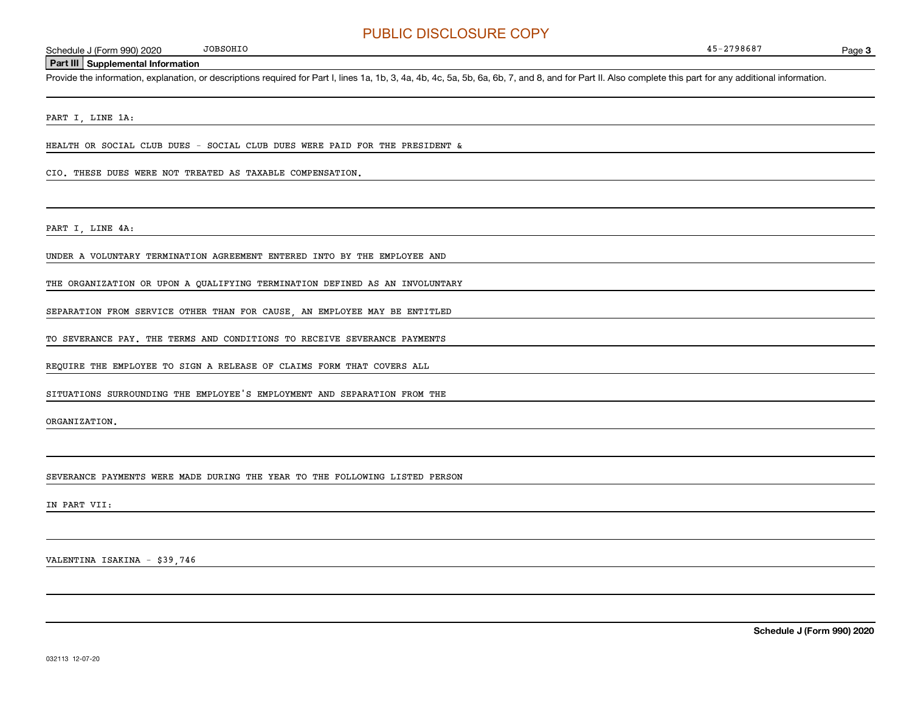Page 3

#### **Part III Supplemental Information**

Schedule J (Form 990) 2020 JOBSOHIO<br> **Part III** Supplemental Information<br>
Provide the information, explanation, or descriptions required for Part I, lines 1a, 1b, 3, 4a, 4b, 4c, 5a, 5b, 6a, 6b, 7, and 8, and for Part II. A

PART I, LINE 1A:

HEALTH OR SOCIAL CLUB DUES - SOCIAL CLUB DUES WERE PAID FOR THE PRESIDENT &

#### CIO. THESE DUES WERE NOT TREATED AS TAXABLE COMPENSATION.

JOBSOHIO

PART I, LINE 4A:

UNDER A VOLUNTARY TERMINATION AGREEMENT ENTERED INTO BY THE EMPLOYEE AND

THE ORGANIZATION OR UPON A QUALIFYING TERMINATION DEFINED AS AN INVOLUNTARY

SEPARATION FROM SERVICE OTHER THAN FOR CAUSE, AN EMPLOYEE MAY BE ENTITLED

TO SEVERANCE PAY. THE TERMS AND CONDITIONS TO RECEIVE SEVERANCE PAYMENTS

REQUIRE THE EMPLOYEE TO SIGN A RELEASE OF CLAIMS FORM THAT COVERS ALL

SITUATIONS SURROUNDING THE EMPLOYEE'S EMPLOYMENT AND SEPARATION FROM THE

ORGANIZATION.

SEVERANCE PAYMENTS WERE MADE DURING THE YEAR TO THE FOLLOWING LISTED PERSON

IN PART VII:

VALENTINA ISAKINA - \$39,746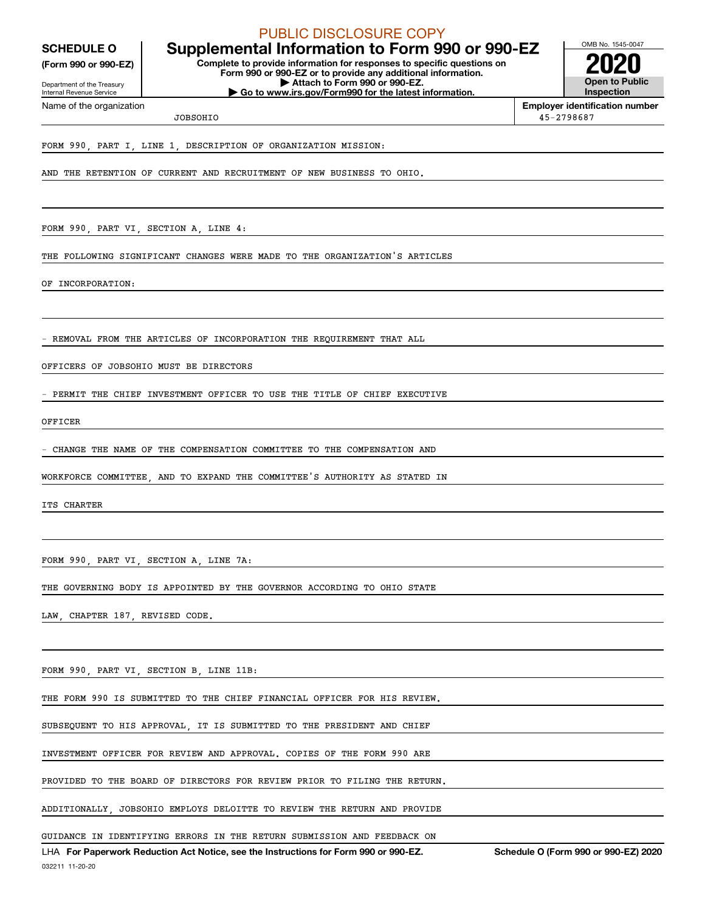**(Form 990 or 990-EZ)**

Department of the Treasury Internal Revenue Service

Name of the organization

PUBLIC DISCLOSURE COPY

**Complete to provide information for responses to specific questions on Form 990 or 990-EZ or to provide any additional information. | Attach to Form 990 or 990-EZ. SCHEDULE O Supplemental Information to Form 990 or 990-EZ**

**| Go to www.irs.gov/Form990 for the latest information.**



**Employer identification number** 45-2798687

**JOBSOHIO** 

FORM 990, PART I, LINE 1, DESCRIPTION OF ORGANIZATION MISSION:

AND THE RETENTION OF CURRENT AND RECRUITMENT OF NEW BUSINESS TO OHIO.

FORM 990, PART VI, SECTION A, LINE 4:

THE FOLLOWING SIGNIFICANT CHANGES WERE MADE TO THE ORGANIZATION'S ARTICLES

OF INCORPORATION:

REMOVAL FROM THE ARTICLES OF INCORPORATION THE REQUIREMENT THAT ALL

OFFICERS OF JOBSOHIO MUST BE DIRECTORS

PERMIT THE CHIEF INVESTMENT OFFICER TO USE THE TITLE OF CHIEF EXECUTIVE

OFFICER

- CHANGE THE NAME OF THE COMPENSATION COMMITTEE TO THE COMPENSATION AND

WORKFORCE COMMITTEE, AND TO EXPAND THE COMMITTEE'S AUTHORITY AS STATED IN

ITS CHARTER

FORM 990, PART VI, SECTION A, LINE 7A:

THE GOVERNING BODY IS APPOINTED BY THE GOVERNOR ACCORDING TO OHIO STATE

LAW, CHAPTER 187, REVISED CODE.

FORM 990, PART VI, SECTION B, LINE 11B:

THE FORM 990 IS SUBMITTED TO THE CHIEF FINANCIAL OFFICER FOR HIS REVIEW.

SUBSEQUENT TO HIS APPROVAL, IT IS SUBMITTED TO THE PRESIDENT AND CHIEF

INVESTMENT OFFICER FOR REVIEW AND APPROVAL. COPIES OF THE FORM 990 ARE

PROVIDED TO THE BOARD OF DIRECTORS FOR REVIEW PRIOR TO FILING THE RETURN.

ADDITIONALLY, JOBSOHIO EMPLOYS DELOITTE TO REVIEW THE RETURN AND PROVIDE

GUIDANCE IN IDENTIFYING ERRORS IN THE RETURN SUBMISSION AND FEEDBACK ON

032211 11-20-20 LHA For Paperwork Reduction Act Notice, see the Instructions for Form 990 or 990-EZ. Schedule O (Form 990 or 990-EZ) 2020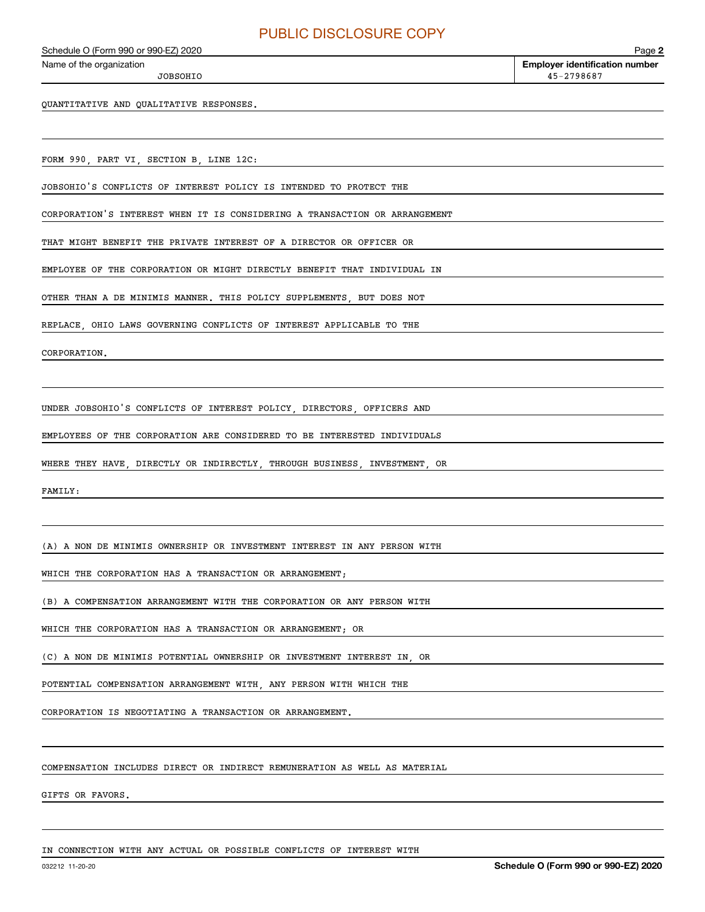JOBSOHIO

QUANTITATIVE AND QUALITATIVE RESPONSES.

FORM 990, PART VI, SECTION B, LINE 12C:

JOBSOHIO'S CONFLICTS OF INTEREST POLICY IS INTENDED TO PROTECT THE

CORPORATION'S INTEREST WHEN IT IS CONSIDERING A TRANSACTION OR ARRANGEMENT

THAT MIGHT BENEFIT THE PRIVATE INTEREST OF A DIRECTOR OR OFFICER OR

EMPLOYEE OF THE CORPORATION OR MIGHT DIRECTLY BENEFIT THAT INDIVIDUAL IN

OTHER THAN A DE MINIMIS MANNER. THIS POLICY SUPPLEMENTS, BUT DOES NOT

REPLACE, OHIO LAWS GOVERNING CONFLICTS OF INTEREST APPLICABLE TO THE

CORPORATION.

UNDER JOBSOHIO'S CONFLICTS OF INTEREST POLICY, DIRECTORS, OFFICERS AND

EMPLOYEES OF THE CORPORATION ARE CONSIDERED TO BE INTERESTED INDIVIDUALS

WHERE THEY HAVE, DIRECTLY OR INDIRECTLY, THROUGH BUSINESS, INVESTMENT, OR

FAMILY:

(A) A NON DE MINIMIS OWNERSHIP OR INVESTMENT INTEREST IN ANY PERSON WITH

WHICH THE CORPORATION HAS A TRANSACTION OR ARRANGEMENT;

(B) A COMPENSATION ARRANGEMENT WITH THE CORPORATION OR ANY PERSON WITH

WHICH THE CORPORATION HAS A TRANSACTION OR ARRANGEMENT; OR

(C) A NON DE MINIMIS POTENTIAL OWNERSHIP OR INVESTMENT INTEREST IN, OR

POTENTIAL COMPENSATION ARRANGEMENT WITH, ANY PERSON WITH WHICH THE

CORPORATION IS NEGOTIATING A TRANSACTION OR ARRANGEMENT.

COMPENSATION INCLUDES DIRECT OR INDIRECT REMUNERATION AS WELL AS MATERIAL

GIFTS OR FAVORS.

IN CONNECTION WITH ANY ACTUAL OR POSSIBLE CONFLICTS OF INTEREST WITH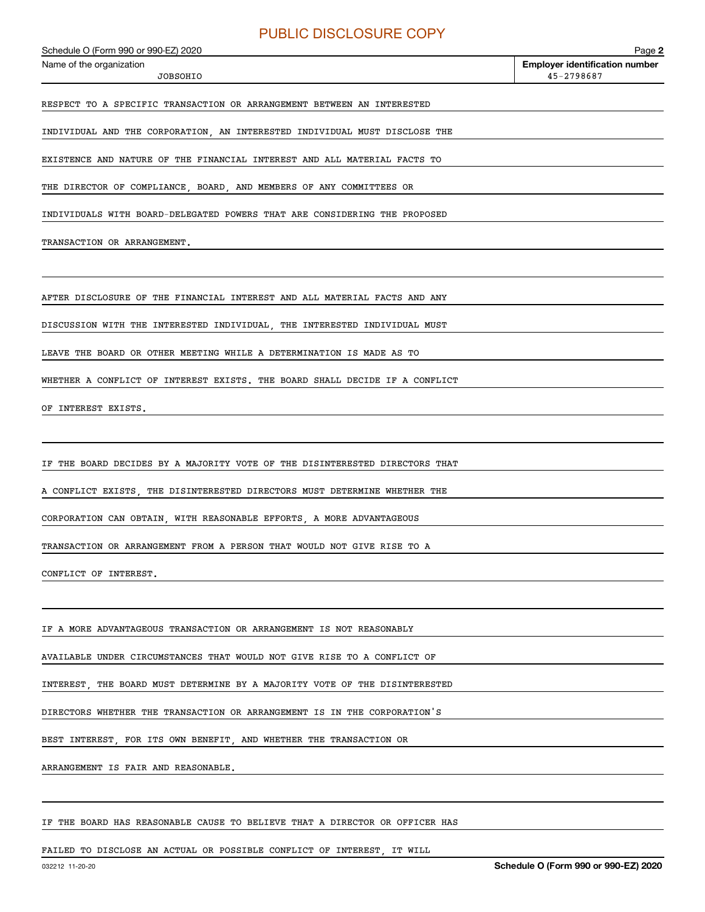Echedule O (Form 990 or 990-EZ) 2020<br>Name of the organization **number** Name of the organization **number** 

JOBSOHIO

**2**45-2798687

RESPECT TO A SPECIFIC TRANSACTION OR ARRANGEMENT BETWEEN AN INTERESTED

INDIVIDUAL AND THE CORPORATION, AN INTERESTED INDIVIDUAL MUST DISCLOSE THE

EXISTENCE AND NATURE OF THE FINANCIAL INTEREST AND ALL MATERIAL FACTS TO

THE DIRECTOR OF COMPLIANCE, BOARD, AND MEMBERS OF ANY COMMITTEES OR

INDIVIDUALS WITH BOARD-DELEGATED POWERS THAT ARE CONSIDERING THE PROPOSED

TRANSACTION OR ARRANGEMENT.

AFTER DISCLOSURE OF THE FINANCIAL INTEREST AND ALL MATERIAL FACTS AND ANY

DISCUSSION WITH THE INTERESTED INDIVIDUAL, THE INTERESTED INDIVIDUAL MUST

LEAVE THE BOARD OR OTHER MEETING WHILE A DETERMINATION IS MADE AS TO

WHETHER A CONFLICT OF INTEREST EXISTS. THE BOARD SHALL DECIDE IF A CONFLICT

OF INTEREST EXISTS.

IF THE BOARD DECIDES BY A MAJORITY VOTE OF THE DISINTERESTED DIRECTORS THAT

A CONFLICT EXISTS, THE DISINTERESTED DIRECTORS MUST DETERMINE WHETHER THE

CORPORATION CAN OBTAIN, WITH REASONABLE EFFORTS, A MORE ADVANTAGEOUS

TRANSACTION OR ARRANGEMENT FROM A PERSON THAT WOULD NOT GIVE RISE TO A

CONFLICT OF INTEREST.

IF A MORE ADVANTAGEOUS TRANSACTION OR ARRANGEMENT IS NOT REASONABLY

AVAILABLE UNDER CIRCUMSTANCES THAT WOULD NOT GIVE RISE TO A CONFLICT OF

INTEREST, THE BOARD MUST DETERMINE BY A MAJORITY VOTE OF THE DISINTERESTED

DIRECTORS WHETHER THE TRANSACTION OR ARRANGEMENT IS IN THE CORPORATION'S

BEST INTEREST, FOR ITS OWN BENEFIT, AND WHETHER THE TRANSACTION OR

ARRANGEMENT IS FAIR AND REASONABLE.

IF THE BOARD HAS REASONABLE CAUSE TO BELIEVE THAT A DIRECTOR OR OFFICER HAS

FAILED TO DISCLOSE AN ACTUAL OR POSSIBLE CONFLICT OF INTEREST, IT WILL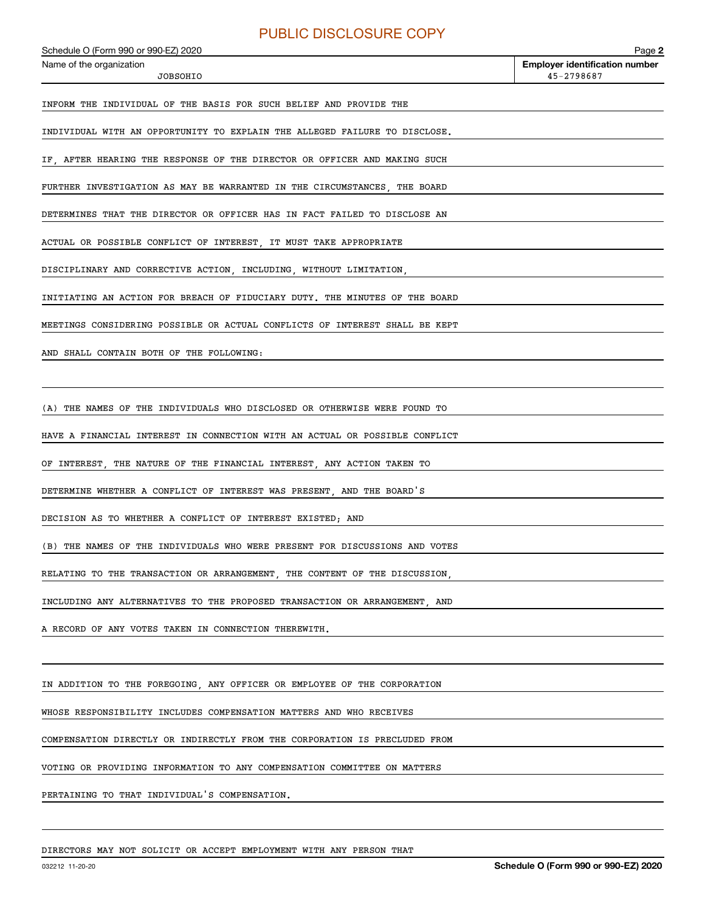JOBSOHIO

INFORM THE INDIVIDUAL OF THE BASIS FOR SUCH BELIEF AND PROVIDE THE

INDIVIDUAL WITH AN OPPORTUNITY TO EXPLAIN THE ALLEGED FAILURE TO DISCLOSE.

IF, AFTER HEARING THE RESPONSE OF THE DIRECTOR OR OFFICER AND MAKING SUCH

FURTHER INVESTIGATION AS MAY BE WARRANTED IN THE CIRCUMSTANCES, THE BOARD

DETERMINES THAT THE DIRECTOR OR OFFICER HAS IN FACT FAILED TO DISCLOSE AN

ACTUAL OR POSSIBLE CONFLICT OF INTEREST, IT MUST TAKE APPROPRIATE

DISCIPLINARY AND CORRECTIVE ACTION, INCLUDING, WITHOUT LIMITATION,

INITIATING AN ACTION FOR BREACH OF FIDUCIARY DUTY. THE MINUTES OF THE BOARD

MEETINGS CONSIDERING POSSIBLE OR ACTUAL CONFLICTS OF INTEREST SHALL BE KEPT

AND SHALL CONTAIN BOTH OF THE FOLLOWING:

(A) THE NAMES OF THE INDIVIDUALS WHO DISCLOSED OR OTHERWISE WERE FOUND TO

HAVE A FINANCIAL INTEREST IN CONNECTION WITH AN ACTUAL OR POSSIBLE CONFLICT

OF INTEREST, THE NATURE OF THE FINANCIAL INTEREST, ANY ACTION TAKEN TO

DETERMINE WHETHER A CONFLICT OF INTEREST WAS PRESENT, AND THE BOARD'S

DECISION AS TO WHETHER A CONFLICT OF INTEREST EXISTED; AND

(B) THE NAMES OF THE INDIVIDUALS WHO WERE PRESENT FOR DISCUSSIONS AND VOTES

RELATING TO THE TRANSACTION OR ARRANGEMENT, THE CONTENT OF THE DISCUSSION,

INCLUDING ANY ALTERNATIVES TO THE PROPOSED TRANSACTION OR ARRANGEMENT, AND

A RECORD OF ANY VOTES TAKEN IN CONNECTION THEREWITH.

IN ADDITION TO THE FOREGOING, ANY OFFICER OR EMPLOYEE OF THE CORPORATION

WHOSE RESPONSIBILITY INCLUDES COMPENSATION MATTERS AND WHO RECEIVES

COMPENSATION DIRECTLY OR INDIRECTLY FROM THE CORPORATION IS PRECLUDED FROM

VOTING OR PROVIDING INFORMATION TO ANY COMPENSATION COMMITTEE ON MATTERS

PERTAINING TO THAT INDIVIDUAL'S COMPENSATION.

DIRECTORS MAY NOT SOLICIT OR ACCEPT EMPLOYMENT WITH ANY PERSON THAT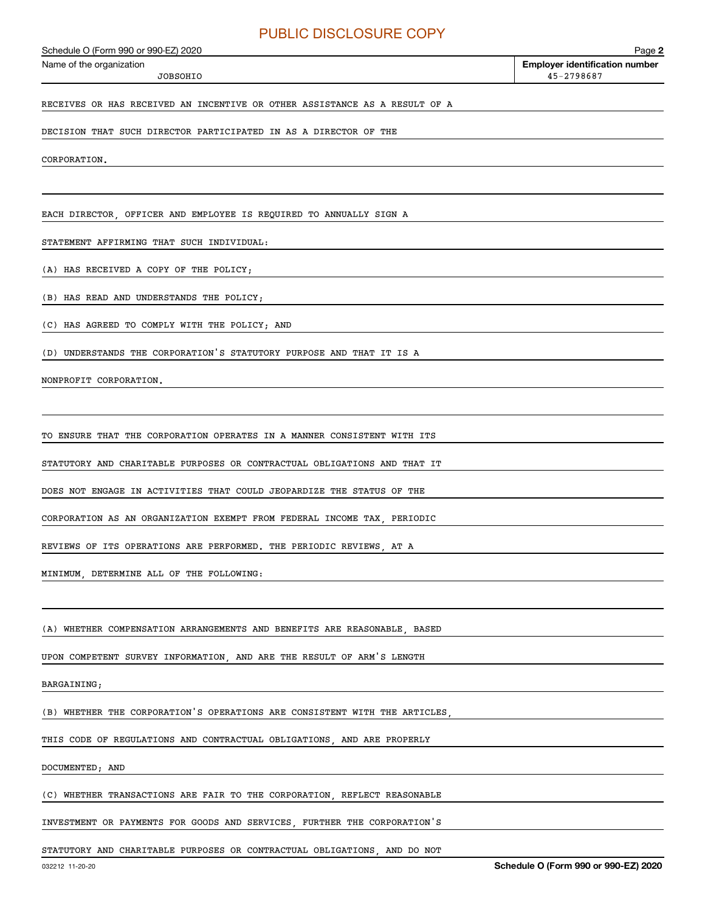JOBSOHIO

RECEIVES OR HAS RECEIVED AN INCENTIVE OR OTHER ASSISTANCE AS A RESULT OF A

DECISION THAT SUCH DIRECTOR PARTICIPATED IN AS A DIRECTOR OF THE

CORPORATION.

EACH DIRECTOR, OFFICER AND EMPLOYEE IS REQUIRED TO ANNUALLY SIGN A

STATEMENT AFFIRMING THAT SUCH INDIVIDUAL:

(A) HAS RECEIVED A COPY OF THE POLICY;

(B) HAS READ AND UNDERSTANDS THE POLICY;

(C) HAS AGREED TO COMPLY WITH THE POLICY; AND

(D) UNDERSTANDS THE CORPORATION'S STATUTORY PURPOSE AND THAT IT IS A

NONPROFIT CORPORATION.

TO ENSURE THAT THE CORPORATION OPERATES IN A MANNER CONSISTENT WITH ITS

STATUTORY AND CHARITABLE PURPOSES OR CONTRACTUAL OBLIGATIONS AND THAT IT

DOES NOT ENGAGE IN ACTIVITIES THAT COULD JEOPARDIZE THE STATUS OF THE

CORPORATION AS AN ORGANIZATION EXEMPT FROM FEDERAL INCOME TAX, PERIODIC

REVIEWS OF ITS OPERATIONS ARE PERFORMED. THE PERIODIC REVIEWS, AT A

MINIMUM, DETERMINE ALL OF THE FOLLOWING:

(A) WHETHER COMPENSATION ARRANGEMENTS AND BENEFITS ARE REASONABLE, BASED

UPON COMPETENT SURVEY INFORMATION, AND ARE THE RESULT OF ARM'S LENGTH

#### BARGAINING;

(B) WHETHER THE CORPORATION'S OPERATIONS ARE CONSISTENT WITH THE ARTICLES

THIS CODE OF REGULATIONS AND CONTRACTUAL OBLIGATIONS, AND ARE PROPERLY

DOCUMENTED; AND

(C) WHETHER TRANSACTIONS ARE FAIR TO THE CORPORATION, REFLECT REASONABLE

INVESTMENT OR PAYMENTS FOR GOODS AND SERVICES, FURTHER THE CORPORATION'S

STATUTORY AND CHARITABLE PURPOSES OR CONTRACTUAL OBLIGATIONS, AND DO NOT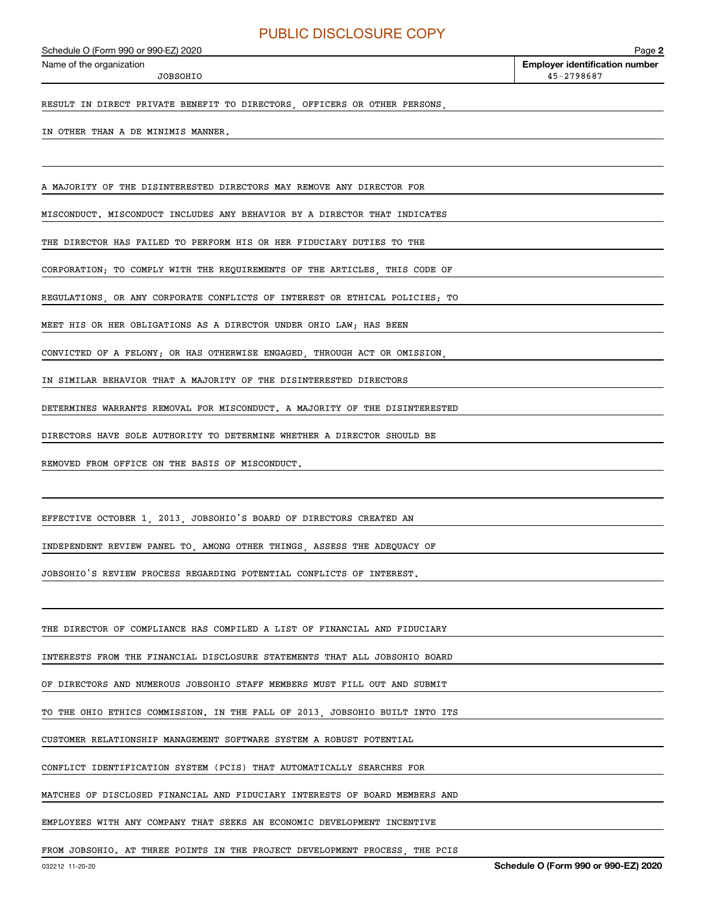JOBSOHIO

**2**Echedule O (Form 990 or 990-EZ) 2020<br>Name of the organization **number** Name of the organization **number** 45-2798687

RESULT IN DIRECT PRIVATE BENEFIT TO DIRECTORS, OFFICERS OR OTHER PERSONS

#### IN OTHER THAN A DE MINIMIS MANNER.

A MAJORITY OF THE DISINTERESTED DIRECTORS MAY REMOVE ANY DIRECTOR FOR

MISCONDUCT. MISCONDUCT INCLUDES ANY BEHAVIOR BY A DIRECTOR THAT INDICATES

THE DIRECTOR HAS FAILED TO PERFORM HIS OR HER FIDUCIARY DUTIES TO THE

CORPORATION; TO COMPLY WITH THE REQUIREMENTS OF THE ARTICLES, THIS CODE OF

REGULATIONS, OR ANY CORPORATE CONFLICTS OF INTEREST OR ETHICAL POLICIES; TO

MEET HIS OR HER OBLIGATIONS AS A DIRECTOR UNDER OHIO LAW; HAS BEEN

CONVICTED OF A FELONY; OR HAS OTHERWISE ENGAGED, THROUGH ACT OR OMISSION,

IN SIMILAR BEHAVIOR THAT A MAJORITY OF THE DISINTERESTED DIRECTORS

DETERMINES WARRANTS REMOVAL FOR MISCONDUCT. A MAJORITY OF THE DISINTERESTED

DIRECTORS HAVE SOLE AUTHORITY TO DETERMINE WHETHER A DIRECTOR SHOULD BE

REMOVED FROM OFFICE ON THE BASIS OF MISCONDUCT.

EFFECTIVE OCTOBER 1, 2013, JOBSOHIO'S BOARD OF DIRECTORS CREATED AN

INDEPENDENT REVIEW PANEL TO, AMONG OTHER THINGS, ASSESS THE ADEQUACY OF

JOBSOHIO'S REVIEW PROCESS REGARDING POTENTIAL CONFLICTS OF INTEREST.

THE DIRECTOR OF COMPLIANCE HAS COMPILED A LIST OF FINANCIAL AND FIDUCIARY

INTERESTS FROM THE FINANCIAL DISCLOSURE STATEMENTS THAT ALL JOBSOHIO BOARD

OF DIRECTORS AND NUMEROUS JOBSOHIO STAFF MEMBERS MUST FILL OUT AND SUBMIT

TO THE OHIO ETHICS COMMISSION. IN THE FALL OF 2013, JOBSOHIO BUILT INTO ITS

CUSTOMER RELATIONSHIP MANAGEMENT SOFTWARE SYSTEM A ROBUST POTENTIAL

CONFLICT IDENTIFICATION SYSTEM (PCIS) THAT AUTOMATICALLY SEARCHES FOR

MATCHES OF DISCLOSED FINANCIAL AND FIDUCIARY INTERESTS OF BOARD MEMBERS AND

EMPLOYEES WITH ANY COMPANY THAT SEEKS AN ECONOMIC DEVELOPMENT INCENTIVE

FROM JOBSOHIO. AT THREE POINTS IN THE PROJECT DEVELOPMENT PROCESS, THE PCIS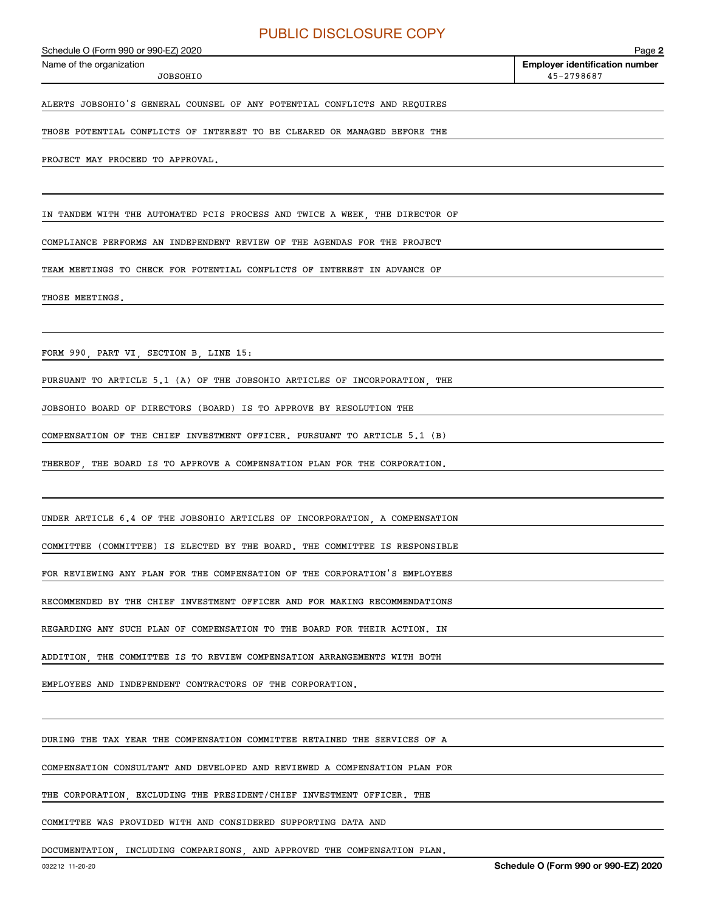JOBSOHIO

ALERTS JOBSOHIO'S GENERAL COUNSEL OF ANY POTENTIAL CONFLICTS AND REQUIRES

THOSE POTENTIAL CONFLICTS OF INTEREST TO BE CLEARED OR MANAGED BEFORE THE

PROJECT MAY PROCEED TO APPROVAL.

IN TANDEM WITH THE AUTOMATED PCIS PROCESS AND TWICE A WEEK, THE DIRECTOR OF

COMPLIANCE PERFORMS AN INDEPENDENT REVIEW OF THE AGENDAS FOR THE PROJECT

TEAM MEETINGS TO CHECK FOR POTENTIAL CONFLICTS OF INTEREST IN ADVANCE OF

THOSE MEETINGS.

FORM 990, PART VI, SECTION B, LINE 15:

PURSUANT TO ARTICLE 5.1 (A) OF THE JOBSOHIO ARTICLES OF INCORPORATION, THE

JOBSOHIO BOARD OF DIRECTORS (BOARD) IS TO APPROVE BY RESOLUTION THE

COMPENSATION OF THE CHIEF INVESTMENT OFFICER. PURSUANT TO ARTICLE 5.1 (B)

THEREOF, THE BOARD IS TO APPROVE A COMPENSATION PLAN FOR THE CORPORATION.

UNDER ARTICLE 6.4 OF THE JOBSOHIO ARTICLES OF INCORPORATION, A COMPENSATION

COMMITTEE (COMMITTEE) IS ELECTED BY THE BOARD. THE COMMITTEE IS RESPONSIBLE

FOR REVIEWING ANY PLAN FOR THE COMPENSATION OF THE CORPORATION'S EMPLOYEES

RECOMMENDED BY THE CHIEF INVESTMENT OFFICER AND FOR MAKING RECOMMENDATIONS

REGARDING ANY SUCH PLAN OF COMPENSATION TO THE BOARD FOR THEIR ACTION. IN

ADDITION, THE COMMITTEE IS TO REVIEW COMPENSATION ARRANGEMENTS WITH BOTH

EMPLOYEES AND INDEPENDENT CONTRACTORS OF THE CORPORATION.

DURING THE TAX YEAR THE COMPENSATION COMMITTEE RETAINED THE SERVICES OF A

COMPENSATION CONSULTANT AND DEVELOPED AND REVIEWED A COMPENSATION PLAN FOR

THE CORPORATION, EXCLUDING THE PRESIDENT/CHIEF INVESTMENT OFFICER. THE

COMMITTEE WAS PROVIDED WITH AND CONSIDERED SUPPORTING DATA AND

DOCUMENTATION, INCLUDING COMPARISONS, AND APPROVED THE COMPENSATION PLAN.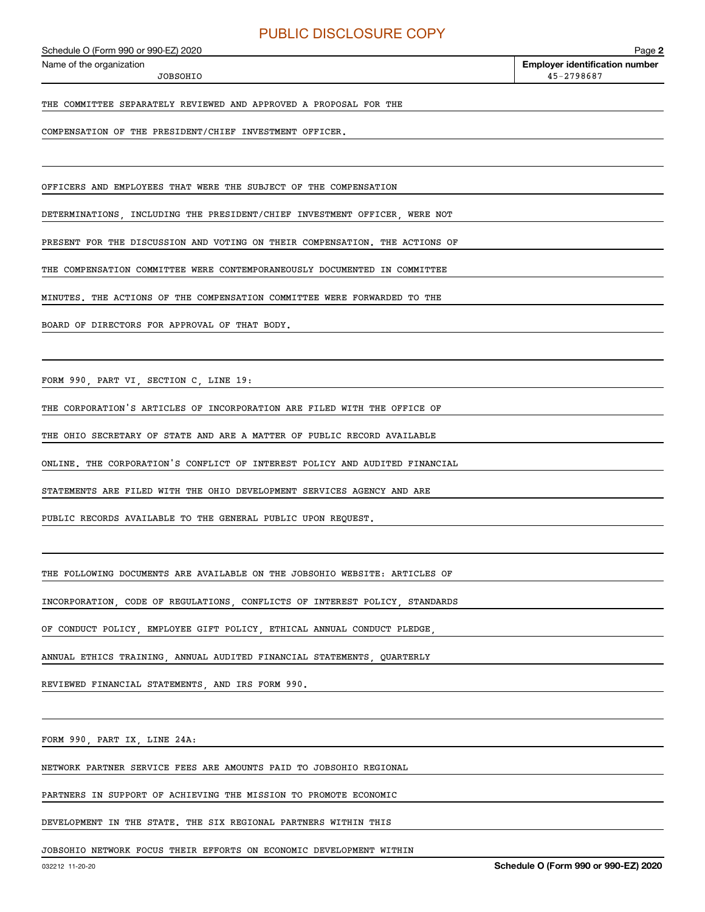JOBSOHIO

THE COMMITTEE SEPARATELY REVIEWED AND APPROVED A PROPOSAL FOR THE

COMPENSATION OF THE PRESIDENT/CHIEF INVESTMENT OFFICER.

OFFICERS AND EMPLOYEES THAT WERE THE SUBJECT OF THE COMPENSATION

DETERMINATIONS INCLUDING THE PRESIDENT/CHIEF INVESTMENT OFFICER WERE NOT

PRESENT FOR THE DISCUSSION AND VOTING ON THEIR COMPENSATION. THE ACTIONS OF

THE COMPENSATION COMMITTEE WERE CONTEMPORANEOUSLY DOCUMENTED IN COMMITTEE

MINUTES. THE ACTIONS OF THE COMPENSATION COMMITTEE WERE FORWARDED TO THE

BOARD OF DIRECTORS FOR APPROVAL OF THAT BODY.

FORM 990, PART VI, SECTION C, LINE 19:

THE CORPORATION'S ARTICLES OF INCORPORATION ARE FILED WITH THE OFFICE OF

THE OHIO SECRETARY OF STATE AND ARE A MATTER OF PUBLIC RECORD AVAILABLE

ONLINE. THE CORPORATION'S CONFLICT OF INTEREST POLICY AND AUDITED FINANCIAL

STATEMENTS ARE FILED WITH THE OHIO DEVELOPMENT SERVICES AGENCY AND ARE

PUBLIC RECORDS AVAILABLE TO THE GENERAL PUBLIC UPON REQUEST.

THE FOLLOWING DOCUMENTS ARE AVAILABLE ON THE JOBSOHIO WEBSITE: ARTICLES OF

INCORPORATION, CODE OF REGULATIONS, CONFLICTS OF INTEREST POLICY, STANDARDS

OF CONDUCT POLICY, EMPLOYEE GIFT POLICY, ETHICAL ANNUAL CONDUCT PLEDGE,

ANNUAL ETHICS TRAINING, ANNUAL AUDITED FINANCIAL STATEMENTS, QUARTERLY

REVIEWED FINANCIAL STATEMENTS, AND IRS FORM 990.

FORM 990, PART IX, LINE 24A:

NETWORK PARTNER SERVICE FEES ARE AMOUNTS PAID TO JOBSOHIO REGIONAL

PARTNERS IN SUPPORT OF ACHIEVING THE MISSION TO PROMOTE ECONOMIC

DEVELOPMENT IN THE STATE. THE SIX REGIONAL PARTNERS WITHIN THIS

JOBSOHIO NETWORK FOCUS THEIR EFFORTS ON ECONOMIC DEVELOPMENT WITHIN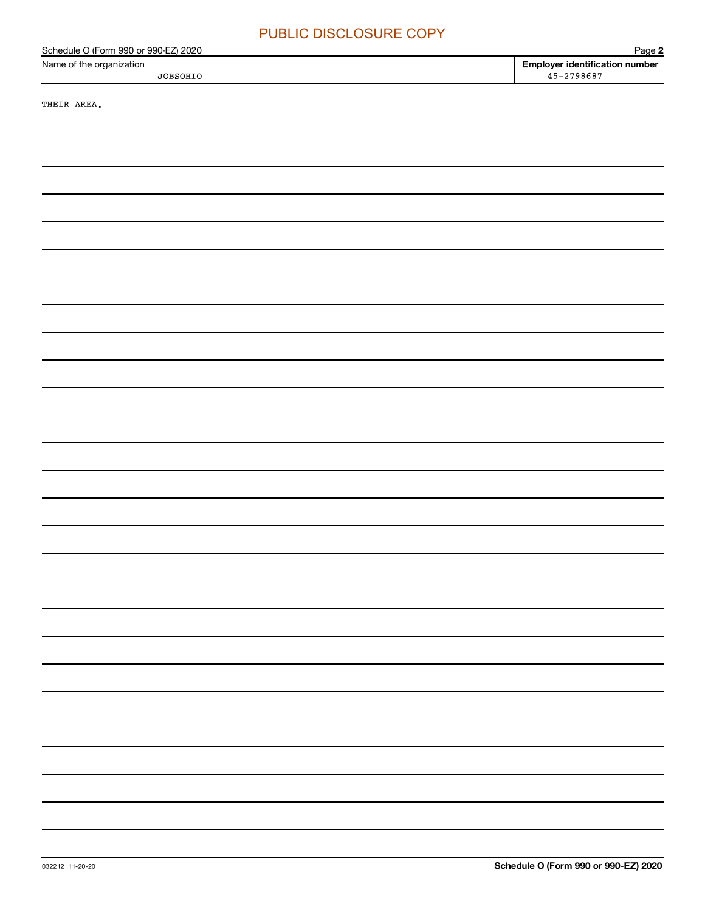| <b>PUBLIC DISCLOSURE COPY</b>                                                |                                                                   |
|------------------------------------------------------------------------------|-------------------------------------------------------------------|
| Schedule O (Form 990 or 990-EZ) 2020<br>Name of the organization<br>JOBSOHIO | Page 2<br><b>Employer identification number</b><br>$45 - 2798687$ |
| THEIR AREA.                                                                  |                                                                   |
|                                                                              |                                                                   |
|                                                                              |                                                                   |
|                                                                              |                                                                   |
|                                                                              |                                                                   |
|                                                                              |                                                                   |
|                                                                              |                                                                   |
|                                                                              |                                                                   |
|                                                                              |                                                                   |
|                                                                              |                                                                   |
|                                                                              |                                                                   |
|                                                                              |                                                                   |
|                                                                              |                                                                   |
|                                                                              |                                                                   |
|                                                                              |                                                                   |
|                                                                              |                                                                   |
|                                                                              |                                                                   |
|                                                                              |                                                                   |
|                                                                              |                                                                   |
|                                                                              |                                                                   |
|                                                                              |                                                                   |
|                                                                              |                                                                   |
|                                                                              |                                                                   |
|                                                                              |                                                                   |
|                                                                              |                                                                   |
|                                                                              |                                                                   |
|                                                                              |                                                                   |
|                                                                              |                                                                   |
|                                                                              |                                                                   |
|                                                                              |                                                                   |
|                                                                              |                                                                   |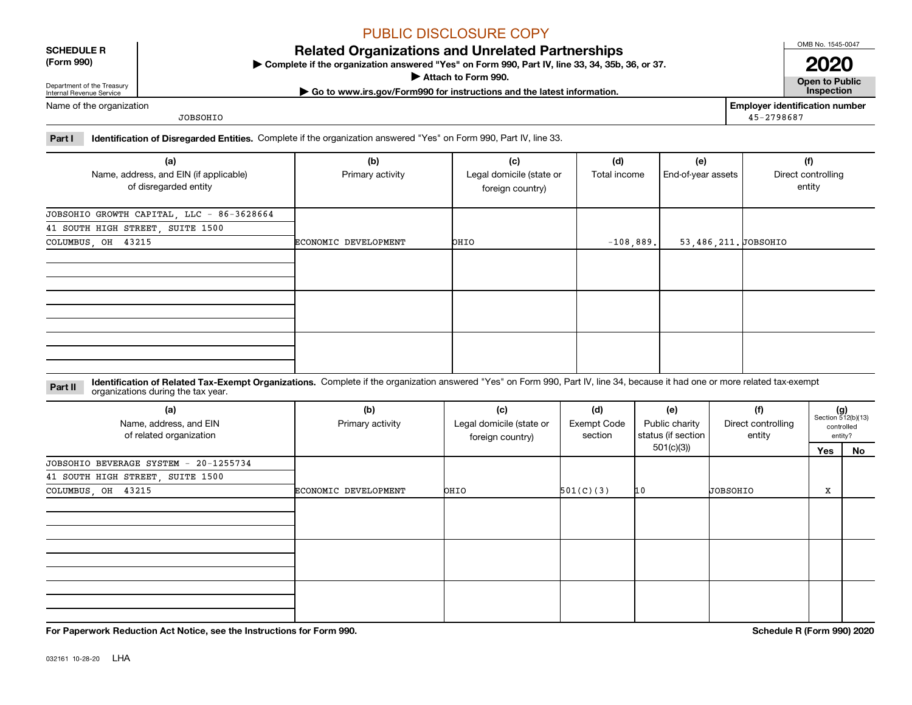### **SCHEDULE R**

**(Form 990)**

### **Related Organizations and Unrelated Partnerships**

**Complete if the organization answered "Yes" on Form 990, Part IV, line 33, 34, 35b, 36, or 37.** |

**Attach to Form 990.**  |

**| Go to www.irs.gov/Form990 for instructions and the latest information. Inspection**

**2020**

OMB No. 1545-0047

**Open to Public**

Name of the organization

Department of the Treasury Internal Revenue Service

JOBSOHIO

**Employer identification number** 45-2798687

**Part I Identification of Disregarded Entities.**  Complete if the organization answered "Yes" on Form 990, Part IV, line 33.

| (a)                                                             | (b)                  | (c)                                          | (d)<br>Total income | (e)                 | (f)                          |
|-----------------------------------------------------------------|----------------------|----------------------------------------------|---------------------|---------------------|------------------------------|
| Name, address, and EIN (if applicable)<br>of disregarded entity | Primary activity     | Legal domicile (state or<br>foreign country) |                     | End-of-year assets  | Direct controlling<br>entity |
| JOBSOHIO GROWTH CAPITAL, LLC - 86-3628664                       |                      |                                              |                     |                     |                              |
| 41 SOUTH HIGH STREET, SUITE 1500                                |                      |                                              |                     |                     |                              |
| COLUMBUS, OH 43215                                              | ECONOMIC DEVELOPMENT | OHIO                                         | $-108,889.$         | 53,486,211.JOBSOHIO |                              |
|                                                                 |                      |                                              |                     |                     |                              |
|                                                                 |                      |                                              |                     |                     |                              |
|                                                                 |                      |                                              |                     |                     |                              |

**Identification of Related Tax-Exempt Organizations.** Complete if the organization answered "Yes" on Form 990, Part IV, line 34, because it had one or more related tax-exempt **Part II** organizations during the tax year.

| (a)<br>Name, address, and EIN<br>of related organization | (b)<br>(c)<br>Primary activity<br>Legal domicile (state or<br>foreign country) |             | (d)<br><b>Exempt Code</b><br>section | (e)<br>Public charity<br>status (if section | (f)<br>Direct controlling<br>entity |     | $(g)$<br>Section 512(b)(13)<br>controlled<br>entity? |
|----------------------------------------------------------|--------------------------------------------------------------------------------|-------------|--------------------------------------|---------------------------------------------|-------------------------------------|-----|------------------------------------------------------|
|                                                          |                                                                                |             |                                      | 501(c)(3))                                  |                                     | Yes | No                                                   |
| JOBSOHIO BEVERAGE SYSTEM - 20-1255734                    |                                                                                |             |                                      |                                             |                                     |     |                                                      |
| 41 SOUTH HIGH STREET, SUITE 1500                         |                                                                                |             |                                      |                                             |                                     |     |                                                      |
| COLUMBUS, OH 43215                                       | ECONOMIC DEVELOPMENT                                                           | <b>DHIO</b> | 501(C)(3)                            | 10                                          | <b>JOBSOHIO</b>                     | x   |                                                      |
|                                                          |                                                                                |             |                                      |                                             |                                     |     |                                                      |
|                                                          |                                                                                |             |                                      |                                             |                                     |     |                                                      |
|                                                          |                                                                                |             |                                      |                                             |                                     |     |                                                      |

**For Paperwork Reduction Act Notice, see the Instructions for Form 990. Schedule R (Form 990) 2020**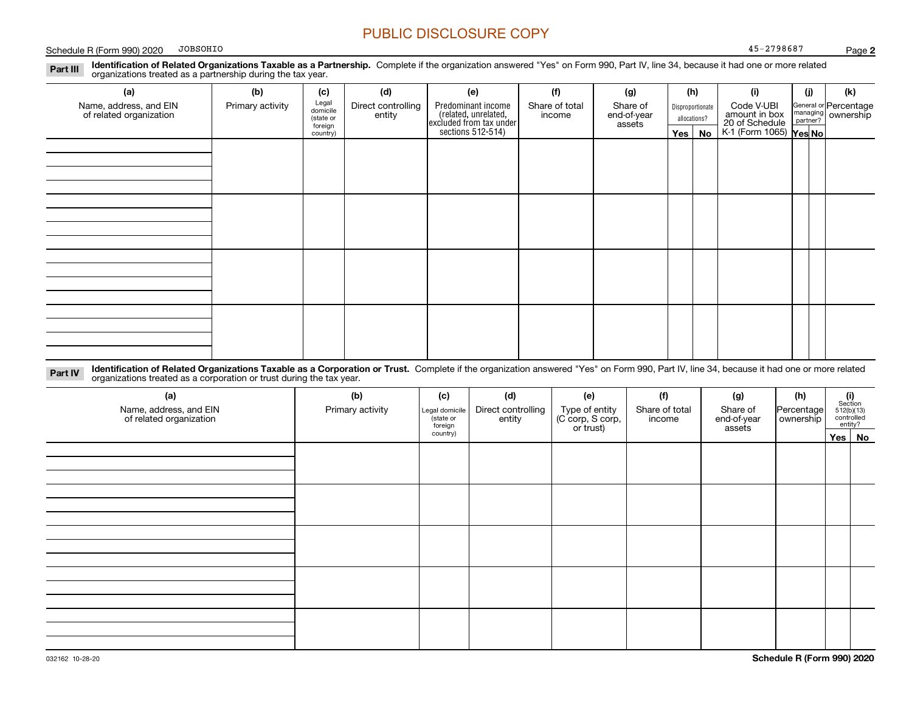Schedule R (Form 990) 2020 DDBSOHIO And the Schedule R (Form 990) 2020 DDBSOHIO JOBSOHIO

**Identification of Related Organizations Taxable as a Partnership.** Complete if the organization answered "Yes" on Form 990, Part IV, line 34, because it had one or more related **Part III** organizations treated as a partnership during the tax year.

| (a)<br>Name, address, and EIN<br>of related organization | (b)<br>Primary activity | (c)<br>Legal<br>domicile<br>(state or<br>foreign<br>country) | (d)<br>Direct controlling<br>entity | (e)<br>Predominant income<br>(related, unrelated,<br>excluded from tax under<br>sections 512-514) | (f)<br>Share of total<br>income | (g)<br>Share of<br>end-of-year<br>assets | (h)<br>Yes $ $ | Disproportionate<br>allocations?<br>No | (i)<br>Code V-UBI<br>amount in box<br>20 of Schedule<br>K-1 (Form 1065) <b>Yes No</b> | (i) | (k)<br>General or Percentage<br>managing<br>partner?<br>partner? |
|----------------------------------------------------------|-------------------------|--------------------------------------------------------------|-------------------------------------|---------------------------------------------------------------------------------------------------|---------------------------------|------------------------------------------|----------------|----------------------------------------|---------------------------------------------------------------------------------------|-----|------------------------------------------------------------------|
|                                                          |                         |                                                              |                                     |                                                                                                   |                                 |                                          |                |                                        |                                                                                       |     |                                                                  |
|                                                          |                         |                                                              |                                     |                                                                                                   |                                 |                                          |                |                                        |                                                                                       |     |                                                                  |
|                                                          |                         |                                                              |                                     |                                                                                                   |                                 |                                          |                |                                        |                                                                                       |     |                                                                  |
|                                                          |                         |                                                              |                                     |                                                                                                   |                                 |                                          |                |                                        |                                                                                       |     |                                                                  |

**Identification of Related Organizations Taxable as a Corporation or Trust.** Complete if the organization answered "Yes" on Form 990, Part IV, line 34, because it had one or more related **Part IV** organizations treated as a corporation or trust during the tax year.

| (a)<br>Name, address, and EIN<br>of related organization | (b)<br>Primary activity |          | (d)<br>Direct controlling<br>Legal domicile<br>entity | (e)<br>Type of entity<br>(C corp, S corp,<br>or trust) | (f)<br>Share of total<br>income | (g)<br>Share of<br>end-of-year<br>assets | (h)<br>Percentage<br>ownership | $(i)$ Section<br>512(b)(13)<br>controlled<br>entity? |          |
|----------------------------------------------------------|-------------------------|----------|-------------------------------------------------------|--------------------------------------------------------|---------------------------------|------------------------------------------|--------------------------------|------------------------------------------------------|----------|
|                                                          |                         | country) |                                                       |                                                        |                                 |                                          |                                |                                                      | Yes   No |
|                                                          |                         |          |                                                       |                                                        |                                 |                                          |                                |                                                      |          |
|                                                          |                         |          |                                                       |                                                        |                                 |                                          |                                |                                                      |          |
|                                                          |                         |          |                                                       |                                                        |                                 |                                          |                                |                                                      |          |
|                                                          |                         |          |                                                       |                                                        |                                 |                                          |                                |                                                      |          |
|                                                          |                         |          |                                                       |                                                        |                                 |                                          |                                |                                                      |          |
|                                                          |                         |          |                                                       |                                                        |                                 |                                          |                                |                                                      |          |
|                                                          |                         |          |                                                       |                                                        |                                 |                                          |                                |                                                      |          |
|                                                          |                         |          |                                                       |                                                        |                                 |                                          |                                |                                                      |          |
|                                                          |                         |          |                                                       |                                                        |                                 |                                          |                                |                                                      |          |
|                                                          |                         |          |                                                       |                                                        |                                 |                                          |                                |                                                      |          |
|                                                          |                         |          |                                                       |                                                        |                                 |                                          |                                |                                                      |          |
|                                                          |                         |          |                                                       |                                                        |                                 |                                          |                                |                                                      |          |
|                                                          |                         |          |                                                       |                                                        |                                 |                                          |                                |                                                      |          |
|                                                          |                         |          |                                                       |                                                        |                                 |                                          |                                |                                                      |          |
|                                                          |                         |          |                                                       |                                                        |                                 |                                          |                                |                                                      |          |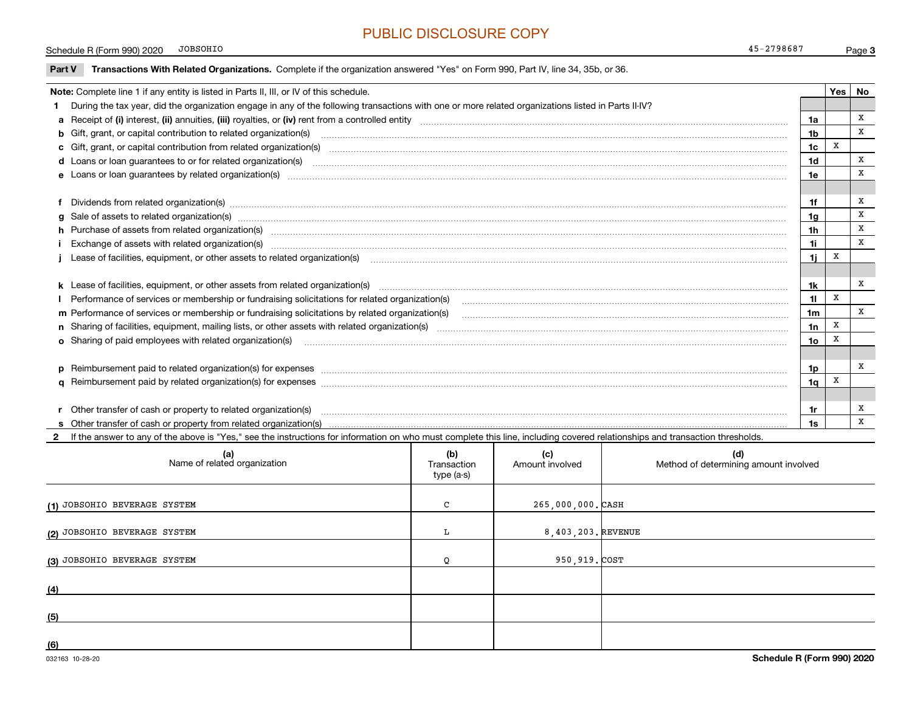**3**Schedule R (Form 990) 2020 DBSOHIO And the Schedule R (Form 990) 2020 DBSOHIO 45-2798687

| Part V | Transactions With Related Organizations. Complete if the organization answered "Yes" on Form 990, Part IV, line 34, 35b, or 36. |  |
|--------|---------------------------------------------------------------------------------------------------------------------------------|--|
|        |                                                                                                                                 |  |

JOBSOHIO

| Note: Complete line 1 if any entity is listed in Parts II, III, or IV of this schedule.                                                                                                                                        |                | Yes | No |
|--------------------------------------------------------------------------------------------------------------------------------------------------------------------------------------------------------------------------------|----------------|-----|----|
| 1 During the tax year, did the organization engage in any of the following transactions with one or more related organizations listed in Parts II-IV?                                                                          |                |     |    |
|                                                                                                                                                                                                                                | 1a             |     | x  |
| b Gift, grant, or capital contribution to related organization(s) manufactured contains and contribution to related organization(s) manufactured contribution to related organization(s)                                       | 1 <sub>b</sub> |     | X  |
| c Gift, grant, or capital contribution from related organization(s) matches contains and contribution from related organization(s) matches contains and contribution from related organization(s) matches contains and contrib | 1 <sub>c</sub> | X   |    |
|                                                                                                                                                                                                                                | 1d             |     | x  |
|                                                                                                                                                                                                                                | 1e             |     | X  |
|                                                                                                                                                                                                                                |                |     |    |
| f Dividends from related organization(s) www.communicallycommunicallycommunicallycommunicallycommunicallycommunicallycommunicallycommunicallycommunicallycommunicallycommunicallycommunicallycommunicallycommunicallycommunica | 1f             |     | X  |
| g Sale of assets to related organization(s) www.assettion.com/www.assettion.com/www.assettion.com/www.assettion.com/www.assettion.com/www.assettion.com/www.assettion.com/www.assettion.com/www.assettion.com/www.assettion.co | 1g             |     | X  |
| h Purchase of assets from related organization(s) manufactured manufactured manufactured manufactured manufactured manufactured manufactured manufactured manufactured manufactured manufactured manufactured manufactured man | 1 <sub>h</sub> |     | X  |
| Exchange of assets with related organization(s) www.andron.com/www.andron.com/www.andron.com/www.andron.com/www.andron.com/www.andron.com/www.andron.com/www.andron.com/www.andron.com/www.andron.com/www.andron.com/www.andro | 1i.            |     | X  |
| Lease of facilities, equipment, or other assets to related organization(s) [11] manufaction(s) [11] manufaction(s) and all manufaction manufaction (s) and a set of facilities, equipment, or other assets to related organiza | 1i.            | x   |    |
|                                                                                                                                                                                                                                |                |     |    |
| k Lease of facilities, equipment, or other assets from related organization(s) manufaction content and content to the assets from related organization(s) manufaction content and content and content and content and content  | 1k             |     | x  |
| I Performance of services or membership or fundraising solicitations for related organization(s)                                                                                                                               | 11             | X   |    |
| m Performance of services or membership or fundraising solicitations by related organization(s)                                                                                                                                | 1 <sub>m</sub> |     | X  |
|                                                                                                                                                                                                                                | 1n             | X   |    |
|                                                                                                                                                                                                                                | 1o             | X   |    |
|                                                                                                                                                                                                                                |                |     |    |
| p Reimbursement paid to related organization(s) for expenses [111] and the material content of the set of the set of the set of the set of the set of the set of the set of the set of the set of the set of the set of the se | 1p             |     | x  |
|                                                                                                                                                                                                                                | 1 <sub>q</sub> | X   |    |
|                                                                                                                                                                                                                                |                |     |    |
| r Other transfer of cash or property to related organization(s)                                                                                                                                                                | 1r             |     | x  |
|                                                                                                                                                                                                                                | 1s             |     | X  |

**2**If the answer to any of the above is "Yes," see the instructions for information on who must complete this line, including covered relationships and transaction thresholds.

| (a)<br>Name of related organization | (b)<br>Transaction<br>type (a-s) | (c)<br>Amount involved | (d)<br>Method of determining amount involved |
|-------------------------------------|----------------------------------|------------------------|----------------------------------------------|
| (1) JOBSOHIO BEVERAGE SYSTEM        | C                                | 265,000,000. CASH      |                                              |
| (2) JOBSOHIO BEVERAGE SYSTEM        | L                                | 8,403,203. REVENUE     |                                              |
| (3) JOBSOHIO BEVERAGE SYSTEM        |                                  | 950,919. COST          |                                              |
| (4)                                 |                                  |                        |                                              |
| (5)                                 |                                  |                        |                                              |
| (6)                                 |                                  |                        |                                              |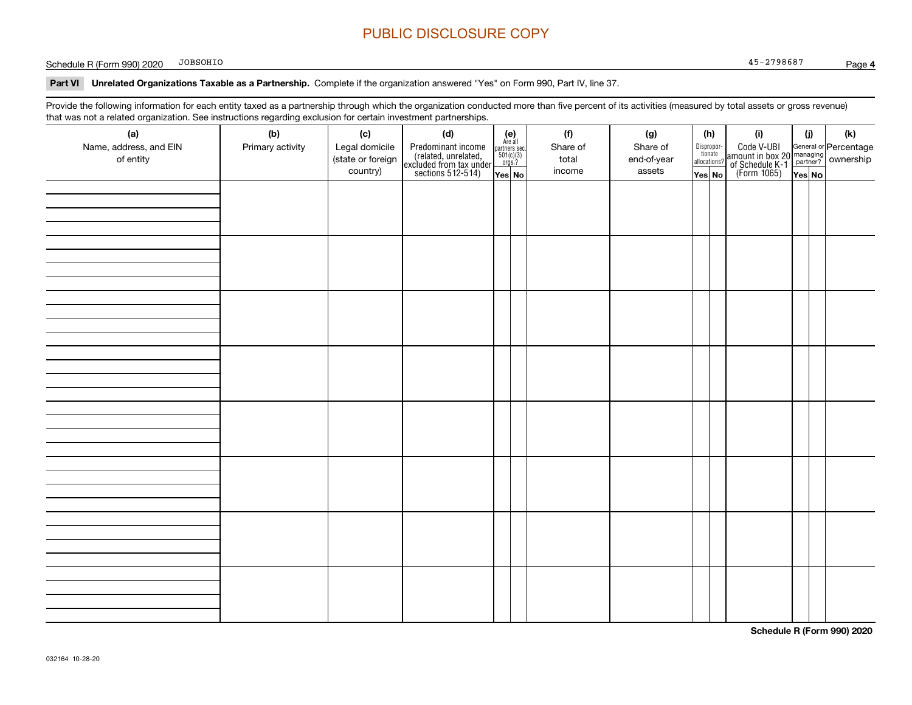Schedule R (Form 990) 2020 DBSOHIO And the Schedule R (Form 990) 2020 DBSOHIO JOBSOHIO

**Part VI Unrelated Organizations Taxable as a Partnership.**  Complete if the organization answered "Yes" on Form 990, Part IV, line 37.

Provide the following information for each entity taxed as a partnership through which the organization conducted more than five percent of its activities (measured by total assets or gross revenue) that was not a related organization. See instructions regarding exclusion for certain investment partnerships.

| that was not a related erganization. Occ included bile regarding exclusion for coltain investment partnerships.<br>(a)<br>Name, address, and EIN<br>of entity | (b)<br>Primary activity | (c)<br>Legal domicile<br>(state or foreign<br>country) | (d)<br>Predominant income<br>(related, unrelated,<br>excluded from tax under<br>sections 512-514) | (e)<br>Are all<br>$\begin{array}{c}\n\text{partners} & \text{sec.} \\ 501(c)(3) & \text{orgs.?} \n\end{array}$<br>Yes No | (f)<br>Share of<br>total<br>income | (g)<br>Share of<br>end-of-year<br>assets | (h)<br>Disproportionate<br>allocations?<br>Yes No | (i)<br>Code V-UBI<br>amount in box 20 managing<br>of Schedule K-1<br>(Form 1065)<br>$\overline{Yes}$ No | (i)<br>Yes No | (k) |
|---------------------------------------------------------------------------------------------------------------------------------------------------------------|-------------------------|--------------------------------------------------------|---------------------------------------------------------------------------------------------------|--------------------------------------------------------------------------------------------------------------------------|------------------------------------|------------------------------------------|---------------------------------------------------|---------------------------------------------------------------------------------------------------------|---------------|-----|
|                                                                                                                                                               |                         |                                                        |                                                                                                   |                                                                                                                          |                                    |                                          |                                                   |                                                                                                         |               |     |
|                                                                                                                                                               |                         |                                                        |                                                                                                   |                                                                                                                          |                                    |                                          |                                                   |                                                                                                         |               |     |
|                                                                                                                                                               |                         |                                                        |                                                                                                   |                                                                                                                          |                                    |                                          |                                                   |                                                                                                         |               |     |
|                                                                                                                                                               |                         |                                                        |                                                                                                   |                                                                                                                          |                                    |                                          |                                                   |                                                                                                         |               |     |
|                                                                                                                                                               |                         |                                                        |                                                                                                   |                                                                                                                          |                                    |                                          |                                                   |                                                                                                         |               |     |
|                                                                                                                                                               |                         |                                                        |                                                                                                   |                                                                                                                          |                                    |                                          |                                                   |                                                                                                         |               |     |
|                                                                                                                                                               |                         |                                                        |                                                                                                   |                                                                                                                          |                                    |                                          |                                                   |                                                                                                         |               |     |
|                                                                                                                                                               |                         |                                                        |                                                                                                   |                                                                                                                          |                                    |                                          |                                                   |                                                                                                         |               |     |

**Schedule R (Form 990) 2020**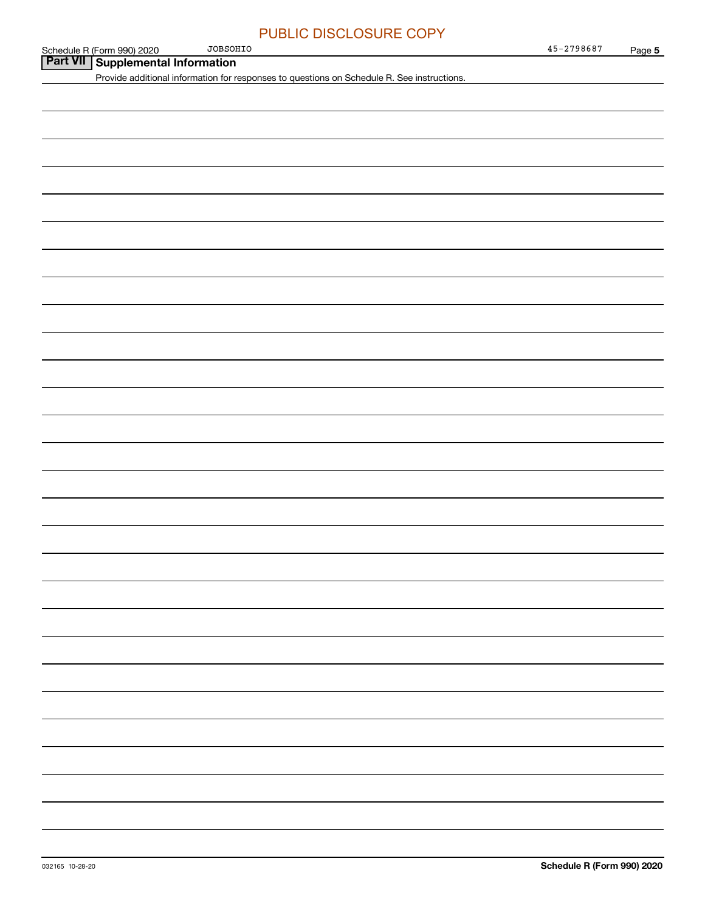| JOBSOHIO                                                                                   | 45-2798687 | Page 5 |
|--------------------------------------------------------------------------------------------|------------|--------|
| Schedule R (Form 990) 2020 JOBSOH<br><b>Part VII</b> Supplemental Information              |            |        |
| Provide additional information for responses to questions on Schedule R. See instructions. |            |        |
|                                                                                            |            |        |
|                                                                                            |            |        |
|                                                                                            |            |        |
|                                                                                            |            |        |
|                                                                                            |            |        |
|                                                                                            |            |        |
|                                                                                            |            |        |
|                                                                                            |            |        |
|                                                                                            |            |        |
|                                                                                            |            |        |
|                                                                                            |            |        |
|                                                                                            |            |        |
|                                                                                            |            |        |
|                                                                                            |            |        |
|                                                                                            |            |        |
|                                                                                            |            |        |
|                                                                                            |            |        |
|                                                                                            |            |        |
|                                                                                            |            |        |
|                                                                                            |            |        |
|                                                                                            |            |        |
|                                                                                            |            |        |
|                                                                                            |            |        |
|                                                                                            |            |        |
|                                                                                            |            |        |
|                                                                                            |            |        |
|                                                                                            |            |        |
|                                                                                            |            |        |
|                                                                                            |            |        |
|                                                                                            |            |        |
|                                                                                            |            |        |
|                                                                                            |            |        |
|                                                                                            |            |        |
|                                                                                            |            |        |
|                                                                                            |            |        |
|                                                                                            |            |        |
|                                                                                            |            |        |
|                                                                                            |            |        |
|                                                                                            |            |        |
|                                                                                            |            |        |
|                                                                                            |            |        |
|                                                                                            |            |        |
|                                                                                            |            |        |
|                                                                                            |            |        |
|                                                                                            |            |        |
|                                                                                            |            |        |
|                                                                                            |            |        |
|                                                                                            |            |        |
|                                                                                            |            |        |
|                                                                                            |            |        |
|                                                                                            |            |        |
|                                                                                            |            |        |
|                                                                                            |            |        |
|                                                                                            |            |        |
|                                                                                            |            |        |
|                                                                                            |            |        |
|                                                                                            |            |        |
|                                                                                            |            |        |
|                                                                                            |            |        |
|                                                                                            |            |        |
|                                                                                            |            |        |
|                                                                                            |            |        |
|                                                                                            |            |        |
|                                                                                            |            |        |
|                                                                                            |            |        |
|                                                                                            |            |        |
|                                                                                            |            |        |
|                                                                                            |            |        |
|                                                                                            |            |        |